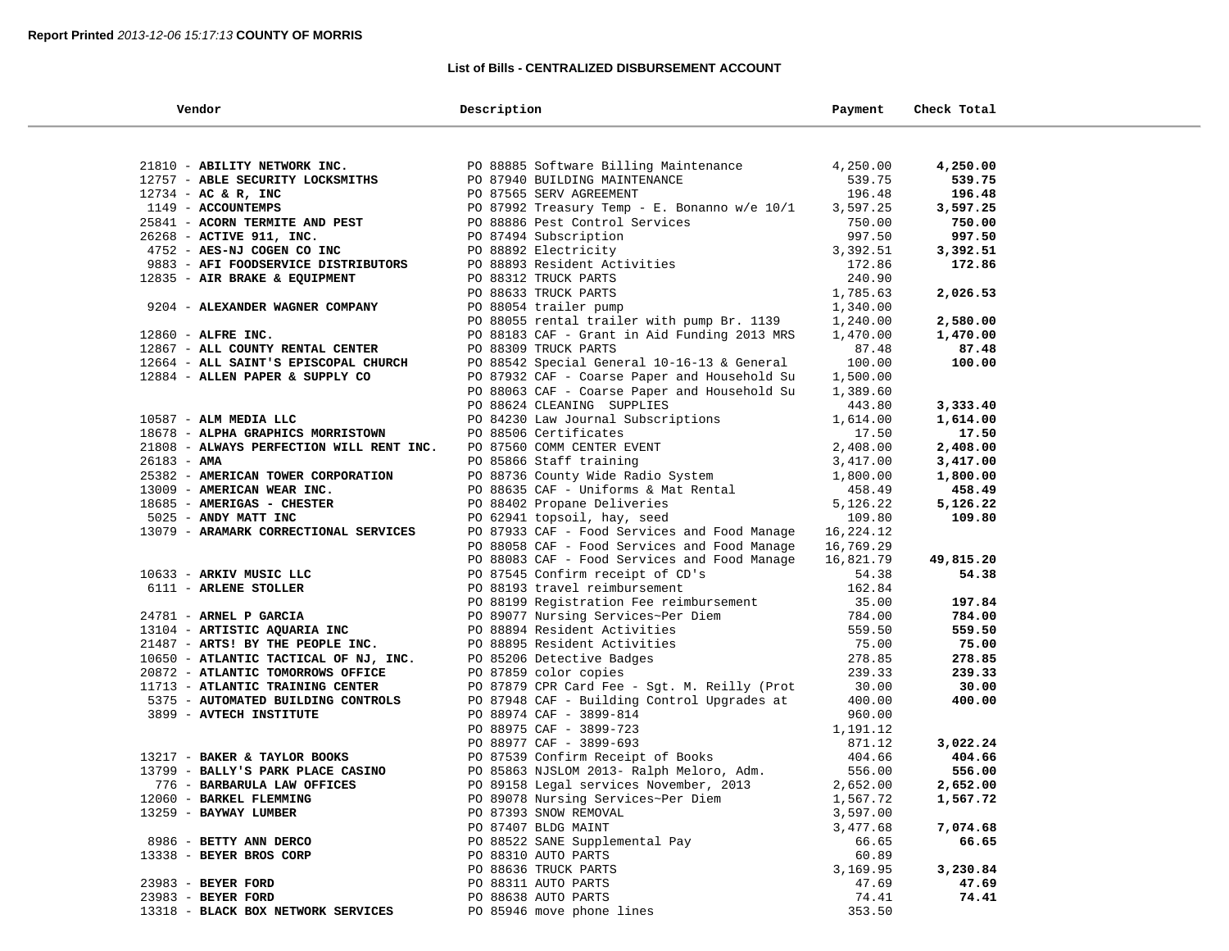## **List of Bills - CENTRALIZED DISBURSEMENT ACCOUNT**

| Vendor                                            | Description                                                                                             | Payment              | Check Total       |  |
|---------------------------------------------------|---------------------------------------------------------------------------------------------------------|----------------------|-------------------|--|
|                                                   |                                                                                                         |                      |                   |  |
| 21810 - ABILITY NETWORK INC.                      | PO 88885 Software Billing Maintenance                                                                   | 4,250.00             | 4,250.00          |  |
| 12757 - ABLE SECURITY LOCKSMITHS                  | PO 87940 BUILDING MAINTENANCE                                                                           | 539.75               | 539.75            |  |
| $12734$ - AC & R, INC                             | PO 87565 SERV AGREEMENT                                                                                 | 196.48               | 196.48            |  |
| 1149 - ACCOUNTEMPS                                | PO 87992 Treasury Temp - E. Bonanno w/e 10/1                                                            | 3,597.25             | 3,597.25          |  |
| 25841 - ACORN TERMITE AND PEST                    |                                                                                                         | 750.00               | 750.00            |  |
| 26268 - ACTIVE 911, INC.                          | PO 88886 Pest Control Services<br>PO 87494 Subscription<br>PO 88892 Electricity                         | 997.50               | 997.50            |  |
| 4752 - AES-NJ COGEN CO INC                        |                                                                                                         | 3,392.51             | 3,392.51          |  |
| 9883 - AFI FOODSERVICE DISTRIBUTORS               | PO 88893 Resident Activities                                                                            | 172.86               | 172.86            |  |
| 12835 - AIR BRAKE & EQUIPMENT                     | PO 88312 TRUCK PARTS                                                                                    | 240.90               |                   |  |
|                                                   | PO 88633 TRUCK PARTS                                                                                    | 1,785.63             | 2,026.53          |  |
| 9204 - ALEXANDER WAGNER COMPANY                   | PO 88054 trailer pump                                                                                   | 1,340.00             |                   |  |
|                                                   | PO 88055 rental trailer with pump Br. 1139                                                              | 1,240.00             | 2,580.00          |  |
| 12860 - ALFRE INC.                                | PO 88183 CAF - Grant in Aid Funding 2013 MRS                                                            | 1,470.00             | 1,470.00          |  |
| 12867 - ALL COUNTY RENTAL CENTER                  | PO 88309 TRUCK PARTS                                                                                    | 87.48                | 87.48             |  |
| 12664 - ALL SAINT'S EPISCOPAL CHURCH              | PO 88542 Special General 10-16-13 & General                                                             | 100.00               | 100.00            |  |
| 12884 - ALLEN PAPER & SUPPLY CO                   | PO 87932 CAF - Coarse Paper and Household Su                                                            | 1,500.00             |                   |  |
|                                                   | PO 88063 CAF - Coarse Paper and Household Su                                                            | 1,389.60             |                   |  |
|                                                   | PO 88624 CLEANING SUPPLIES                                                                              | 443.80               | 3,333.40          |  |
| 10587 - ALM MEDIA LLC                             | PO 84230 Law Journal Subscriptions                                                                      | 1,614.00             | 1,614.00          |  |
| 18678 - ALPHA GRAPHICS MORRISTOWN                 | PO 88506 Certificates                                                                                   | 17.50                | 17.50             |  |
| 21808 - ALWAYS PERFECTION WILL RENT INC.          | PO 87560 COMM CENTER EVENT                                                                              | 2,408.00             | 2,408.00          |  |
| $26183 - AMA$                                     |                                                                                                         | 3,417.00             | 3,417.00          |  |
| 25382 - AMERICAN TOWER CORPORATION                |                                                                                                         | 1,800.00             | 1,800.00          |  |
| 13009 - AMERICAN WEAR INC.                        | PO 87500 COMM CENTER EVENT<br>PO 88736 County Wide Radio System<br>PO 88635 CAF - Uniforms & Mat Rental | 458.49               | 458.49            |  |
| 18685 - AMERIGAS - CHESTER                        | PO 88402 Propane Deliveries                                                                             | 5,126.22             | 5,126.22          |  |
| 5025 - ANDY MATT INC                              | PO 62941 topsoil, hay, seed                                                                             | 109.80               | 109.80            |  |
| 13079 - ARAMARK CORRECTIONAL SERVICES             | PO 87933 CAF - Food Services and Food Manage 16,224.12                                                  |                      |                   |  |
|                                                   | PO 88058 CAF - Food Services and Food Manage                                                            | 16,769.29            |                   |  |
|                                                   | PO 88083 CAF - Food Services and Food Manage                                                            | 16,821.79            | 49,815.20         |  |
| 10633 - ARKIV MUSIC LLC                           | PO 87545 Confirm receipt of CD's                                                                        | 54.38                | 54.38             |  |
| 6111 - ARLENE STOLLER                             | PO 88193 travel reimbursement                                                                           | 162.84               |                   |  |
|                                                   | PO 88199 Registration Fee reimbursement                                                                 | 35.00                | 197.84            |  |
| 24781 - ARNEL P GARCIA                            | PO 89077 Nursing Services~Per Diem<br>PO 88894 Resident Activities                                      | 784.00               | 784.00            |  |
| 13104 - ARTISTIC AQUARIA INC                      |                                                                                                         | 559.50               | 559.50            |  |
| 21487 - ARTS! BY THE PEOPLE INC.                  | PO 88895 Resident Activities                                                                            | 75.00                | 75.00             |  |
| 10650 - ATLANTIC TACTICAL OF NJ, INC.             | PO 85206 Detective Badges                                                                               | 278.85               | 278.85            |  |
| 20872 - ATLANTIC TOMORROWS OFFICE                 | PO 87859 color copies                                                                                   | 239.33               | 239.33            |  |
| 11713 - ATLANTIC TRAINING CENTER                  | PO 87879 CPR Card Fee - Sgt. M. Reilly (Prot                                                            | 30.00                | 30.00             |  |
| 5375 - AUTOMATED BUILDING CONTROLS                | PO 87948 CAF - Building Control Upgrades at                                                             | 400.00               | 400.00            |  |
| 3899 - AVTECH INSTITUTE                           | PO 88974 CAF - 3899-814                                                                                 | 960.00               |                   |  |
|                                                   | PO 88975 CAF - 3899-723                                                                                 | 1,191.12             |                   |  |
|                                                   | PO 88977 CAF - 3899-693                                                                                 | 871.12               | 3,022.24          |  |
| 13217 - BAKER & TAYLOR BOOKS                      | PO 87539 Confirm Receipt of Books                                                                       | 404.66               | 404.66            |  |
| 13799 - BALLY'S PARK PLACE CASINO                 | PO 85863 NJSLOM 2013- Ralph Meloro, Adm.                                                                | 556.00               | 556.00            |  |
| 776 - BARBARULA LAW OFFICES                       | PO 89158 Legal services November, 2013                                                                  | 2,652.00             | 2,652.00          |  |
| 12060 - BARKEL FLEMMING<br>13259 - BAYWAY LUMBER  | PO 89078 Nursing Services~Per Diem                                                                      | 1,567.72             | 1,567.72          |  |
|                                                   | PO 87393 SNOW REMOVAL                                                                                   | 3,597.00<br>3,477.68 |                   |  |
|                                                   | PO 87407 BLDG MAINT                                                                                     |                      | 7,074.68          |  |
| 8986 - BETTY ANN DERCO<br>13338 - BEYER BROS CORP | PO 88522 SANE Supplemental Pay<br>PO 88310 AUTO PARTS                                                   | 66.65<br>60.89       | 66.65             |  |
|                                                   |                                                                                                         | 3,169.95             |                   |  |
| 23983 - BEYER FORD                                | PO 88636 TRUCK PARTS<br>PO 88311 AUTO PARTS                                                             | 47.69                | 3,230.84<br>47.69 |  |
| 23983 - BEYER FORD                                | PO 88638 AUTO PARTS                                                                                     | 74.41                | 74.41             |  |
| 13318 - BLACK BOX NETWORK SERVICES                | PO 85946 move phone lines                                                                               | 353.50               |                   |  |
|                                                   |                                                                                                         |                      |                   |  |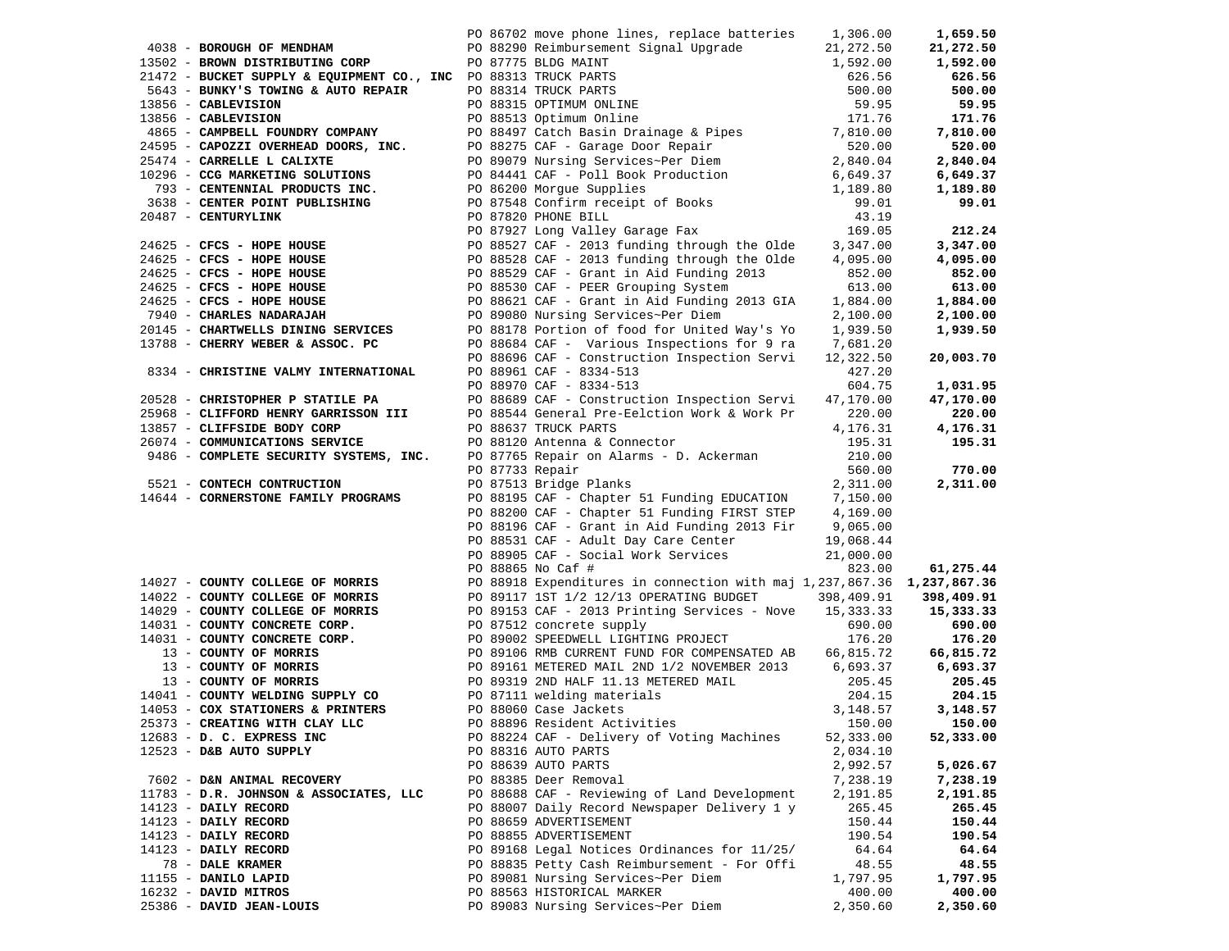|                                                                 |                 | PO 86702 move phone lines, replace batteries 1,306.00                                                                                        |            | 1,659.50   |
|-----------------------------------------------------------------|-----------------|----------------------------------------------------------------------------------------------------------------------------------------------|------------|------------|
| 4038 - BOROUGH OF MENDHAM                                       |                 | PO 88290 Reimbursement Signal Upgrade 21,272.50                                                                                              |            | 21,272.50  |
| 13502 - BROWN DISTRIBUTING CORP                                 |                 | PO 87775 BLDG MAINT                                                                                                                          | 1,592.00   | 1,592.00   |
|                                                                 |                 |                                                                                                                                              | 626.56     | 626.56     |
| 21472 - BUCKET SUPPLY & EQUIPMENT CO., INC PO 88313 TRUCK PARTS |                 |                                                                                                                                              |            |            |
| 5643 - BUNKY'S TOWING & AUTO REPAIR                             |                 | PO 88314 TRUCK PARTS                                                                                                                         | 500.00     | 500.00     |
| 13856 - CABLEVISION                                             |                 | PO 88315 OPTIMUM ONLINE                                                                                                                      | 59.95      | 59.95      |
| 13856 - CABLEVISION                                             |                 | PO 88513 Optimum Online<br>PO 88497 Catch Basin Drainage & Pipes<br>PO 88275 CAF - Garage Door Repair<br>PO 89079 Nursing Services-Dor Disco | 171.76     | 171.76     |
| 4865 - CAMPBELL FOUNDRY COMPANY                                 |                 |                                                                                                                                              | 7,810.00   | 7,810.00   |
| 24595 - CAPOZZI OVERHEAD DOORS, INC.                            |                 |                                                                                                                                              | 520.00     | 520.00     |
| 25474 - CARRELLE L CALIXTE                                      |                 | PO 89079 Nursing Services~Per Diem                                                                                                           | 2,840.04   | 2,840.04   |
| 10296 - CCG MARKETING SOLUTIONS                                 |                 | PO 84441 CAF - Poll Book Production                                                                                                          | 6,649.37   | 6,649.37   |
| 793 - CENTENNIAL PRODUCTS INC.                                  |                 | PO 86200 Morgue Supplies<br>PO 86200 Morgue Supplies<br>PO 87548 Confirm receipt of Books<br>PO 87820 PHONE BILL                             | 1,189.80   | 1,189.80   |
| 3638 - CENTER POINT PUBLISHING                                  |                 |                                                                                                                                              | 99.01      | 99.01      |
| 20487 - CENTURYLINK                                             |                 | PO 87820 PHONE BILL                                                                                                                          | 43.19      |            |
|                                                                 |                 | PO 87927 Long Valley Garage Fax                                                                                                              | 169.05     | 212.24     |
| 24625 - CFCS - HOPE HOUSE                                       |                 | PO 88527 CAF - 2013 funding through the Olde                                                                                                 | 3,347.00   | 3,347.00   |
| $24625$ - CFCS - HOPE HOUSE                                     |                 | PO 88528 CAF - 2013 funding through the Olde                                                                                                 | 4,095.00   | 4,095.00   |
| 24625 - CFCS - HOPE HOUSE                                       |                 | PO 88529 CAF - Grant in Aid Funding 2013                                                                                                     | 852.00     | 852.00     |
| 24625 - CFCS - HOPE HOUSE                                       |                 | PO 88530 CAF - PEER Grouping System                                                                                                          | 613.00     | 613.00     |
| $24625$ - CFCS - HOPE HOUSE                                     |                 | PO 88621 CAF - Grant in Aid Funding 2013 GIA                                                                                                 | 1,884.00   | 1,884.00   |
| 7940 - CHARLES NADARAJAH                                        |                 | PO 89080 Nursing Services~Per Diem                                                                                                           | 2,100.00   | 2,100.00   |
| 20145 - CHARTWELLS DINING SERVICES                              |                 | PO 88178 Portion of food for United Way's Yo                                                                                                 | 1,939.50   | 1,939.50   |
| 13788 - CHERRY WEBER & ASSOC. PC                                |                 | PO 88684 CAF - Various Inspections for 9 ra                                                                                                  | 7,681.20   |            |
|                                                                 |                 | PO 88696 CAF - Construction Inspection Servi                                                                                                 | 12,322.50  | 20,003.70  |
| 8334 - CHRISTINE VALMY INTERNATIONAL                            |                 | PO 88961 CAF - 8334-513                                                                                                                      | 427.20     |            |
|                                                                 |                 | PO 88970 CAF - 8334-513                                                                                                                      | 604.75     | 1,031.95   |
| 20528 - CHRISTOPHER P STATILE PA                                |                 | PO 88689 CAF - Construction Inspection Servi                                                                                                 | 47,170.00  | 47,170.00  |
| 25968 - CLIFFORD HENRY GARRISSON III                            |                 | PO 88544 General Pre-Eelction Work & Work Pr                                                                                                 | 220.00     | 220.00     |
| 13857 - CLIFFSIDE BODY CORP                                     |                 | PO 88637 TRUCK PARTS                                                                                                                         | 4,176.31   | 4,176.31   |
| 26074 - COMMUNICATIONS SERVICE                                  |                 | PO 88120 Antenna & Connector                                                                                                                 | 195.31     | 195.31     |
| 9486 - COMPLETE SECURITY SYSTEMS, INC.                          |                 | PO 87765 Repair on Alarms - D. Ackerman                                                                                                      | 210.00     |            |
|                                                                 | PO 87733 Repair |                                                                                                                                              | 560.00     | 770.00     |
| 5521 - CONTECH CONTRUCTION                                      |                 | PO 87513 Bridge Planks                                                                                                                       | 2,311.00   | 2,311.00   |
| 14644 - CORNERSTONE FAMILY PROGRAMS                             |                 |                                                                                                                                              |            |            |
|                                                                 |                 | PO 88195 CAF - Chapter 51 Funding EDUCATION<br>PO 88200 CAF - Chapter 51 Funding FIRST STEP                                                  | 7,150.00   |            |
|                                                                 |                 |                                                                                                                                              | 4,169.00   |            |
|                                                                 |                 | PO 88196 CAF - Grant in Aid Funding 2013 Fir                                                                                                 | 9,065.00   |            |
|                                                                 |                 | PO 88531 CAF - Adult Day Care Center                                                                                                         | 19,068.44  |            |
|                                                                 |                 | PO 88905 CAF - Social Work Services                                                                                                          | 21,000.00  |            |
|                                                                 |                 | PO 88865 No Caf #                                                                                                                            | 823.00     | 61,275.44  |
| 14027 - COUNTY COLLEGE OF MORRIS                                |                 | PO 88918 Expenditures in connection with maj 1,237,867.36 1,237,867.36                                                                       |            |            |
| 14022 - COUNTY COLLEGE OF MORRIS                                |                 | PO 89117 1ST 1/2 12/13 OPERATING BUDGET                                                                                                      | 398,409.91 | 398,409.91 |
| 14029 - COUNTY COLLEGE OF MORRIS                                |                 | PO 89153 CAF - 2013 Printing Services - Nove                                                                                                 | 15,333.33  | 15,333.33  |
| 14031 - COUNTY CONCRETE CORP.                                   |                 | PO 87512 concrete supply                                                                                                                     | 690.00     | 690.00     |
| 14031 - COUNTY CONCRETE CORP.                                   |                 | PO 89002 SPEEDWELL LIGHTING PROJECT                                                                                                          | 176.20     | 176.20     |
| 13 - COUNTY OF MORRIS                                           |                 | PO 89106 RMB CURRENT FUND FOR COMPENSATED AB                                                                                                 | 66,815.72  | 66,815.72  |
| 13 - COUNTY OF MORRIS                                           |                 | PO 89161 METERED MAIL 2ND 1/2 NOVEMBER 2013                                                                                                  | 6,693.37   | 6,693.37   |
| 13 - COUNTY OF MORRIS                                           |                 | PO 89319 2ND HALF 11.13 METERED MAIL                                                                                                         | 205.45     | 205.45     |
| 14041 - COUNTY WELDING SUPPLY CO                                |                 | PO 87111 welding materials                                                                                                                   | 204.15     | 204.15     |
| 14053 - COX STATIONERS & PRINTERS                               |                 | PO 88060 Case Jackets                                                                                                                        | 3,148.57   | 3,148.57   |
| 25373 - CREATING WITH CLAY LLC                                  |                 | PO 88896 Resident Activities                                                                                                                 | 150.00     | 150.00     |
| 12683 - D. C. EXPRESS INC                                       |                 | PO 88224 CAF - Delivery of Voting Machines                                                                                                   | 52,333.00  | 52,333.00  |
| 12523 - D&B AUTO SUPPLY                                         |                 | PO 88316 AUTO PARTS                                                                                                                          | 2,034.10   |            |
|                                                                 |                 | PO 88639 AUTO PARTS                                                                                                                          | 2,992.57   | 5,026.67   |
| 7602 - D&N ANIMAL RECOVERY                                      |                 | PO 88385 Deer Removal                                                                                                                        | 7,238.19   | 7,238.19   |
| 11783 - D.R. JOHNSON & ASSOCIATES, LLC                          |                 | PO 88688 CAF - Reviewing of Land Development                                                                                                 | 2,191.85   | 2,191.85   |
| 14123 - DAILY RECORD                                            |                 | PO 88007 Daily Record Newspaper Delivery 1 y                                                                                                 | 265.45     | 265.45     |
| 14123 - DAILY RECORD                                            |                 | PO 88659 ADVERTISEMENT                                                                                                                       | 150.44     | 150.44     |
| 14123 - DAILY RECORD                                            |                 | PO 88855 ADVERTISEMENT                                                                                                                       | 190.54     | 190.54     |
| 14123 - DAILY RECORD                                            |                 | PO 89168 Legal Notices Ordinances for 11/25/                                                                                                 | 64.64      | 64.64      |
| 78 - DALE KRAMER                                                |                 | PO 88835 Petty Cash Reimbursement - For Offi                                                                                                 | 48.55      | 48.55      |
| 11155 - DANILO LAPID                                            |                 | PO 89081 Nursing Services~Per Diem                                                                                                           | 1,797.95   | 1,797.95   |
| 16232 - DAVID MITROS                                            |                 | PO 88563 HISTORICAL MARKER                                                                                                                   | 400.00     | 400.00     |
| 25386 - DAVID JEAN-LOUIS                                        |                 | PO 89083 Nursing Services~Per Diem                                                                                                           | 2,350.60   | 2,350.60   |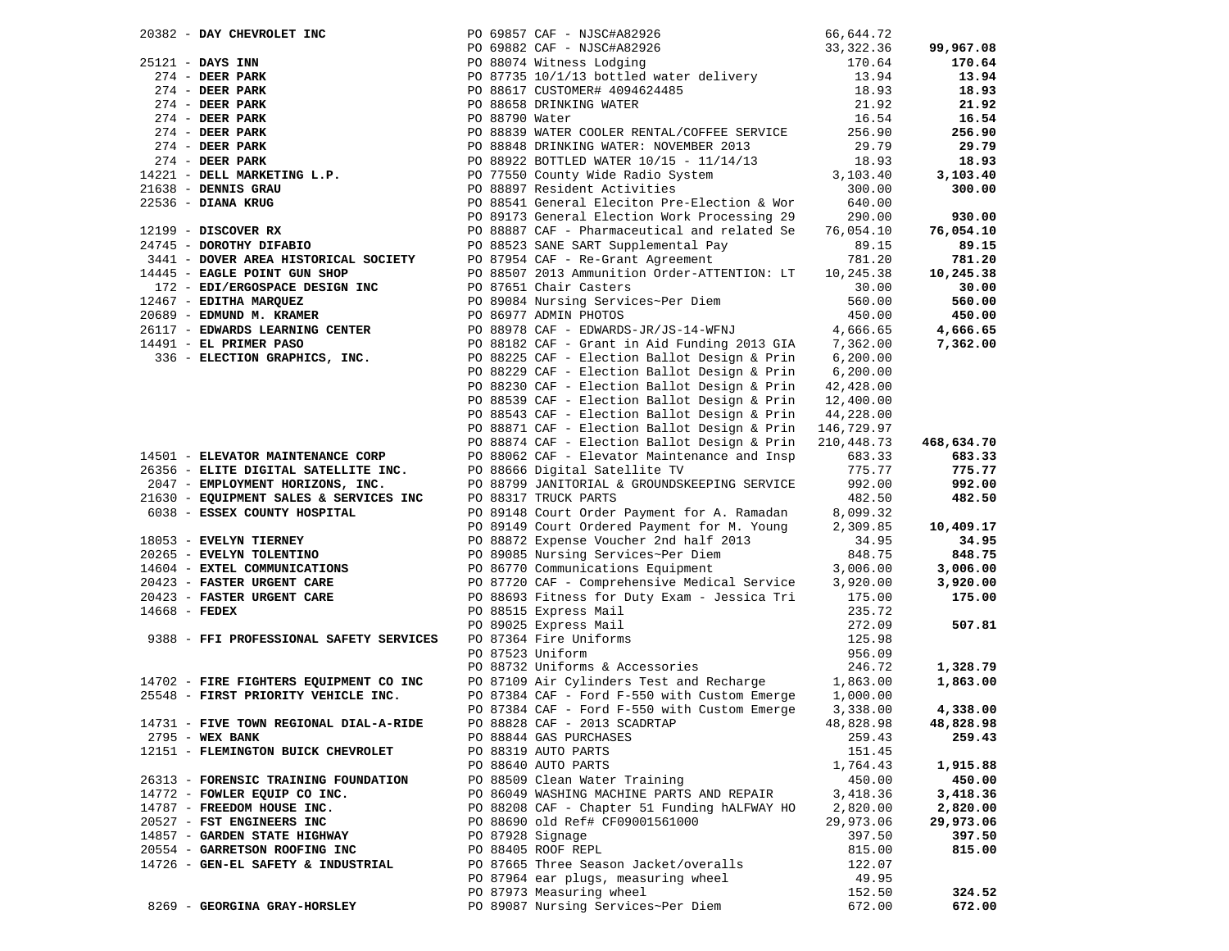|                 | 20382 - DAY CHEVROLET INC                                                                                                                                                                                                                              |                | PO 69857 CAF - NJSC#A82926                               | 66,644.72  |            |
|-----------------|--------------------------------------------------------------------------------------------------------------------------------------------------------------------------------------------------------------------------------------------------------|----------------|----------------------------------------------------------|------------|------------|
|                 |                                                                                                                                                                                                                                                        |                |                                                          | 33,322.36  | 99,967.08  |
|                 | 25121 - DAYS INN<br>274 - DEER PARK<br>274 - DEER PARK<br>274 - DEER PARK<br>274 - DEER PARK<br>274 - DEER PARK<br>274 - DEER PARK<br>274 - DEER PARK<br>274 - DEER PARK<br>274 - DEER PARK<br>274 - DEER PARK<br>14221 - DELL MARKETING L.P.<br>21638 |                | PO 69882 CAF - NJSC#A82926<br>PO 88074 Witness Lodging   | 170.64     | 170.64     |
|                 |                                                                                                                                                                                                                                                        |                | PO 87735 10/1/13 bottled water delivery                  | 13.94      | 13.94      |
|                 |                                                                                                                                                                                                                                                        |                | PO 88617 CUSTOMER# 4094624485                            | 18.93      | 18.93      |
|                 |                                                                                                                                                                                                                                                        |                |                                                          |            |            |
|                 |                                                                                                                                                                                                                                                        |                | PO 88658 DRINKING WATER                                  | 21.92      | 21.92      |
|                 |                                                                                                                                                                                                                                                        | PO 88790 Water |                                                          | 16.54      | 16.54      |
|                 |                                                                                                                                                                                                                                                        |                | PO 88839 WATER COOLER RENTAL/COFFEE SERVICE              | 256.90     | 256.90     |
|                 |                                                                                                                                                                                                                                                        |                | PO 88848 DRINKING WATER: NOVEMBER 2013                   | 29.79      | 29.79      |
|                 |                                                                                                                                                                                                                                                        |                | PO 88922 BOTTLED WATER 10/15 - 11/14/13                  | 18.93      | 18.93      |
|                 |                                                                                                                                                                                                                                                        |                | PO 77550 County Wide Radio System                        | 3,103.40   | 3,103.40   |
|                 | $21638$ - DENNIS GRAU                                                                                                                                                                                                                                  |                | PO 88897 Resident Activities                             | 300.00     | 300.00     |
|                 | 22536 - DIANA KRUG                                                                                                                                                                                                                                     |                | PO 88541 General Eleciton Pre-Election & Wor             | 640.00     |            |
|                 |                                                                                                                                                                                                                                                        |                | PO 89173 General Election Work Processing 29             | 290.00     | 930.00     |
|                 |                                                                                                                                                                                                                                                        |                |                                                          |            |            |
|                 | $12199$ - DISCOVER RX                                                                                                                                                                                                                                  |                | PO 88887 CAF - Pharmaceutical and related Se             | 76,054.10  | 76,054.10  |
|                 | 24745 - DOROTHY DIFABIO                                                                                                                                                                                                                                |                | PO 88523 SANE SART Supplemental Pay                      | 89.15      | 89.15      |
|                 | 3441 - DOVER AREA HISTORICAL SOCIETY                                                                                                                                                                                                                   |                | PO 87954 CAF - Re-Grant Agreement                        | 781.20     | 781.20     |
|                 | 14445 - EAGLE POINT GUN SHOP                                                                                                                                                                                                                           |                | PO 88507 2013 Ammunition Order-ATTENTION: LT             | 10,245.38  | 10,245.38  |
|                 | 172 - EDI/ERGOSPACE DESIGN INC                                                                                                                                                                                                                         |                | PO 87651 Chair Casters                                   | 30.00      | 30.00      |
|                 | 12467 - EDITHA MARQUEZ                                                                                                                                                                                                                                 |                | PO 89084 Nursing Services~Per Diem                       | 560.00     | 560.00     |
|                 | 20689 - EDMUND M. KRAMER                                                                                                                                                                                                                               |                | PO 86977 ADMIN PHOTOS                                    | 450.00     | 450.00     |
|                 | 26117 - EDWARDS LEARNING CENTER                                                                                                                                                                                                                        |                | PO 88978 CAF - EDWARDS-JR/JS-14-WFNJ                     | 4,666.65   | 4,666.65   |
|                 | $14491$ - EL PRIMER PASO                                                                                                                                                                                                                               |                | PO 88182 CAF - Grant in Aid Funding 2013 GIA             | 7,362.00   | 7,362.00   |
|                 |                                                                                                                                                                                                                                                        |                |                                                          |            |            |
|                 | 336 - ELECTION GRAPHICS, INC.                                                                                                                                                                                                                          |                | PO 88225 CAF - Election Ballot Design & Prin             | 6, 200.00  |            |
|                 |                                                                                                                                                                                                                                                        |                | PO 88229 CAF - Election Ballot Design & Prin             | 6, 200.00  |            |
|                 |                                                                                                                                                                                                                                                        |                | PO 88230 CAF - Election Ballot Design & Prin             | 42,428.00  |            |
|                 |                                                                                                                                                                                                                                                        |                | PO 88539 CAF - Election Ballot Design & Prin $12,400.00$ |            |            |
|                 |                                                                                                                                                                                                                                                        |                | PO 88543 CAF - Election Ballot Design & Prin             | 44,228.00  |            |
|                 |                                                                                                                                                                                                                                                        |                | PO 88871 CAF - Election Ballot Design & Prin 146,729.97  |            |            |
|                 |                                                                                                                                                                                                                                                        |                | PO 88874 CAF - Election Ballot Design & Prin             | 210,448.73 | 468,634.70 |
|                 | 14501 - ELEVATOR MAINTENANCE CORP                                                                                                                                                                                                                      |                | PO 88062 CAF - Elevator Maintenance and Insp             | 683.33     | 683.33     |
|                 | 26356 - ELITE DIGITAL SATELLITE INC.                                                                                                                                                                                                                   |                | PO 88666 Digital Satellite TV                            | 775.77     | 775.77     |
|                 |                                                                                                                                                                                                                                                        |                |                                                          |            |            |
|                 | 2047 - EMPLOYMENT HORIZONS, INC.<br>21630 - EQUIPMENT SALES & SERVICES INC                                                                                                                                                                             |                | PO 88799 JANITORIAL & GROUNDSKEEPING SERVICE             | 992.00     | 992.00     |
|                 |                                                                                                                                                                                                                                                        |                | PO 88317 TRUCK PARTS                                     | 482.50     | 482.50     |
|                 | 6038 - ESSEX COUNTY HOSPITAL                                                                                                                                                                                                                           |                | PO 89148 Court Order Payment for A. Ramadan              | 8,099.32   |            |
|                 |                                                                                                                                                                                                                                                        |                | PO 89149 Court Ordered Payment for M. Young              | 2,309.85   | 10,409.17  |
|                 | 18053 - EVELYN TIERNEY                                                                                                                                                                                                                                 |                | PO 88872 Expense Voucher 2nd half 2013                   | 34.95      | 34.95      |
|                 | 20265 - EVELYN TOLENTINO                                                                                                                                                                                                                               |                | PO 89085 Nursing Services~Per Diem                       | 848.75     | 848.75     |
|                 | 14604 - EXTEL COMMUNICATIONS                                                                                                                                                                                                                           |                | PO 86770 Communications Equipment                        | 3,006.00   | 3,006.00   |
|                 | 20423 - FASTER URGENT CARE                                                                                                                                                                                                                             |                | PO 87720 CAF - Comprehensive Medical Service             | 3,920.00   | 3,920.00   |
|                 | 20423 - FASTER URGENT CARE                                                                                                                                                                                                                             |                | PO 88693 Fitness for Duty Exam - Jessica Tri             | 175.00     | 175.00     |
| $14668$ - FEDEX |                                                                                                                                                                                                                                                        |                | PO 88515 Express Mail                                    | 235.72     |            |
|                 |                                                                                                                                                                                                                                                        |                | PO 89025 Express Mail                                    | 272.09     | 507.81     |
|                 |                                                                                                                                                                                                                                                        |                |                                                          |            |            |
|                 | 9388 - FFI PROFESSIONAL SAFETY SERVICES                                                                                                                                                                                                                |                | PO 87364 Fire Uniforms                                   | 125.98     |            |
|                 |                                                                                                                                                                                                                                                        |                | PO 87523 Uniform                                         | 956.09     |            |
|                 |                                                                                                                                                                                                                                                        |                | PO 88732 Uniforms & Accessories                          | 246.72     | 1,328.79   |
|                 | 14702 - FIRE FIGHTERS EQUIPMENT CO INC                                                                                                                                                                                                                 |                | PO 87109 Air Cylinders Test and Recharge                 | 1,863.00   | 1,863.00   |
|                 | 25548 - FIRST PRIORITY VEHICLE INC.                                                                                                                                                                                                                    |                | PO 87384 CAF - Ford F-550 with Custom Emerge             | 1,000.00   |            |
|                 |                                                                                                                                                                                                                                                        |                | PO 87384 CAF - Ford F-550 with Custom Emerge             | 3,338.00   | 4,338.00   |
|                 | 14731 - FIVE TOWN REGIONAL DIAL-A-RIDE                                                                                                                                                                                                                 |                | PO 88828 CAF - 2013 SCADRTAP                             | 48,828.98  | 48,828.98  |
|                 | 2795 - WEX BANK                                                                                                                                                                                                                                        |                | PO 88844 GAS PURCHASES                                   | 259.43     | 259.43     |
|                 | 12151 - FLEMINGTON BUICK CHEVROLET                                                                                                                                                                                                                     |                | PO 88319 AUTO PARTS                                      | 151.45     |            |
|                 |                                                                                                                                                                                                                                                        |                | PO 88640 AUTO PARTS                                      | 1,764.43   | 1,915.88   |
|                 | 26313 - FORENSIC TRAINING FOUNDATION                                                                                                                                                                                                                   |                | PO 88509 Clean Water Training                            | 450.00     | 450.00     |
|                 |                                                                                                                                                                                                                                                        |                |                                                          |            |            |
|                 | 14772 - FOWLER EQUIP CO INC.                                                                                                                                                                                                                           |                | PO 86049 WASHING MACHINE PARTS AND REPAIR                | 3,418.36   | 3,418.36   |
|                 | 14787 - FREEDOM HOUSE INC.                                                                                                                                                                                                                             |                | PO 88208 CAF - Chapter 51 Funding hALFWAY HO             | 2,820.00   | 2,820.00   |
|                 | 20527 - FST ENGINEERS INC                                                                                                                                                                                                                              |                | PO 88690 old Ref# CF09001561000                          | 29,973.06  | 29,973.06  |
|                 | 14857 - GARDEN STATE HIGHWAY                                                                                                                                                                                                                           |                | PO 87928 Signage                                         | 397.50     | 397.50     |
|                 | 20554 - GARRETSON ROOFING INC                                                                                                                                                                                                                          |                | PO 88405 ROOF REPL                                       | 815.00     | 815.00     |
|                 | 14726 - GEN-EL SAFETY & INDUSTRIAL                                                                                                                                                                                                                     |                | PO 87665 Three Season Jacket/overalls                    | 122.07     |            |
|                 |                                                                                                                                                                                                                                                        |                | PO 87964 ear plugs, measuring wheel                      | 49.95      |            |
|                 |                                                                                                                                                                                                                                                        |                | PO 87973 Measuring wheel                                 | 152.50     | 324.52     |
|                 | 8269 - GEORGINA GRAY-HORSLEY                                                                                                                                                                                                                           |                | PO 89087 Nursing Services~Per Diem                       | 672.00     | 672.00     |
|                 |                                                                                                                                                                                                                                                        |                |                                                          |            |            |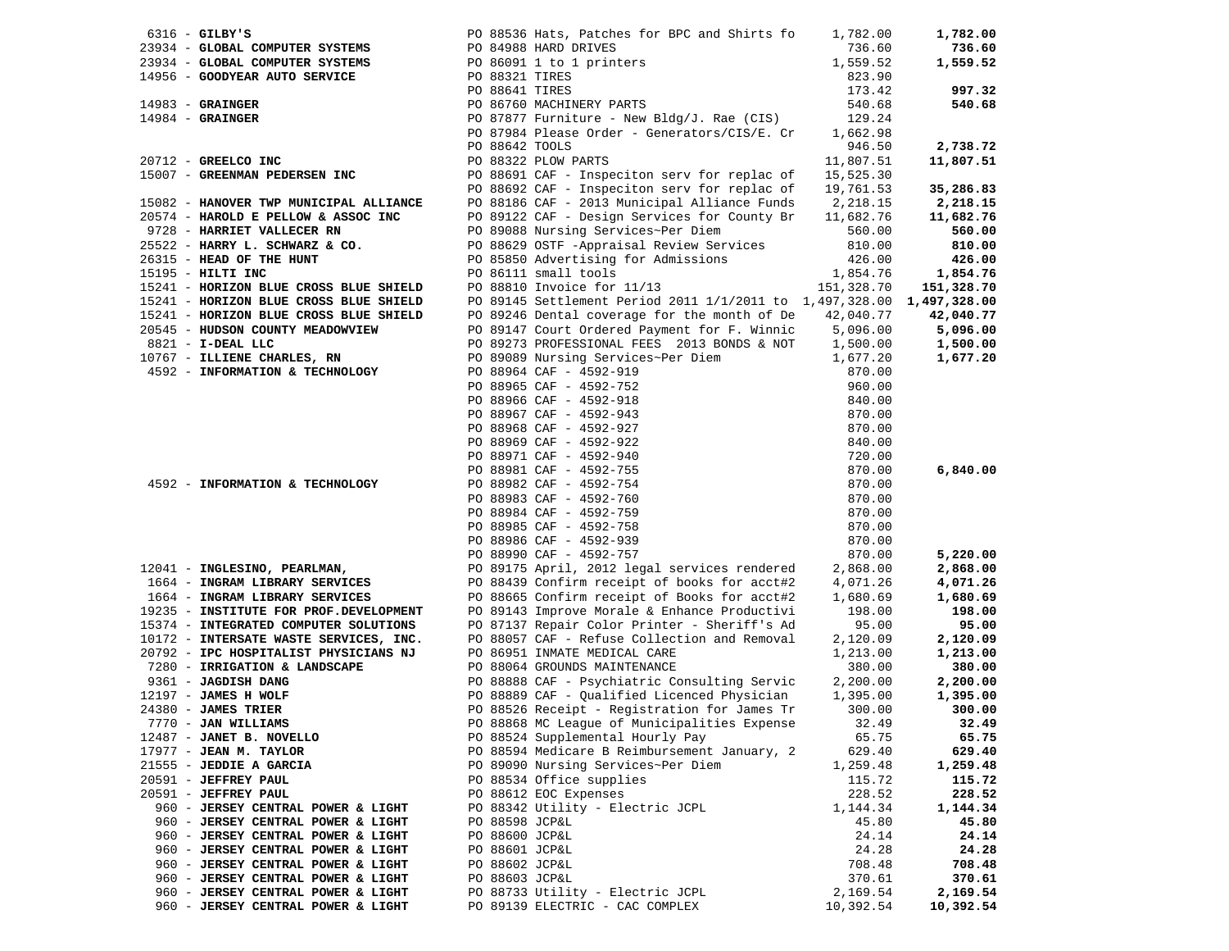| $6316$ - GILBY'S                                                                                                           |                | PO 88536 Hats, Patches for BPC and Shirts fo                                                                                                                                                                                                   | 1,782.00         | 1,782.00   |
|----------------------------------------------------------------------------------------------------------------------------|----------------|------------------------------------------------------------------------------------------------------------------------------------------------------------------------------------------------------------------------------------------------|------------------|------------|
| 23934 - GLOBAL COMPUTER SYSTEMS                                                                                            |                | PO 84988 HARD DRIVES                                                                                                                                                                                                                           | 736.60           | 736.60     |
|                                                                                                                            |                |                                                                                                                                                                                                                                                |                  | 1,559.52   |
|                                                                                                                            |                |                                                                                                                                                                                                                                                |                  |            |
|                                                                                                                            |                |                                                                                                                                                                                                                                                |                  | 997.32     |
|                                                                                                                            |                |                                                                                                                                                                                                                                                |                  | 540.68     |
|                                                                                                                            |                |                                                                                                                                                                                                                                                |                  |            |
|                                                                                                                            |                | PO 87984 Please Order - Generators/CIS/E. Cr 1,662.98                                                                                                                                                                                          |                  |            |
|                                                                                                                            | PO 88642 TOOLS |                                                                                                                                                                                                                                                | 946.50           | 2,738.72   |
| 20712 - GREELCO INC                                                                                                        |                | PO 88322 PLOW PARTS                                                                                                                                                                                                                            | 11,807.51        | 11,807.51  |
| 15007 - GREENMAN PEDERSEN INC                                                                                              |                | PO 88691 CAF - Inspeciton serv for replac of                                                                                                                                                                                                   | 15,525.30        |            |
|                                                                                                                            |                | PO 88692 CAF - Inspeciton serv for replac of                                                                                                                                                                                                   | 19,761.53        | 35,286.83  |
| 15082 - HANOVER TWP MUNICIPAL ALLIANCE                                                                                     |                | PO 88186 CAF - 2013 Municipal Alliance Funds 2,218.15                                                                                                                                                                                          |                  | 2,218.15   |
| 20574 - HAROLD E PELLOW & ASSOC INC                                                                                        |                | PO 89122 CAF - Design Services for County Br 11,682.76                                                                                                                                                                                         |                  | 11,682.76  |
| 9728 - HARRIET VALLECER RN                                                                                                 |                | PO 89088 Nursing Services~Per Diem                                                                                                                                                                                                             | 560.00           | 560.00     |
| 25522 - HARRY L. SCHWARZ & CO.                                                                                             |                |                                                                                                                                                                                                                                                |                  |            |
|                                                                                                                            |                | PO 88629 OSTF -Appraisal Review Services                                                                                                                                                                                                       | 810.00           | 810.00     |
| 26315 - HEAD OF THE HUNT                                                                                                   |                | PO 85850 Advertising for Admissions                                                                                                                                                                                                            | 426.00           | 426.00     |
| 15195 - HILTI INC                                                                                                          |                | PO 86111 small tools<br>PO 86111 small tools<br>PO 88810 Invoice for 11/13                                                                                                                                                                     | 1,854.76         | 1,854.76   |
| 15241 - HORIZON BLUE CROSS BLUE SHIELD<br>15241 - HORIZON BLUE CROSS BLUE SHIELD<br>15241 - HORIZON BLUE CROSS BLUE SHIELD |                |                                                                                                                                                                                                                                                | 151,328.70       | 151,328.70 |
|                                                                                                                            |                | PO 89145 Settlement Period 2011 1/1/2011 to 1,497,328.00 1,497,328.00                                                                                                                                                                          |                  |            |
|                                                                                                                            |                | PO 89246 Dental coverage for the month of De 42,040.77                                                                                                                                                                                         |                  | 42,040.77  |
| 20545 - HUDSON COUNTY MEADOWVIEW                                                                                           |                | PO 89147 Court Ordered Payment for F. Winnic 5,096.00<br>PO 89273 PROFESSIONAL FEES 2013 BONDS & NOT 1,500.00                                                                                                                                  |                  | 5,096.00   |
| 8821 - I-DEAL LLC                                                                                                          |                |                                                                                                                                                                                                                                                |                  | 1,500.00   |
| 10767 - ILLIENE CHARLES, RN                                                                                                |                | PO 89089 Nursing Services~Per Diem 1,677.20                                                                                                                                                                                                    |                  | 1,677.20   |
| 4592 - INFORMATION & TECHNOLOGY                                                                                            |                |                                                                                                                                                                                                                                                | 870.00           |            |
|                                                                                                                            |                |                                                                                                                                                                                                                                                | 960.00           |            |
|                                                                                                                            |                |                                                                                                                                                                                                                                                | 840.00           |            |
|                                                                                                                            |                |                                                                                                                                                                                                                                                | 870.00           |            |
|                                                                                                                            |                |                                                                                                                                                                                                                                                | 870.00           |            |
|                                                                                                                            |                |                                                                                                                                                                                                                                                | 840.00           |            |
|                                                                                                                            |                |                                                                                                                                                                                                                                                | 720.00           |            |
|                                                                                                                            |                |                                                                                                                                                                                                                                                | 870.00           | 6,840.00   |
| 4592 - INFORMATION & TECHNOLOGY                                                                                            |                | PO 88965 CAF - 4592-752<br>PO 88966 CAF - 4592-918<br>PO 88967 CAF - 4592-918<br>PO 88968 CAF - 4592-927<br>PO 88968 CAF - 4592-927<br>PO 88969 CAF - 4592-922<br>PO 88971 CAF - 4592-940<br>PO 88981 CAF - 4592-755<br>PO 88982 CAF - 4592-75 | 870.00           |            |
|                                                                                                                            |                |                                                                                                                                                                                                                                                | 870.00           |            |
|                                                                                                                            |                |                                                                                                                                                                                                                                                | 870.00           |            |
|                                                                                                                            |                |                                                                                                                                                                                                                                                | 870.00           |            |
|                                                                                                                            |                |                                                                                                                                                                                                                                                | 870.00           |            |
|                                                                                                                            |                | PO 88990 CAF - 4592-757                                                                                                                                                                                                                        | 870.00           | 5,220.00   |
| 12041 - INGLESINO, PEARLMAN,                                                                                               |                | PO 89175 April, 2012 legal services rendered                                                                                                                                                                                                   | 2,868.00         | 2,868.00   |
| 1664 - INGRAM LIBRARY SERVICES                                                                                             |                | PO 88439 Confirm receipt of books for acct#2                                                                                                                                                                                                   | 4,071.26         | 4,071.26   |
| 1664 - INGRAM LIBRARY SERVICES                                                                                             |                | PO 88665 Confirm receipt of Books for acct#2                                                                                                                                                                                                   | 1,680.69         | 1,680.69   |
| 19235 - INSTITUTE FOR PROF.DEVELOPMENT                                                                                     |                | PO 89143 Improve Morale & Enhance Productivi                                                                                                                                                                                                   | 198.00           | 198.00     |
| 15374 - INTEGRATED COMPUTER SOLUTIONS                                                                                      |                | PO 87137 Repair Color Printer - Sheriff's Ad                                                                                                                                                                                                   | 95.00            | 95.00      |
| 10172 - INTERSATE WASTE SERVICES, INC.                                                                                     |                | PO 88057 CAF - Refuse Collection and Removal                                                                                                                                                                                                   | 2,120.09         | 2,120.09   |
| 20792 - IPC HOSPITALIST PHYSICIANS NJ                                                                                      |                | PO 86951 INMATE MEDICAL CARE                                                                                                                                                                                                                   | 1,213.00         | 1,213.00   |
| 7280 - IRRIGATION & LANDSCAPE                                                                                              |                | PO 88064 GROUNDS MAINTENANCE                                                                                                                                                                                                                   | 380.00           | 380.00     |
| 9361 - JAGDISH DANG                                                                                                        |                | PO 88888 CAF - Psychiatric Consulting Servic                                                                                                                                                                                                   | 2,200.00         | 2,200.00   |
| 12197 - JAMES H WOLF                                                                                                       |                | PO 88889 CAF - Qualified Licenced Physician                                                                                                                                                                                                    | 1,395.00         | 1,395.00   |
| $24380$ - JAMES TRIER                                                                                                      |                | PO 88526 Receipt - Registration for James Tr                                                                                                                                                                                                   | 300.00           | 300.00     |
| 7770 - JAN WILLIAMS                                                                                                        |                | PO 88868 MC League of Municipalities Expense                                                                                                                                                                                                   | 32.49            | 32.49      |
| 12487 - JANET B. NOVELLO                                                                                                   |                | PO 88524 Supplemental Hourly Pay                                                                                                                                                                                                               | 65.75            | 65.75      |
| $17977$ - JEAN M. TAYLOR                                                                                                   |                | PO 88594 Medicare B Reimbursement January, 2                                                                                                                                                                                                   | 629.40           | 629.40     |
| 21555 - JEDDIE A GARCIA                                                                                                    |                | PO 89090 Nursing Services~Per Diem                                                                                                                                                                                                             | 1,259.48         | 1,259.48   |
|                                                                                                                            |                | PO 88534 Office supplies                                                                                                                                                                                                                       |                  | 115.72     |
| 20591 - JEFFREY PAUL<br>20591 - JEFFREY PAUL                                                                               |                | PO 88612 EOC Expenses                                                                                                                                                                                                                          | 115.72<br>228.52 | 228.52     |
|                                                                                                                            |                |                                                                                                                                                                                                                                                |                  |            |
| 960 - JERSEY CENTRAL POWER & LIGHT                                                                                         |                | PO 88342 Utility - Electric JCPL                                                                                                                                                                                                               | 1,144.34         | 1,144.34   |
| 960 - JERSEY CENTRAL POWER & LIGHT                                                                                         | PO 88598 JCP&L |                                                                                                                                                                                                                                                | 45.80            | 45.80      |
| 960 - JERSEY CENTRAL POWER & LIGHT                                                                                         | PO 88600 JCP&L |                                                                                                                                                                                                                                                | 24.14            | 24.14      |
| 960 - JERSEY CENTRAL POWER & LIGHT                                                                                         | PO 88601 JCP&L |                                                                                                                                                                                                                                                | 24.28            | 24.28      |
| 960 - JERSEY CENTRAL POWER & LIGHT                                                                                         | PO 88602 JCP&L |                                                                                                                                                                                                                                                | 708.48           | 708.48     |
| 960 - JERSEY CENTRAL POWER & LIGHT                                                                                         | PO 88603 JCP&L |                                                                                                                                                                                                                                                | 370.61           | 370.61     |
| 960 - JERSEY CENTRAL POWER & LIGHT                                                                                         |                | PO 88733 Utility - Electric JCPL                                                                                                                                                                                                               | 2,169.54         | 2,169.54   |
| 960 - JERSEY CENTRAL POWER & LIGHT                                                                                         |                | PO 89139 ELECTRIC - CAC COMPLEX                                                                                                                                                                                                                | 10,392.54        | 10,392.54  |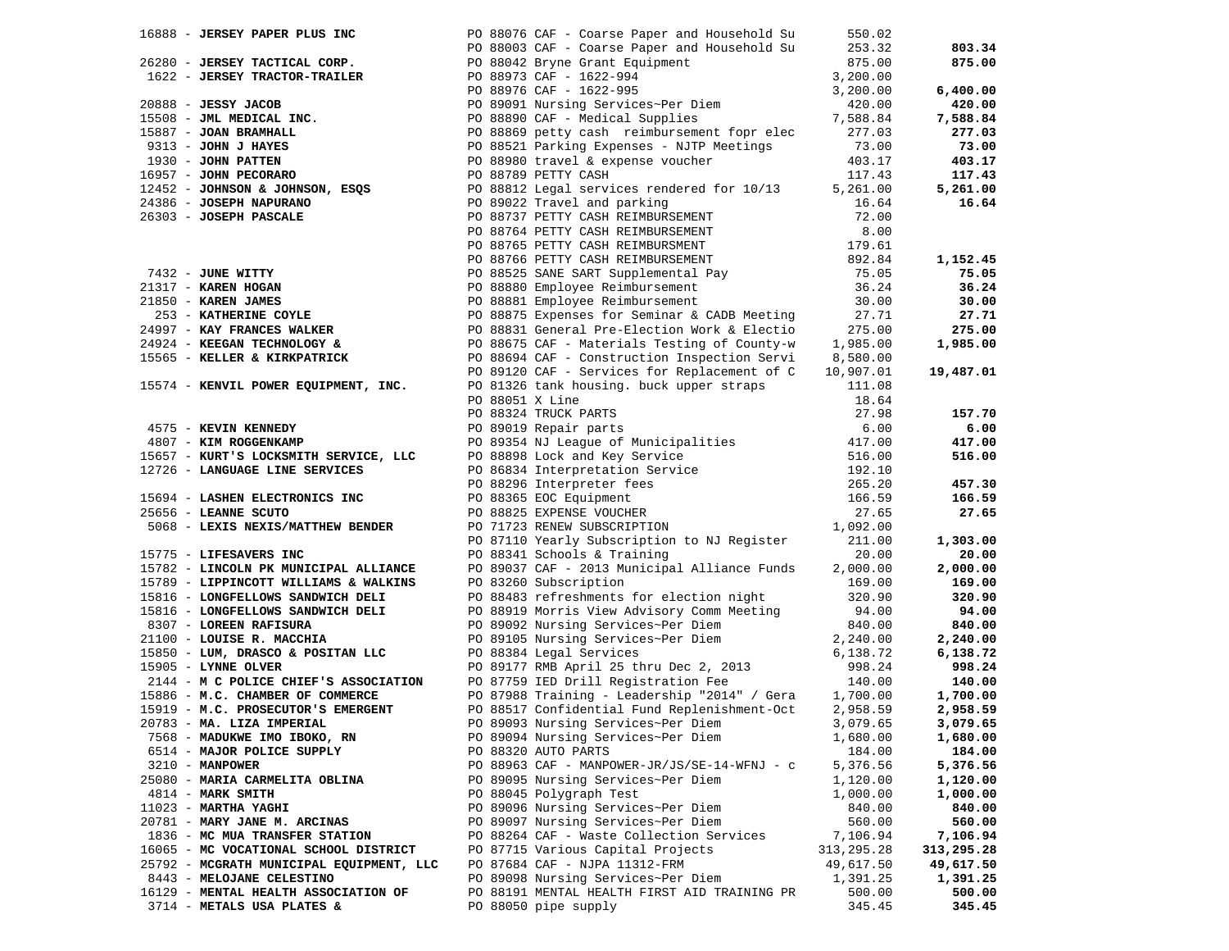| 16888 - JERSEY PAPER PLUS INC                                                                                                                                                   |                 | PO 88076 CAF - Coarse Paper and Household Su                                                                                                                                                                                                                                                                                                                                                                                                                                                       | 550.02       |            |
|---------------------------------------------------------------------------------------------------------------------------------------------------------------------------------|-----------------|----------------------------------------------------------------------------------------------------------------------------------------------------------------------------------------------------------------------------------------------------------------------------------------------------------------------------------------------------------------------------------------------------------------------------------------------------------------------------------------------------|--------------|------------|
|                                                                                                                                                                                 |                 | PO 88003 CAF - Coarse Paper and Household Su                                                                                                                                                                                                                                                                                                                                                                                                                                                       | 253.32       | 803.34     |
| 26280 - <b>JERSEY TACTICAL CORP.</b><br>1622 - <b>JERSEY TRACTOR-TRAILER</b> 1622 - PO 88042 Bryne Grant Equipment<br>2622 - PO 88973 CAF - 1622-994<br>20 88976 CAF - 1622-995 |                 |                                                                                                                                                                                                                                                                                                                                                                                                                                                                                                    | 875.00       | 875.00     |
|                                                                                                                                                                                 |                 |                                                                                                                                                                                                                                                                                                                                                                                                                                                                                                    | 3,200.00     |            |
|                                                                                                                                                                                 |                 |                                                                                                                                                                                                                                                                                                                                                                                                                                                                                                    | 3,200.00     | 6,400.00   |
|                                                                                                                                                                                 |                 | 20888 - JESSY JACOB<br>15508 - JML MEDICAL INC.<br>15508 - JML MEDICAL INC.<br>15887 - JOAN BRAMHALL<br>16887 - JOAN BRAMHALL<br>208889 QCAF - Medical Supplies<br>208889 QCAF - Medical Supplies<br>208889 QCAF - Medical Supplies<br>208889                                                                                                                                                                                                                                                      | 420.00       | 420.00     |
|                                                                                                                                                                                 |                 |                                                                                                                                                                                                                                                                                                                                                                                                                                                                                                    | 7,588.84     | 7,588.84   |
|                                                                                                                                                                                 |                 |                                                                                                                                                                                                                                                                                                                                                                                                                                                                                                    | 277.03       | 277.03     |
|                                                                                                                                                                                 |                 |                                                                                                                                                                                                                                                                                                                                                                                                                                                                                                    | 73.00        | 73.00      |
|                                                                                                                                                                                 |                 |                                                                                                                                                                                                                                                                                                                                                                                                                                                                                                    | 403.17       | 403.17     |
|                                                                                                                                                                                 |                 |                                                                                                                                                                                                                                                                                                                                                                                                                                                                                                    | 117.43       | 117.43     |
|                                                                                                                                                                                 |                 |                                                                                                                                                                                                                                                                                                                                                                                                                                                                                                    |              |            |
|                                                                                                                                                                                 |                 |                                                                                                                                                                                                                                                                                                                                                                                                                                                                                                    | 5,261.00     | 5,261.00   |
|                                                                                                                                                                                 |                 |                                                                                                                                                                                                                                                                                                                                                                                                                                                                                                    | 16.64        | 16.64      |
|                                                                                                                                                                                 |                 |                                                                                                                                                                                                                                                                                                                                                                                                                                                                                                    | 72.00        |            |
|                                                                                                                                                                                 |                 |                                                                                                                                                                                                                                                                                                                                                                                                                                                                                                    |              |            |
|                                                                                                                                                                                 |                 |                                                                                                                                                                                                                                                                                                                                                                                                                                                                                                    |              |            |
|                                                                                                                                                                                 |                 | PO 88737 PEIII CASH REIMBORSEMENT 179.61<br>PO 88766 PETTY CASH REIMBORSEMENT 179.61<br>PO 88766 PETTY CASH REIMBORSEMENT 179.61<br>PO 88525 SANE SART Supplemental Pay 75.05<br>PO 88880 Employee Reimbursement 36.24<br>PO 88881 Emplo<br>PO 88765 PETTY CASH REIMBURSMENT 1<br>PO 88766 PETTY CASH REIMBURSMENT 8<br>PO 88766 PETTY CASH REIMBURSEMENT 8<br>PO 88825 SANE SART Supplemental Pay<br>PO 88880 Employee Reimbursement<br>21850 - <b>KAREN JAMES</b><br>26 - <b>KAREN JAMES</b><br> |              | 1,152.45   |
|                                                                                                                                                                                 |                 |                                                                                                                                                                                                                                                                                                                                                                                                                                                                                                    |              | 75.05      |
|                                                                                                                                                                                 |                 |                                                                                                                                                                                                                                                                                                                                                                                                                                                                                                    |              | 36.24      |
|                                                                                                                                                                                 |                 |                                                                                                                                                                                                                                                                                                                                                                                                                                                                                                    |              | 30.00      |
|                                                                                                                                                                                 |                 |                                                                                                                                                                                                                                                                                                                                                                                                                                                                                                    | 27.71        | 27.71      |
|                                                                                                                                                                                 |                 |                                                                                                                                                                                                                                                                                                                                                                                                                                                                                                    |              | 275.00     |
|                                                                                                                                                                                 |                 | PO 88831 General Pre-Election Work & Electio 275.00<br>PO 88675 CAF - Materials Testing of County-w 1,985.00                                                                                                                                                                                                                                                                                                                                                                                       |              | 1,985.00   |
| 15565 - KELLER & KIRKPATRICK                                                                                                                                                    |                 | PO 88694 CAF - Construction Inspection Servi 8,580.00                                                                                                                                                                                                                                                                                                                                                                                                                                              |              |            |
|                                                                                                                                                                                 |                 | PO 89120 CAF - Services for Replacement of C 10,907.01                                                                                                                                                                                                                                                                                                                                                                                                                                             |              | 19,487.01  |
| 15574 - KENVIL POWER EQUIPMENT, INC.                                                                                                                                            |                 | PO 81326 tank housing. buck upper straps                                                                                                                                                                                                                                                                                                                                                                                                                                                           | 111.08       |            |
|                                                                                                                                                                                 |                 |                                                                                                                                                                                                                                                                                                                                                                                                                                                                                                    |              |            |
|                                                                                                                                                                                 | PO 88051 X Line |                                                                                                                                                                                                                                                                                                                                                                                                                                                                                                    | 18.64        |            |
|                                                                                                                                                                                 |                 | PO 88324 TRUCK PARTS                                                                                                                                                                                                                                                                                                                                                                                                                                                                               | 27.98        | 157.70     |
| 4575 - KEVIN KENNEDY                                                                                                                                                            |                 |                                                                                                                                                                                                                                                                                                                                                                                                                                                                                                    |              | 6.00       |
| 4807 - KIM ROGGENKAMP                                                                                                                                                           |                 |                                                                                                                                                                                                                                                                                                                                                                                                                                                                                                    |              | 417.00     |
| 15657 - KURT'S LOCKSMITH SERVICE, LLC                                                                                                                                           |                 |                                                                                                                                                                                                                                                                                                                                                                                                                                                                                                    |              | 516.00     |
| 12726 - LANGUAGE LINE SERVICES                                                                                                                                                  |                 |                                                                                                                                                                                                                                                                                                                                                                                                                                                                                                    |              |            |
|                                                                                                                                                                                 |                 |                                                                                                                                                                                                                                                                                                                                                                                                                                                                                                    |              | 457.30     |
| 15694 - LASHEN ELECTRONICS INC                                                                                                                                                  |                 |                                                                                                                                                                                                                                                                                                                                                                                                                                                                                                    |              | 166.59     |
| 25656 - LEANNE SCUTO                                                                                                                                                            |                 | PO 89019 Repair parts<br>PO 89019 Repair parts<br>PO 89354 NJ League of Municipalities<br>PO 88898 Lock and Key Service<br>PO 86834 Interpretation Service<br>PO 88296 Interpreter fees<br>265.20<br>PO 88825 EXPENSE VOUCHER<br>PO 71712 REPA                                                                                                                                                                                                                                                     |              | 27.65      |
| 5068 - LEXIS NEXIS/MATTHEW BENDER                                                                                                                                               |                 |                                                                                                                                                                                                                                                                                                                                                                                                                                                                                                    |              |            |
|                                                                                                                                                                                 |                 | PO 87110 Yearly Subscription to NJ Register                                                                                                                                                                                                                                                                                                                                                                                                                                                        | 211.00       | 1,303.00   |
| 15775 - LIFESAVERS INC                                                                                                                                                          |                 | PO 88341 Schools & Training                                                                                                                                                                                                                                                                                                                                                                                                                                                                        | 20.00        | 20.00      |
| 15782 - LINCOLN PK MUNICIPAL ALLIANCE                                                                                                                                           |                 | PO 89037 CAF - 2013 Municipal Alliance Funds                                                                                                                                                                                                                                                                                                                                                                                                                                                       | 2,000.00     | 2,000.00   |
| 15789 - LIPPINCOTT WILLIAMS & WALKINS                                                                                                                                           |                 | PO 83260 Subscription                                                                                                                                                                                                                                                                                                                                                                                                                                                                              | 169.00       | 169.00     |
| 15816 - LONGFELLOWS SANDWICH DELI                                                                                                                                               |                 | PO 88483 refreshments for election night                                                                                                                                                                                                                                                                                                                                                                                                                                                           | 320.90       | 320.90     |
| 15816 - LONGFELLOWS SANDWICH DELI                                                                                                                                               |                 | PO 88919 Morris View Advisory Comm Meeting                                                                                                                                                                                                                                                                                                                                                                                                                                                         | 94.00        | 94.00      |
| 8307 - LOREEN RAFISURA                                                                                                                                                          |                 | PO 89092 Nursing Services~Per Diem                                                                                                                                                                                                                                                                                                                                                                                                                                                                 | 840.00       | 840.00     |
| 21100 - LOUISE R. MACCHIA                                                                                                                                                       |                 | PO 89105 Nursing Services~Per Diem                                                                                                                                                                                                                                                                                                                                                                                                                                                                 | 2,240.00     | 2,240.00   |
| 15850 - LUM, DRASCO & POSITAN LLC                                                                                                                                               |                 | PO 88384 Legal Services                                                                                                                                                                                                                                                                                                                                                                                                                                                                            | 6,138.72     | 6,138.72   |
| 15905 - LYNNE OLVER                                                                                                                                                             |                 | PO 89177 RMB April 25 thru Dec 2, 2013<br>PO 87759 IED Drill Registration Fee                                                                                                                                                                                                                                                                                                                                                                                                                      | 998.24       | 998.24     |
| 2144 - M C POLICE CHIEF'S ASSOCIATION                                                                                                                                           |                 |                                                                                                                                                                                                                                                                                                                                                                                                                                                                                                    | 140.00       | 140.00     |
| 15886 - M.C. CHAMBER OF COMMERCE                                                                                                                                                |                 | PO 87988 Training - Leadership "2014" / Gera                                                                                                                                                                                                                                                                                                                                                                                                                                                       | 1,700.00     | 1,700.00   |
| 15919 - M.C. PROSECUTOR'S EMERGENT                                                                                                                                              |                 | PO 88517 Confidential Fund Replenishment-Oct                                                                                                                                                                                                                                                                                                                                                                                                                                                       | 2,958.59     | 2,958.59   |
|                                                                                                                                                                                 |                 |                                                                                                                                                                                                                                                                                                                                                                                                                                                                                                    |              | 3,079.65   |
| 20783 - MA. LIZA IMPERIAL                                                                                                                                                       |                 | PO 89093 Nursing Services~Per Diem                                                                                                                                                                                                                                                                                                                                                                                                                                                                 | 3,079.65     |            |
| 7568 - MADUKWE IMO IBOKO, RN                                                                                                                                                    |                 | PO 89094 Nursing Services~Per Diem                                                                                                                                                                                                                                                                                                                                                                                                                                                                 | 1,680.00     | 1,680.00   |
| 6514 - MAJOR POLICE SUPPLY                                                                                                                                                      |                 | PO 88320 AUTO PARTS                                                                                                                                                                                                                                                                                                                                                                                                                                                                                | 184.00       | 184.00     |
| $3210 - MANPOWER$                                                                                                                                                               |                 | PO 88963 CAF - MANPOWER-JR/JS/SE-14-WFNJ - c                                                                                                                                                                                                                                                                                                                                                                                                                                                       | 5,376.56     | 5,376.56   |
| 25080 - MARIA CARMELITA OBLINA                                                                                                                                                  |                 | PO 89095 Nursing Services~Per Diem                                                                                                                                                                                                                                                                                                                                                                                                                                                                 | 1,120.00     | 1,120.00   |
| 4814 - MARK SMITH                                                                                                                                                               |                 | PO 88045 Polygraph Test                                                                                                                                                                                                                                                                                                                                                                                                                                                                            | 1,000.00     | 1,000.00   |
| 11023 - MARTHA YAGHI                                                                                                                                                            |                 | PO 89096 Nursing Services~Per Diem                                                                                                                                                                                                                                                                                                                                                                                                                                                                 | 840.00       | 840.00     |
| 20781 - MARY JANE M. ARCINAS                                                                                                                                                    |                 | PO 89097 Nursing Services~Per Diem                                                                                                                                                                                                                                                                                                                                                                                                                                                                 | 560.00       | 560.00     |
| 1836 - MC MUA TRANSFER STATION                                                                                                                                                  |                 | PO 88264 CAF - Waste Collection Services                                                                                                                                                                                                                                                                                                                                                                                                                                                           | 7,106.94     | 7,106.94   |
| 16065 - MC VOCATIONAL SCHOOL DISTRICT                                                                                                                                           |                 | PO 87715 Various Capital Projects                                                                                                                                                                                                                                                                                                                                                                                                                                                                  | 313, 295. 28 | 313,295.28 |
| 25792 - MCGRATH MUNICIPAL EQUIPMENT, LLC                                                                                                                                        |                 | PO 87684 CAF - NJPA 11312-FRM                                                                                                                                                                                                                                                                                                                                                                                                                                                                      | 49,617.50    | 49,617.50  |
| 8443 - MELOJANE CELESTINO                                                                                                                                                       |                 | PO 89098 Nursing Services~Per Diem                                                                                                                                                                                                                                                                                                                                                                                                                                                                 | 1,391.25     | 1,391.25   |
| 16129 - MENTAL HEALTH ASSOCIATION OF                                                                                                                                            |                 | PO 88191 MENTAL HEALTH FIRST AID TRAINING PR                                                                                                                                                                                                                                                                                                                                                                                                                                                       | 500.00       | 500.00     |
| 3714 - METALS USA PLATES &                                                                                                                                                      |                 | PO 88050 pipe supply                                                                                                                                                                                                                                                                                                                                                                                                                                                                               | 345.45       | 345.45     |
|                                                                                                                                                                                 |                 |                                                                                                                                                                                                                                                                                                                                                                                                                                                                                                    |              |            |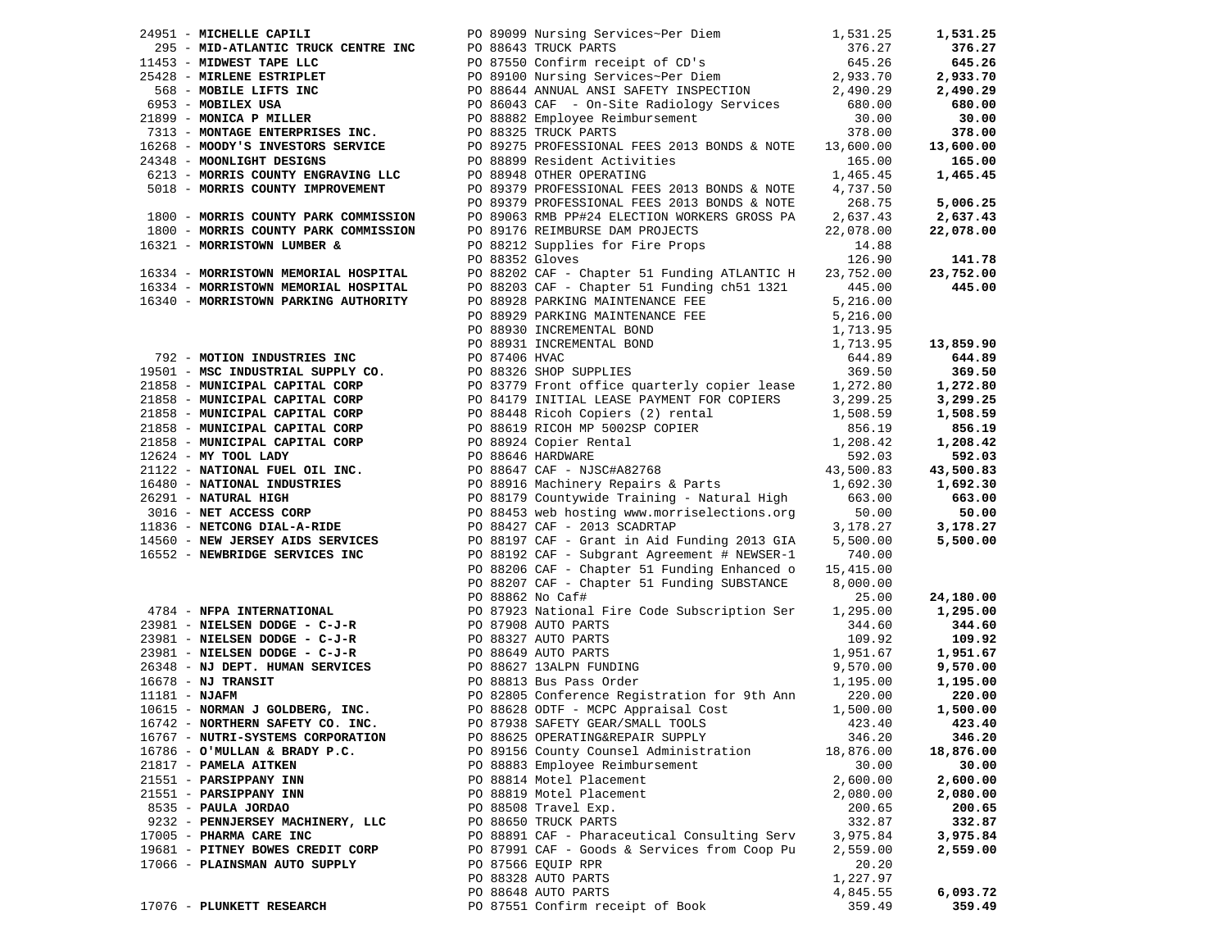|                                                                              |  |                                                                                                                                                                                                                                                                                                                                                                                                             |           | 1,531.25                   |
|------------------------------------------------------------------------------|--|-------------------------------------------------------------------------------------------------------------------------------------------------------------------------------------------------------------------------------------------------------------------------------------------------------------------------------------------------------------------------------------------------------------|-----------|----------------------------|
|                                                                              |  | 24951 - MICHELLE CAPILI PO 89099 Nursing Services-Per Diem 1,531.25<br>25428 - MID-ATLANTIC TRUCK CENTRE INC<br>25428 - MINERT TAPE LLC<br>25428 - MIRLENE ESTRIPLET PO 86443 ANNUAL ANSI SAFETY INSPECTION 2,933.70<br>568 - MOBILE                                                                                                                                                                        |           | 376.27                     |
|                                                                              |  |                                                                                                                                                                                                                                                                                                                                                                                                             |           | 645.26                     |
|                                                                              |  |                                                                                                                                                                                                                                                                                                                                                                                                             |           | 2,933.70                   |
|                                                                              |  |                                                                                                                                                                                                                                                                                                                                                                                                             |           | 2,490.29                   |
|                                                                              |  |                                                                                                                                                                                                                                                                                                                                                                                                             |           | 680.00                     |
|                                                                              |  |                                                                                                                                                                                                                                                                                                                                                                                                             |           | 30.00                      |
|                                                                              |  |                                                                                                                                                                                                                                                                                                                                                                                                             |           | 378.00                     |
|                                                                              |  |                                                                                                                                                                                                                                                                                                                                                                                                             |           | 13,600.00                  |
|                                                                              |  |                                                                                                                                                                                                                                                                                                                                                                                                             |           | 165.00                     |
|                                                                              |  |                                                                                                                                                                                                                                                                                                                                                                                                             |           | 1,465.45                   |
|                                                                              |  |                                                                                                                                                                                                                                                                                                                                                                                                             |           |                            |
|                                                                              |  | EXAMPLE SERVICES<br>13,600.00<br>165.00<br>1,465.45<br>165.00<br>1,465.45<br>PO 89379 PROFESSIONAL FEES 2013 BONDS & NOTE<br>PO 89379 PROFESSIONAL FEES 2013 BONDS & NOTE<br>268.75<br>268.75<br>PO 89176 REIMBURSE DAVIALLY CONVERS GROSS CONTRIG                                                                                                                                                          |           |                            |
|                                                                              |  |                                                                                                                                                                                                                                                                                                                                                                                                             |           | 5,006.25                   |
|                                                                              |  |                                                                                                                                                                                                                                                                                                                                                                                                             |           | 2,637.43<br>$\mathbb{R}^2$ |
|                                                                              |  |                                                                                                                                                                                                                                                                                                                                                                                                             |           | 22,078.00                  |
|                                                                              |  |                                                                                                                                                                                                                                                                                                                                                                                                             |           |                            |
|                                                                              |  |                                                                                                                                                                                                                                                                                                                                                                                                             |           | 141.78                     |
| 16334 - MORRISTOWN MEMORIAL HOSPITAL<br>16334 - MORRISTOWN MEMORIAL HOSPITAL |  | PO 88202 CAF - Chapter 51 Funding ATLANTIC H 23,752.00<br>$[16334 - \text{MORM SAMORIAL HOSPTIAL FOS PIXL 1639010F1L. 173752.00 1441.76\n16340 - \text{MORM SAMORIAL HOSPITAL 1609 B203 CAP - Chapter 51 Fundling ch51 1321\n16340 - \text{MORM SAMORICAL HOSPITAL 1609 B203 CAP - Chapter 51 Fundling ch51 1321\n5, 216.00 445.00\n16340 - \text{MORM SAMRINOR } PISRU\n16340 - \text{MORM SAMRINOR } PIS$ |           | 23,752.00                  |
|                                                                              |  |                                                                                                                                                                                                                                                                                                                                                                                                             |           |                            |
|                                                                              |  |                                                                                                                                                                                                                                                                                                                                                                                                             |           |                            |
|                                                                              |  |                                                                                                                                                                                                                                                                                                                                                                                                             |           |                            |
|                                                                              |  |                                                                                                                                                                                                                                                                                                                                                                                                             |           |                            |
|                                                                              |  |                                                                                                                                                                                                                                                                                                                                                                                                             |           |                            |
|                                                                              |  |                                                                                                                                                                                                                                                                                                                                                                                                             |           |                            |
|                                                                              |  |                                                                                                                                                                                                                                                                                                                                                                                                             |           |                            |
|                                                                              |  |                                                                                                                                                                                                                                                                                                                                                                                                             |           |                            |
|                                                                              |  |                                                                                                                                                                                                                                                                                                                                                                                                             |           |                            |
|                                                                              |  |                                                                                                                                                                                                                                                                                                                                                                                                             |           |                            |
|                                                                              |  |                                                                                                                                                                                                                                                                                                                                                                                                             |           |                            |
|                                                                              |  |                                                                                                                                                                                                                                                                                                                                                                                                             |           |                            |
|                                                                              |  |                                                                                                                                                                                                                                                                                                                                                                                                             |           |                            |
|                                                                              |  |                                                                                                                                                                                                                                                                                                                                                                                                             |           |                            |
|                                                                              |  |                                                                                                                                                                                                                                                                                                                                                                                                             |           |                            |
|                                                                              |  |                                                                                                                                                                                                                                                                                                                                                                                                             |           |                            |
|                                                                              |  |                                                                                                                                                                                                                                                                                                                                                                                                             |           |                            |
|                                                                              |  |                                                                                                                                                                                                                                                                                                                                                                                                             |           |                            |
|                                                                              |  |                                                                                                                                                                                                                                                                                                                                                                                                             |           |                            |
|                                                                              |  |                                                                                                                                                                                                                                                                                                                                                                                                             |           |                            |
|                                                                              |  |                                                                                                                                                                                                                                                                                                                                                                                                             |           |                            |
|                                                                              |  |                                                                                                                                                                                                                                                                                                                                                                                                             |           |                            |
|                                                                              |  |                                                                                                                                                                                                                                                                                                                                                                                                             |           |                            |
|                                                                              |  |                                                                                                                                                                                                                                                                                                                                                                                                             |           | 24,180.00                  |
|                                                                              |  | FO 88207 CAF - Chapter 51 Funding Enhanced 0 15,415.00<br>PO 88207 CAF - Chapter 51 Funding SUBSTANCE 8,000.00<br>23981 - <b>NIELSEN DODGE - C-J-R</b><br>23981 - <b>NIELSEN DODGE - C-J-R</b><br>23981 - <b>NIELSEN DODGE - C-J-R</b><br>23981 - <b>NIEL</b>                                                                                                                                               |           | 1,295.00                   |
|                                                                              |  |                                                                                                                                                                                                                                                                                                                                                                                                             |           | 344.60                     |
|                                                                              |  |                                                                                                                                                                                                                                                                                                                                                                                                             |           | 109.92                     |
|                                                                              |  |                                                                                                                                                                                                                                                                                                                                                                                                             |           |                            |
|                                                                              |  |                                                                                                                                                                                                                                                                                                                                                                                                             |           | 1,951.67                   |
|                                                                              |  |                                                                                                                                                                                                                                                                                                                                                                                                             |           | 9,570.00                   |
|                                                                              |  |                                                                                                                                                                                                                                                                                                                                                                                                             |           | 1,195.00                   |
|                                                                              |  |                                                                                                                                                                                                                                                                                                                                                                                                             |           | 220.00                     |
|                                                                              |  |                                                                                                                                                                                                                                                                                                                                                                                                             |           | 1,500.00                   |
|                                                                              |  |                                                                                                                                                                                                                                                                                                                                                                                                             |           | 423.40                     |
| 16767 - NUTRI-SYSTEMS CORPORATION                                            |  | PO 88625 OPERATING&REPAIR SUPPLY                                                                                                                                                                                                                                                                                                                                                                            | 346.20    | 346.20                     |
| 16786 - O'MULLAN & BRADY P.C.                                                |  | PO 89156 County Counsel Administration                                                                                                                                                                                                                                                                                                                                                                      | 18,876.00 | 18,876.00                  |
| 21817 - PAMELA AITKEN                                                        |  | PO 88883 Employee Reimbursement                                                                                                                                                                                                                                                                                                                                                                             | 30.00     | 30.00                      |
| 21551 - PARSIPPANY INN                                                       |  | PO 88814 Motel Placement                                                                                                                                                                                                                                                                                                                                                                                    | 2,600.00  | 2,600.00                   |
| 21551 - PARSIPPANY INN                                                       |  | PO 88819 Motel Placement                                                                                                                                                                                                                                                                                                                                                                                    | 2,080.00  | 2,080.00                   |
| 8535 - PAULA JORDAO                                                          |  | PO 88508 Travel Exp.                                                                                                                                                                                                                                                                                                                                                                                        | 200.65    | 200.65                     |
| 9232 - PENNJERSEY MACHINERY, LLC                                             |  | PO 88650 TRUCK PARTS                                                                                                                                                                                                                                                                                                                                                                                        | 332.87    | 332.87                     |
| 17005 - PHARMA CARE INC                                                      |  | PO 88891 CAF - Pharaceutical Consulting Serv                                                                                                                                                                                                                                                                                                                                                                | 3,975.84  | 3,975.84                   |
| 19681 - PITNEY BOWES CREDIT CORP                                             |  | PO 87991 CAF - Goods & Services from Coop Pu                                                                                                                                                                                                                                                                                                                                                                | 2,559.00  | 2,559.00                   |
| 17066 - PLAINSMAN AUTO SUPPLY                                                |  | PO 87566 EQUIP RPR                                                                                                                                                                                                                                                                                                                                                                                          | 20.20     |                            |
|                                                                              |  | PO 88328 AUTO PARTS                                                                                                                                                                                                                                                                                                                                                                                         | 1,227.97  |                            |
|                                                                              |  | PO 88648 AUTO PARTS                                                                                                                                                                                                                                                                                                                                                                                         | 4,845.55  | 6,093.72                   |
| 17076 - PLUNKETT RESEARCH                                                    |  | PO 87551 Confirm receipt of Book                                                                                                                                                                                                                                                                                                                                                                            | 359.49    | 359.49                     |
|                                                                              |  |                                                                                                                                                                                                                                                                                                                                                                                                             |           |                            |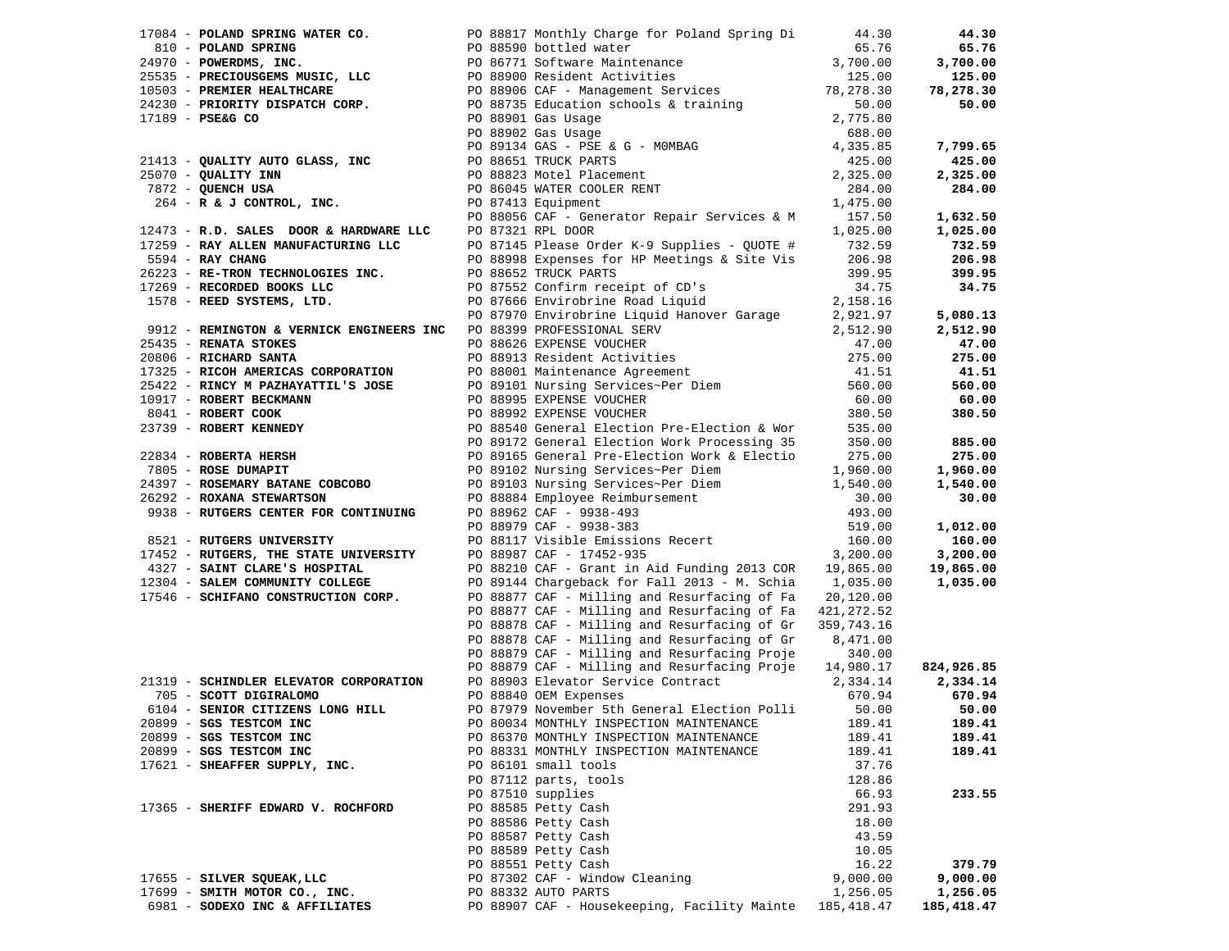|                                     |                                                              | 17084 - POLAND SPRING WATER CO. DO 88817 Monthly Charge for Poland Spring Di                                                                                                                                                                                                                                                                                      | 44.30      | 44.30      |
|-------------------------------------|--------------------------------------------------------------|-------------------------------------------------------------------------------------------------------------------------------------------------------------------------------------------------------------------------------------------------------------------------------------------------------------------------------------------------------------------|------------|------------|
|                                     |                                                              |                                                                                                                                                                                                                                                                                                                                                                   |            | 65.76      |
|                                     |                                                              |                                                                                                                                                                                                                                                                                                                                                                   |            | 3,700.00   |
|                                     |                                                              |                                                                                                                                                                                                                                                                                                                                                                   |            | 125.00     |
|                                     |                                                              |                                                                                                                                                                                                                                                                                                                                                                   |            | 78,278.30  |
|                                     |                                                              |                                                                                                                                                                                                                                                                                                                                                                   |            | 50.00      |
|                                     |                                                              |                                                                                                                                                                                                                                                                                                                                                                   |            |            |
|                                     |                                                              |                                                                                                                                                                                                                                                                                                                                                                   |            |            |
|                                     |                                                              |                                                                                                                                                                                                                                                                                                                                                                   |            | 7,799.65   |
|                                     |                                                              |                                                                                                                                                                                                                                                                                                                                                                   |            | 425.00     |
|                                     |                                                              |                                                                                                                                                                                                                                                                                                                                                                   |            | 2,325.00   |
|                                     |                                                              | 10503 - <b>PREMIER HEALTHCARE</b><br>24230 - <b>PRIORITY DISPATCH CORP.</b><br>26.00<br>27189 - <b>PSE&amp;G CO</b><br>2775 - <b>PSE&amp;G CO</b><br>2775 - <b>PSE&amp;G CO</b><br>2775 - <b>PSE&amp;G CO</b><br>2775 - <b>PSE&amp;G CO</b><br>2775 - <b>PSE&amp;G</b><br>268601<br>26902 Gas Usage<br>278902 Gas Us<br>PO 86045 WATER COOI<br>PO 87413 Equipment |            | 284.00     |
|                                     | $264$ - R & J CONTROL, INC.                                  |                                                                                                                                                                                                                                                                                                                                                                   |            |            |
|                                     |                                                              | PO 88056 CAF - Generator Repair Services & M 157.50                                                                                                                                                                                                                                                                                                               |            | 1,632.50   |
|                                     | 12473 - R.D. SALES DOOR & HARDWARE LLC                       | PO 87321 RPL DOOR                                                                                                                                                                                                                                                                                                                                                 | 1,025.00   | 1,025.00   |
|                                     | 17259 - RAY ALLEN MANUFACTURING LLC                          | PO 87145 Please Order K-9 Supplies - QUOTE # $732.59$                                                                                                                                                                                                                                                                                                             |            | 732.59     |
| 5594 - RAY CHANG                    |                                                              | PO 88998 Expenses for HP Meetings & Site Vis                                                                                                                                                                                                                                                                                                                      | 206.98     | 206.98     |
|                                     | 26223 - RE-TRON TECHNOLOGIES INC.                            | PO 88652 TRUCK PARTS                                                                                                                                                                                                                                                                                                                                              | 399.95     | 399.95     |
| 17269 - RECORDED BOOKS LLC          |                                                              | PO 87552 Confirm receipt of CD's                                                                                                                                                                                                                                                                                                                                  | 34.75      | 34.75      |
|                                     | 1578 - REED SYSTEMS, LTD.                                    | PO 87666 Envirobrine Road Liquid                                                                                                                                                                                                                                                                                                                                  | 2,158.16   |            |
|                                     |                                                              |                                                                                                                                                                                                                                                                                                                                                                   |            | 5,080.13   |
|                                     | 9912 - REMINGTON & VERNICK ENGINEERS INC                     | PO 87970 Environme Aced Expansive Carage 2,921.97<br>PO 88399 PROFESSIONAL SERV 2,512.90<br>PO 88626 EXPENSE VOUCHER 47.00<br>PO 88913 Resident Activities 275.00<br>PO 88001 Maintenance Agreement 41.51<br>PO 89101 Nursing Services~P                                                                                                                          |            | 2,512.90   |
| 25435 - RENATA STOKES               |                                                              |                                                                                                                                                                                                                                                                                                                                                                   |            | 47.00      |
| 20806 - RICHARD SANTA               |                                                              |                                                                                                                                                                                                                                                                                                                                                                   |            | 275.00     |
| 17325 - RICOH AMERICAS CORPORATION  |                                                              |                                                                                                                                                                                                                                                                                                                                                                   |            | 41.51      |
|                                     | 25422 - RINCY M PAZHAYATTIL'S JOSE                           |                                                                                                                                                                                                                                                                                                                                                                   |            | 560.00     |
|                                     |                                                              | PO 88995 EXPENSE VOUCHER<br>DO 88992 EXPENSE VOUCHER                                                                                                                                                                                                                                                                                                              | 60.00      | 60.00      |
|                                     |                                                              | PO 88992 EXPENSE VOUCHER<br>PO 88540 General Election                                                                                                                                                                                                                                                                                                             | 380.50     | 380.50     |
|                                     |                                                              | PO 88540 General Election Pre-Election & Wor                                                                                                                                                                                                                                                                                                                      | 535.00     |            |
|                                     |                                                              | PO 89172 General Election Work Processing 35                                                                                                                                                                                                                                                                                                                      | 350.00     | 885.00     |
| 22834 - ROBERTA HERSH               | 22834 - <b>ROBERTA HERSH</b><br>7805 - <b>ROSE DUMAPIT</b>   | PO 89165 General Pre-Election Work & Electio                                                                                                                                                                                                                                                                                                                      | 275.00     | 275.00     |
|                                     |                                                              | PO 89102 Nursing Services~Per Diem                                                                                                                                                                                                                                                                                                                                | 1,960.00   | 1,960.00   |
|                                     | 24397 - ROSEMARY BATANE COBCOBO<br>26292 - ROXANA STEWARTSON |                                                                                                                                                                                                                                                                                                                                                                   | 1,540.00   | 1,540.00   |
| 26292 - ROXANA STEWARTSON           |                                                              |                                                                                                                                                                                                                                                                                                                                                                   | 30.00      | 30.00      |
|                                     | 9938 - RUTGERS CENTER FOR CONTINUING                         |                                                                                                                                                                                                                                                                                                                                                                   | 493.00     |            |
|                                     |                                                              | PO 89103 Nursing Services~Per Diem<br>PO 88884 Employee Reimbursement<br>PO 88962 CAF - 9938-493<br>PO 88979 CAF - 9938-383                                                                                                                                                                                                                                       | 519.00     | 1,012.00   |
| 8521 - RUTGERS UNIVERSITY           |                                                              | PO 88117 Visible Emissions Recert<br>PO 88987 CAF - 17452-935                                                                                                                                                                                                                                                                                                     | 160.00     | 160.00     |
|                                     | 17452 - RUTGERS, THE STATE UNIVERSITY                        | PO 88987 CAF - 17452-935                                                                                                                                                                                                                                                                                                                                          | 3,200.00   | 3,200.00   |
| 4327 - SAINT CLARE'S HOSPITAL       |                                                              | PO 88210 CAF - Grant in Aid Funding 2013 COR 19,865.00                                                                                                                                                                                                                                                                                                            |            | 19,865.00  |
| 12304 - SALEM COMMUNITY COLLEGE     |                                                              | PO 89144 Chargeback for Fall 2013 - M. Schia 1,035.00                                                                                                                                                                                                                                                                                                             |            | 1,035.00   |
| 17546 - SCHIFANO CONSTRUCTION CORP. |                                                              | PO 88877 CAF - Milling and Resurfacing of Fa                                                                                                                                                                                                                                                                                                                      | 20,120.00  |            |
|                                     |                                                              | PO 88877 CAF - Milling and Resurfacing of Fa                                                                                                                                                                                                                                                                                                                      | 421,272.52 |            |
|                                     |                                                              | PO 88878 CAF - Milling and Resurfacing of Gr                                                                                                                                                                                                                                                                                                                      | 359,743.16 |            |
|                                     |                                                              | PO 88878 CAF - Milling and Resurfacing of Gr                                                                                                                                                                                                                                                                                                                      | 8,471.00   |            |
|                                     |                                                              | PO 88879 CAF - Milling and Resurfacing Proje                                                                                                                                                                                                                                                                                                                      | 340.00     |            |
|                                     |                                                              | PO 88879 CAF - Milling and Resurfacing Proje 14,980.17                                                                                                                                                                                                                                                                                                            |            | 824,926.85 |
|                                     | 21319 - SCHINDLER ELEVATOR CORPORATION                       | PO 88903 Elevator Service Contract                                                                                                                                                                                                                                                                                                                                | 2,334.14   | 2,334.14   |
| 705 - SCOTT DIGIRALOMO              |                                                              | PO 88840 OEM Expenses                                                                                                                                                                                                                                                                                                                                             | 670.94     | 670.94     |
| 6104 - SENIOR CITIZENS LONG HILL    |                                                              | PO 87979 November 5th General Election Polli                                                                                                                                                                                                                                                                                                                      | 50.00      | 50.00      |
| 20899 - SGS TESTCOM INC             |                                                              | PO 80034 MONTHLY INSPECTION MAINTENANCE                                                                                                                                                                                                                                                                                                                           | 189.41     | 189.41     |
| 20899 - SGS TESTCOM INC             |                                                              | PO 86370 MONTHLY INSPECTION MAINTENANCE                                                                                                                                                                                                                                                                                                                           | 189.41     | 189.41     |
| 20899 - SGS TESTCOM INC             |                                                              | PO 88331 MONTHLY INSPECTION MAINTENANCE                                                                                                                                                                                                                                                                                                                           | 189.41     | 189.41     |
| 17621 - SHEAFFER SUPPLY, INC.       |                                                              | PO 86101 small tools                                                                                                                                                                                                                                                                                                                                              | 37.76      |            |
|                                     |                                                              | PO 87112 parts, tools                                                                                                                                                                                                                                                                                                                                             | 128.86     |            |
|                                     |                                                              | PO 87510 supplies                                                                                                                                                                                                                                                                                                                                                 | 66.93      | 233.55     |
| 17365 - SHERIFF EDWARD V. ROCHFORD  |                                                              | PO 88585 Petty Cash                                                                                                                                                                                                                                                                                                                                               | 291.93     |            |
|                                     |                                                              | PO 88586 Petty Cash                                                                                                                                                                                                                                                                                                                                               | 18.00      |            |
|                                     |                                                              | PO 88587 Petty Cash                                                                                                                                                                                                                                                                                                                                               | 43.59      |            |
|                                     |                                                              | PO 88589 Petty Cash                                                                                                                                                                                                                                                                                                                                               | 10.05      |            |
|                                     |                                                              | PO 88551 Petty Cash                                                                                                                                                                                                                                                                                                                                               | 16.22      | 379.79     |
| 17655 - SILVER SQUEAK, LLC          |                                                              | PO 87302 CAF - Window Cleaning                                                                                                                                                                                                                                                                                                                                    | 9,000.00   | 9,000.00   |
| 17699 - SMITH MOTOR CO., INC.       |                                                              | PO 88332 AUTO PARTS                                                                                                                                                                                                                                                                                                                                               | 1,256.05   | 1,256.05   |
| 6981 - SODEXO INC & AFFILIATES      |                                                              | PO 88907 CAF - Housekeeping, Facility Mainte 185,418.47                                                                                                                                                                                                                                                                                                           |            | 185,418.47 |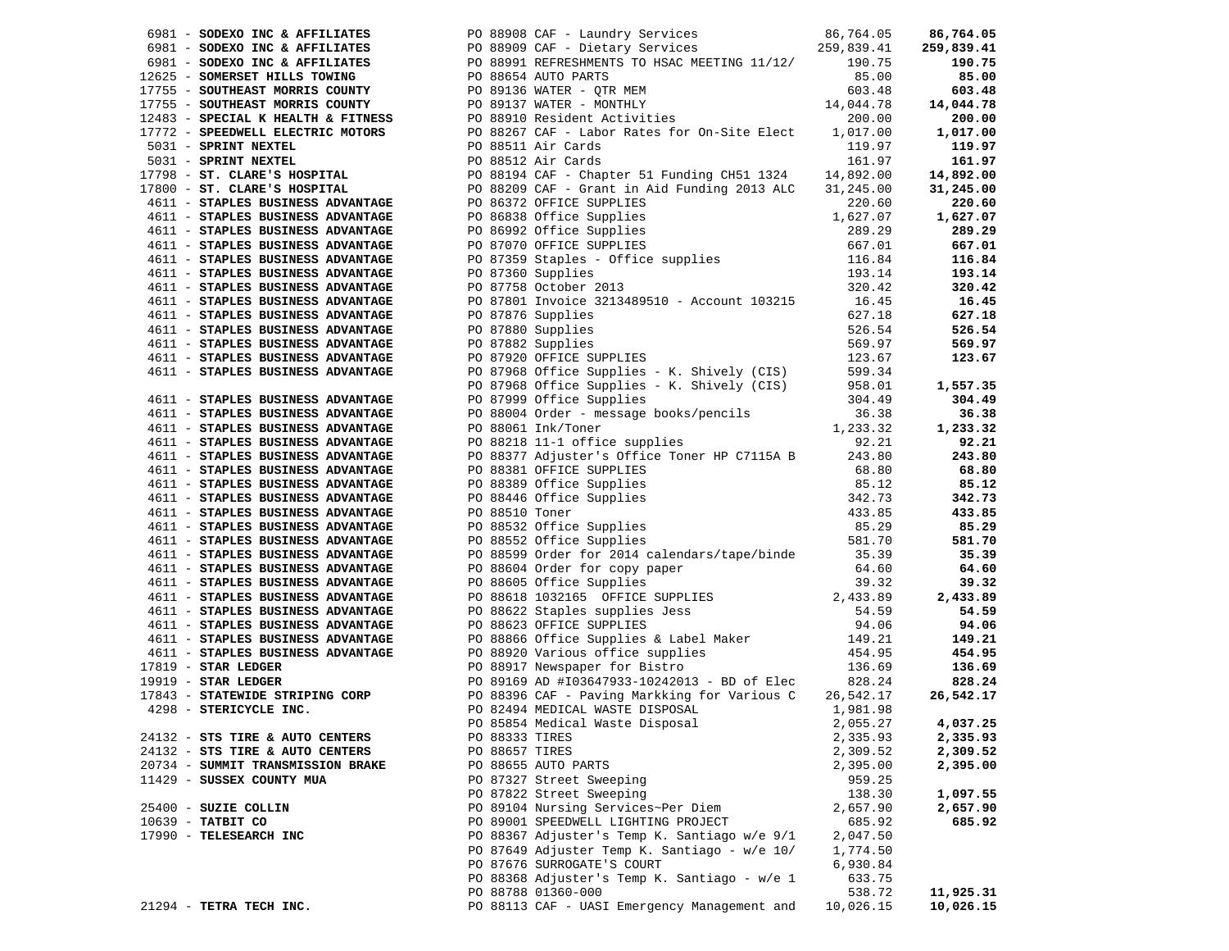|                                                                                                                                |                | 6981 - <b>SODEXO INC &amp; AFFILIATES</b> PO 88908 CAF - Laundry Services 86,764.05<br>6981 - <b>SODEXO INC &amp; AFFILIATES</b> PO 88909 CAF - Dietary Services 85,839.41 255<br>12625 - <b>SOMERSET HILLS TOWING</b> PO 88951 REFRESHMENTS TO HEAT (11 |           | 86,764.05  |
|--------------------------------------------------------------------------------------------------------------------------------|----------------|----------------------------------------------------------------------------------------------------------------------------------------------------------------------------------------------------------------------------------------------------------|-----------|------------|
|                                                                                                                                |                |                                                                                                                                                                                                                                                          |           | 259,839.41 |
|                                                                                                                                |                |                                                                                                                                                                                                                                                          |           | 190.75     |
|                                                                                                                                |                |                                                                                                                                                                                                                                                          |           | 85.00      |
|                                                                                                                                |                |                                                                                                                                                                                                                                                          |           | 603.48     |
|                                                                                                                                |                |                                                                                                                                                                                                                                                          |           | 14,044.78  |
|                                                                                                                                |                |                                                                                                                                                                                                                                                          |           | 200.00     |
|                                                                                                                                |                |                                                                                                                                                                                                                                                          |           | 1,017.00   |
|                                                                                                                                |                |                                                                                                                                                                                                                                                          |           | 119.97     |
|                                                                                                                                |                |                                                                                                                                                                                                                                                          |           | 161.97     |
|                                                                                                                                |                |                                                                                                                                                                                                                                                          |           | 14,892.00  |
|                                                                                                                                |                |                                                                                                                                                                                                                                                          |           | 31,245.00  |
|                                                                                                                                |                |                                                                                                                                                                                                                                                          |           | 220.60     |
|                                                                                                                                |                |                                                                                                                                                                                                                                                          |           | 1,627.07   |
|                                                                                                                                |                |                                                                                                                                                                                                                                                          |           | 289.29     |
|                                                                                                                                |                |                                                                                                                                                                                                                                                          |           | 667.01     |
|                                                                                                                                |                |                                                                                                                                                                                                                                                          |           | 116.84     |
|                                                                                                                                |                |                                                                                                                                                                                                                                                          |           | 193.14     |
|                                                                                                                                |                | PO 87758 October 2013<br>PO 87801 Invoice 3213489510 - Account 103215 16.45<br>627.18                                                                                                                                                                    |           | 320.42     |
|                                                                                                                                |                |                                                                                                                                                                                                                                                          |           | 16.45      |
| 4611 - STAPLES BUSINESS ADVANTAGE PO 87801 Invoice :<br>4611 - STAPLES BUSINESS ADVANTAGE PO 87876 Supplies                    |                |                                                                                                                                                                                                                                                          |           | 627.18     |
| 4611 - STAPLES BUSINESS ADVANINGE<br>4611 - STAPLES BUSINESS ADVANTAGE<br>4611 - GTAPLES RIISINESS ADVANTAGE PO 87882 Supplies |                |                                                                                                                                                                                                                                                          |           |            |
|                                                                                                                                |                |                                                                                                                                                                                                                                                          |           |            |
| 4611 - STAPLES BUSINESS ADVANTAGE                                                                                              |                |                                                                                                                                                                                                                                                          |           |            |
| 4611 - STAPLES BUSINESS ADVANTAGE                                                                                              |                |                                                                                                                                                                                                                                                          |           |            |
|                                                                                                                                |                |                                                                                                                                                                                                                                                          |           |            |
| 4611 - STAPLES BUSINESS ADVANTAGE                                                                                              |                |                                                                                                                                                                                                                                                          |           |            |
| 4611 - STAPLES BUSINESS ADVANTAGE                                                                                              |                |                                                                                                                                                                                                                                                          |           |            |
| 4611 - STAPLES BUSINESS ADVANTAGE                                                                                              |                |                                                                                                                                                                                                                                                          |           |            |
|                                                                                                                                |                | PO 87880 Supplies<br>PO 8786 Supplies<br>PO 87880 Supplies<br>PO 87882 Supplies<br>PO 87882 Supplies<br>PO 87968 Office Supplies<br>PO 87968 Office Supplies<br>PO 87968 Office Supplies<br>PO 87968 Office Supplies<br>PO 87968 Office Supplies         |           |            |
| 4611 - STAPLES BUSINESS ADVANTAGE<br>4611 - STAPLES BUSINESS ADVANTAGE                                                         |                |                                                                                                                                                                                                                                                          |           |            |
|                                                                                                                                |                |                                                                                                                                                                                                                                                          |           |            |
| 4611 - STAPLES BUSINESS ADVANTAGE<br>4611 - STAPLES BUSINESS ADVANTAGE                                                         |                |                                                                                                                                                                                                                                                          |           |            |
| 4611 - STAPLES BUSINESS ADVANTAGE                                                                                              |                |                                                                                                                                                                                                                                                          |           |            |
|                                                                                                                                |                |                                                                                                                                                                                                                                                          |           |            |
| 4611 - STAPLES BUSINESS ADVANTAGE                                                                                              |                |                                                                                                                                                                                                                                                          |           |            |
| 4611 - STAPLES BUSINESS ADVANTAGE                                                                                              |                |                                                                                                                                                                                                                                                          |           |            |
|                                                                                                                                |                |                                                                                                                                                                                                                                                          |           | 35.39      |
|                                                                                                                                |                |                                                                                                                                                                                                                                                          |           |            |
|                                                                                                                                |                |                                                                                                                                                                                                                                                          |           | 64.60      |
|                                                                                                                                |                |                                                                                                                                                                                                                                                          |           | 39.32      |
|                                                                                                                                |                |                                                                                                                                                                                                                                                          |           | 2,433.89   |
|                                                                                                                                |                |                                                                                                                                                                                                                                                          |           | 54.59      |
|                                                                                                                                |                |                                                                                                                                                                                                                                                          |           | 94.06      |
|                                                                                                                                |                |                                                                                                                                                                                                                                                          |           | 149.21     |
|                                                                                                                                |                |                                                                                                                                                                                                                                                          |           | 454.95     |
|                                                                                                                                |                |                                                                                                                                                                                                                                                          |           | 136.69     |
|                                                                                                                                |                |                                                                                                                                                                                                                                                          |           | 828.24     |
|                                                                                                                                |                |                                                                                                                                                                                                                                                          |           | 26,542.17  |
|                                                                                                                                |                |                                                                                                                                                                                                                                                          |           |            |
|                                                                                                                                |                | PO 85854 Medical Waste Disposal 2,055.27 4,037.25                                                                                                                                                                                                        |           |            |
| 24132 - STS TIRE & AUTO CENTERS                                                                                                | PO 88333 TIRES |                                                                                                                                                                                                                                                          | 2,335.93  | 2,335.93   |
| 24132 - STS TIRE & AUTO CENTERS                                                                                                | PO 88657 TIRES |                                                                                                                                                                                                                                                          | 2,309.52  | 2,309.52   |
| 20734 - SUMMIT TRANSMISSION BRAKE                                                                                              |                | PO 88655 AUTO PARTS                                                                                                                                                                                                                                      | 2,395.00  | 2,395.00   |
| 11429 - SUSSEX COUNTY MUA                                                                                                      |                | PO 87327 Street Sweeping                                                                                                                                                                                                                                 | 959.25    |            |
|                                                                                                                                |                | PO 87822 Street Sweeping                                                                                                                                                                                                                                 | 138.30    | 1,097.55   |
| 25400 - SUZIE COLLIN                                                                                                           |                | PO 89104 Nursing Services~Per Diem                                                                                                                                                                                                                       | 2,657.90  | 2,657.90   |
| 10639 - TATBIT CO                                                                                                              |                | PO 89001 SPEEDWELL LIGHTING PROJECT                                                                                                                                                                                                                      | 685.92    | 685.92     |
| 17990 - TELESEARCH INC                                                                                                         |                | PO 88367 Adjuster's Temp K. Santiago w/e 9/1                                                                                                                                                                                                             | 2,047.50  |            |
|                                                                                                                                |                | PO 87649 Adjuster Temp K. Santiago - w/e 10/                                                                                                                                                                                                             | 1,774.50  |            |
|                                                                                                                                |                | PO 87676 SURROGATE'S COURT                                                                                                                                                                                                                               | 6,930.84  |            |
|                                                                                                                                |                | PO 88368 Adjuster's Temp K. Santiago - w/e 1                                                                                                                                                                                                             | 633.75    |            |
|                                                                                                                                |                | PO 88788 01360-000                                                                                                                                                                                                                                       | 538.72    | 11,925.31  |
| 21294 - TETRA TECH INC.                                                                                                        |                | PO 88113 CAF - UASI Emergency Management and                                                                                                                                                                                                             | 10,026.15 | 10,026.15  |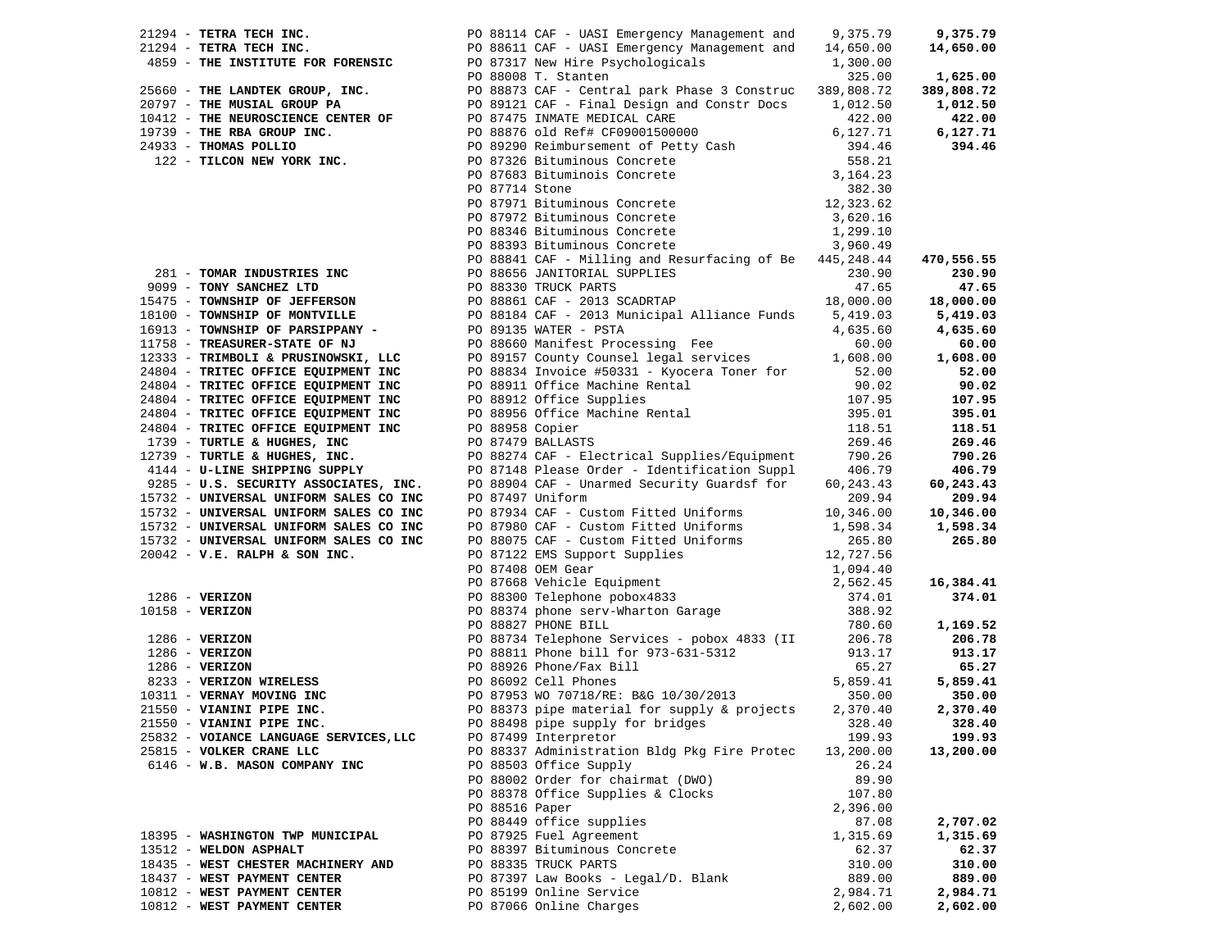| 21294 - TETRA TECH INC.                                                                                                                          |                | PO 88114 CAF - UASI Emergency Management and 9,375.79                                                                                                                                                                                                                                                                                                              |                     | 9,375.79   |
|--------------------------------------------------------------------------------------------------------------------------------------------------|----------------|--------------------------------------------------------------------------------------------------------------------------------------------------------------------------------------------------------------------------------------------------------------------------------------------------------------------------------------------------------------------|---------------------|------------|
| 21294 - TETRA TECH INC.                                                                                                                          |                | PO 88611 CAF - UASI Emergency Management and 14,650.00                                                                                                                                                                                                                                                                                                             |                     | 14,650.00  |
| 4859 - THE INSTITUTE FOR FORENSIC<br>PO 87317 New Hire Psychologicals<br>PO 88008 T. Stanten                                                     |                |                                                                                                                                                                                                                                                                                                                                                                    | 1,300.00            |            |
|                                                                                                                                                  |                |                                                                                                                                                                                                                                                                                                                                                                    | 325.00              | 1,625.00   |
|                                                                                                                                                  |                |                                                                                                                                                                                                                                                                                                                                                                    |                     | 389,808.72 |
|                                                                                                                                                  |                |                                                                                                                                                                                                                                                                                                                                                                    |                     | 1,012.50   |
|                                                                                                                                                  |                |                                                                                                                                                                                                                                                                                                                                                                    |                     |            |
|                                                                                                                                                  |                |                                                                                                                                                                                                                                                                                                                                                                    |                     | 422.00     |
|                                                                                                                                                  |                |                                                                                                                                                                                                                                                                                                                                                                    |                     | 6,127.71   |
|                                                                                                                                                  |                |                                                                                                                                                                                                                                                                                                                                                                    |                     | 394.46     |
|                                                                                                                                                  |                |                                                                                                                                                                                                                                                                                                                                                                    |                     |            |
|                                                                                                                                                  |                |                                                                                                                                                                                                                                                                                                                                                                    |                     |            |
|                                                                                                                                                  |                |                                                                                                                                                                                                                                                                                                                                                                    |                     |            |
|                                                                                                                                                  |                |                                                                                                                                                                                                                                                                                                                                                                    |                     |            |
|                                                                                                                                                  |                |                                                                                                                                                                                                                                                                                                                                                                    |                     |            |
|                                                                                                                                                  |                |                                                                                                                                                                                                                                                                                                                                                                    |                     |            |
|                                                                                                                                                  |                |                                                                                                                                                                                                                                                                                                                                                                    |                     |            |
|                                                                                                                                                  |                | PO 88841 CAF - Milling and Resurfacing of Be 445,248.44                                                                                                                                                                                                                                                                                                            |                     | 470,556.55 |
|                                                                                                                                                  |                |                                                                                                                                                                                                                                                                                                                                                                    |                     | 230.90     |
|                                                                                                                                                  |                |                                                                                                                                                                                                                                                                                                                                                                    |                     | 47.65      |
|                                                                                                                                                  |                |                                                                                                                                                                                                                                                                                                                                                                    |                     |            |
|                                                                                                                                                  |                |                                                                                                                                                                                                                                                                                                                                                                    |                     | 18,000.00  |
|                                                                                                                                                  |                |                                                                                                                                                                                                                                                                                                                                                                    |                     | 5,419.03   |
|                                                                                                                                                  |                |                                                                                                                                                                                                                                                                                                                                                                    |                     | 4,635.60   |
|                                                                                                                                                  |                | 281 - <b>TOMAR INDUSTRIES INC</b><br>281 - <b>TOMAR INDUSTRIES INC</b><br>230.90<br>230.90<br>230.90<br>230.90<br>230.90<br>230.90<br>230.90<br>230.90<br>230.90<br>230.90<br>230.90<br>230.90<br>230.90<br>230.90<br>2999 - <b>TOMYSHIP OF JEFFERSON</b><br>2008861 CAF - 2013<br>PU 89135 WATER - PSTA<br>PO 88660 Manifest Processing Fee<br>PO 80157 Committee |                     | 60.00      |
| $11/58$ - TREADURER-DIRIL of $\overline{C}$<br>12333 - TRIMBOLI & PRUSINOWSKI, LLC                                                               |                |                                                                                                                                                                                                                                                                                                                                                                    |                     | 1,608.00   |
| 24804 - TRITEC OFFICE EQUIPMENT INC<br>24804 - TRITEC OFFICE EQUIPMENT INC<br>24804 - TRITEC OFFICE EQUIPMENT INC<br>------ AFRICE EQUIPMENT INC |                |                                                                                                                                                                                                                                                                                                                                                                    |                     | 52.00      |
|                                                                                                                                                  |                |                                                                                                                                                                                                                                                                                                                                                                    |                     | 90.02      |
|                                                                                                                                                  |                |                                                                                                                                                                                                                                                                                                                                                                    |                     | 107.95     |
|                                                                                                                                                  |                |                                                                                                                                                                                                                                                                                                                                                                    |                     | 395.01     |
| 24804 - TRITEC OFFICE EQUIPMENT INC<br>24804 - TRITEC OFFICE EQUIPMENT INC                                                                       |                |                                                                                                                                                                                                                                                                                                                                                                    |                     | 118.51     |
| 1739 - TURTLE & HUGHES, INC<br>12739 - TURTLE & HUGHES, INC.                                                                                     |                | PO 80000 Maillest Processing Fee<br>PO 89157 County Counsel legal services<br>PO 88834 Invoice #50331 - Kyocera Toner for<br>PO 88911 Office Machine Rental<br>PO 88912 Office Supplies<br>PO 88956 Office Machine Rental<br>PO 88956 Offi<br>PO 87479 BALLASTS                                                                                                    | 269.46              | 269.46     |
| 12739 - TURTLE & HUGHES, INC.                                                                                                                    |                | PO 88274 CAF - Electrical Supplies/Equipment                                                                                                                                                                                                                                                                                                                       | 790.26              | 790.26     |
| 4144 - U-LINE SHIPPING SUPPLY<br>9285 - U.S. SECURITY ASSOCIATES, INC.                                                                           |                |                                                                                                                                                                                                                                                                                                                                                                    | 406.79              | 406.79     |
|                                                                                                                                                  |                | PO 87148 Please Order - Identification Suppl<br>PO 88904 CAF - Unarmed Security Guardsf for 60                                                                                                                                                                                                                                                                     | 60,243.43           | 60,243.43  |
|                                                                                                                                                  |                | PO 87497 Uniform                                                                                                                                                                                                                                                                                                                                                   | 209.94              | 209.94     |
| 15732 - UNIVERSAL UNIFORM SALES CO INC<br>15732 - UNIVERSAL UNIFORM SALES CO INC<br>15732 - UNIVERSAL UNIFORM SALES CO INC                       |                | PO 87934 CAF - Custom Fitted Uniforms                                                                                                                                                                                                                                                                                                                              | 10,346.00           | 10,346.00  |
| 15732 - UNIVERSAL UNIFORM SALES CO INC                                                                                                           |                | PO 87980 CAF - Custom Fitted Uniforms 1,598.34                                                                                                                                                                                                                                                                                                                     |                     | 1,598.34   |
| 15732 - UNIVERSAL UNIFORM SALES CO INC                                                                                                           |                | PO 87500 CAF - Cuscom Fitted Uniforms<br>PO 88075 CAF - Custom Fitted Uniforms<br>PO 87122 EMS Support Supplies<br>PO 87408 OEM Gear<br>PO 87668 Vehicle Equipment<br>PO 87668 Vehicle Equipment<br>2,562.45<br>PO 88300 Telephone pobox4833                                                                                                                       |                     | 265.80     |
| $20042$ - V.E. RALPH & SON INC.                                                                                                                  |                |                                                                                                                                                                                                                                                                                                                                                                    |                     |            |
|                                                                                                                                                  |                |                                                                                                                                                                                                                                                                                                                                                                    |                     |            |
|                                                                                                                                                  |                |                                                                                                                                                                                                                                                                                                                                                                    |                     |            |
|                                                                                                                                                  |                | 1286 - VERIZON<br>1286 - VERIZON<br>10158 - VERIZON<br>10158 - VERIZON<br>1286 - VERIZON<br>1286 - VERIZON<br>1286 - VERIZON<br>1286 - VERIZON<br>1286 - VERIZON<br>1286 - VERIZON<br>1286 - VERIZON<br>1286 - VERIZON<br>1286 - VERIZON<br>1286 - VERIZ                                                                                                           |                     | 16,384.41  |
|                                                                                                                                                  |                |                                                                                                                                                                                                                                                                                                                                                                    |                     | 374.01     |
|                                                                                                                                                  |                |                                                                                                                                                                                                                                                                                                                                                                    |                     |            |
|                                                                                                                                                  |                |                                                                                                                                                                                                                                                                                                                                                                    |                     | 1,169.52   |
|                                                                                                                                                  |                | PO 88734 Telephone Services - pobox 4833 (II 206.78                                                                                                                                                                                                                                                                                                                |                     | 206.78     |
|                                                                                                                                                  |                |                                                                                                                                                                                                                                                                                                                                                                    | 913.17              | 913.17     |
|                                                                                                                                                  |                |                                                                                                                                                                                                                                                                                                                                                                    | $65.27$<br>5,859.41 | 65.27      |
|                                                                                                                                                  |                |                                                                                                                                                                                                                                                                                                                                                                    |                     | 5,859.41   |
|                                                                                                                                                  |                |                                                                                                                                                                                                                                                                                                                                                                    | 350.00              | 350.00     |
|                                                                                                                                                  |                | PO 88373 pipe material for supply & projects                                                                                                                                                                                                                                                                                                                       | 2,370.40            | 2,370.40   |
|                                                                                                                                                  |                | PO 88498 pipe supply for bridges 328.40                                                                                                                                                                                                                                                                                                                            |                     | 328.40     |
| 25832 - VOIANCE LANGUAGE SERVICES, LLC                                                                                                           |                | PO 87499 Interpretor                                                                                                                                                                                                                                                                                                                                               | 199.93              | 199.93     |
| 25815 - VOLKER CRANE LLC                                                                                                                         |                | PO 88337 Administration Bldg Pkg Fire Protec                                                                                                                                                                                                                                                                                                                       | 13,200.00           | 13,200.00  |
| 6146 - W.B. MASON COMPANY INC                                                                                                                    |                | PO 88503 Office Supply                                                                                                                                                                                                                                                                                                                                             | 26.24               |            |
|                                                                                                                                                  |                | PO 88002 Order for chairmat (DWO)                                                                                                                                                                                                                                                                                                                                  | 89.90               |            |
|                                                                                                                                                  |                | PO 88378 Office Supplies & Clocks                                                                                                                                                                                                                                                                                                                                  | 107.80              |            |
|                                                                                                                                                  | PO 88516 Paper |                                                                                                                                                                                                                                                                                                                                                                    | 2,396.00            |            |
|                                                                                                                                                  |                | PO 88449 office supplies                                                                                                                                                                                                                                                                                                                                           | 87.08               | 2,707.02   |
|                                                                                                                                                  |                |                                                                                                                                                                                                                                                                                                                                                                    |                     |            |
| 18395 - WASHINGTON TWP MUNICIPAL                                                                                                                 |                | PO 87925 Fuel Agreement                                                                                                                                                                                                                                                                                                                                            | 1,315.69            | 1,315.69   |
| 13512 - WELDON ASPHALT                                                                                                                           |                | PO 88397 Bituminous Concrete                                                                                                                                                                                                                                                                                                                                       | 62.37               | 62.37      |
| 18435 - WEST CHESTER MACHINERY AND                                                                                                               |                | PO 88335 TRUCK PARTS                                                                                                                                                                                                                                                                                                                                               | 310.00              | 310.00     |
| 18437 - WEST PAYMENT CENTER                                                                                                                      |                | PO 87397 Law Books - Legal/D. Blank                                                                                                                                                                                                                                                                                                                                | 889.00              | 889.00     |
| 10812 - WEST PAYMENT CENTER                                                                                                                      |                | PO 85199 Online Service                                                                                                                                                                                                                                                                                                                                            | 2,984.71            | 2,984.71   |
| 10812 - WEST PAYMENT CENTER                                                                                                                      |                | PO 87066 Online Charges                                                                                                                                                                                                                                                                                                                                            | 2,602.00            | 2,602.00   |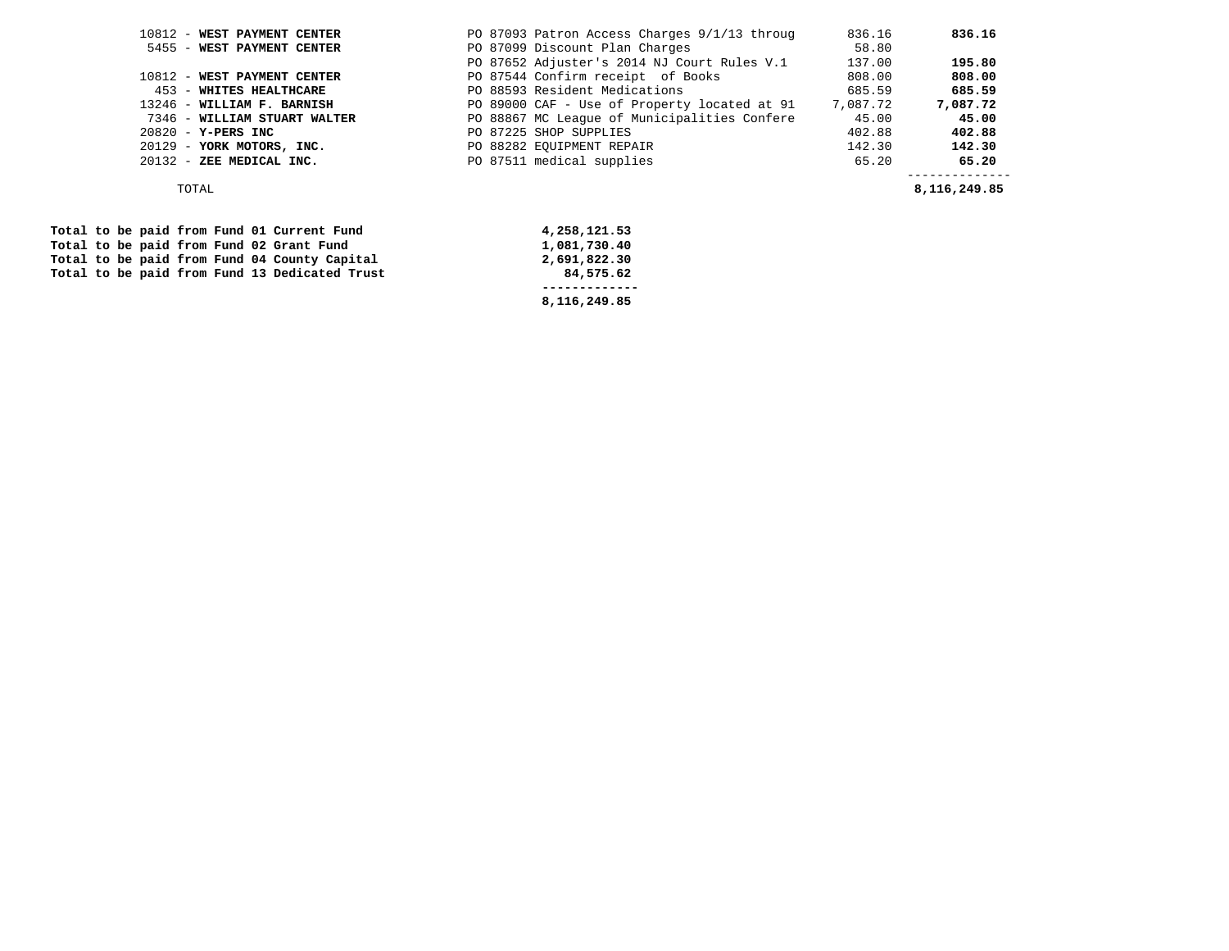| PO 87093 Patron Access Charges 9/1/13 throug | 836.16   | 836.16                        |
|----------------------------------------------|----------|-------------------------------|
| PO 87099 Discount Plan Charges               | 58.80    |                               |
| PO 87652 Adjuster's 2014 NJ Court Rules V.1  | 137.00   | 195.80                        |
| PO 87544 Confirm receipt of Books            | 808.00   | 808.00                        |
| PO 88593 Resident Medications                | 685.59   | 685.59                        |
| PO 89000 CAF - Use of Property located at 91 | 7,087.72 | 7,087.72                      |
| PO 88867 MC League of Municipalities Confere | 45.00    | 45.00                         |
| PO 87225 SHOP SUPPLIES                       | 402.88   | 402.88                        |
| PO 88282 EQUIPMENT REPAIR                    | 142.30   | 142.30                        |
| PO 87511 medical supplies                    | 65.20    | 65.20                         |
|                                              |          | -----------<br>8, 116, 249.85 |
|                                              |          |                               |

|  |  |  |  | Total to be paid from Fund 01 Current Fund    | 4,258,121.53 |  |
|--|--|--|--|-----------------------------------------------|--------------|--|
|  |  |  |  | Total to be paid from Fund 02 Grant Fund      | 1,081,730.40 |  |
|  |  |  |  | Total to be paid from Fund 04 County Capital  | 2,691,822.30 |  |
|  |  |  |  | Total to be paid from Fund 13 Dedicated Trust | 84,575.62    |  |
|  |  |  |  |                                               |              |  |
|  |  |  |  |                                               | 8,116,249.85 |  |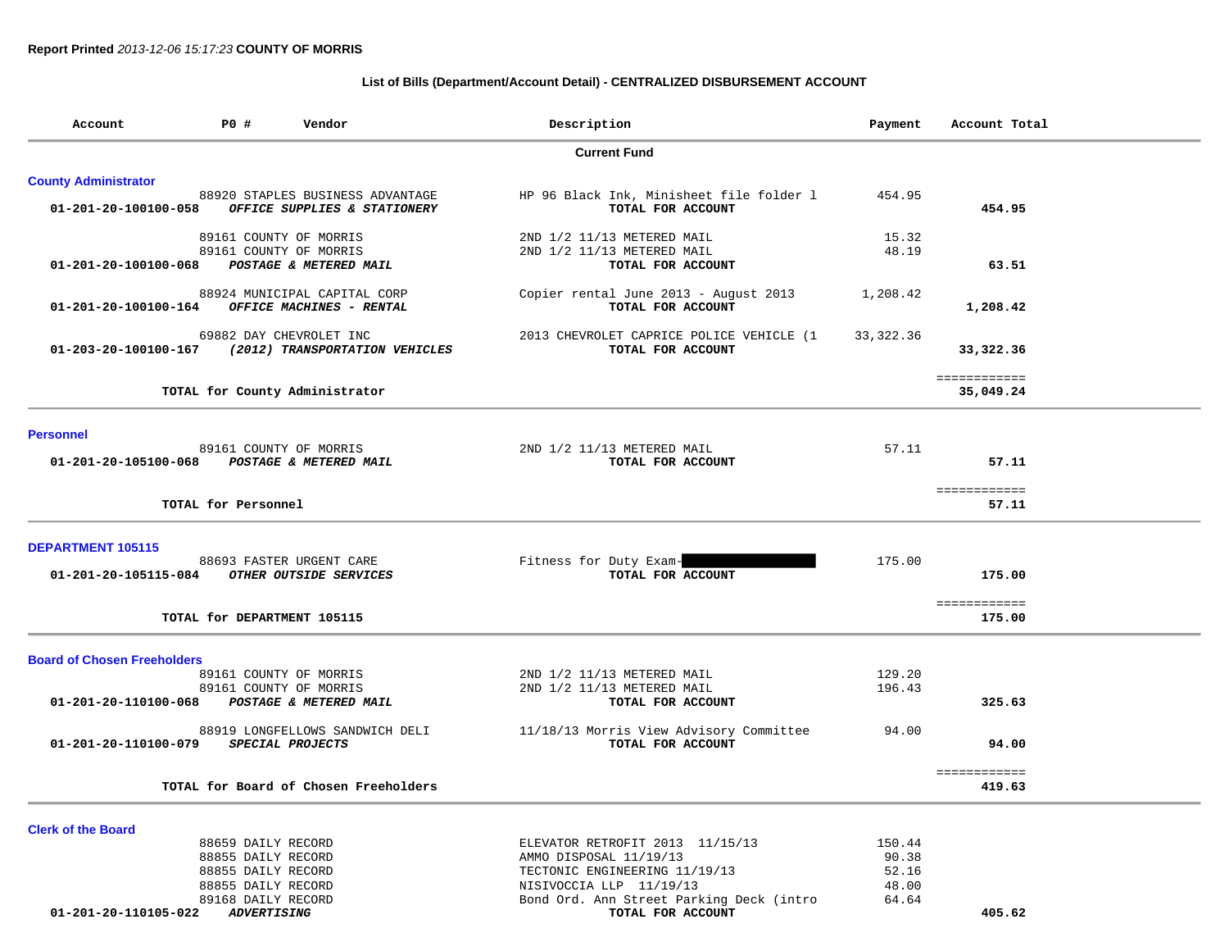# **List of Bills (Department/Account Detail) - CENTRALIZED DISBURSEMENT ACCOUNT**

| Account                                     | P0 #                                     | Vendor                                                           | Description                                                   | Payment        | Account Total          |
|---------------------------------------------|------------------------------------------|------------------------------------------------------------------|---------------------------------------------------------------|----------------|------------------------|
|                                             |                                          |                                                                  | <b>Current Fund</b>                                           |                |                        |
| <b>County Administrator</b>                 |                                          |                                                                  |                                                               |                |                        |
| 01-201-20-100100-058                        |                                          | 88920 STAPLES BUSINESS ADVANTAGE<br>OFFICE SUPPLIES & STATIONERY | HP 96 Black Ink, Minisheet file folder 1<br>TOTAL FOR ACCOUNT | 454.95         | 454.95                 |
|                                             |                                          | 89161 COUNTY OF MORRIS                                           | 2ND 1/2 11/13 METERED MAIL                                    | 15.32          |                        |
| 01-201-20-100100-068                        |                                          | 89161 COUNTY OF MORRIS<br>POSTAGE & METERED MAIL                 | 2ND 1/2 11/13 METERED MAIL<br>TOTAL FOR ACCOUNT               | 48.19          | 63.51                  |
| 01-201-20-100100-164                        |                                          | 88924 MUNICIPAL CAPITAL CORP<br>OFFICE MACHINES - RENTAL         | Copier rental June 2013 - August 2013<br>TOTAL FOR ACCOUNT    | 1,208.42       | 1,208.42               |
| 01-203-20-100100-167                        |                                          | 69882 DAY CHEVROLET INC<br>(2012) TRANSPORTATION VEHICLES        | 2013 CHEVROLET CAPRICE POLICE VEHICLE (1<br>TOTAL FOR ACCOUNT | 33,322.36      | 33,322.36              |
|                                             |                                          |                                                                  |                                                               |                | ============           |
|                                             |                                          | TOTAL for County Administrator                                   |                                                               |                | 35,049.24              |
| <b>Personnel</b>                            |                                          |                                                                  |                                                               |                |                        |
| 01-201-20-105100-068 POSTAGE & METERED MAIL |                                          | 89161 COUNTY OF MORRIS                                           | 2ND 1/2 11/13 METERED MAIL<br>TOTAL FOR ACCOUNT               | 57.11          | 57.11                  |
|                                             | TOTAL for Personnel                      |                                                                  |                                                               |                | ============<br>57.11  |
| DEPARTMENT 105115                           |                                          |                                                                  |                                                               |                |                        |
| 01-201-20-105115-084                        |                                          | 88693 FASTER URGENT CARE<br>OTHER OUTSIDE SERVICES               | Fitness for Duty Exam-<br>TOTAL FOR ACCOUNT                   | 175.00         | 175.00                 |
|                                             |                                          | TOTAL for DEPARTMENT 105115                                      |                                                               |                | ============<br>175.00 |
|                                             |                                          |                                                                  |                                                               |                |                        |
| <b>Board of Chosen Freeholders</b>          |                                          |                                                                  |                                                               | 129.20         |                        |
|                                             |                                          | 89161 COUNTY OF MORRIS<br>89161 COUNTY OF MORRIS                 | 2ND 1/2 11/13 METERED MAIL<br>2ND 1/2 11/13 METERED MAIL      | 196.43         |                        |
| 01-201-20-110100-068                        |                                          | <b>POSTAGE &amp; METERED MAIL</b>                                | TOTAL FOR ACCOUNT                                             |                | 325.63                 |
| 01-201-20-110100-079                        |                                          | 88919 LONGFELLOWS SANDWICH DELI<br>SPECIAL PROJECTS              | 11/18/13 Morris View Advisory Committee<br>TOTAL FOR ACCOUNT  | 94.00          | 94.00                  |
|                                             |                                          |                                                                  |                                                               |                | ============           |
|                                             |                                          | TOTAL for Board of Chosen Freeholders                            |                                                               |                | 419.63                 |
| <b>Clerk of the Board</b>                   |                                          |                                                                  |                                                               |                |                        |
|                                             | 88659 DAILY RECORD                       |                                                                  | ELEVATOR RETROFIT 2013 11/15/13                               | 150.44         |                        |
|                                             | 88855 DAILY RECORD<br>88855 DAILY RECORD |                                                                  | AMMO DISPOSAL 11/19/13<br>TECTONIC ENGINEERING 11/19/13       | 90.38<br>52.16 |                        |
|                                             | 88855 DAILY RECORD                       |                                                                  | NISIVOCCIA LLP 11/19/13                                       | 48.00          |                        |
|                                             | 89168 DAILY RECORD                       |                                                                  | Bond Ord. Ann Street Parking Deck (intro                      | 64.64          |                        |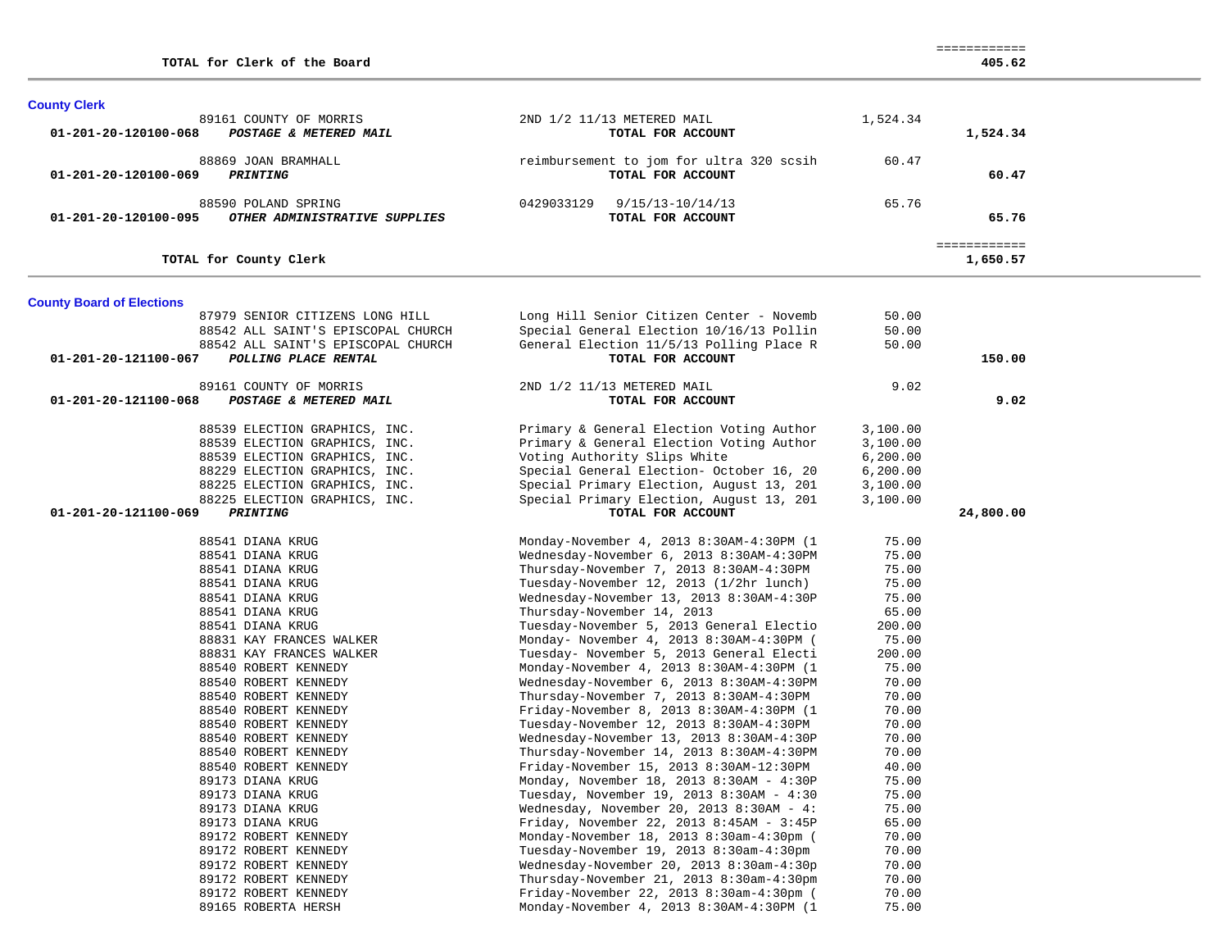| <b>County Clerk</b>              |                                                                                                                                                                                                    |                                                                                                                                                                                                                                                                                                                                                                                          |                                                                                 |                          |  |
|----------------------------------|----------------------------------------------------------------------------------------------------------------------------------------------------------------------------------------------------|------------------------------------------------------------------------------------------------------------------------------------------------------------------------------------------------------------------------------------------------------------------------------------------------------------------------------------------------------------------------------------------|---------------------------------------------------------------------------------|--------------------------|--|
| 01-201-20-120100-068             | 89161 COUNTY OF MORRIS<br>POSTAGE & METERED MAIL                                                                                                                                                   | 2ND 1/2 11/13 METERED MAIL<br>TOTAL FOR ACCOUNT                                                                                                                                                                                                                                                                                                                                          | 1,524.34                                                                        | 1,524.34                 |  |
| 01-201-20-120100-069             | 88869 JOAN BRAMHALL<br><b>PRINTING</b>                                                                                                                                                             | reimbursement to jom for ultra 320 scsih<br>TOTAL FOR ACCOUNT                                                                                                                                                                                                                                                                                                                            | 60.47                                                                           | 60.47                    |  |
| 01-201-20-120100-095             | 88590 POLAND SPRING<br>OTHER ADMINISTRATIVE SUPPLIES                                                                                                                                               | $9/15/13 - 10/14/13$<br>0429033129<br>TOTAL FOR ACCOUNT                                                                                                                                                                                                                                                                                                                                  | 65.76                                                                           | 65.76                    |  |
|                                  | TOTAL for County Clerk                                                                                                                                                                             |                                                                                                                                                                                                                                                                                                                                                                                          |                                                                                 | ============<br>1,650.57 |  |
| <b>County Board of Elections</b> |                                                                                                                                                                                                    |                                                                                                                                                                                                                                                                                                                                                                                          |                                                                                 |                          |  |
| 01-201-20-121100-067             | 87979 SENIOR CITIZENS LONG HILL<br>88542 ALL SAINT'S EPISCOPAL CHURCH<br>88542 ALL SAINT'S EPISCOPAL CHURCH<br>POLLING PLACE RENTAL                                                                | Long Hill Senior Citizen Center - Novemb<br>Special General Election 10/16/13 Pollin<br>General Election 11/5/13 Polling Place R<br>TOTAL FOR ACCOUNT                                                                                                                                                                                                                                    | 50.00<br>50.00<br>50.00                                                         | 150.00                   |  |
|                                  | 89161 COUNTY OF MORRIS                                                                                                                                                                             | 2ND 1/2 11/13 METERED MAIL                                                                                                                                                                                                                                                                                                                                                               | 9.02                                                                            |                          |  |
| 01-201-20-121100-068             | POSTAGE & METERED MAIL                                                                                                                                                                             | TOTAL FOR ACCOUNT                                                                                                                                                                                                                                                                                                                                                                        |                                                                                 | 9.02                     |  |
|                                  | 88539 ELECTION GRAPHICS, INC.<br>88539 ELECTION GRAPHICS, INC.<br>88539 ELECTION GRAPHICS, INC.<br>88229 ELECTION GRAPHICS, INC.<br>88225 ELECTION GRAPHICS, INC.<br>88225 ELECTION GRAPHICS, INC. | Primary & General Election Voting Author<br>Primary & General Election Voting Author<br>Voting Authority Slips White<br>Special General Election- October 16, 20<br>Special Primary Election, August 13, 201<br>Special Primary Election, August 13, 201                                                                                                                                 | 3,100.00<br>3,100.00<br>6,200.00<br>6, 200.00<br>3,100.00<br>3,100.00           |                          |  |
| 01-201-20-121100-069             | PRINTING                                                                                                                                                                                           | TOTAL FOR ACCOUNT                                                                                                                                                                                                                                                                                                                                                                        |                                                                                 | 24,800.00                |  |
|                                  | 88541 DIANA KRUG<br>88541 DIANA KRUG<br>88541 DIANA KRUG<br>88541 DIANA KRUG<br>88541 DIANA KRUG<br>88541 DIANA KRUG<br>88541 DIANA KRUG<br>88831 KAY FRANCES WALKER<br>88831 KAY FRANCES WALKER   | Monday-November 4, 2013 8:30AM-4:30PM (1<br>Wednesday-November 6, 2013 8:30AM-4:30PM<br>Thursday-November 7, 2013 8:30AM-4:30PM<br>Tuesday-November 12, 2013 (1/2hr lunch)<br>Wednesday-November 13, 2013 8:30AM-4:30P<br>Thursday-November 14, 2013<br>Tuesday-November 5, 2013 General Electio<br>Monday- November 4, 2013 8:30AM-4:30PM (<br>Tuesday- November 5, 2013 General Electi | 75.00<br>75.00<br>75.00<br>75.00<br>75.00<br>65.00<br>200.00<br>75.00<br>200.00 |                          |  |
|                                  | 88540 ROBERT KENNEDY<br>88540 ROBERT KENNEDY<br>88540 ROBERT KENNEDY<br>88540 ROBERT KENNEDY                                                                                                       | Monday-November 4, 2013 8:30AM-4:30PM (1<br>Wednesday-November 6, 2013 8:30AM-4:30PM<br>Thursday-November 7, 2013 8:30AM-4:30PM<br>Friday-November 8, 2013 8:30AM-4:30PM (1                                                                                                                                                                                                              | 75.00<br>70.00<br>70.00<br>70.00                                                |                          |  |
|                                  | 88540 ROBERT KENNEDY<br>88540 ROBERT KENNEDY<br>88540 ROBERT KENNEDY<br>88540 ROBERT KENNEDY<br>89173 DIANA KRUG                                                                                   | Tuesday-November 12, 2013 8:30AM-4:30PM<br>Wednesday-November 13, 2013 8:30AM-4:30P<br>Thursday-November 14, 2013 8:30AM-4:30PM<br>Friday-November 15, 2013 8:30AM-12:30PM<br>Monday, November 18, 2013 8:30AM - 4:30P                                                                                                                                                                   | 70.00<br>70.00<br>70.00<br>40.00<br>75.00                                       |                          |  |
|                                  | 89173 DIANA KRUG<br>89173 DIANA KRUG<br>89173 DIANA KRUG<br>89172 ROBERT KENNEDY                                                                                                                   | Tuesday, November 19, 2013 8:30AM - 4:30<br>Wednesday, November 20, 2013 $8:30AM - 4$ :<br>Friday, November 22, 2013 8:45AM - 3:45P<br>Monday-November 18, 2013 8:30am-4:30pm (                                                                                                                                                                                                          | 75.00<br>75.00<br>65.00<br>70.00                                                |                          |  |
|                                  | 89172 ROBERT KENNEDY<br>89172 ROBERT KENNEDY<br>89172 ROBERT KENNEDY<br>89172 ROBERT KENNEDY<br>89165 ROBERTA HERSH                                                                                | Tuesday-November 19, 2013 8:30am-4:30pm<br>Wednesday-November 20, 2013 8:30am-4:30p<br>Thursday-November 21, 2013 8:30am-4:30pm<br>Friday-November 22, 2013 8:30am-4:30pm (<br>Monday-November 4, 2013 8:30AM-4:30PM (1                                                                                                                                                                  | 70.00<br>70.00<br>70.00<br>70.00<br>75.00                                       |                          |  |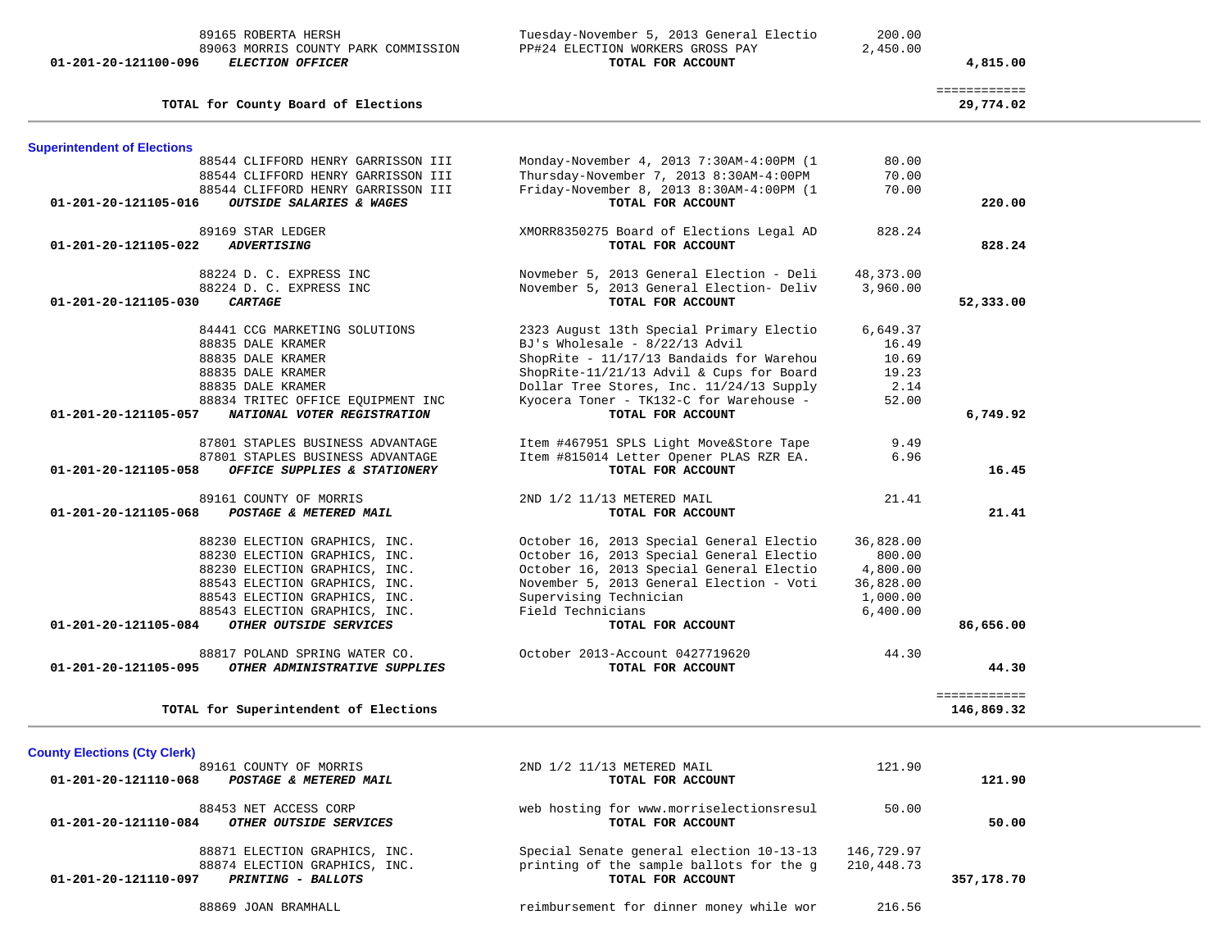| 84441 CCG MARKETING SOLUTIONS<br>88835 DALE KRAMER<br>88835 DALE KRAMER<br>88835 DALE KRAMER<br>88835 DALE KRAMER<br>88834 TRITEC OFFICE EQUIPMENT INC<br>01-201-20-121105-057 NATIONAL VOTER REGISTRATION<br>87801 STAPLES BUSINESS ADVANTAGE<br>87801 STAPLES BUSINESS ADVANTAGE<br>OFFICE SUPPLIES & STATIONERY<br>89161 COUNTY OF MORRIS<br>01-201-20-121105-068 POSTAGE & METERED MAIL | 2323 August 13th Special Primary Electio<br>BJ's Wholesale - $8/22/13$ Advil<br>ShopRite - 11/17/13 Bandaids for Warehou 10.69<br>ShopRite - 11/17/13 Dunnant<br>ShopRite-11/21/13 Advil & Cups for Board 19.23<br>2.14 Price Stores Inc. 11/24/13 Supply 2.14<br>Kyocera Toner - TK132-C for Warehouse -<br>TOTAL FOR ACCOUNT<br>Item #467951 SPLS Light Move&Store Tape<br>Item #815014 Letter Opener PLAS RZR EA.<br>TOTAL FOR ACCOUNT<br>2ND 1/2 11/13 METERED MAIL<br>TOTAL FOR ACCOUNT                                       | 6,649.37<br>16.49<br>52.00<br>9.49<br>6.96<br>21.41                                                          | 52,333.00<br>6,749.92<br>16.45                                                                                                                                                                                                                                                                      |
|---------------------------------------------------------------------------------------------------------------------------------------------------------------------------------------------------------------------------------------------------------------------------------------------------------------------------------------------------------------------------------------------|------------------------------------------------------------------------------------------------------------------------------------------------------------------------------------------------------------------------------------------------------------------------------------------------------------------------------------------------------------------------------------------------------------------------------------------------------------------------------------------------------------------------------------|--------------------------------------------------------------------------------------------------------------|-----------------------------------------------------------------------------------------------------------------------------------------------------------------------------------------------------------------------------------------------------------------------------------------------------|
|                                                                                                                                                                                                                                                                                                                                                                                             |                                                                                                                                                                                                                                                                                                                                                                                                                                                                                                                                    |                                                                                                              |                                                                                                                                                                                                                                                                                                     |
|                                                                                                                                                                                                                                                                                                                                                                                             |                                                                                                                                                                                                                                                                                                                                                                                                                                                                                                                                    |                                                                                                              |                                                                                                                                                                                                                                                                                                     |
|                                                                                                                                                                                                                                                                                                                                                                                             |                                                                                                                                                                                                                                                                                                                                                                                                                                                                                                                                    |                                                                                                              |                                                                                                                                                                                                                                                                                                     |
|                                                                                                                                                                                                                                                                                                                                                                                             |                                                                                                                                                                                                                                                                                                                                                                                                                                                                                                                                    |                                                                                                              |                                                                                                                                                                                                                                                                                                     |
|                                                                                                                                                                                                                                                                                                                                                                                             |                                                                                                                                                                                                                                                                                                                                                                                                                                                                                                                                    |                                                                                                              |                                                                                                                                                                                                                                                                                                     |
|                                                                                                                                                                                                                                                                                                                                                                                             |                                                                                                                                                                                                                                                                                                                                                                                                                                                                                                                                    |                                                                                                              |                                                                                                                                                                                                                                                                                                     |
|                                                                                                                                                                                                                                                                                                                                                                                             |                                                                                                                                                                                                                                                                                                                                                                                                                                                                                                                                    |                                                                                                              |                                                                                                                                                                                                                                                                                                     |
|                                                                                                                                                                                                                                                                                                                                                                                             |                                                                                                                                                                                                                                                                                                                                                                                                                                                                                                                                    |                                                                                                              |                                                                                                                                                                                                                                                                                                     |
|                                                                                                                                                                                                                                                                                                                                                                                             |                                                                                                                                                                                                                                                                                                                                                                                                                                                                                                                                    |                                                                                                              |                                                                                                                                                                                                                                                                                                     |
|                                                                                                                                                                                                                                                                                                                                                                                             |                                                                                                                                                                                                                                                                                                                                                                                                                                                                                                                                    |                                                                                                              |                                                                                                                                                                                                                                                                                                     |
|                                                                                                                                                                                                                                                                                                                                                                                             |                                                                                                                                                                                                                                                                                                                                                                                                                                                                                                                                    |                                                                                                              |                                                                                                                                                                                                                                                                                                     |
|                                                                                                                                                                                                                                                                                                                                                                                             |                                                                                                                                                                                                                                                                                                                                                                                                                                                                                                                                    |                                                                                                              |                                                                                                                                                                                                                                                                                                     |
|                                                                                                                                                                                                                                                                                                                                                                                             |                                                                                                                                                                                                                                                                                                                                                                                                                                                                                                                                    |                                                                                                              | 21.41                                                                                                                                                                                                                                                                                               |
| 88230 ELECTION GRAPHICS, INC.                                                                                                                                                                                                                                                                                                                                                               | October 16, 2013 Special General Electio                                                                                                                                                                                                                                                                                                                                                                                                                                                                                           | 36,828.00                                                                                                    |                                                                                                                                                                                                                                                                                                     |
| 88230 ELECTION GRAPHICS, INC.                                                                                                                                                                                                                                                                                                                                                               | October 16, 2013 Special General Electio                                                                                                                                                                                                                                                                                                                                                                                                                                                                                           | 800.00                                                                                                       |                                                                                                                                                                                                                                                                                                     |
| 88230 ELECTION GRAPHICS, INC.                                                                                                                                                                                                                                                                                                                                                               | October 16, 2013 Special General Electio 4,800.00                                                                                                                                                                                                                                                                                                                                                                                                                                                                                  |                                                                                                              |                                                                                                                                                                                                                                                                                                     |
|                                                                                                                                                                                                                                                                                                                                                                                             |                                                                                                                                                                                                                                                                                                                                                                                                                                                                                                                                    |                                                                                                              |                                                                                                                                                                                                                                                                                                     |
|                                                                                                                                                                                                                                                                                                                                                                                             |                                                                                                                                                                                                                                                                                                                                                                                                                                                                                                                                    |                                                                                                              |                                                                                                                                                                                                                                                                                                     |
|                                                                                                                                                                                                                                                                                                                                                                                             |                                                                                                                                                                                                                                                                                                                                                                                                                                                                                                                                    |                                                                                                              |                                                                                                                                                                                                                                                                                                     |
|                                                                                                                                                                                                                                                                                                                                                                                             | TOTAL FOR ACCOUNT                                                                                                                                                                                                                                                                                                                                                                                                                                                                                                                  |                                                                                                              | 86,656.00                                                                                                                                                                                                                                                                                           |
|                                                                                                                                                                                                                                                                                                                                                                                             |                                                                                                                                                                                                                                                                                                                                                                                                                                                                                                                                    |                                                                                                              |                                                                                                                                                                                                                                                                                                     |
|                                                                                                                                                                                                                                                                                                                                                                                             | TOTAL FOR ACCOUNT                                                                                                                                                                                                                                                                                                                                                                                                                                                                                                                  |                                                                                                              | 44.30                                                                                                                                                                                                                                                                                               |
|                                                                                                                                                                                                                                                                                                                                                                                             |                                                                                                                                                                                                                                                                                                                                                                                                                                                                                                                                    |                                                                                                              | ============                                                                                                                                                                                                                                                                                        |
|                                                                                                                                                                                                                                                                                                                                                                                             |                                                                                                                                                                                                                                                                                                                                                                                                                                                                                                                                    |                                                                                                              | 146,869.32                                                                                                                                                                                                                                                                                          |
|                                                                                                                                                                                                                                                                                                                                                                                             |                                                                                                                                                                                                                                                                                                                                                                                                                                                                                                                                    |                                                                                                              |                                                                                                                                                                                                                                                                                                     |
|                                                                                                                                                                                                                                                                                                                                                                                             | 2ND 1/2 11/13 METERED MAIL                                                                                                                                                                                                                                                                                                                                                                                                                                                                                                         | 121.90                                                                                                       |                                                                                                                                                                                                                                                                                                     |
|                                                                                                                                                                                                                                                                                                                                                                                             | TOTAL FOR ACCOUNT                                                                                                                                                                                                                                                                                                                                                                                                                                                                                                                  |                                                                                                              | 121.90                                                                                                                                                                                                                                                                                              |
|                                                                                                                                                                                                                                                                                                                                                                                             |                                                                                                                                                                                                                                                                                                                                                                                                                                                                                                                                    | 50.00                                                                                                        |                                                                                                                                                                                                                                                                                                     |
|                                                                                                                                                                                                                                                                                                                                                                                             | TOTAL FOR ACCOUNT                                                                                                                                                                                                                                                                                                                                                                                                                                                                                                                  |                                                                                                              | 50.00                                                                                                                                                                                                                                                                                               |
|                                                                                                                                                                                                                                                                                                                                                                                             |                                                                                                                                                                                                                                                                                                                                                                                                                                                                                                                                    |                                                                                                              |                                                                                                                                                                                                                                                                                                     |
|                                                                                                                                                                                                                                                                                                                                                                                             |                                                                                                                                                                                                                                                                                                                                                                                                                                                                                                                                    |                                                                                                              |                                                                                                                                                                                                                                                                                                     |
|                                                                                                                                                                                                                                                                                                                                                                                             | TOTAL FOR ACCOUNT                                                                                                                                                                                                                                                                                                                                                                                                                                                                                                                  |                                                                                                              | 357,178.70                                                                                                                                                                                                                                                                                          |
|                                                                                                                                                                                                                                                                                                                                                                                             |                                                                                                                                                                                                                                                                                                                                                                                                                                                                                                                                    |                                                                                                              |                                                                                                                                                                                                                                                                                                     |
|                                                                                                                                                                                                                                                                                                                                                                                             | 88543 ELECTION GRAPHICS, INC.<br>88543 ELECTION GRAPHICS, INC.<br>88543 ELECTION GRAPHICS, INC.<br>01-201-20-121105-084 OTHER OUTSIDE SERVICES<br>01-201-20-121105-095 OTHER ADMINISTRATIVE SUPPLIES<br>TOTAL for Superintendent of Elections<br>89161 COUNTY OF MORRIS<br>01-201-20-121110-068 POSTAGE & METERED MAIL<br>88453 NET ACCESS CORP<br>01-201-20-121110-084 OTHER OUTSIDE SERVICES<br>88871 ELECTION GRAPHICS, INC.<br>88874 ELECTION GRAPHICS, INC.<br>01-201-20-121110-097 PRINTING - BALLOTS<br>88869 JOAN BRAMHALL | Supervising Technician<br>Field Technicians<br>88817 POLAND SPRING WATER CO. 00tober 2013-Account 0427719620 | November 5, 2013 General Election - Voti<br>36,828.00<br>1,000.00<br>6,400.00<br>44.30<br>web hosting for www.morriselectionsresul<br>Special Senate general election 10-13-13 146,729.97<br>printing of the sample ballots for the g 210,448.73<br>reimbursement for dinner money while wor 216.56 |

|                      | 89165 ROBERTA HERSH     |                                     | Tuesday-November 5, 2013 General Electio | 200.00   |          |
|----------------------|-------------------------|-------------------------------------|------------------------------------------|----------|----------|
|                      |                         | 89063 MORRIS COUNTY PARK COMMISSION | PP#24 ELECTION WORKERS GROSS PAY         | 2,450.00 |          |
| 01-201-20-121100-096 | <i>ELECTION OFFICER</i> |                                     | TOTAL FOR ACCOUNT                        |          | 4,815.00 |

**Superintendent of Elections**

============

 88544 CLIFFORD HENRY GARRISSON III Monday-November 4, 2013 7:30AM-4:00PM (1 80.00 88544 CLIFFORD HENRY GARRISSON III Thursday-November 7, 2013 8:30AM-4:00PM 70.00 88544 CLIFFORD HENRY GARRISSON III Friday-November 8, 2013 8:30AM-4:00PM (1 70.00  **01-201-20-121105-016** *OUTSIDE SALARIES & WAGES* **TOTAL FOR ACCOUNT 220.00**

 89169 STAR LEDGER XMORR8350275 Board of Elections Legal AD 828.24  **01-201-20-121105-022** *ADVERTISING* **TOTAL FOR ACCOUNT 828.24**

88224 D. C. EXPRESS INC Novmeber 5, 2013 General Election - Deli 48,373.00

**TOTAL for County Board of Elections 29,774.02**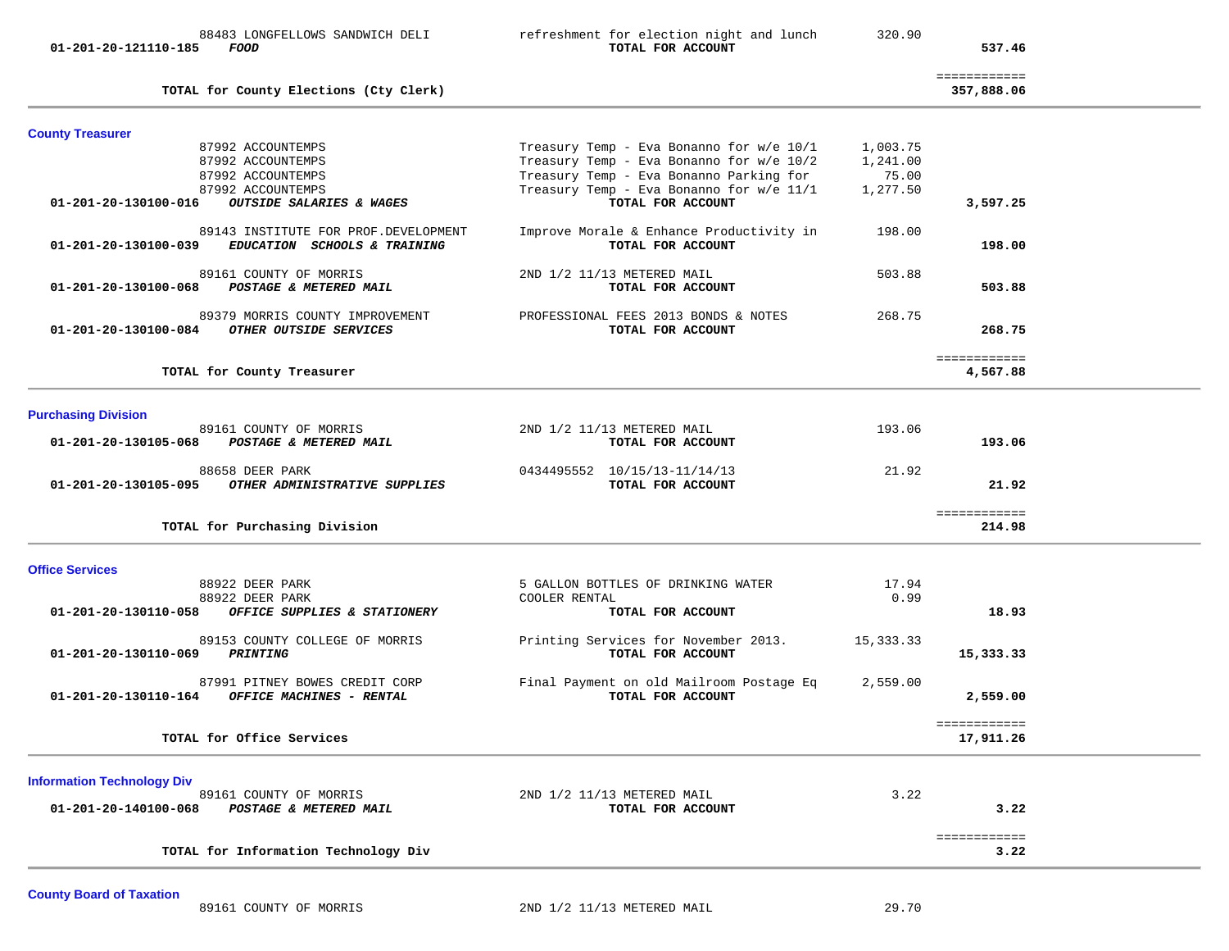| TOTAL for Information Technology Div                                                                          |                                                                                                          |                      | 3.22                       |  |
|---------------------------------------------------------------------------------------------------------------|----------------------------------------------------------------------------------------------------------|----------------------|----------------------------|--|
| <b>Information Technology Div</b><br>89161 COUNTY OF MORRIS<br>01-201-20-140100-068<br>POSTAGE & METERED MAIL | 2ND 1/2 11/13 METERED MAIL<br>TOTAL FOR ACCOUNT                                                          | 3.22                 | 3.22<br>============       |  |
| TOTAL for Office Services                                                                                     |                                                                                                          |                      | ============<br>17,911.26  |  |
| 87991 PITNEY BOWES CREDIT CORP<br>01-201-20-130110-164<br>OFFICE MACHINES - RENTAL                            | Final Payment on old Mailroom Postage Eq<br>TOTAL FOR ACCOUNT                                            | 2,559.00             | 2,559.00                   |  |
| 89153 COUNTY COLLEGE OF MORRIS<br>01-201-20-130110-069<br>PRINTING                                            | Printing Services for November 2013.<br>TOTAL FOR ACCOUNT                                                | 15,333.33            | 15,333.33                  |  |
| 88922 DEER PARK<br>88922 DEER PARK<br>01-201-20-130110-058<br>OFFICE SUPPLIES & STATIONERY                    | 5 GALLON BOTTLES OF DRINKING WATER<br>COOLER RENTAL<br>TOTAL FOR ACCOUNT                                 | 17.94<br>0.99        | 18.93                      |  |
| <b>Office Services</b>                                                                                        |                                                                                                          |                      |                            |  |
| TOTAL for Purchasing Division                                                                                 |                                                                                                          |                      | ============<br>214.98     |  |
| 88658 DEER PARK<br>01-201-20-130105-095<br>OTHER ADMINISTRATIVE SUPPLIES                                      | 0434495552 10/15/13-11/14/13<br>TOTAL FOR ACCOUNT                                                        | 21.92                | 21.92                      |  |
| <b>Purchasing Division</b><br>89161 COUNTY OF MORRIS<br>01-201-20-130105-068<br>POSTAGE & METERED MAIL        | 2ND 1/2 11/13 METERED MAIL<br>TOTAL FOR ACCOUNT                                                          | 193.06               | 193.06                     |  |
| TOTAL for County Treasurer                                                                                    |                                                                                                          |                      | ============<br>4,567.88   |  |
| 89379 MORRIS COUNTY IMPROVEMENT<br>01-201-20-130100-084<br>OTHER OUTSIDE SERVICES                             | PROFESSIONAL FEES 2013 BONDS & NOTES<br>TOTAL FOR ACCOUNT                                                | 268.75               | 268.75                     |  |
| 89161 COUNTY OF MORRIS<br>01-201-20-130100-068<br>POSTAGE & METERED MAIL                                      | 2ND 1/2 11/13 METERED MAIL<br>TOTAL FOR ACCOUNT                                                          | 503.88               | 503.88                     |  |
| 89143 INSTITUTE FOR PROF. DEVELOPMENT<br>EDUCATION SCHOOLS & TRAINING<br>01-201-20-130100-039                 | Improve Morale & Enhance Productivity in<br>TOTAL FOR ACCOUNT                                            | 198.00               | 198.00                     |  |
| 87992 ACCOUNTEMPS<br>87992 ACCOUNTEMPS<br>01-201-20-130100-016<br>OUTSIDE SALARIES & WAGES                    | Treasury Temp - Eva Bonanno Parking for<br>Treasury Temp - Eva Bonanno for w/e 11/1<br>TOTAL FOR ACCOUNT | 75.00<br>1,277.50    | 3,597.25                   |  |
| <b>County Treasurer</b><br>87992 ACCOUNTEMPS<br>87992 ACCOUNTEMPS                                             | Treasury Temp - Eva Bonanno for w/e 10/1<br>Treasury Temp - Eva Bonanno for w/e 10/2                     | 1,003.75<br>1,241.00 |                            |  |
| TOTAL for County Elections (Cty Clerk)                                                                        |                                                                                                          |                      | ============<br>357,888.06 |  |
| 88483 LONGFELLOWS SANDWICH DELI<br>01-201-20-121110-185<br><i>FOOD</i>                                        | refreshment for election night and lunch<br>TOTAL FOR ACCOUNT                                            | 320.90               | 537.46                     |  |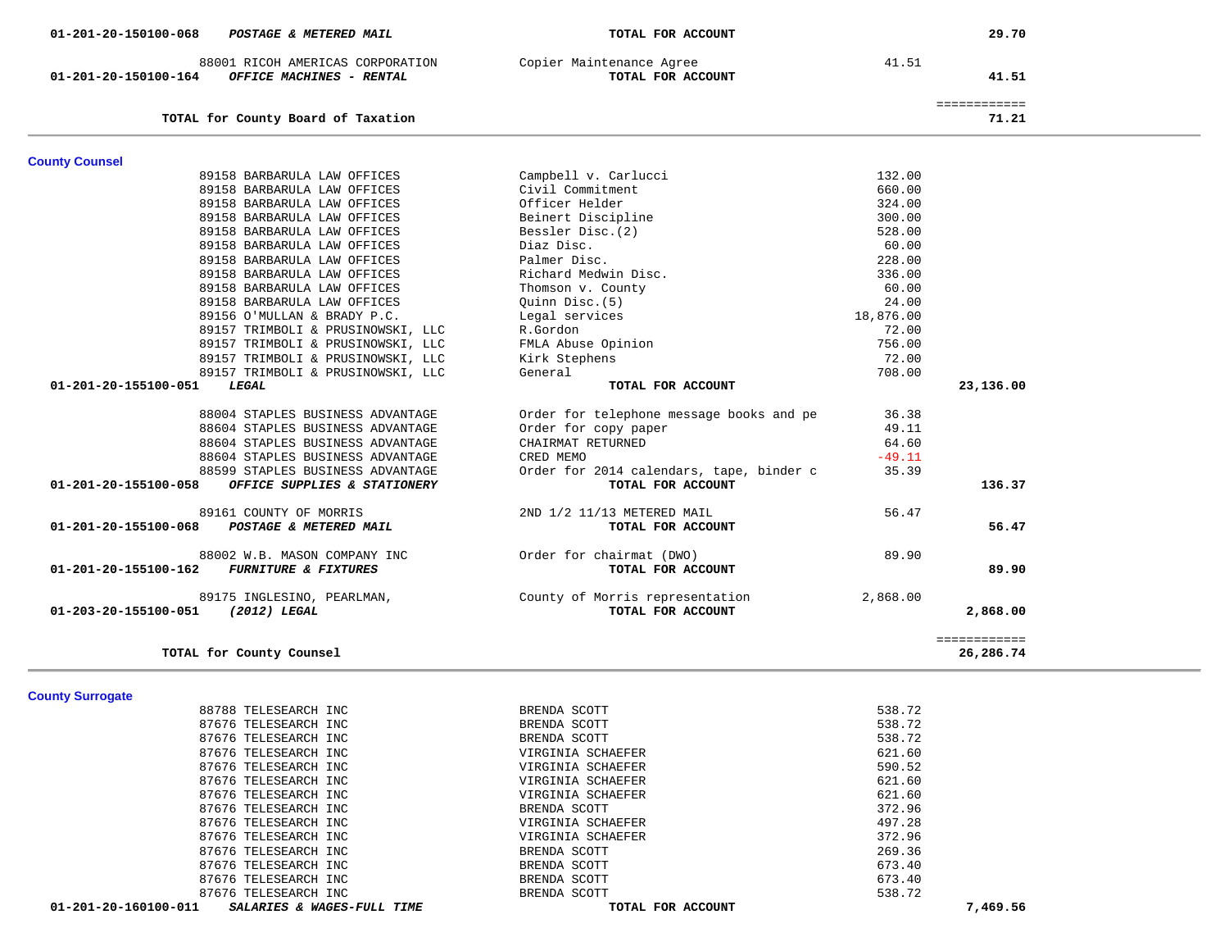| 01-201-20-150100-068<br>POSTAGE & METERED MAIL                                           | TOTAL FOR ACCOUNT                                             |                   | 29.70                     |
|------------------------------------------------------------------------------------------|---------------------------------------------------------------|-------------------|---------------------------|
| 88001 RICOH AMERICAS CORPORATION<br>OFFICE MACHINES - RENTAL<br>01-201-20-150100-164     | Copier Maintenance Agree<br>TOTAL FOR ACCOUNT                 | 41.51             | 41.51                     |
| TOTAL for County Board of Taxation                                                       |                                                               |                   | ============<br>71.21     |
|                                                                                          |                                                               |                   |                           |
| <b>County Counsel</b>                                                                    |                                                               |                   |                           |
| 89158 BARBARULA LAW OFFICES                                                              | Campbell v. Carlucci                                          | 132.00            |                           |
| 89158 BARBARULA LAW OFFICES                                                              | Civil Commitment                                              | 660.00            |                           |
| 89158 BARBARULA LAW OFFICES                                                              | Officer Helder                                                | 324.00            |                           |
| 89158 BARBARULA LAW OFFICES                                                              | Beinert Discipline                                            | 300.00            |                           |
| 89158 BARBARULA LAW OFFICES                                                              | Bessler Disc. (2)                                             | 528.00            |                           |
| 89158 BARBARULA LAW OFFICES                                                              | Diaz Disc.                                                    | 60.00             |                           |
| 89158 BARBARULA LAW OFFICES                                                              | Palmer Disc.                                                  | 228.00            |                           |
| 89158 BARBARULA LAW OFFICES                                                              | Richard Medwin Disc.                                          | 336.00            |                           |
| 89158 BARBARULA LAW OFFICES                                                              | Thomson v. County                                             | 60.00             |                           |
| 89158 BARBARULA LAW OFFICES                                                              | Quinn Disc.(5)                                                | 24.00             |                           |
| 89156 O'MULLAN & BRADY P.C.                                                              | Legal services                                                | 18,876.00         |                           |
| 89157 TRIMBOLI & PRUSINOWSKI, LLC                                                        | R.Gordon                                                      | 72.00             |                           |
| 89157 TRIMBOLI & PRUSINOWSKI, LLC                                                        | FMLA Abuse Opinion                                            | 756.00            |                           |
| 89157 TRIMBOLI & PRUSINOWSKI, LLC                                                        | Kirk Stephens                                                 | 72.00             |                           |
| 89157 TRIMBOLI & PRUSINOWSKI, LLC                                                        | General                                                       | 708.00            |                           |
| 01-201-20-155100-051<br>LEGAL                                                            | TOTAL FOR ACCOUNT                                             |                   | 23,136.00                 |
|                                                                                          |                                                               |                   |                           |
| 88004 STAPLES BUSINESS ADVANTAGE                                                         | Order for telephone message books and pe                      | 36.38<br>49.11    |                           |
| 88604 STAPLES BUSINESS ADVANTAGE                                                         | Order for copy paper<br>CHAIRMAT RETURNED                     | 64.60             |                           |
| 88604 STAPLES BUSINESS ADVANTAGE                                                         |                                                               |                   |                           |
| 88604 STAPLES BUSINESS ADVANTAGE                                                         | CRED MEMO                                                     | $-49.11$<br>35.39 |                           |
| 88599 STAPLES BUSINESS ADVANTAGE<br>01-201-20-155100-058<br>OFFICE SUPPLIES & STATIONERY | Order for 2014 calendars, tape, binder c<br>TOTAL FOR ACCOUNT |                   | 136.37                    |
|                                                                                          |                                                               |                   |                           |
| 89161 COUNTY OF MORRIS                                                                   | 2ND 1/2 11/13 METERED MAIL                                    | 56.47             |                           |
| 01-201-20-155100-068<br>POSTAGE & METERED MAIL                                           | TOTAL FOR ACCOUNT                                             |                   | 56.47                     |
| 88002 W.B. MASON COMPANY INC                                                             | Order for chairmat (DWO)                                      | 89.90             |                           |
| 01-201-20-155100-162<br><b>FURNITURE &amp; FIXTURES</b>                                  | TOTAL FOR ACCOUNT                                             |                   | 89.90                     |
| 89175 INGLESINO, PEARLMAN,<br>01-203-20-155100-051<br><i>(2012) LEGAL</i>                | County of Morris representation<br>TOTAL FOR ACCOUNT          | 2,868.00          | 2,868.00                  |
| TOTAL for County Counsel                                                                 |                                                               |                   | ============<br>26,286.74 |
|                                                                                          |                                                               |                   |                           |
| <b>County Surrogate</b>                                                                  |                                                               |                   |                           |
| 88788 TELESEARCH INC                                                                     | BRENDA SCOTT                                                  | 538.72            |                           |
| 87676 TELESEARCH INC                                                                     | BRENDA SCOTT                                                  | 538.72            |                           |
| 87676 TELESEARCH INC                                                                     | BRENDA SCOTT                                                  | 538.72            |                           |
| 87676 TELESEARCH INC                                                                     | VIRGINIA SCHAEFER                                             | 621.60            |                           |
| 87676 TELESEARCH INC                                                                     | VIRGINIA SCHAEFER                                             | 590.52            |                           |
| 87676 TELESEARCH INC                                                                     | VIRGINIA SCHAEFER                                             | 621.60            |                           |
| 87676 TELESEARCH INC                                                                     | VIRGINIA SCHAEFER                                             | 621.60            |                           |
| 87676 TELESEARCH INC                                                                     | BRENDA SCOTT                                                  | 372.96            |                           |

87676 TELESEARCH INC **BRENDA SCOTT** 87676 TELESEARCH INC SOUTH SERENDA SCOTT  **01-201-20-160100-011** *SALARIES & WAGES-FULL TIME* **TOTAL FOR ACCOUNT 7,469.56**

87676 TELESEARCH INC **VIRGINIA SCHAEFER** 

87676 TELESEARCH INC 37676 TELESEARCH INC

87676 TELESEARCH INC BRENDA SCOTT

87676 TELESEARCH INC 6745 SERENDA SCOTT

497.28

372.96

269.36

673.40

673.40

538.72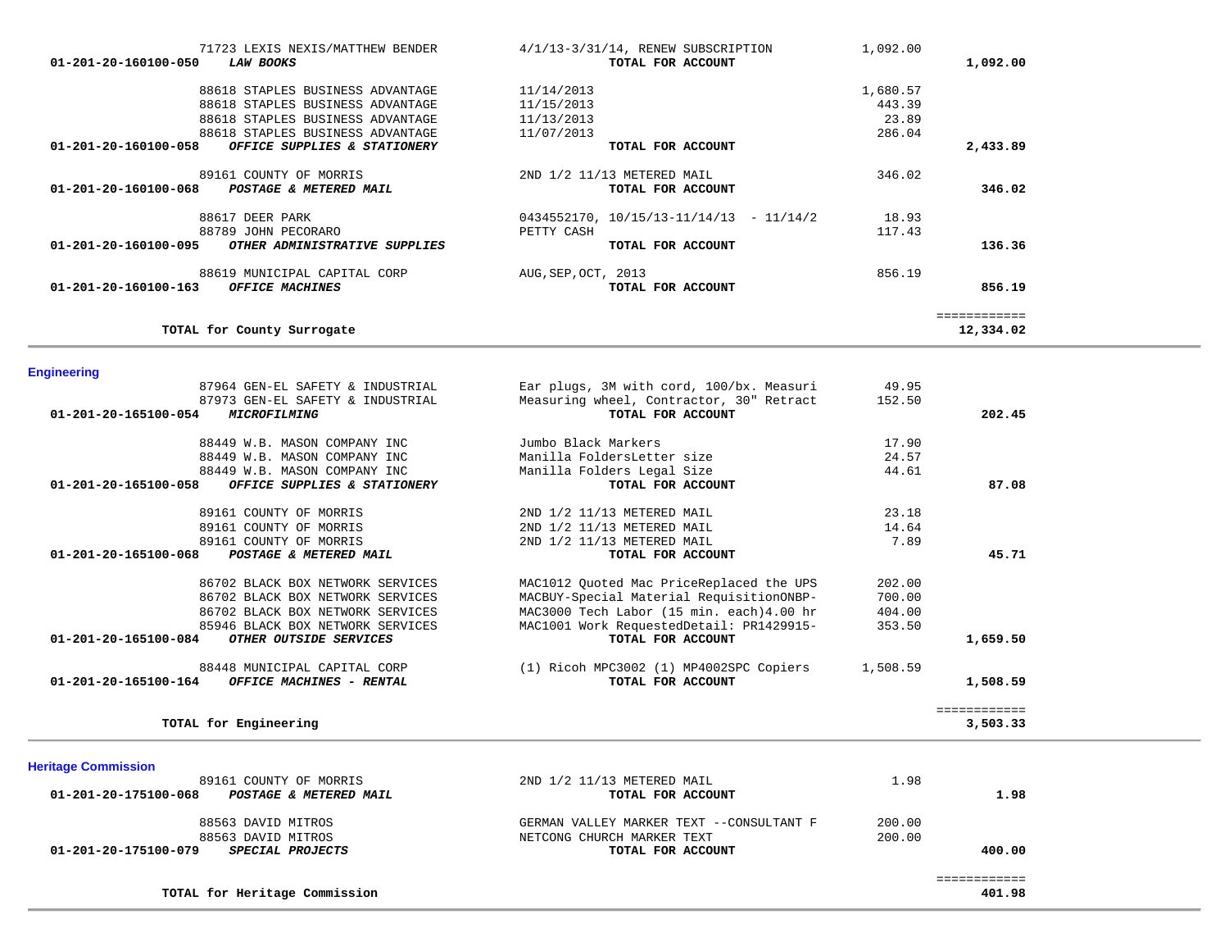| 71723 LEXIS NEXIS/MATTHEW BENDER                      | $4/1/13-3/31/14$ , RENEW SUBSCRIPTION    | 1,092.00 |              |
|-------------------------------------------------------|------------------------------------------|----------|--------------|
| 01-201-20-160100-050<br><i><b>LAW BOOKS</b></i>       | TOTAL FOR ACCOUNT                        |          | 1,092.00     |
| 88618 STAPLES BUSINESS ADVANTAGE                      | 11/14/2013                               | 1,680.57 |              |
| 88618 STAPLES BUSINESS ADVANTAGE                      | 11/15/2013                               | 443.39   |              |
| 88618 STAPLES BUSINESS ADVANTAGE                      | 11/13/2013                               | 23.89    |              |
| 88618 STAPLES BUSINESS ADVANTAGE                      | 11/07/2013                               | 286.04   |              |
| 01-201-20-160100-058<br>OFFICE SUPPLIES & STATIONERY  | TOTAL FOR ACCOUNT                        |          | 2,433.89     |
| 89161 COUNTY OF MORRIS                                | 2ND 1/2 11/13 METERED MAIL               | 346.02   |              |
| 01-201-20-160100-068<br>POSTAGE & METERED MAIL        | TOTAL FOR ACCOUNT                        |          | 346.02       |
| 88617 DEER PARK                                       | $0434552170, 10/15/13-11/14/13 -11/14/2$ | 18.93    |              |
| 88789 JOHN PECORARO                                   | PETTY CASH                               | 117.43   |              |
| 01-201-20-160100-095<br>OTHER ADMINISTRATIVE SUPPLIES | TOTAL FOR ACCOUNT                        |          | 136.36       |
| 88619 MUNICIPAL CAPITAL CORP                          | AUG, SEP, OCT, 2013                      | 856.19   |              |
| 01-201-20-160100-163<br>OFFICE MACHINES               | TOTAL FOR ACCOUNT                        |          | 856.19       |
|                                                       |                                          |          | ============ |
| TOTAL for County Surrogate                            |                                          |          | 12,334.02    |

# **Engineering**

| --------------<br>87964 GEN-EL SAFETY & INDUSTRIAL                              | Ear plugs, 3M with cord, 100/bx. Measuri                      | 49.95    |              |
|---------------------------------------------------------------------------------|---------------------------------------------------------------|----------|--------------|
| 87973 GEN-EL SAFETY & INDUSTRIAL<br>01-201-20-165100-054<br><b>MICROFILMING</b> | Measuring wheel, Contractor, 30" Retract<br>TOTAL FOR ACCOUNT | 152.50   | 202.45       |
| 88449 W.B. MASON COMPANY INC                                                    | Jumbo Black Markers                                           | 17.90    |              |
| 88449 W.B. MASON COMPANY INC                                                    | Manilla FoldersLetter size                                    | 24.57    |              |
| 88449 W.B. MASON COMPANY INC                                                    | Manilla Folders Legal Size                                    | 44.61    |              |
| 01-201-20-165100-058<br>OFFICE SUPPLIES & STATIONERY                            | TOTAL FOR ACCOUNT                                             |          | 87.08        |
| 89161 COUNTY OF MORRIS                                                          | 2ND 1/2 11/13 METERED MAIL                                    | 23.18    |              |
| 89161 COUNTY OF MORRIS                                                          | 2ND 1/2 11/13 METERED MAIL                                    | 14.64    |              |
| 89161 COUNTY OF MORRIS                                                          | 2ND 1/2 11/13 METERED MAIL                                    | 7.89     |              |
| 01-201-20-165100-068<br>POSTAGE & METERED MAIL                                  | TOTAL FOR ACCOUNT                                             |          | 45.71        |
| 86702 BLACK BOX NETWORK SERVICES                                                | MAC1012 Quoted Mac PriceReplaced the UPS                      | 202.00   |              |
| 86702 BLACK BOX NETWORK SERVICES                                                | MACBUY-Special Material RequisitionONBP-                      | 700.00   |              |
| 86702 BLACK BOX NETWORK SERVICES                                                | MAC3000 Tech Labor (15 min. each) 4.00 hr                     | 404.00   |              |
| 85946 BLACK BOX NETWORK SERVICES                                                | MAC1001 Work RequestedDetail: PR1429915-                      | 353.50   |              |
| 01-201-20-165100-084<br>OTHER OUTSIDE SERVICES                                  | TOTAL FOR ACCOUNT                                             |          | 1,659.50     |
| 88448 MUNICIPAL CAPITAL CORP                                                    | (1) Ricoh MPC3002 (1) MP4002SPC Copiers                       | 1,508.59 |              |
| 01-201-20-165100-164<br>OFFICE MACHINES - RENTAL                                | TOTAL FOR ACCOUNT                                             |          | 1,508.59     |
|                                                                                 |                                                               |          | ============ |
| TOTAL for Engineering                                                           |                                                               |          | 3,503.33     |

| <b>Heritage Commission</b>                      |                                          |        |        |
|-------------------------------------------------|------------------------------------------|--------|--------|
| 89161 COUNTY OF MORRIS                          | 2ND 1/2 11/13 METERED MAIL               | 1.98   |        |
| 01-201-20-175100-068<br>POSTAGE & METERED MAIL  | TOTAL FOR ACCOUNT                        |        | 1.98   |
| 88563 DAVID MITROS                              | GERMAN VALLEY MARKER TEXT --CONSULTANT F | 200.00 |        |
| 88563 DAVID MITROS                              | NETCONG CHURCH MARKER TEXT               | 200.00 |        |
| <i>SPECIAL PROJECTS</i><br>01-201-20-175100-079 | TOTAL FOR ACCOUNT                        |        | 400.00 |
|                                                 |                                          |        |        |
| TOTAL for Heritage Commission                   |                                          |        | 401.98 |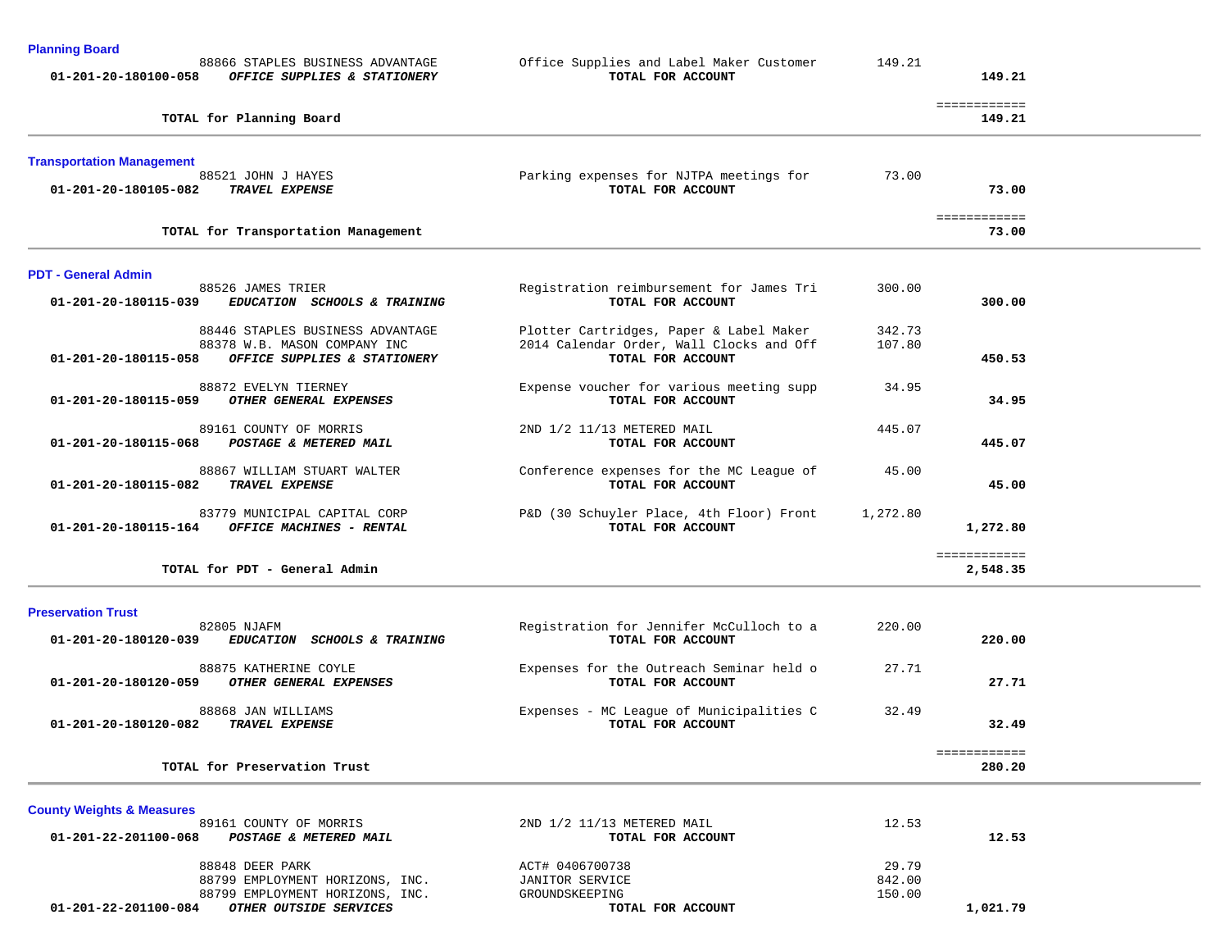| <b>Planning Board</b><br>88866 STAPLES BUSINESS ADVANTAGE<br>01-201-20-180100-058<br>OFFICE SUPPLIES & STATIONERY        | Office Supplies and Label Maker Customer<br>TOTAL FOR ACCOUNT                                            | 149.21           | 149.21                       |  |
|--------------------------------------------------------------------------------------------------------------------------|----------------------------------------------------------------------------------------------------------|------------------|------------------------------|--|
| TOTAL for Planning Board                                                                                                 |                                                                                                          |                  | ============<br>149.21       |  |
| <b>Transportation Management</b><br>88521 JOHN J HAYES<br>01-201-20-180105-082<br>TRAVEL EXPENSE                         | Parking expenses for NJTPA meetings for<br>TOTAL FOR ACCOUNT                                             | 73.00            | 73.00                        |  |
| TOTAL for Transportation Management                                                                                      |                                                                                                          |                  | ============<br>73.00        |  |
| <b>PDT - General Admin</b><br>88526 JAMES TRIER<br>01-201-20-180115-039<br>EDUCATION SCHOOLS & TRAINING                  | Registration reimbursement for James Tri<br>TOTAL FOR ACCOUNT                                            | 300.00           | 300.00                       |  |
| 88446 STAPLES BUSINESS ADVANTAGE<br>88378 W.B. MASON COMPANY INC<br>01-201-20-180115-058<br>OFFICE SUPPLIES & STATIONERY | Plotter Cartridges, Paper & Label Maker<br>2014 Calendar Order, Wall Clocks and Off<br>TOTAL FOR ACCOUNT | 342.73<br>107.80 | 450.53                       |  |
| 88872 EVELYN TIERNEY<br>01-201-20-180115-059<br>OTHER GENERAL EXPENSES                                                   | Expense voucher for various meeting supp<br>TOTAL FOR ACCOUNT                                            | 34.95            | 34.95                        |  |
| 89161 COUNTY OF MORRIS<br>$01 - 201 - 20 - 180115 - 068$<br>POSTAGE & METERED MAIL                                       | 2ND 1/2 11/13 METERED MAIL<br>TOTAL FOR ACCOUNT                                                          | 445.07           | 445.07                       |  |
| 88867 WILLIAM STUART WALTER<br>01-201-20-180115-082<br>TRAVEL EXPENSE                                                    | Conference expenses for the MC League of<br>TOTAL FOR ACCOUNT                                            | 45.00            | 45.00                        |  |
| 83779 MUNICIPAL CAPITAL CORP<br>OFFICE MACHINES - RENTAL<br>01-201-20-180115-164                                         | P&D (30 Schuyler Place, 4th Floor) Front<br>TOTAL FOR ACCOUNT                                            | 1,272.80         | 1,272.80                     |  |
| TOTAL for PDT - General Admin                                                                                            |                                                                                                          |                  | ============<br>2,548.35     |  |
| <b>Preservation Trust</b><br>82805 NJAFM                                                                                 | Registration for Jennifer McCulloch to a                                                                 | 220.00           |                              |  |
| 01-201-20-180120-039<br>EDUCATION SCHOOLS & TRAINING                                                                     | TOTAL FOR ACCOUNT                                                                                        |                  | 220.00                       |  |
| 88875 KATHERINE COYLE<br>OTHER GENERAL EXPENSES<br>$01 - 201 - 20 - 180120 - 059$                                        | Expenses for the Outreach Seminar held o<br>TOTAL FOR ACCOUNT                                            | 27.71            | 27.71                        |  |
| 88868 JAN WILLIAMS<br><b>TRAVEL EXPENSE</b><br>01-201-20-180120-082                                                      | Expenses - MC League of Municipalities C<br>TOTAL FOR ACCOUNT                                            | 32.49            | 32.49                        |  |
| TOTAL for Preservation Trust                                                                                             |                                                                                                          |                  | <b>EEEEEEEEEEE</b><br>280.20 |  |

**County Weights & Measures** 2ND 1/2 11/13 METERED MAIL 12.53  **01-201-22-201100-068** *POSTAGE & METERED MAIL* **TOTAL FOR ACCOUNT 12.53**12.53 88848 DEER PARK 29.79 ACT# 0406700738 29.79 88799 EMPLOYMENT HORIZONS, INC. JANITOR SERVICE 842.00 88799 EMPLOYMENT HORIZONS, INC.<br>88799 EMPLOYMENT HORIZONS, INC. GROUNDSKEEPING 150.00  **01-201-22-201100-084** *OTHER OUTSIDE SERVICES* **TOTAL FOR ACCOUNT 1,021.79**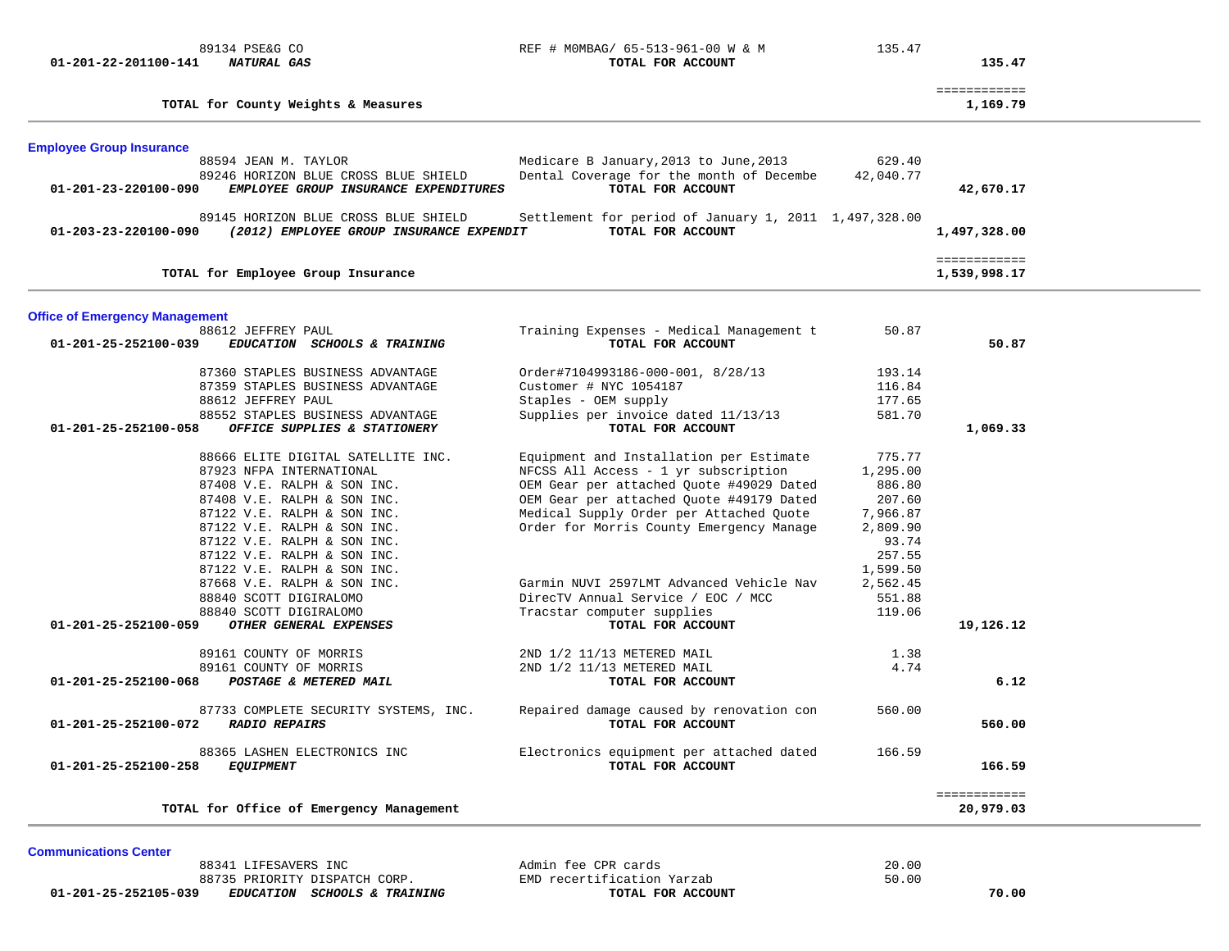## 89134 PSE&G CO **REF # MOMBAG/ 65-513-961-00 W & M** 135.47 01-201-22-201100-141 *NATURAL GAS TOTAL FOR ACCOUNT*

135.47

| Medicare B January, 2013 to June, 2013<br>629.40<br>Dental Coverage for the month of Decembe<br>42,040.77<br>TOTAL FOR ACCOUNT<br>Settlement for period of January 1, 2011 1,497,328.00<br>TOTAL FOR ACCOUNT<br>Training Expenses - Medical Management t<br>50.87<br>TOTAL FOR ACCOUNT | 42,670.17<br>1,497,328.00<br>============<br>1,539,998.17                                                                                                                                                                     |                                                                                                                                                                                                                      |
|----------------------------------------------------------------------------------------------------------------------------------------------------------------------------------------------------------------------------------------------------------------------------------------|-------------------------------------------------------------------------------------------------------------------------------------------------------------------------------------------------------------------------------|----------------------------------------------------------------------------------------------------------------------------------------------------------------------------------------------------------------------|
|                                                                                                                                                                                                                                                                                        |                                                                                                                                                                                                                               |                                                                                                                                                                                                                      |
|                                                                                                                                                                                                                                                                                        |                                                                                                                                                                                                                               |                                                                                                                                                                                                                      |
|                                                                                                                                                                                                                                                                                        |                                                                                                                                                                                                                               |                                                                                                                                                                                                                      |
|                                                                                                                                                                                                                                                                                        |                                                                                                                                                                                                                               |                                                                                                                                                                                                                      |
|                                                                                                                                                                                                                                                                                        |                                                                                                                                                                                                                               |                                                                                                                                                                                                                      |
|                                                                                                                                                                                                                                                                                        |                                                                                                                                                                                                                               |                                                                                                                                                                                                                      |
|                                                                                                                                                                                                                                                                                        |                                                                                                                                                                                                                               |                                                                                                                                                                                                                      |
|                                                                                                                                                                                                                                                                                        |                                                                                                                                                                                                                               |                                                                                                                                                                                                                      |
|                                                                                                                                                                                                                                                                                        |                                                                                                                                                                                                                               |                                                                                                                                                                                                                      |
|                                                                                                                                                                                                                                                                                        | 50.87                                                                                                                                                                                                                         |                                                                                                                                                                                                                      |
| Order#7104993186-000-001, 8/28/13                                                                                                                                                                                                                                                      |                                                                                                                                                                                                                               |                                                                                                                                                                                                                      |
|                                                                                                                                                                                                                                                                                        |                                                                                                                                                                                                                               |                                                                                                                                                                                                                      |
|                                                                                                                                                                                                                                                                                        |                                                                                                                                                                                                                               |                                                                                                                                                                                                                      |
| Supplies per invoice dated 11/13/13                                                                                                                                                                                                                                                    |                                                                                                                                                                                                                               |                                                                                                                                                                                                                      |
| TOTAL FOR ACCOUNT                                                                                                                                                                                                                                                                      | 1,069.33                                                                                                                                                                                                                      |                                                                                                                                                                                                                      |
| Equipment and Installation per Estimate                                                                                                                                                                                                                                                |                                                                                                                                                                                                                               |                                                                                                                                                                                                                      |
| NFCSS All Access - 1 yr subscription                                                                                                                                                                                                                                                   |                                                                                                                                                                                                                               |                                                                                                                                                                                                                      |
| OEM Gear per attached Quote #49029 Dated                                                                                                                                                                                                                                               |                                                                                                                                                                                                                               |                                                                                                                                                                                                                      |
|                                                                                                                                                                                                                                                                                        |                                                                                                                                                                                                                               |                                                                                                                                                                                                                      |
|                                                                                                                                                                                                                                                                                        |                                                                                                                                                                                                                               |                                                                                                                                                                                                                      |
|                                                                                                                                                                                                                                                                                        |                                                                                                                                                                                                                               |                                                                                                                                                                                                                      |
|                                                                                                                                                                                                                                                                                        |                                                                                                                                                                                                                               |                                                                                                                                                                                                                      |
|                                                                                                                                                                                                                                                                                        |                                                                                                                                                                                                                               |                                                                                                                                                                                                                      |
|                                                                                                                                                                                                                                                                                        |                                                                                                                                                                                                                               |                                                                                                                                                                                                                      |
|                                                                                                                                                                                                                                                                                        |                                                                                                                                                                                                                               |                                                                                                                                                                                                                      |
|                                                                                                                                                                                                                                                                                        |                                                                                                                                                                                                                               |                                                                                                                                                                                                                      |
| TOTAL FOR ACCOUNT                                                                                                                                                                                                                                                                      | 19,126.12                                                                                                                                                                                                                     |                                                                                                                                                                                                                      |
|                                                                                                                                                                                                                                                                                        |                                                                                                                                                                                                                               |                                                                                                                                                                                                                      |
|                                                                                                                                                                                                                                                                                        |                                                                                                                                                                                                                               |                                                                                                                                                                                                                      |
| TOTAL FOR ACCOUNT                                                                                                                                                                                                                                                                      | 6.12                                                                                                                                                                                                                          |                                                                                                                                                                                                                      |
| Repaired damage caused by renovation con                                                                                                                                                                                                                                               |                                                                                                                                                                                                                               |                                                                                                                                                                                                                      |
| TOTAL FOR ACCOUNT                                                                                                                                                                                                                                                                      | 560.00                                                                                                                                                                                                                        |                                                                                                                                                                                                                      |
| Electronics equipment per attached dated                                                                                                                                                                                                                                               |                                                                                                                                                                                                                               |                                                                                                                                                                                                                      |
| TOTAL FOR ACCOUNT                                                                                                                                                                                                                                                                      |                                                                                                                                                                                                                               |                                                                                                                                                                                                                      |
|                                                                                                                                                                                                                                                                                        | ============                                                                                                                                                                                                                  |                                                                                                                                                                                                                      |
|                                                                                                                                                                                                                                                                                        | OEM Gear per attached Ouote #49179 Dated<br>Medical Supply Order per Attached Quote<br>7,966.87<br>Order for Morris County Emergency Manage<br>Garmin NUVI 2597LMT Advanced Vehicle Nav<br>DirecTV Annual Service / EOC / MCC | 193.14<br>116.84<br>177.65<br>581.70<br>775.77<br>1,295.00<br>886.80<br>207.60<br>2,809.90<br>93.74<br>257.55<br>1,599.50<br>2,562.45<br>551.88<br>119.06<br>1.38<br>4.74<br>560.00<br>166.59<br>166.59<br>20,979.03 |

**Communications Center** 

88341 LIFESAVERS INC **ADMINISHER SERVICES** Admin fee CPR cards 88735 PRIORITY DISPATCH CORP. EMD recertification Yarzab  **01-201-25-252105-039** *EDUCATION SCHOOLS & TRAINING* **TOTAL FOR ACCOUNT 70.00**

20.00 50.00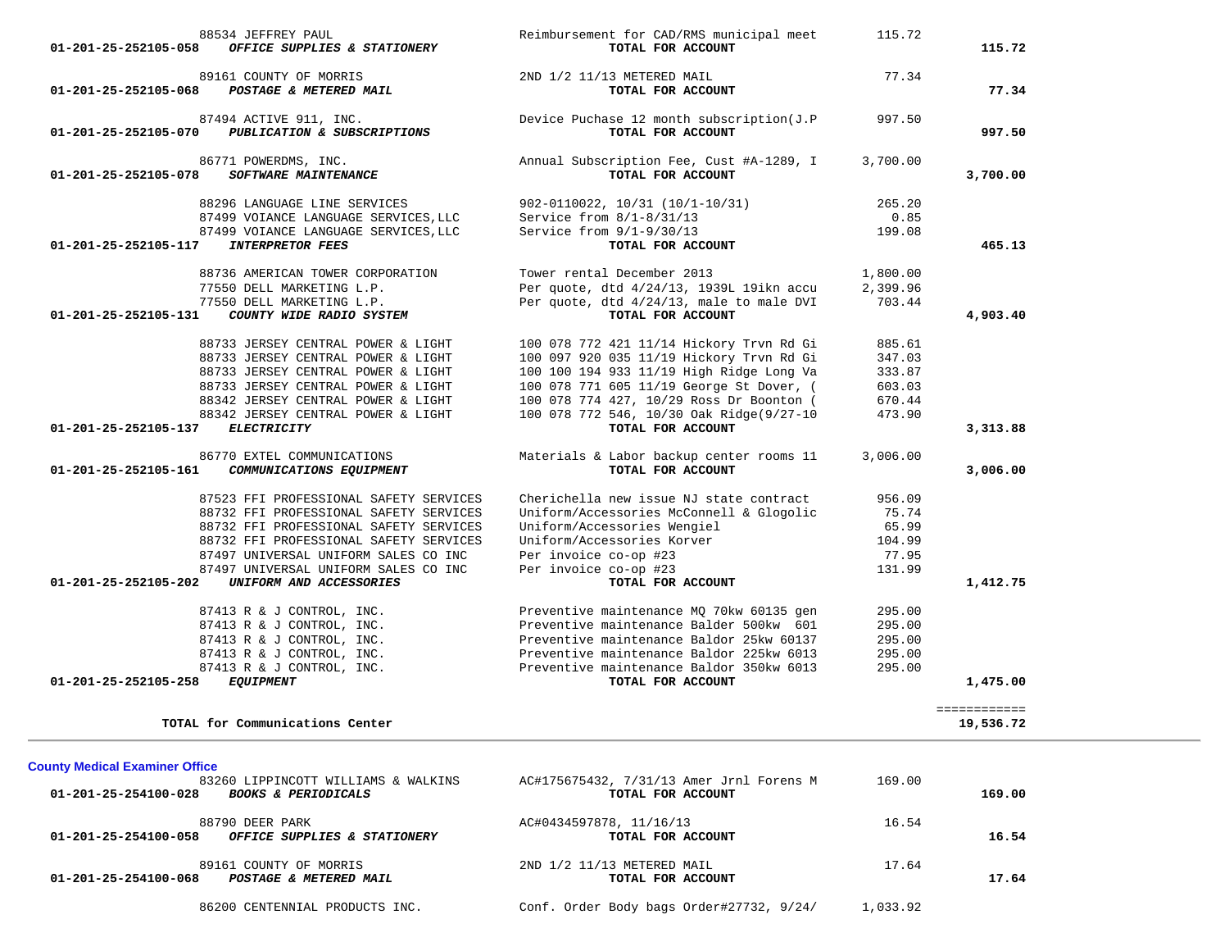| 01-201-25-252105-058                                          | 88534 JEFFREY PAUL<br>OFFICE SUPPLIES & STATIONERY                                                                                                                                                                                                                              | Reimbursement for CAD/RMS municipal meet<br>TOTAL FOR ACCOUNT                                                                                                                                                                                                                             | 115.72                                                   | 115.72                     |
|---------------------------------------------------------------|---------------------------------------------------------------------------------------------------------------------------------------------------------------------------------------------------------------------------------------------------------------------------------|-------------------------------------------------------------------------------------------------------------------------------------------------------------------------------------------------------------------------------------------------------------------------------------------|----------------------------------------------------------|----------------------------|
| 01-201-25-252105-068                                          | 89161 COUNTY OF MORRIS<br>POSTAGE & METERED MAIL                                                                                                                                                                                                                                | 2ND 1/2 11/13 METERED MAIL<br>TOTAL FOR ACCOUNT                                                                                                                                                                                                                                           | 77.34                                                    | 77.34                      |
| 01-201-25-252105-070                                          | 87494 ACTIVE 911, INC.<br>PUBLICATION & SUBSCRIPTIONS                                                                                                                                                                                                                           | Device Puchase 12 month subscription(J.P<br>TOTAL FOR ACCOUNT                                                                                                                                                                                                                             | 997.50                                                   | 997.50                     |
| 01-201-25-252105-078                                          | 86771 POWERDMS, INC.<br>SOFTWARE MAINTENANCE                                                                                                                                                                                                                                    | Annual Subscription Fee, Cust #A-1289, I<br>TOTAL FOR ACCOUNT                                                                                                                                                                                                                             | 3,700.00                                                 | 3,700.00                   |
|                                                               | 88296 LANGUAGE LINE SERVICES<br>87499 VOIANCE LANGUAGE SERVICES, LLC<br>87499 VOIANCE LANGUAGE SERVICES, LLC                                                                                                                                                                    | 902-0110022, 10/31 (10/1-10/31)<br>Service from $8/1-8/31/13$<br>Service from $9/1-9/30/13$                                                                                                                                                                                               | 265.20<br>0.85<br>199.08                                 |                            |
| 01-201-25-252105-117                                          | <b>INTERPRETOR FEES</b>                                                                                                                                                                                                                                                         | TOTAL FOR ACCOUNT                                                                                                                                                                                                                                                                         |                                                          | 465.13                     |
| 01-201-25-252105-131                                          | 88736 AMERICAN TOWER CORPORATION<br>77550 DELL MARKETING L.P.<br>77550 DELL MARKETING L.P.<br>COUNTY WIDE RADIO SYSTEM                                                                                                                                                          | Tower rental December 2013<br>Per quote, dtd 4/24/13, 1939L 19ikn accu<br>Per quote, dtd 4/24/13, male to male DVI<br>TOTAL FOR ACCOUNT                                                                                                                                                   | 1,800.00<br>2,399.96<br>703.44                           | 4,903.40                   |
| 01-201-25-252105-137                                          | 88733 JERSEY CENTRAL POWER & LIGHT<br>88733 JERSEY CENTRAL POWER & LIGHT<br>88733 JERSEY CENTRAL POWER & LIGHT<br>88733 JERSEY CENTRAL POWER & LIGHT<br>88342 JERSEY CENTRAL POWER & LIGHT<br>88342 JERSEY CENTRAL POWER & LIGHT<br><b>ELECTRICITY</b>                          | 100 078 772 421 11/14 Hickory Trvn Rd Gi<br>100 097 920 035 11/19 Hickory Trvn Rd Gi<br>100 100 194 933 11/19 High Ridge Long Va<br>100 078 771 605 11/19 George St Dover, (<br>100 078 774 427, 10/29 Ross Dr Boonton (<br>100 078 772 546, 10/30 Oak Ridge(9/27-10<br>TOTAL FOR ACCOUNT | 885.61<br>347.03<br>333.87<br>603.03<br>670.44<br>473.90 | 3,313.88                   |
| 01-201-25-252105-161                                          | 86770 EXTEL COMMUNICATIONS<br>COMMUNICATIONS EQUIPMENT                                                                                                                                                                                                                          | Materials & Labor backup center rooms 11<br>TOTAL FOR ACCOUNT                                                                                                                                                                                                                             | 3,006.00                                                 | 3,006.00                   |
| 01-201-25-252105-202                                          | 87523 FFI PROFESSIONAL SAFETY SERVICES<br>88732 FFI PROFESSIONAL SAFETY SERVICES<br>88732 FFI PROFESSIONAL SAFETY SERVICES<br>88732 FFI PROFESSIONAL SAFETY SERVICES<br>87497 UNIVERSAL UNIFORM SALES CO INC<br>87497 UNIVERSAL UNIFORM SALES CO INC<br>UNIFORM AND ACCESSORIES | Cherichella new issue NJ state contract<br>Uniform/Accessories McConnell & Glogolic<br>Uniform/Accessories Wengiel<br>Uniform/Accessories Korver<br>Per invoice co-op #23<br>Per invoice co-op #23<br>TOTAL FOR ACCOUNT                                                                   | 956.09<br>75.74<br>65.99<br>104.99<br>77.95<br>131.99    | 1,412.75                   |
| 01-201-25-252105-258                                          | 87413 R & J CONTROL, INC.<br>87413 R & J CONTROL, INC.<br>87413 R & J CONTROL, INC.<br>87413 R & J CONTROL, INC.<br>87413 R & J CONTROL, INC.<br>ECUITDMENT<br><b>EQUIPMENT</b>                                                                                                 | Preventive maintenance MQ 70kw 60135 gen<br>Preventive maintenance Balder 500kw 601<br>Preventive maintenance Baldor 25kw 60137<br>Preventive maintenance Baldor 225kw 6013<br>Preventive maintenance Baldor 350kw 6013<br>TOTAL FOR ACCOUNT                                              | 295.00<br>295.00<br>295.00<br>295.00<br>295.00           | 1,475.00                   |
|                                                               | TOTAL for Communications Center                                                                                                                                                                                                                                                 |                                                                                                                                                                                                                                                                                           |                                                          | =============<br>19,536.72 |
|                                                               |                                                                                                                                                                                                                                                                                 |                                                                                                                                                                                                                                                                                           |                                                          |                            |
| <b>County Medical Examiner Office</b><br>01-201-25-254100-028 | 83260 LIPPINCOTT WILLIAMS & WALKINS<br><b>BOOKS &amp; PERIODICALS</b>                                                                                                                                                                                                           | AC#175675432, 7/31/13 Amer Jrnl Forens M<br>TOTAL FOR ACCOUNT                                                                                                                                                                                                                             | 169.00                                                   | 169.00                     |
| 01-201-25-254100-058                                          | 88790 DEER PARK<br>OFFICE SUPPLIES & STATIONERY                                                                                                                                                                                                                                 | AC#0434597878, 11/16/13<br>TOTAL FOR ACCOUNT                                                                                                                                                                                                                                              | 16.54                                                    | 16.54                      |

89161 COUNTY OF MORRIS 2ND 1/2 11/13 METERED MAIL 21.64  **01-201-25-254100-068** *POSTAGE & METERED MAIL* **TOTAL FOR ACCOUNT 17.64**

86200 CENTENNIAL PRODUCTS INC. Conf. Order Body bags Order#27732, 9/24/ 1,033.92

17.64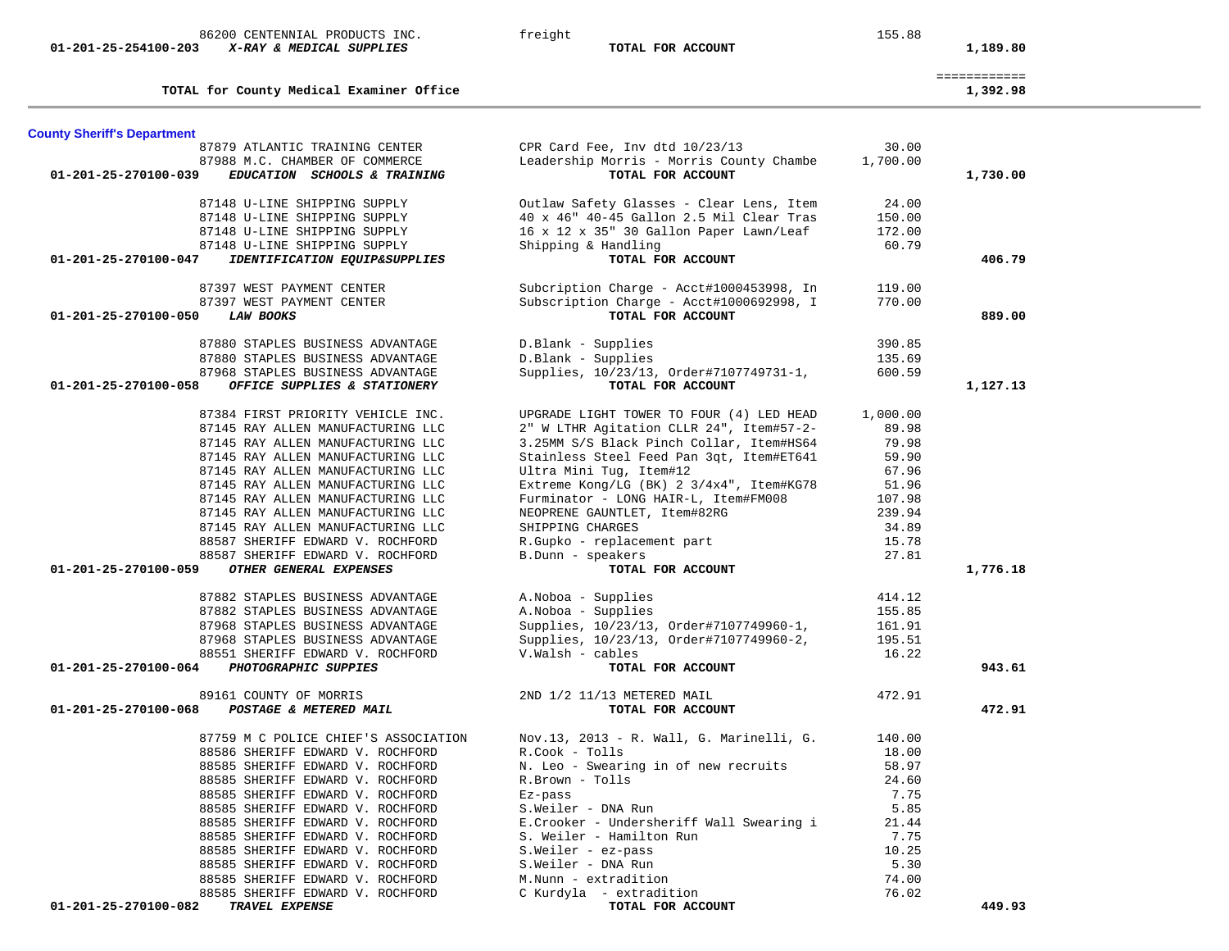| $01 - 201 - 25 - 254100 - 203$     | X-RAY & MEDICAL SUPPLIES                 | TOTAL FOR ACCOUNT                        |          | 1,189.80                 |
|------------------------------------|------------------------------------------|------------------------------------------|----------|--------------------------|
|                                    | TOTAL for County Medical Examiner Office |                                          |          | ============<br>1,392.98 |
| <b>County Sheriff's Department</b> |                                          |                                          |          |                          |
|                                    | 87879 ATLANTIC TRAINING CENTER           | CPR Card Fee, Inv dtd 10/23/13           | 30.00    |                          |
|                                    | 87988 M.C. CHAMBER OF COMMERCE           | Leadership Morris - Morris County Chambe | 1,700.00 |                          |
| 01-201-25-270100-039               | EDUCATION SCHOOLS & TRAINING             | TOTAL FOR ACCOUNT                        |          | 1,730.00                 |
|                                    | 87148 U-LINE SHIPPING SUPPLY             | Outlaw Safety Glasses - Clear Lens, Item | 24.00    |                          |
|                                    | 87148 U-LINE SHIPPING SUPPLY             | 40 x 46" 40-45 Gallon 2.5 Mil Clear Tras | 150.00   |                          |
|                                    | 87148 U-LINE SHIPPING SUPPLY             | 16 x 12 x 35" 30 Gallon Paper Lawn/Leaf  | 172.00   |                          |
|                                    | 87148 U-LINE SHIPPING SUPPLY             | Shipping & Handling                      | 60.79    |                          |
| 01-201-25-270100-047               | IDENTIFICATION EQUIP&SUPPLIES            | TOTAL FOR ACCOUNT                        |          | 406.79                   |
|                                    | 87397 WEST PAYMENT CENTER                | Subcription Charge - Acct#1000453998, In | 119.00   |                          |
|                                    | 87397 WEST PAYMENT CENTER                | Subscription Charge - Acct#1000692998, I | 770.00   |                          |
| 01-201-25-270100-050               | <b>LAW BOOKS</b>                         | TOTAL FOR ACCOUNT                        |          | 889.00                   |
|                                    | 87880 STAPLES BUSINESS ADVANTAGE         | D.Blank - Supplies                       | 390.85   |                          |
|                                    | 87880 STAPLES BUSINESS ADVANTAGE         | D.Blank - Supplies                       | 135.69   |                          |
|                                    | 87968 STAPLES BUSINESS ADVANTAGE         | Supplies, 10/23/13, Order#7107749731-1,  | 600.59   |                          |
| 01-201-25-270100-058               | OFFICE SUPPLIES & STATIONERY             | TOTAL FOR ACCOUNT                        |          | 1,127.13                 |
|                                    | 87384 FIRST PRIORITY VEHICLE INC.        | UPGRADE LIGHT TOWER TO FOUR (4) LED HEAD | 1,000.00 |                          |
|                                    | 87145 RAY ALLEN MANUFACTURING LLC        | 2" W LTHR Agitation CLLR 24", Item#57-2- | 89.98    |                          |
|                                    | 87145 RAY ALLEN MANUFACTURING LLC        | 3.25MM S/S Black Pinch Collar, Item#HS64 | 79.98    |                          |
|                                    | 87145 RAY ALLEN MANUFACTURING LLC        | Stainless Steel Feed Pan 3qt, Item#ET641 | 59.90    |                          |
|                                    | 87145 RAY ALLEN MANUFACTURING LLC        | Ultra Mini Tug, Item#12                  | 67.96    |                          |
|                                    | 87145 RAY ALLEN MANUFACTURING LLC        | Extreme Kong/LG (BK) 2 3/4x4", Item#KG78 | 51.96    |                          |
|                                    | 87145 RAY ALLEN MANUFACTURING LLC        | Furminator - LONG HAIR-L, Item#FM008     | 107.98   |                          |
|                                    | 87145 RAY ALLEN MANUFACTURING LLC        | NEOPRENE GAUNTLET, Item#82RG             | 239.94   |                          |
|                                    | 87145 RAY ALLEN MANUFACTURING LLC        | SHIPPING CHARGES                         | 34.89    |                          |
|                                    | 88587 SHERIFF EDWARD V. ROCHFORD         |                                          | 15.78    |                          |
|                                    | 88587 SHERIFF EDWARD V. ROCHFORD         | R.Gupko - replacement part               |          |                          |
| 01-201-25-270100-059               | OTHER GENERAL EXPENSES                   | B.Dunn - speakers<br>TOTAL FOR ACCOUNT   | 27.81    | 1,776.18                 |
|                                    |                                          |                                          |          |                          |
|                                    | 87882 STAPLES BUSINESS ADVANTAGE         | A. Noboa - Supplies                      | 414.12   |                          |
|                                    | 87882 STAPLES BUSINESS ADVANTAGE         | A.Noboa - Supplies                       | 155.85   |                          |
|                                    | 87968 STAPLES BUSINESS ADVANTAGE         | Supplies, 10/23/13, Order#7107749960-1,  | 161.91   |                          |
|                                    | 87968 STAPLES BUSINESS ADVANTAGE         | Supplies, 10/23/13, Order#7107749960-2,  | 195.51   |                          |
|                                    | 88551 SHERIFF EDWARD V. ROCHFORD         | V.Walsh - cables                         | 16.22    |                          |
| 01-201-25-270100-064               | PHOTOGRAPHIC SUPPIES                     | TOTAL FOR ACCOUNT                        |          | 943.61                   |
|                                    | 89161 COUNTY OF MORRIS                   | 2ND 1/2 11/13 METERED MAIL               | 472.91   |                          |
| 01-201-25-270100-068               | POSTAGE & METERED MAIL                   | TOTAL FOR ACCOUNT                        |          | 472.91                   |
|                                    | 87759 M C POLICE CHIEF'S ASSOCIATION     | Nov.13, 2013 - R. Wall, G. Marinelli, G. | 140.00   |                          |
|                                    | 88586 SHERIFF EDWARD V. ROCHFORD         | R.Cook - Tolls                           | 18.00    |                          |
|                                    | 88585 SHERIFF EDWARD V. ROCHFORD         | N. Leo - Swearing in of new recruits     | 58.97    |                          |
|                                    | 88585 SHERIFF EDWARD V. ROCHFORD         | R.Brown - Tolls                          | 24.60    |                          |
|                                    | 88585 SHERIFF EDWARD V. ROCHFORD         | Ez-pass                                  | 7.75     |                          |
|                                    | 88585 SHERIFF EDWARD V. ROCHFORD         | S.Weiler - DNA Run                       | 5.85     |                          |
|                                    | 88585 SHERIFF EDWARD V. ROCHFORD         | E.Crooker - Undersheriff Wall Swearing i | 21.44    |                          |
|                                    | 88585 SHERIFF EDWARD V. ROCHFORD         | S. Weiler - Hamilton Run                 | 7.75     |                          |
|                                    | 88585 SHERIFF EDWARD V. ROCHFORD         | S.Weiler - ez-pass                       | 10.25    |                          |
|                                    | 88585 SHERIFF EDWARD V. ROCHFORD         | S.Weiler - DNA Run                       | 5.30     |                          |
|                                    |                                          |                                          | 74.00    |                          |
|                                    | 88585 SHERIFF EDWARD V. ROCHFORD         | M.Nunn - extradition                     |          |                          |
|                                    | 88585 SHERIFF EDWARD V. ROCHFORD         | C Kurdyla - extradition                  | 76.02    |                          |

86200 CENTENNIAL PRODUCTS INC. <br>
freight 155.88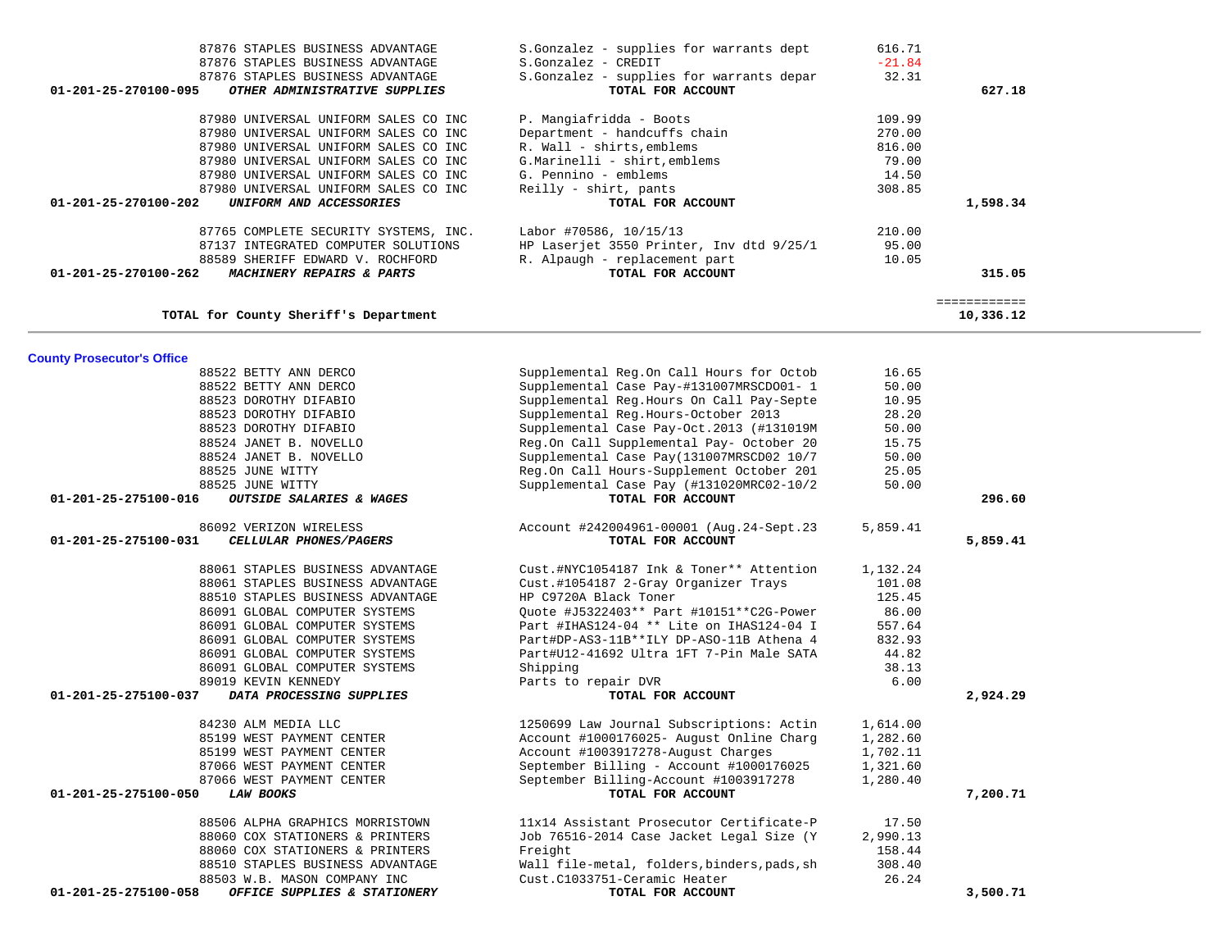| <b>County Prosecutor's Office</b>                    |                                             |          |          |
|------------------------------------------------------|---------------------------------------------|----------|----------|
| 88522 BETTY ANN DERCO                                | Supplemental Reg.On Call Hours for Octob    | 16.65    |          |
| 88522 BETTY ANN DERCO                                | Supplemental Case Pay-#131007MRSCD001- 1    | 50.00    |          |
| 88523 DOROTHY DIFABIO                                | Supplemental Reg.Hours On Call Pay-Septe    | 10.95    |          |
| 88523 DOROTHY DIFABIO                                | Supplemental Reg.Hours-October 2013         | 28.20    |          |
| 88523 DOROTHY DIFABIO                                | Supplemental Case Pay-Oct.2013 (#131019M    | 50.00    |          |
| 88524 JANET B. NOVELLO                               | Reg.On Call Supplemental Pay- October 20    | 15.75    |          |
| 88524 JANET B. NOVELLO                               | Supplemental Case Pay(131007MRSCD02 10/7    | 50.00    |          |
| 88525 JUNE WITTY                                     | Reg.On Call Hours-Supplement October 201    | 25.05    |          |
| 88525 JUNE WITTY                                     | Supplemental Case Pay (#131020MRC02-10/2    | 50.00    |          |
| 01-201-25-275100-016<br>OUTSIDE SALARIES & WAGES     | TOTAL FOR ACCOUNT                           |          | 296.60   |
| 86092 VERIZON WIRELESS                               | Account #242004961-00001 (Aug.24-Sept.23)   | 5,859.41 |          |
| 01-201-25-275100-031<br>CELLULAR PHONES/PAGERS       | TOTAL FOR ACCOUNT                           |          | 5,859.41 |
| 88061 STAPLES BUSINESS ADVANTAGE                     | Cust.#NYC1054187 Ink & Toner** Attention    | 1,132.24 |          |
| 88061 STAPLES BUSINESS ADVANTAGE                     | Cust.#1054187 2-Gray Organizer Trays        | 101.08   |          |
| 88510 STAPLES BUSINESS ADVANTAGE                     | HP C9720A Black Toner                       | 125.45   |          |
| 86091 GLOBAL COMPUTER SYSTEMS                        | Quote #J5322403** Part #10151**C2G-Power    | 86.00    |          |
| 86091 GLOBAL COMPUTER SYSTEMS                        | Part #IHAS124-04 ** Lite on IHAS124-04 I    | 557.64   |          |
| 86091 GLOBAL COMPUTER SYSTEMS                        | Part#DP-AS3-11B**ILY DP-ASO-11B Athena 4    | 832.93   |          |
| 86091 GLOBAL COMPUTER SYSTEMS                        | Part#U12-41692 Ultra 1FT 7-Pin Male SATA    | 44.82    |          |
| 86091 GLOBAL COMPUTER SYSTEMS                        | Shipping                                    | 38.13    |          |
| 89019 KEVIN KENNEDY                                  | Parts to repair DVR                         | 6.00     |          |
| 01-201-25-275100-037<br>DATA PROCESSING SUPPLIES     | TOTAL FOR ACCOUNT                           |          | 2,924.29 |
| 84230 ALM MEDIA LLC                                  | 1250699 Law Journal Subscriptions: Actin    | 1,614.00 |          |
| 85199 WEST PAYMENT CENTER                            | Account #1000176025- August Online Charg    | 1,282.60 |          |
| 85199 WEST PAYMENT CENTER                            | Account #1003917278-August Charges          | 1,702.11 |          |
| 87066 WEST PAYMENT CENTER                            | September Billing - Account #1000176025     | 1,321.60 |          |
| 87066 WEST PAYMENT CENTER                            | September Billing-Account #1003917278       | 1,280.40 |          |
| 01-201-25-275100-050<br><b>LAW BOOKS</b>             | TOTAL FOR ACCOUNT                           |          | 7,200.71 |
| 88506 ALPHA GRAPHICS MORRISTOWN                      | 11x14 Assistant Prosecutor Certificate-P    | 17.50    |          |
| 88060 COX STATIONERS & PRINTERS                      | Job 76516-2014 Case Jacket Legal Size (Y    | 2,990.13 |          |
| 88060 COX STATIONERS & PRINTERS                      | Freight                                     | 158.44   |          |
| 88510 STAPLES BUSINESS ADVANTAGE                     | Wall file-metal, folders, binders, pads, sh | 308.40   |          |
| 88503 W.B. MASON COMPANY INC                         | Cust.C1033751-Ceramic Heater                | 26.24    |          |
| 01-201-25-275100-058<br>OFFICE SUPPLIES & STATIONERY | TOTAL FOR ACCOUNT                           |          | 3,500.71 |

| 87876 STAPLES BUSINESS ADVANTAGE<br>87876 STAPLES BUSINESS ADVANTAGE<br>87876 STAPLES BUSINESS ADVANTAGE<br>01-201-25-270100-095<br>OTHER ADMINISTRATIVE SUPPLIES | S.Gonzalez - supplies for warrants dept<br>S.Gonzalez - CREDIT<br>S.Gonzalez - supplies for warrants depar<br>TOTAL FOR ACCOUNT | 616.71<br>$-21.84$<br>32.31 | 627.18    |
|-------------------------------------------------------------------------------------------------------------------------------------------------------------------|---------------------------------------------------------------------------------------------------------------------------------|-----------------------------|-----------|
| 87980 UNIVERSAL UNIFORM SALES CO INC                                                                                                                              | P. Mangiafridda - Boots                                                                                                         | 109.99                      |           |
| 87980 UNIVERSAL UNIFORM SALES CO INC                                                                                                                              | Department - handcuffs chain                                                                                                    | 270.00                      |           |
| 87980 UNIVERSAL UNIFORM SALES CO INC                                                                                                                              | R. Wall - shirts, emblems                                                                                                       | 816.00                      |           |
| 87980 UNIVERSAL UNIFORM SALES CO INC                                                                                                                              | G.Marinelli - shirt, emblems                                                                                                    | 79.00                       |           |
| 87980 UNIVERSAL UNIFORM SALES CO INC                                                                                                                              | G. Pennino - emblems                                                                                                            | 14.50                       |           |
| 87980 UNIVERSAL UNIFORM SALES CO INC                                                                                                                              | Reilly - shirt, pants                                                                                                           | 308.85                      |           |
| 01-201-25-270100-202<br>UNIFORM AND ACCESSORIES                                                                                                                   | TOTAL FOR ACCOUNT                                                                                                               |                             | 1,598.34  |
| 87765 COMPLETE SECURITY SYSTEMS, INC.                                                                                                                             | Labor #70586, 10/15/13                                                                                                          | 210.00                      |           |
| 87137 INTEGRATED COMPUTER SOLUTIONS                                                                                                                               | HP Laserjet 3550 Printer, Inv dtd 9/25/1                                                                                        | 95.00                       |           |
| 88589 SHERIFF EDWARD V. ROCHFORD                                                                                                                                  | R. Alpaugh - replacement part                                                                                                   | 10.05                       |           |
| 01-201-25-270100-262<br>MACHINERY REPAIRS & PARTS                                                                                                                 | TOTAL FOR ACCOUNT                                                                                                               |                             | 315.05    |
|                                                                                                                                                                   |                                                                                                                                 |                             |           |
| TOTAL for County Sheriff's Department                                                                                                                             |                                                                                                                                 |                             | 10,336.12 |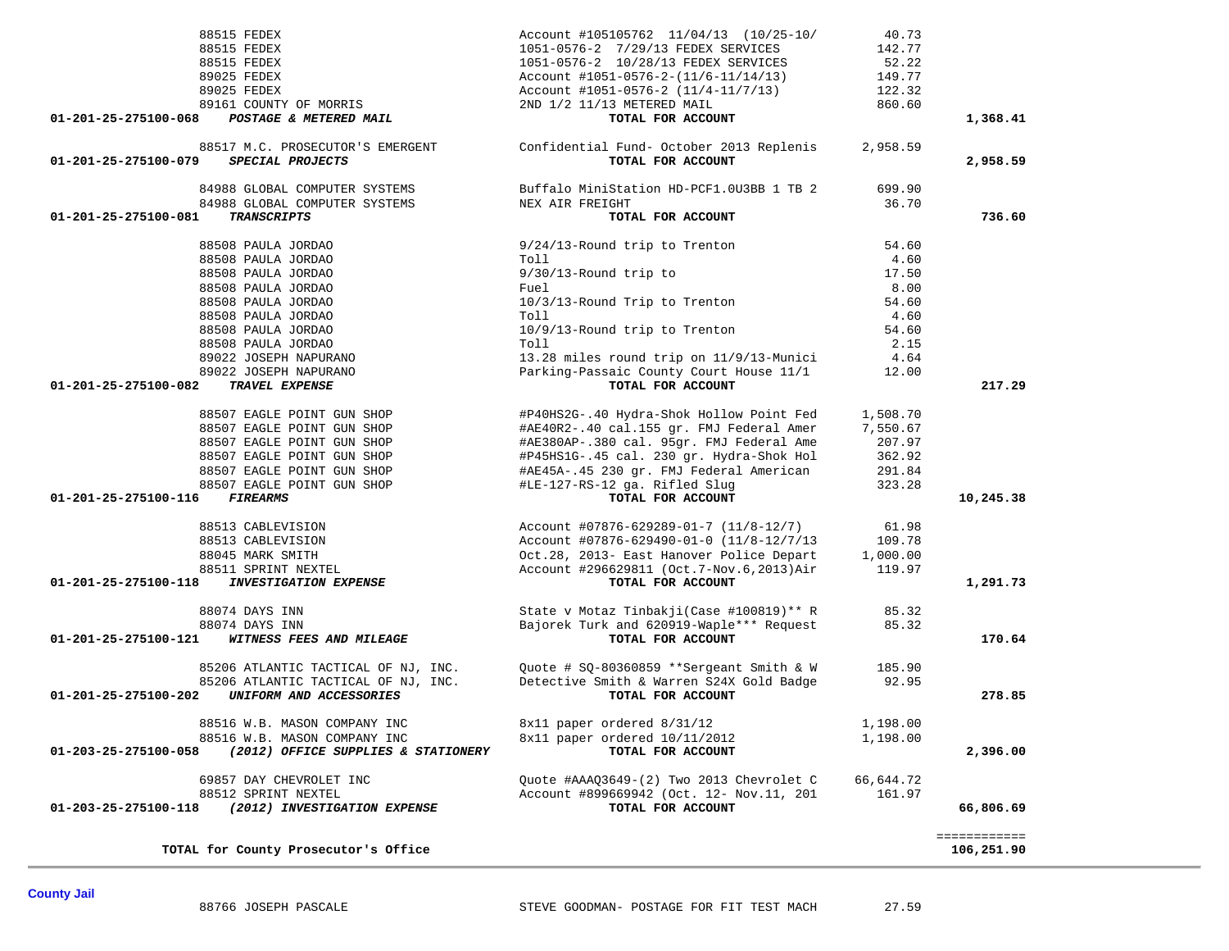| 88515 FEDEX                                                            | Account #105105762 11/04/13 (10/25-10/                                                                                                                                                                                                  | 40.73            |              |
|------------------------------------------------------------------------|-----------------------------------------------------------------------------------------------------------------------------------------------------------------------------------------------------------------------------------------|------------------|--------------|
| 88515 FEDEX                                                            | 1051-0576-2 7/29/13 FEDEX SERVICES                                                                                                                                                                                                      | 142.77           |              |
| 88515 FEDEX                                                            | 1051-0576-2 10/28/13 FEDEX SERVICES                                                                                                                                                                                                     | 52.22            |              |
| 89025 FEDEX                                                            | Account #1051-0576-2-(11/6-11/14/13) 149.77                                                                                                                                                                                             |                  |              |
| 89025 FEDEX                                                            | Account #1051-0576-2 (11/4-11/7/13)<br>2ND 1/2 11/13 METERED MAIL                                                                                                                                                                       | 122.32<br>860.60 |              |
| 89161 COUNTY OF MORRIS                                                 |                                                                                                                                                                                                                                         |                  |              |
| POSTAGE & METERED MAIL<br>01-201-25-275100-068                         | TOTAL FOR ACCOUNT                                                                                                                                                                                                                       |                  | 1,368.41     |
|                                                                        | 88517 M.C. PROSECUTOR'S EMERGENT Confidential Fund- October 2013 Replenis 2,958.59                                                                                                                                                      |                  |              |
| 01-201-25-275100-079<br>SPECIAL PROJECTS                               | TOTAL FOR ACCOUNT                                                                                                                                                                                                                       |                  | 2,958.59     |
|                                                                        | 84988 GLOBAL COMPUTER SYSTEMS Buffalo MiniStation HD-PCF1.0U3BB 1 TB 2 699.90                                                                                                                                                           |                  |              |
| 84988 GLOBAL COMPUTER SYSTEMS                                          | NEX AIR FREIGHT                                                                                                                                                                                                                         | 36.70            |              |
| <b>TRANSCRIPTS</b><br>01-201-25-275100-081                             | TOTAL FOR ACCOUNT                                                                                                                                                                                                                       |                  | 736.60       |
| 88508 PAULA JORDAO                                                     | 9/24/13-Round trip to Trenton                                                                                                                                                                                                           | 54.60            |              |
| 88508 PAULA JORDAO                                                     | Toll                                                                                                                                                                                                                                    | 4.60             |              |
| 88508 PAULA JORDAO                                                     | $9/30/13$ -Round trip to                                                                                                                                                                                                                | 17.50            |              |
| 88508 PAULA JORDAO                                                     | Fuel                                                                                                                                                                                                                                    | 8.00             |              |
| 88508 PAULA JORDAO                                                     | 10/3/13-Round Trip to Trenton                                                                                                                                                                                                           | 54.60            |              |
| 88508 PAULA JORDAO                                                     | Toll                                                                                                                                                                                                                                    | 4.60             |              |
| 88508 PAULA JORDAO                                                     | 10/9/13-Round trip to Trenton                                                                                                                                                                                                           | 54.60            |              |
|                                                                        | Toll                                                                                                                                                                                                                                    | 2.15             |              |
| 88500 FAVILLA JORDAO<br>89022 JOSEPH NAPURANO<br>89022 JOSEPH NAPURANO | 13.28 miles round trip on 11/9/13-Munici 4.64                                                                                                                                                                                           |                  |              |
|                                                                        | Parking-Passaic County Court House 11/1 12.00                                                                                                                                                                                           |                  |              |
| $01 - 201 - 25 - 275100 - 082$<br>TRAVEL EXPENSE                       | TOTAL FOR ACCOUNT                                                                                                                                                                                                                       |                  | 217.29       |
| 88507 EAGLE POINT GUN SHOP                                             | #P40HS2G-.40 Hydra-Shok Hollow Point Fed 1,508.70                                                                                                                                                                                       |                  |              |
|                                                                        | #AE40R2-.40 cal.155 gr. FMJ Federal Amer 7,550.67                                                                                                                                                                                       |                  |              |
|                                                                        | #AE380AP-.380 cal. 95gr. FMJ Federal Ame                                                                                                                                                                                                | 207.97           |              |
|                                                                        | 98507 EAGLE POINT GUN SHOP (#AE40R2-.40 cal.155 gr. FMJ Federal Amer<br>88507 EAGLE POINT GUN SHOP (#AE380AP-.380 cal. 95gr. FMJ Federal Amer<br>88507 EAGLE POINT GUN SHOP (#P45HS1G-.45 cal. 230 gr. Hydra-Shok Hol<br>88507 EAGLE PO |                  |              |
|                                                                        | $#P45HS1G-.45 cal. 230 gr. Hydra-Shok Hol 362.92$<br>$#2F45R3.45 230 gr. FMJ Federal American 291.84$                                                                                                                                   | 291.84           |              |
| 88507 EAGLE POINT GUN SHOP                                             |                                                                                                                                                                                                                                         | 323.28           |              |
| 01-201-25-275100-116 FIREARMS                                          | #LE-127-RS-12 ga. Rifled Slug<br>TOTAL FOR ACCOUNT<br>TOTAL FOR ACCOUNT                                                                                                                                                                 |                  | 10,245.38    |
| 88513 CABLEVISION                                                      | Account #07876-629289-01-7 (11/8-12/7) 61.98                                                                                                                                                                                            |                  |              |
|                                                                        |                                                                                                                                                                                                                                         |                  |              |
| 88513 CABLEVISION                                                      | Account #07876-629490-01-0 (11/8-12/7/13 109.78<br>Oct.28, 2013- East Hanover Police Depart 1,000.00                                                                                                                                    |                  |              |
| 88045 MARK SMITH                                                       |                                                                                                                                                                                                                                         |                  |              |
| 88511 SPRINT NEXTEL<br>01-201-25-275100-118 INVESTIGATION EXPENSE      | Account #296629811 (Oct.7-Nov.6,2013)Air 119.97<br>TOTAL FOR ACCOUNT                                                                                                                                                                    |                  | 1,291.73     |
| 88074 DAYS INN                                                         | State v Motaz Tinbakji(Case #100819) ** R 85.32                                                                                                                                                                                         |                  |              |
|                                                                        |                                                                                                                                                                                                                                         |                  |              |
| 88074 DAYS INN<br>01-201-25-275100-121 WITNESS FEES AND MILEAGE        | Bajorek Turk and 620919-Waple*** Request 85.32<br>TOTAL FOR ACCOUNT                                                                                                                                                                     |                  | 170.64       |
|                                                                        |                                                                                                                                                                                                                                         |                  |              |
|                                                                        | 85206 ATLANTIC TACTICAL OF NJ, INC. 200te # SQ-80360859 ** Sergeant Smith & W 185.90                                                                                                                                                    |                  |              |
|                                                                        | 85206 ATLANTIC TACTICAL OF NJ, INC. Detective Smith & Warren S24X Gold Badge 92.95                                                                                                                                                      |                  |              |
| 01-201-25-275100-202 UNIFORM AND ACCESSORIES                           | TOTAL FOR ACCOUNT                                                                                                                                                                                                                       |                  | 278.85       |
| 88516 W.B. MASON COMPANY INC                                           | 8x11 paper ordered 8/31/12                                                                                                                                                                                                              | 1,198.00         |              |
| 88516 W.B. MASON COMPANY INC                                           | 8x11 paper ordered $10/11/2012$                                                                                                                                                                                                         | 1,198.00         |              |
| 01-203-25-275100-058<br>(2012) OFFICE SUPPLIES & STATIONERY            | TOTAL FOR ACCOUNT                                                                                                                                                                                                                       |                  | 2,396.00     |
| 69857 DAY CHEVROLET INC                                                | Quote #AAAQ3649-(2) Two 2013 Chevrolet C                                                                                                                                                                                                | 66,644.72        |              |
| 88512 SPRINT NEXTEL                                                    | Account #899669942 (Oct. 12- Nov. 11, 201                                                                                                                                                                                               | 161.97           |              |
| (2012) INVESTIGATION EXPENSE<br>01-203-25-275100-118                   | TOTAL FOR ACCOUNT                                                                                                                                                                                                                       |                  | 66,806.69    |
|                                                                        |                                                                                                                                                                                                                                         |                  | ============ |
| TOTAL for County Prosecutor's Office                                   |                                                                                                                                                                                                                                         |                  | 106,251.90   |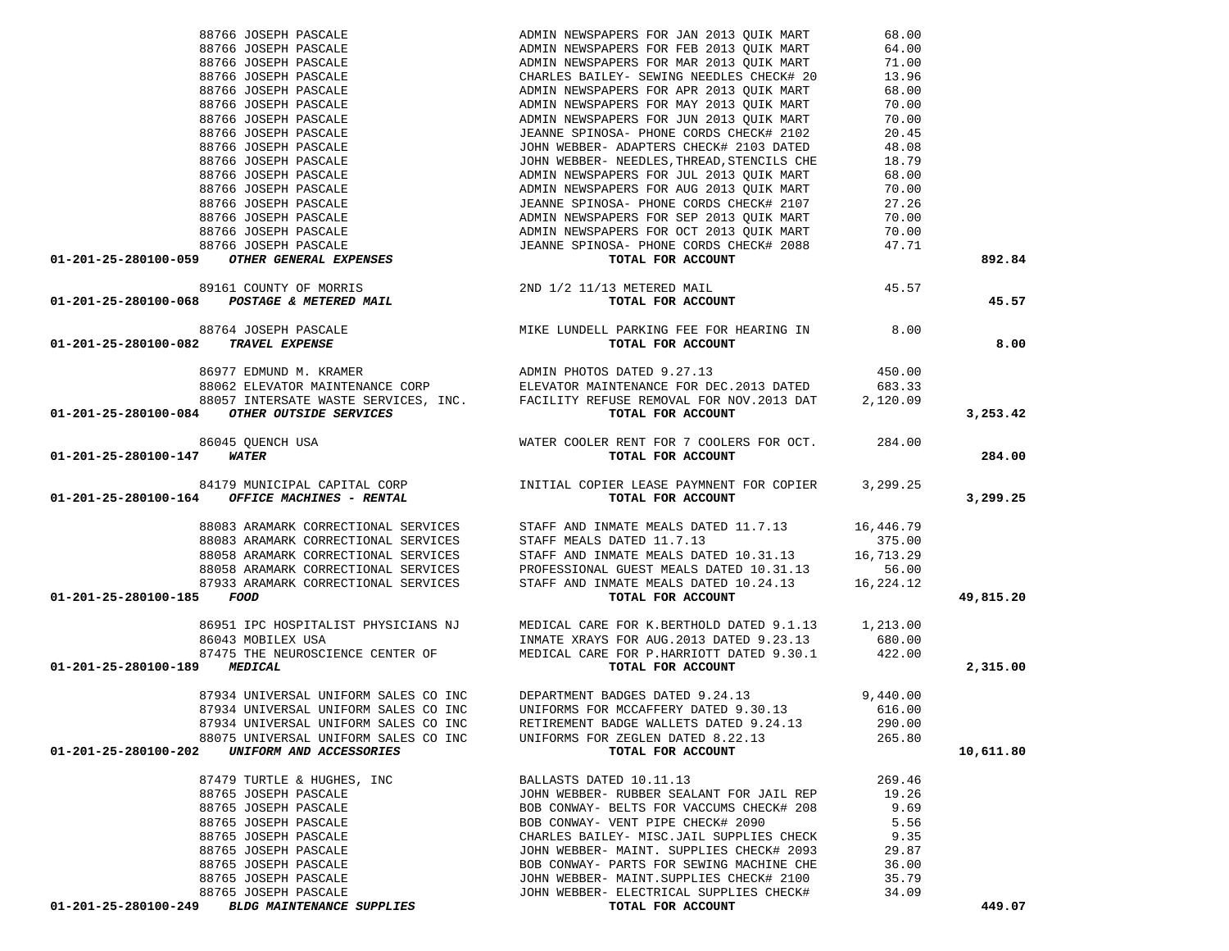|                                                                                                                                                                                               |                                                                                                                                                                                                                                                                                                                                                                                                                                                        |        | 892.84    |
|-----------------------------------------------------------------------------------------------------------------------------------------------------------------------------------------------|--------------------------------------------------------------------------------------------------------------------------------------------------------------------------------------------------------------------------------------------------------------------------------------------------------------------------------------------------------------------------------------------------------------------------------------------------------|--------|-----------|
|                                                                                                                                                                                               |                                                                                                                                                                                                                                                                                                                                                                                                                                                        |        |           |
|                                                                                                                                                                                               |                                                                                                                                                                                                                                                                                                                                                                                                                                                        |        |           |
|                                                                                                                                                                                               |                                                                                                                                                                                                                                                                                                                                                                                                                                                        |        | 45.57     |
|                                                                                                                                                                                               |                                                                                                                                                                                                                                                                                                                                                                                                                                                        |        |           |
|                                                                                                                                                                                               |                                                                                                                                                                                                                                                                                                                                                                                                                                                        |        | 8.00      |
|                                                                                                                                                                                               |                                                                                                                                                                                                                                                                                                                                                                                                                                                        |        |           |
|                                                                                                                                                                                               |                                                                                                                                                                                                                                                                                                                                                                                                                                                        |        |           |
|                                                                                                                                                                                               |                                                                                                                                                                                                                                                                                                                                                                                                                                                        |        |           |
|                                                                                                                                                                                               |                                                                                                                                                                                                                                                                                                                                                                                                                                                        |        |           |
| 01-201-25-280100-084 OTHER OUTSIDE SERVICES<br>86045 QUENCH USA<br>01-201-25-280100-147 WATER<br>WATER COOLER RENT FOR 7 COOLERS FOR OCT.<br>284.00<br>TOTAL FOR ACCOUNT<br>TOTAL FOR ACCOUNT |                                                                                                                                                                                                                                                                                                                                                                                                                                                        |        | 3,253.42  |
|                                                                                                                                                                                               |                                                                                                                                                                                                                                                                                                                                                                                                                                                        |        |           |
|                                                                                                                                                                                               |                                                                                                                                                                                                                                                                                                                                                                                                                                                        |        | 284.00    |
|                                                                                                                                                                                               |                                                                                                                                                                                                                                                                                                                                                                                                                                                        |        |           |
|                                                                                                                                                                                               |                                                                                                                                                                                                                                                                                                                                                                                                                                                        |        |           |
| 01-201-25-280100-164 OFFICE MACHINES - RENTAL                                                                                                                                                 |                                                                                                                                                                                                                                                                                                                                                                                                                                                        |        | 3,299.25  |
|                                                                                                                                                                                               | $\begin{tabular}{lllllllllllllllllllll} \textbf{88083 ARAMARK CORRECTIONAL SERVICES} & \textbf{STAFF AND INMATE MEALS DATED 11.7.13} & 16,446.79\\ \textbf{88083 ARAMARK CORRECTIONAL SERVICES} & \textbf{STAFF MEALS DATED 11.7.13} & 375.00\\ \textbf{88058 ARAMARK CORRECTIONAL SERVICES} & \textbf{STAFF AND INMATE MEALS DATED 10.31.13} & 16,713.29\\ \textbf{88058 ARAMARK CORRECTIONAL SERVICES} & \textbf{PROPESSIONAL GUEST MEALS DATED 10.$ |        |           |
|                                                                                                                                                                                               |                                                                                                                                                                                                                                                                                                                                                                                                                                                        |        |           |
|                                                                                                                                                                                               |                                                                                                                                                                                                                                                                                                                                                                                                                                                        |        |           |
|                                                                                                                                                                                               |                                                                                                                                                                                                                                                                                                                                                                                                                                                        |        |           |
|                                                                                                                                                                                               |                                                                                                                                                                                                                                                                                                                                                                                                                                                        |        |           |
| 01-201-25-280100-185 FOOD                                                                                                                                                                     |                                                                                                                                                                                                                                                                                                                                                                                                                                                        |        | 49,815.20 |
|                                                                                                                                                                                               |                                                                                                                                                                                                                                                                                                                                                                                                                                                        |        |           |
|                                                                                                                                                                                               | 86951 IPC HOSPITALIST PHYSICIANS NJ MEDICAL CARE FOR K.BERTHOLD DATED 9.1.13 1,213.00<br>86043 MOBILEX USA 1NMATE XRAYS FOR AUG.2013 DATED 9.23.13 680.00<br>87475 THE NEUROSCIENCE CENTER OF MEDICAL CARE FOR P.HARRIOTT DATED 9.30                                                                                                                                                                                                                   |        |           |
|                                                                                                                                                                                               |                                                                                                                                                                                                                                                                                                                                                                                                                                                        |        |           |
|                                                                                                                                                                                               |                                                                                                                                                                                                                                                                                                                                                                                                                                                        |        |           |
| 01-201-25-280100-189 MEDICAL                                                                                                                                                                  | TOTAL FOR ACCOUNT                                                                                                                                                                                                                                                                                                                                                                                                                                      |        | 2,315.00  |
|                                                                                                                                                                                               |                                                                                                                                                                                                                                                                                                                                                                                                                                                        |        |           |
|                                                                                                                                                                                               | 87934 UNIVERSAL UNIFORM SALES CO INC DEPARTMENT BADGES DATED 9.24.13 9,440.00<br>87934 UNIVERSAL UNIFORM SALES CO INC UNIFORMS FOR MCCAFFERY DATED 9.30.13 616.00                                                                                                                                                                                                                                                                                      |        |           |
|                                                                                                                                                                                               |                                                                                                                                                                                                                                                                                                                                                                                                                                                        |        |           |
|                                                                                                                                                                                               | 87934 UNIVERSAL UNIFORM SALES CO INC RETIREMENT BADGE WALLETS DATED 9.24.13                                                                                                                                                                                                                                                                                                                                                                            | 290.00 |           |
| 88075 UNIVERSAL UNIFORM SALES CO INC                                                                                                                                                          | UNIFORMS FOR ZEGLEN DATED 8.22.13                                                                                                                                                                                                                                                                                                                                                                                                                      | 265.80 |           |
| 01-201-25-280100-202 UNIFORM AND ACCESSORIES                                                                                                                                                  | TOTAL FOR ACCOUNT                                                                                                                                                                                                                                                                                                                                                                                                                                      |        | 10,611.80 |
| 87479 TURTLE & HUGHES, INC                                                                                                                                                                    | BALLASTS DATED 10.11.13                                                                                                                                                                                                                                                                                                                                                                                                                                | 269.46 |           |
| 88765 JOSEPH PASCALE                                                                                                                                                                          | JOHN WEBBER- RUBBER SEALANT FOR JAIL REP                                                                                                                                                                                                                                                                                                                                                                                                               | 19.26  |           |
| 88765 JOSEPH PASCALE                                                                                                                                                                          | BOB CONWAY- BELTS FOR VACCUMS CHECK# 208                                                                                                                                                                                                                                                                                                                                                                                                               | 9.69   |           |
| 88765 JOSEPH PASCALE                                                                                                                                                                          | BOB CONWAY- VENT PIPE CHECK# 2090                                                                                                                                                                                                                                                                                                                                                                                                                      | 5.56   |           |
| 88765 JOSEPH PASCALE                                                                                                                                                                          | CHARLES BAILEY- MISC. JAIL SUPPLIES CHECK                                                                                                                                                                                                                                                                                                                                                                                                              | 9.35   |           |
|                                                                                                                                                                                               |                                                                                                                                                                                                                                                                                                                                                                                                                                                        |        |           |
| 88765 JOSEPH PASCALE                                                                                                                                                                          | JOHN WEBBER- MAINT. SUPPLIES CHECK# 2093                                                                                                                                                                                                                                                                                                                                                                                                               | 29.87  |           |
| 88765 JOSEPH PASCALE                                                                                                                                                                          | BOB CONWAY- PARTS FOR SEWING MACHINE CHE                                                                                                                                                                                                                                                                                                                                                                                                               | 36.00  |           |
| 88765 JOSEPH PASCALE                                                                                                                                                                          | JOHN WEBBER- MAINT. SUPPLIES CHECK# 2100                                                                                                                                                                                                                                                                                                                                                                                                               | 35.79  |           |
| 88765 JOSEPH PASCALE                                                                                                                                                                          | JOHN WEBBER- ELECTRICAL SUPPLIES CHECK#                                                                                                                                                                                                                                                                                                                                                                                                                | 34.09  |           |
| 01-201-25-280100-249 BLDG MAINTENANCE SUPPLIES                                                                                                                                                | TOTAL FOR ACCOUNT                                                                                                                                                                                                                                                                                                                                                                                                                                      |        | 449.07    |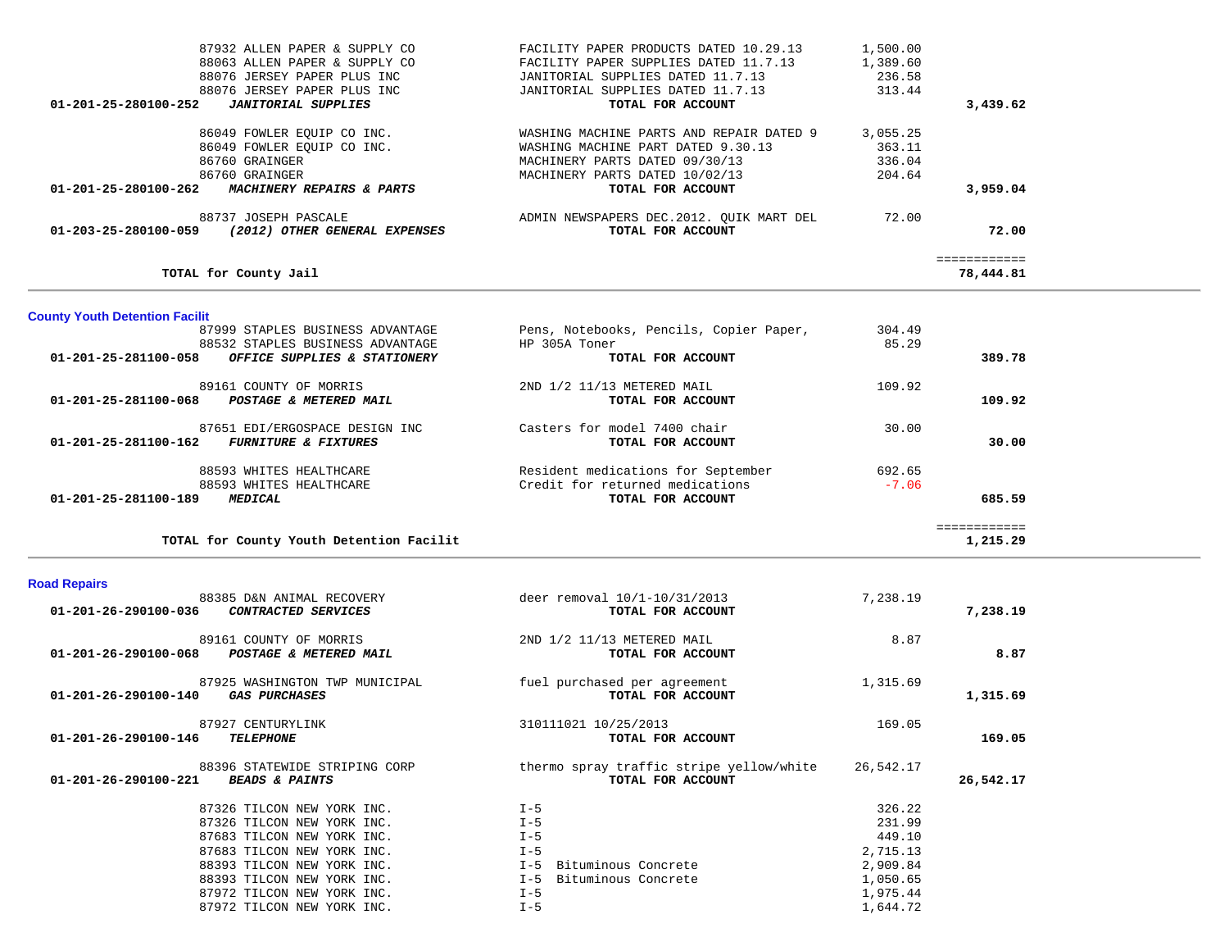| 87932 ALLEN PAPER & SUPPLY CO                            | FACILITY PAPER PRODUCTS DATED 10.29.13                   | 1,500.00        |                           |  |
|----------------------------------------------------------|----------------------------------------------------------|-----------------|---------------------------|--|
| 88063 ALLEN PAPER & SUPPLY CO                            | FACILITY PAPER SUPPLIES DATED 11.7.13                    | 1,389.60        |                           |  |
| 88076 JERSEY PAPER PLUS INC                              | JANITORIAL SUPPLIES DATED 11.7.13                        | 236.58          |                           |  |
| 88076 JERSEY PAPER PLUS INC                              | JANITORIAL SUPPLIES DATED 11.7.13                        | 313.44          |                           |  |
| 01-201-25-280100-252<br><b>JANITORIAL SUPPLIES</b>       | TOTAL FOR ACCOUNT                                        |                 | 3,439.62                  |  |
| 86049 FOWLER EQUIP CO INC.                               | WASHING MACHINE PARTS AND REPAIR DATED 9                 | 3,055.25        |                           |  |
| 86049 FOWLER EQUIP CO INC.                               | WASHING MACHINE PART DATED 9.30.13                       | 363.11          |                           |  |
| 86760 GRAINGER                                           | MACHINERY PARTS DATED 09/30/13                           | 336.04          |                           |  |
| 86760 GRAINGER                                           | MACHINERY PARTS DATED 10/02/13                           | 204.64          |                           |  |
| MACHINERY REPAIRS & PARTS<br>01-201-25-280100-262        | TOTAL FOR ACCOUNT                                        |                 | 3,959.04                  |  |
| 88737 JOSEPH PASCALE                                     | ADMIN NEWSPAPERS DEC.2012. QUIK MART DEL                 | 72.00           |                           |  |
| (2012) OTHER GENERAL EXPENSES<br>01-203-25-280100-059    | TOTAL FOR ACCOUNT                                        |                 | 72.00                     |  |
| TOTAL for County Jail                                    |                                                          |                 | ============<br>78,444.81 |  |
|                                                          |                                                          |                 |                           |  |
| <b>County Youth Detention Facilit</b>                    |                                                          |                 |                           |  |
| 87999 STAPLES BUSINESS ADVANTAGE                         | Pens, Notebooks, Pencils, Copier Paper,<br>HP 305A Toner | 304.49<br>85.29 |                           |  |
| 88532 STAPLES BUSINESS ADVANTAGE<br>01-201-25-281100-058 | TOTAL FOR ACCOUNT                                        |                 | 389.78                    |  |
| OFFICE SUPPLIES & STATIONERY                             |                                                          |                 |                           |  |
| 89161 COUNTY OF MORRIS                                   | 2ND 1/2 11/13 METERED MAIL                               | 109.92          |                           |  |
| 01-201-25-281100-068 POSTAGE & METERED MAIL              | TOTAL FOR ACCOUNT                                        |                 | 109.92                    |  |
| 87651 EDI/ERGOSPACE DESIGN INC                           | Casters for model 7400 chair                             | 30.00           |                           |  |
| 01-201-25-281100-162 FURNITURE & FIXTURES                | TOTAL FOR ACCOUNT                                        |                 | 30.00                     |  |
| 88593 WHITES HEALTHCARE                                  | Resident medications for September                       | 692.65          |                           |  |
| 88593 WHITES HEALTHCARE                                  | Credit for returned medications                          | $-7.06$         |                           |  |
| 01-201-25-281100-189<br><b>MEDICAL</b>                   | TOTAL FOR ACCOUNT                                        |                 | 685.59                    |  |
|                                                          |                                                          |                 | ============              |  |
| TOTAL for County Youth Detention Facilit                 |                                                          |                 | 1,215.29                  |  |
| <b>Road Repairs</b>                                      |                                                          |                 |                           |  |
| 88385 D&N ANIMAL RECOVERY                                | deer removal 10/1-10/31/2013                             | 7,238.19        |                           |  |
| CONTRACTED SERVICES<br>01-201-26-290100-036              | TOTAL FOR ACCOUNT                                        |                 | 7,238.19                  |  |
| 89161 COUNTY OF MORRIS                                   | 2ND 1/2 11/13 METERED MAIL                               | 8.87            |                           |  |
| 01-201-26-290100-068<br>POSTAGE & METERED MAIL           | TOTAL FOR ACCOUNT                                        |                 | 8.87                      |  |
| 87925 WASHINGTON TWP MUNICIPAL                           | fuel purchased per agreement                             | 1,315.69        |                           |  |
| 01-201-26-290100-140<br><b>GAS PURCHASES</b>             | TOTAL FOR ACCOUNT                                        |                 | 1,315.69                  |  |
| 87927 CENTURYLINK                                        | 310111021 10/25/2013                                     | 169.05          |                           |  |
| 01-201-26-290100-146<br><b>TELEPHONE</b>                 | TOTAL FOR ACCOUNT                                        |                 | 169.05                    |  |
| 88396 STATEWIDE STRIPING CORP                            | thermo spray traffic stripe yellow/white                 | 26,542.17       |                           |  |
| <b>BEADS &amp; PAINTS</b><br>01-201-26-290100-221        | TOTAL FOR ACCOUNT                                        |                 | 26,542.17                 |  |
| 87326 TILCON NEW YORK INC.                               | $I - 5$                                                  | 326.22          |                           |  |
| 87326 TILCON NEW YORK INC.                               | $I - 5$                                                  | 231.99          |                           |  |
| 87683 TILCON NEW YORK INC.                               | $I - 5$                                                  | 449.10          |                           |  |
| 87683 TILCON NEW YORK INC.                               | $I - 5$                                                  | 2,715.13        |                           |  |

87972 TILCON NEW YORK INC.  $I-5$ 

 88393 TILCON NEW YORK INC. I-5 Bituminous Concrete 2,909.84 88393 TILCON NEW YORK INC. I-5 Bituminous Concrete 1,050.65 87972 TILCON NEW YORK INC.<br>87972 TILCON NEW YORK INC.<br>87972 TILCON NEW YORK INC.<br>87972 TILCON NEW YORK INC.<br>1,644.72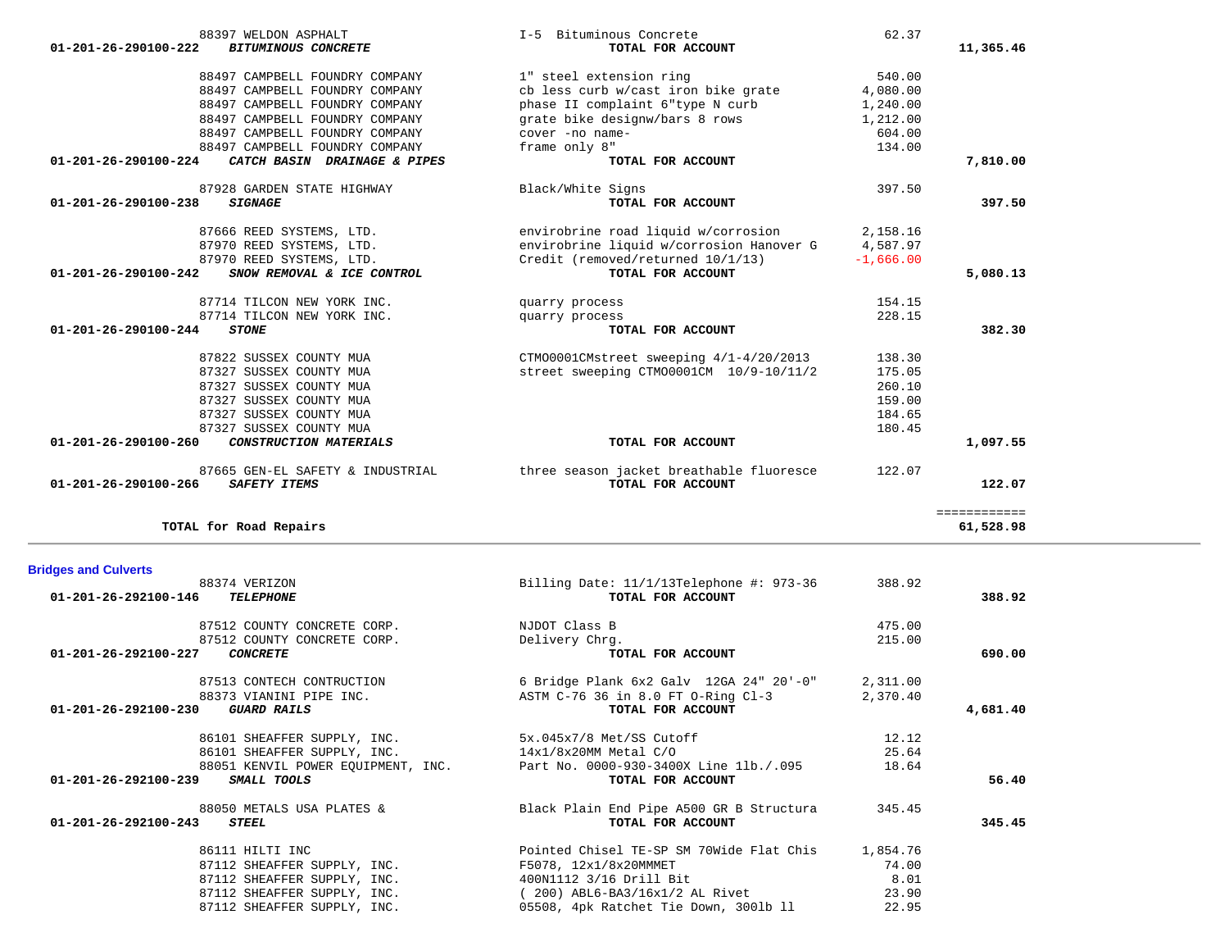| 88497 CAMPBELL FOUNDRY COMPANY<br>88497 CAMPBELL FOUNDRY COMPANY<br>88497 CAMPBELL FOUNDRY COMPANY<br>88497 CAMPBELL FOUNDRY COMPANY                           | cb less curb w/cast iron bike grate<br>phase II complaint 6"type N curb<br>grate bike designw/bars 8 rows<br>cover -no name-              | 4,080.00<br>1,240.00<br>1,212.00<br>604.00               |                           |
|----------------------------------------------------------------------------------------------------------------------------------------------------------------|-------------------------------------------------------------------------------------------------------------------------------------------|----------------------------------------------------------|---------------------------|
| 88497 CAMPBELL FOUNDRY COMPANY<br>CATCH BASIN DRAINAGE & PIPES<br>01-201-26-290100-224                                                                         | frame only 8"<br>TOTAL FOR ACCOUNT                                                                                                        | 134.00                                                   | 7,810.00                  |
| 87928 GARDEN STATE HIGHWAY<br>01-201-26-290100-238<br><b>SIGNAGE</b>                                                                                           | Black/White Signs<br>TOTAL FOR ACCOUNT                                                                                                    | 397.50                                                   | 397.50                    |
| 87666 REED SYSTEMS, LTD.<br>87970 REED SYSTEMS, LTD.<br>87970 REED SYSTEMS, LTD.<br>SNOW REMOVAL & ICE CONTROL<br>01-201-26-290100-242                         | envirobrine road liquid w/corrosion<br>envirobrine liquid w/corrosion Hanover G<br>Credit (removed/returned 10/1/13)<br>TOTAL FOR ACCOUNT | 2,158.16<br>4,587.97<br>$-1,666.00$                      | 5,080.13                  |
| 87714 TILCON NEW YORK INC.                                                                                                                                     | quarry process                                                                                                                            | 154.15                                                   |                           |
| 87714 TILCON NEW YORK INC.<br>01-201-26-290100-244<br><b>STONE</b>                                                                                             | quarry process<br>TOTAL FOR ACCOUNT                                                                                                       | 228.15                                                   | 382.30                    |
| 87822 SUSSEX COUNTY MUA<br>87327 SUSSEX COUNTY MUA<br>87327 SUSSEX COUNTY MUA<br>87327 SUSSEX COUNTY MUA<br>87327 SUSSEX COUNTY MUA<br>87327 SUSSEX COUNTY MUA | CTM00001CMstreet sweeping 4/1-4/20/2013<br>street sweeping CTM00001CM 10/9-10/11/2                                                        | 138.30<br>175.05<br>260.10<br>159.00<br>184.65<br>180.45 |                           |
| 01-201-26-290100-260<br>CONSTRUCTION MATERIALS                                                                                                                 | TOTAL FOR ACCOUNT                                                                                                                         |                                                          | 1,097.55                  |
| 87665 GEN-EL SAFETY & INDUSTRIAL<br>01-201-26-290100-266<br>SAFETY ITEMS                                                                                       | three season jacket breathable fluoresce<br>TOTAL FOR ACCOUNT                                                                             | 122.07                                                   | 122.07                    |
| TOTAL for Road Repairs                                                                                                                                         |                                                                                                                                           |                                                          | ============<br>61,528.98 |
| <b>Bridges and Culverts</b>                                                                                                                                    |                                                                                                                                           |                                                          |                           |
| 88374 VERIZON<br><b>TELEPHONE</b><br>01-201-26-292100-146                                                                                                      | Billing Date: 11/1/13Telephone #: 973-36<br>TOTAL FOR ACCOUNT                                                                             | 388.92                                                   | 388.92                    |
| 87512 COUNTY CONCRETE CORP.<br>87512 COUNTY CONCRETE CORP.<br>01-201-26-292100-227<br><b>CONCRETE</b>                                                          | NJDOT Class B<br>Delivery Chrg.<br>TOTAL FOR ACCOUNT                                                                                      | 475.00<br>215.00                                         | 690.00                    |
| 87513 CONTECH CONTRUCTION<br>88373 VIANINI PIPE INC.<br>01-201-26-292100-230<br><b>GUARD RAILS</b>                                                             | 6 Bridge Plank 6x2 Galv 12GA 24" 20'-0"<br>ASTM C-76 36 in 8.0 FT O-Ring Cl-3<br>TOTAL FOR ACCOUNT                                        | 2,311.00<br>2,370.40                                     | 4,681.40                  |
| 86101 SHEAFFER SUPPLY, INC.<br>86101 SHEAFFER SUPPLY, INC.<br>88051 KENVIL POWER EOUIPMENT, INC.<br>01-201-26-292100-239 SMALL TOOLS                           | 5x.045x7/8 Met/SS Cutoff<br>$14x1/8x20$ MM Metal $C/O$<br>Part No. 0000-930-3400X Line 11b./.095<br>TOTAL FOR ACCOUNT                     | 12.12<br>25.64<br>18.64                                  | 56.40                     |
| 88050 METALS USA PLATES &<br>01-201-26-292100-243<br><i><b>STEEL</b></i>                                                                                       | Black Plain End Pipe A500 GR B Structura<br>TOTAL FOR ACCOUNT                                                                             | 345.45                                                   | 345.45                    |
| 86111 HILTI INC<br>87112 SHEAFFER SUPPLY, INC.                                                                                                                 | Pointed Chisel TE-SP SM 70Wide Flat Chis<br>F5078, 12x1/8x20MMMET                                                                         | 1,854.76<br>74.00<br>8.01                                |                           |
| 87112 SHEAFFER SUPPLY, INC.<br>87112 SHEAFFER SUPPLY, INC.<br>87112 SHEAFFER SUPPLY, INC.                                                                      | 400N1112 3/16 Drill Bit<br>$(200)$ ABL6-BA3/16x1/2 AL Rivet<br>05508, 4pk Ratchet Tie Down, 3001b 11                                      | 23.90<br>22.95                                           |                           |

88397 WELDON ASPHALT **I-5 Bituminous Concrete** 62.37  **01-201-26-290100-222** *BITUMINOUS CONCRETE* **TOTAL FOR ACCOUNT 11,365.46**

88497 CAMPBELL FOUNDRY COMPANY 1 steel extension ring 540.00<br>88497 CAMPBELL FOUNDRY COMPANY company cb less curb w/cast iron bike grate 34,080.00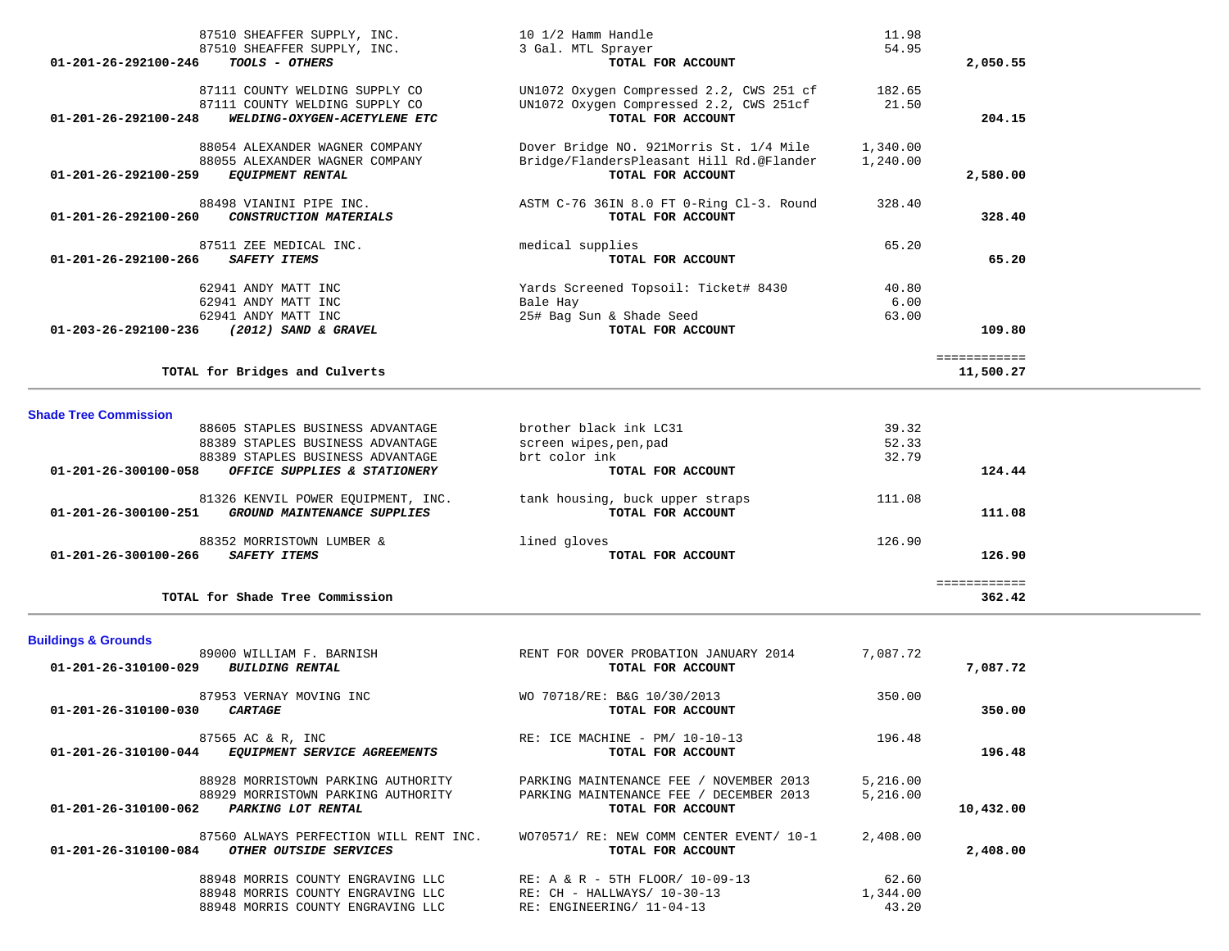| 87510 SHEAFFER SUPPLY, INC.                          | 10 1/2 Hamm Handle                                            | 11.98    |              |  |
|------------------------------------------------------|---------------------------------------------------------------|----------|--------------|--|
| 87510 SHEAFFER SUPPLY, INC.                          | 3 Gal. MTL Sprayer                                            | 54.95    |              |  |
| TOOLS - OTHERS<br>01-201-26-292100-246               | TOTAL FOR ACCOUNT                                             |          | 2,050.55     |  |
|                                                      |                                                               |          |              |  |
| 87111 COUNTY WELDING SUPPLY CO                       | UN1072 Oxygen Compressed 2.2, CWS 251 cf                      | 182.65   |              |  |
| 87111 COUNTY WELDING SUPPLY CO                       | UN1072 Oxygen Compressed 2.2, CWS 251cf                       | 21.50    |              |  |
| 01-201-26-292100-248<br>WELDING-OXYGEN-ACETYLENE ETC | TOTAL FOR ACCOUNT                                             |          | 204.15       |  |
|                                                      |                                                               |          |              |  |
| 88054 ALEXANDER WAGNER COMPANY                       | Dover Bridge NO. 921Morris St. 1/4 Mile                       | 1,340.00 |              |  |
| 88055 ALEXANDER WAGNER COMPANY                       | Bridge/FlandersPleasant Hill Rd.@Flander                      | 1,240.00 |              |  |
| 01-201-26-292100-259<br><b>EQUIPMENT RENTAL</b>      | TOTAL FOR ACCOUNT                                             |          | 2,580.00     |  |
| 88498 VIANINI PIPE INC.                              |                                                               | 328.40   |              |  |
| CONSTRUCTION MATERIALS<br>01-201-26-292100-260       | ASTM C-76 36IN 8.0 FT 0-Ring Cl-3. Round<br>TOTAL FOR ACCOUNT |          | 328.40       |  |
|                                                      |                                                               |          |              |  |
| 87511 ZEE MEDICAL INC.                               | medical supplies                                              | 65.20    |              |  |
| 01-201-26-292100-266<br>SAFETY ITEMS                 | TOTAL FOR ACCOUNT                                             |          | 65.20        |  |
|                                                      |                                                               |          |              |  |
| 62941 ANDY MATT INC                                  | Yards Screened Topsoil: Ticket# 8430                          | 40.80    |              |  |
| 62941 ANDY MATT INC                                  | Bale Hay                                                      | 6.00     |              |  |
| 62941 ANDY MATT INC                                  | 25# Bag Sun & Shade Seed                                      | 63.00    |              |  |
| (2012) SAND & GRAVEL<br>01-203-26-292100-236         | TOTAL FOR ACCOUNT                                             |          | 109.80       |  |
|                                                      |                                                               |          |              |  |
|                                                      |                                                               |          | ============ |  |
| TOTAL for Bridges and Culverts                       |                                                               |          | 11,500.27    |  |
|                                                      |                                                               |          |              |  |
| <b>Shade Tree Commission</b>                         |                                                               |          |              |  |
| 88605 STAPLES BUSINESS ADVANTAGE                     | brother black ink LC31                                        | 39.32    |              |  |
| 88389 STAPLES BUSINESS ADVANTAGE                     | screen wipes, pen, pad                                        | 52.33    |              |  |
| 88389 STAPLES BUSINESS ADVANTAGE                     | brt color ink                                                 | 32.79    |              |  |
| OFFICE SUPPLIES & STATIONERY<br>01-201-26-300100-058 | TOTAL FOR ACCOUNT                                             |          | 124.44       |  |
|                                                      |                                                               |          |              |  |
| 81326 KENVIL POWER EQUIPMENT, INC.                   | tank housing, buck upper straps                               | 111.08   |              |  |
| 01-201-26-300100-251<br>GROUND MAINTENANCE SUPPLIES  | TOTAL FOR ACCOUNT                                             |          | 111.08       |  |
| 88352 MORRISTOWN LUMBER &                            | lined gloves                                                  | 126.90   |              |  |
| 01-201-26-300100-266 SAFETY ITEMS                    | TOTAL FOR ACCOUNT                                             |          | 126.90       |  |
|                                                      |                                                               |          |              |  |
|                                                      |                                                               |          | ============ |  |
| TOTAL for Shade Tree Commission                      |                                                               |          | 362.42       |  |
|                                                      |                                                               |          |              |  |
| <b>Buildings &amp; Grounds</b>                       |                                                               |          |              |  |
| 89000 WILLIAM F. BARNISH                             | RENT FOR DOVER PROBATION JANUARY 2014                         | 7,087.72 |              |  |
| 01-201-26-310100-029<br><b>BUILDING RENTAL</b>       | TOTAL FOR ACCOUNT                                             |          | 7,087.72     |  |
|                                                      |                                                               |          |              |  |
| 87953 VERNAY MOVING INC                              | WO 70718/RE: B&G 10/30/2013                                   | 350.00   |              |  |
| $01 - 201 - 26 - 310100 - 030$<br><b>CARTAGE</b>     | TOTAL FOR ACCOUNT                                             |          | 350.00       |  |

| 87565 AC & R, INC                                     | RE: ICE MACHINE - PM/ 10-10-13           | 196.48   |           |
|-------------------------------------------------------|------------------------------------------|----------|-----------|
| EQUIPMENT SERVICE AGREEMENTS<br>01-201-26-310100-044  | TOTAL FOR ACCOUNT                        |          | 196.48    |
| 88928 MORRISTOWN PARKING AUTHORITY                    | PARKING MAINTENANCE FEE / NOVEMBER 2013  | 5.216.00 |           |
| 88929 MORRISTOWN PARKING AUTHORITY                    | PARKING MAINTENANCE FEE / DECEMBER 2013  | 5,216.00 |           |
| 01-201-26-310100-062<br>PARKING LOT RENTAL            | TOTAL FOR ACCOUNT                        |          | 10,432.00 |
| 87560 ALWAYS PERFECTION WILL RENT INC.                | WO70571/ RE: NEW COMM CENTER EVENT/ 10-1 | 2,408.00 |           |
| 01-201-26-310100-084<br><i>OTHER OUTSIDE SERVICES</i> | TOTAL FOR ACCOUNT                        |          | 2,408,00  |

| 88948 MORRIS COUNTY ENGRAVING LLC | RE: A & R - 5TH FLOOR/ 10-09-13 | 62.60    |
|-----------------------------------|---------------------------------|----------|
| 88948 MORRIS COUNTY ENGRAVING LLC | RE: CH - HALLWAYS/ 10-30-13     | 1,344.00 |
| 88948 MORRIS COUNTY ENGRAVING LLC | RE: ENGINEERING/ 11-04-13       | 43.20    |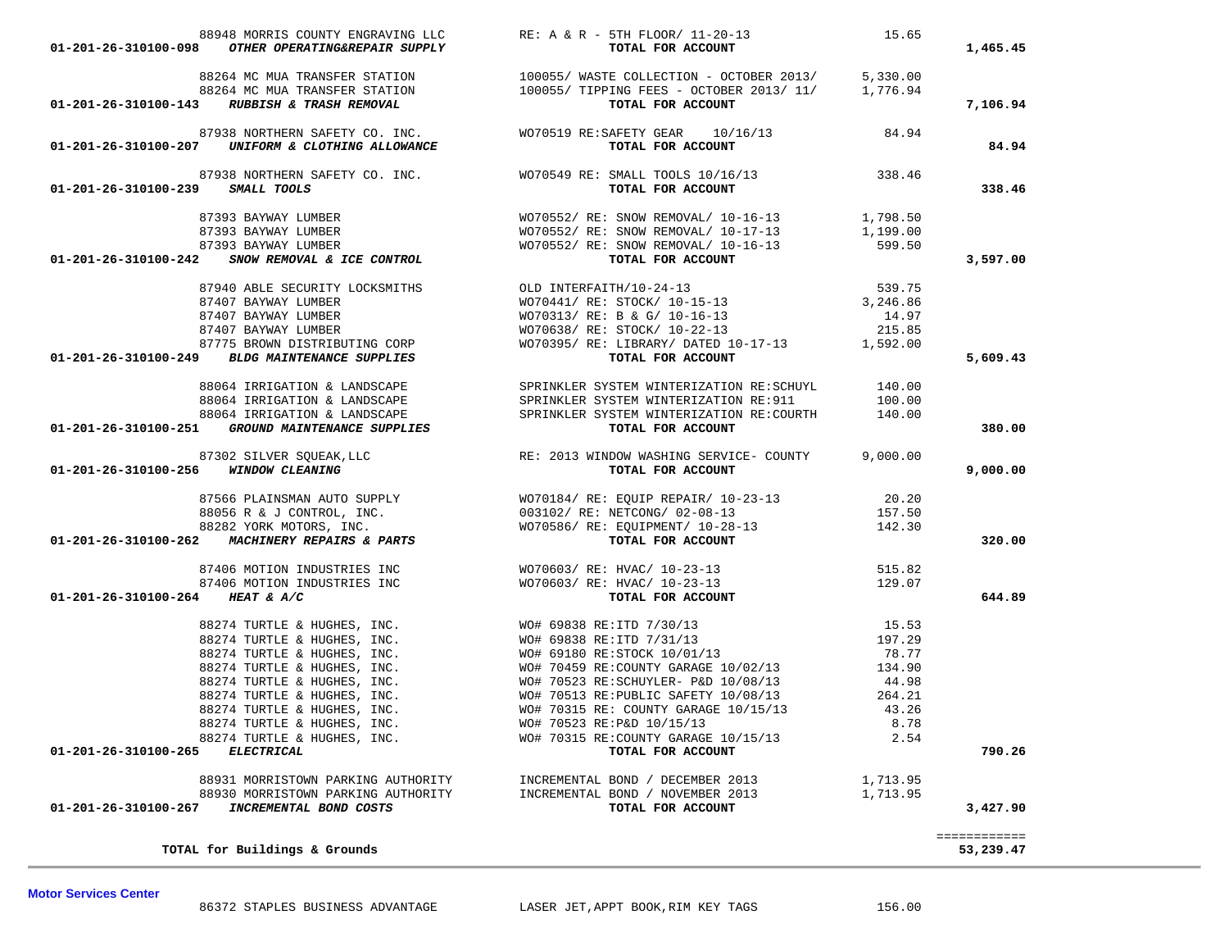TOTAL for Buildings & Grounds

**Motor Services Center** 

53,239.47

| 01-201-26-310100-098                 |                                                                                                                                                                              | 88948 MORRIS COUNTY ENGRAVING LLC<br>-- -------- RE: A & R - 5TH FLOOR/ 11-20-13<br><b>TOTAL FOR ACCOUNT</b>                                                                                                                                                                                                                                                                                                                                        | 15.65    | 1,465.45     |
|--------------------------------------|------------------------------------------------------------------------------------------------------------------------------------------------------------------------------|-----------------------------------------------------------------------------------------------------------------------------------------------------------------------------------------------------------------------------------------------------------------------------------------------------------------------------------------------------------------------------------------------------------------------------------------------------|----------|--------------|
|                                      |                                                                                                                                                                              |                                                                                                                                                                                                                                                                                                                                                                                                                                                     |          |              |
|                                      |                                                                                                                                                                              |                                                                                                                                                                                                                                                                                                                                                                                                                                                     |          |              |
|                                      |                                                                                                                                                                              | $\tiny 88264 \text{ MC MUA TRANSFER STATION} \label{f: 88264 MCMC} \begin{array}{l} \texttt{88264 MCM} \end{array}$ $\begin{array}{l} \texttt{88264 MCM} \end{array} \begin{array}{l} \texttt{88264 MCM} \end{array} \begin{array}{l} \texttt{88264 MCM} \end{array} \begin{array}{l} \texttt{88264 MCM} \end{array} \begin{array}{l} \texttt{88264 MCM} \end{array} \begin{array}{l} \texttt{88264 MCM} \end{array} \begin{array}{l} \texttt{8826$ |          | 7,106.94     |
|                                      |                                                                                                                                                                              |                                                                                                                                                                                                                                                                                                                                                                                                                                                     |          |              |
|                                      |                                                                                                                                                                              | 87938 NORTHERN SAFETY CO. INC. $\text{W070519 RE:SAFETY GEAR}$ 10/16/13 84.94                                                                                                                                                                                                                                                                                                                                                                       |          |              |
|                                      | 01-201-26-310100-207 UNIFORM & CLOTHING ALLOWANCE                                                                                                                            | TOTAL FOR ACCOUNT                                                                                                                                                                                                                                                                                                                                                                                                                                   |          | 84.94        |
|                                      |                                                                                                                                                                              |                                                                                                                                                                                                                                                                                                                                                                                                                                                     |          |              |
| 01-201-26-310100-239 SMALL TOOLS     |                                                                                                                                                                              | 87938 NORTHERN SAFETY CO. INC. WO70549 RE: SMALL TOOLS $10/16/13$ 338.46<br>338.46 TOTAL FOR ACCOUNT                                                                                                                                                                                                                                                                                                                                                |          | 338.46       |
|                                      |                                                                                                                                                                              |                                                                                                                                                                                                                                                                                                                                                                                                                                                     |          |              |
|                                      |                                                                                                                                                                              |                                                                                                                                                                                                                                                                                                                                                                                                                                                     |          |              |
|                                      |                                                                                                                                                                              |                                                                                                                                                                                                                                                                                                                                                                                                                                                     |          |              |
|                                      |                                                                                                                                                                              | $\begin{array}{cccc} & 87393 & \text{BAYWAY LUMBER} \\ & 87393 & \text{BAYWAY LUMBER} \\ & 87393 & \text{BAYWAY LUMBER} \\ & 87393 & \text{BAYWAY LUMBER} \\ & 87393 & \text{BAYWAY LUMBER} \\ & 87393 & \text{BAYWAY LUMBER} \\ & 87393 & \text{BAYWAY LUMBER} \\ & 87393 & \text{BAYWAY LUMBER} \\ & 87393 & \text{BAYWAY LUMBER} \\ & 87393 & \text{BAYWAY LUMBER} \\ & 87393 & \text{BAY$                                                       |          | 3,597.00     |
|                                      |                                                                                                                                                                              |                                                                                                                                                                                                                                                                                                                                                                                                                                                     |          |              |
|                                      |                                                                                                                                                                              |                                                                                                                                                                                                                                                                                                                                                                                                                                                     |          |              |
|                                      | 87407 BAYWAY LUMBER                                                                                                                                                          |                                                                                                                                                                                                                                                                                                                                                                                                                                                     | 14.97    |              |
|                                      |                                                                                                                                                                              | WO70313/ RE: B & G/ 10-16-13<br>WO70638/ RE: STOCK/ 10-22-13                                                                                                                                                                                                                                                                                                                                                                                        | 215.85   |              |
|                                      |                                                                                                                                                                              |                                                                                                                                                                                                                                                                                                                                                                                                                                                     |          |              |
|                                      | ${\small \begin{array}{c} 87407 \text{ BAYMAX LUMBER} \\ 87407 \text{ BAYMAX LUMBER} \\ 87775 \text{ BROWN DISTRIBUTING CORP} \\ \textbf{01-201-26-310100-249} \end{array}}$ | WO70395/ RE: LIBRARY/ DATED 10-17-13 1,592.00<br><b>TOTAL FOR ACCOUNT</b>                                                                                                                                                                                                                                                                                                                                                                           |          | 5,609.43     |
|                                      |                                                                                                                                                                              | 88064 IRRIGATION & LANDSCAPE SPRINKLER SYSTEM WINTERIZATION RE:SCHUYL 140.00                                                                                                                                                                                                                                                                                                                                                                        |          |              |
|                                      |                                                                                                                                                                              |                                                                                                                                                                                                                                                                                                                                                                                                                                                     |          |              |
|                                      |                                                                                                                                                                              | $\begin{array}{lllllllll} 88064 & \texttt{IRRIGATION} & \texttt{LANDSCAPE} & \texttt{SPRINKLER SYSTEM} & \texttt{WINTERIZATION} & \texttt{RE:911} & 100.00 \\ 88064 & \texttt{IRRIGATION} & \texttt{LANDSCAPE} & \texttt{SPRINKLER SYSTEM} & \texttt{WINTERIZATION} & \texttt{RE:COUNTH} & 140.00 \\ \end{array}$                                                                                                                                   |          |              |
|                                      | 01-201-26-310100-251 GROUND MAINTENANCE SUPPLIES                                                                                                                             | TOTAL FOR ACCOUNT                                                                                                                                                                                                                                                                                                                                                                                                                                   |          | 380.00       |
|                                      |                                                                                                                                                                              |                                                                                                                                                                                                                                                                                                                                                                                                                                                     |          |              |
| 01-201-26-310100-256 WINDOW CLEANING |                                                                                                                                                                              |                                                                                                                                                                                                                                                                                                                                                                                                                                                     |          | 9,000.00     |
|                                      |                                                                                                                                                                              |                                                                                                                                                                                                                                                                                                                                                                                                                                                     |          |              |
|                                      |                                                                                                                                                                              |                                                                                                                                                                                                                                                                                                                                                                                                                                                     |          |              |
|                                      |                                                                                                                                                                              |                                                                                                                                                                                                                                                                                                                                                                                                                                                     |          |              |
|                                      |                                                                                                                                                                              |                                                                                                                                                                                                                                                                                                                                                                                                                                                     |          | 320.00       |
|                                      |                                                                                                                                                                              |                                                                                                                                                                                                                                                                                                                                                                                                                                                     |          |              |
|                                      |                                                                                                                                                                              | 87406 MOTION INDUSTRIES INC<br>87406 MOTION INDUSTRIES INC WO70603/ RE: HVAC/ 10-23-13<br>87406 MOTION INDUSTRIES INC WO70603/ RE: HVAC/ 10-23-13<br>129.07                                                                                                                                                                                                                                                                                         |          |              |
| 01-201-26-310100-264 HEAT & A/C      |                                                                                                                                                                              | TOTAL FOR ACCOUNT                                                                                                                                                                                                                                                                                                                                                                                                                                   |          | 644.89       |
|                                      |                                                                                                                                                                              |                                                                                                                                                                                                                                                                                                                                                                                                                                                     |          |              |
|                                      |                                                                                                                                                                              |                                                                                                                                                                                                                                                                                                                                                                                                                                                     |          |              |
|                                      |                                                                                                                                                                              |                                                                                                                                                                                                                                                                                                                                                                                                                                                     |          |              |
|                                      |                                                                                                                                                                              |                                                                                                                                                                                                                                                                                                                                                                                                                                                     |          |              |
|                                      |                                                                                                                                                                              |                                                                                                                                                                                                                                                                                                                                                                                                                                                     |          |              |
|                                      |                                                                                                                                                                              |                                                                                                                                                                                                                                                                                                                                                                                                                                                     |          |              |
|                                      |                                                                                                                                                                              |                                                                                                                                                                                                                                                                                                                                                                                                                                                     |          |              |
|                                      |                                                                                                                                                                              | 88274 TURTLE & HUGHES, INC. WO# 70523 RE:P&D 10/15/13                                                                                                                                                                                                                                                                                                                                                                                               | 8.78     |              |
|                                      | 88274 TURTLE & HUGHES, INC.                                                                                                                                                  | WO# 70315 RE:COUNTY GARAGE 10/15/13                                                                                                                                                                                                                                                                                                                                                                                                                 | 2.54     |              |
| 01-201-26-310100-265 ELECTRICAL      |                                                                                                                                                                              | TOTAL FOR ACCOUNT                                                                                                                                                                                                                                                                                                                                                                                                                                   |          | 790.26       |
|                                      | 88931 MORRISTOWN PARKING AUTHORITY                                                                                                                                           | INCREMENTAL BOND / DECEMBER 2013                                                                                                                                                                                                                                                                                                                                                                                                                    | 1,713.95 |              |
|                                      | 88930 MORRISTOWN PARKING AUTHORITY                                                                                                                                           | INCREMENTAL BOND / NOVEMBER 2013                                                                                                                                                                                                                                                                                                                                                                                                                    | 1,713.95 |              |
| 01-201-26-310100-267                 | INCREMENTAL BOND COSTS                                                                                                                                                       | TOTAL FOR ACCOUNT                                                                                                                                                                                                                                                                                                                                                                                                                                   |          | 3,427.90     |
|                                      |                                                                                                                                                                              |                                                                                                                                                                                                                                                                                                                                                                                                                                                     |          | ============ |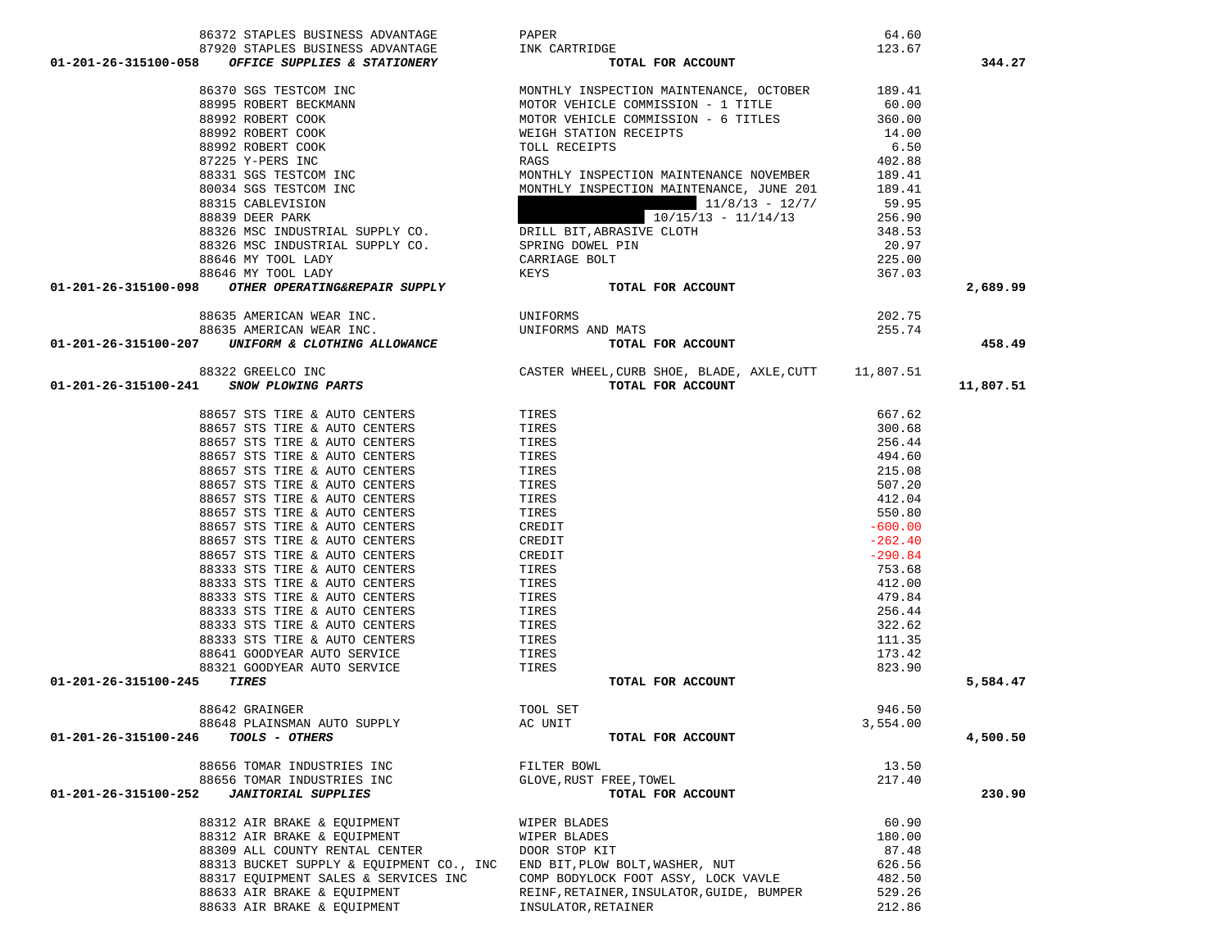| 86372 STAPLES BUSINESS ADVANTAGE                                                                                                                                                                                                                             | PAPER                                                | 64.60            |           |
|--------------------------------------------------------------------------------------------------------------------------------------------------------------------------------------------------------------------------------------------------------------|------------------------------------------------------|------------------|-----------|
| 87920 STAPLES BUSINESS ADVANTAGE                                                                                                                                                                                                                             | INK CARTRIDGE                                        | 123.67           |           |
| 01-201-26-315100-058 OFFICE SUPPLIES & STATIONERY                                                                                                                                                                                                            | TOTAL FOR ACCOUNT                                    |                  | 344.27    |
| 86370 SGS TESTCOM INC<br>88995 ROBERT BECKMANN<br>88992 ROBERT COOK<br>88992 ROBERT COOK<br>88992 ROBERT COOK<br>87225 Y-PERS INC<br>88331 SGS TESTCOM INC<br>8034 SGS TESTCOM INC<br>88315 CABLEVISION<br>88839 DEER PARK<br>88326 MSC INDUSTRIAL SUPPLY CO | MONTHLY INSPECTION MAINTENANCE, OCTOBER              | 189.41           |           |
|                                                                                                                                                                                                                                                              | MOTOR VEHICLE COMMISSION - 1 TITLE                   | 60.00            |           |
|                                                                                                                                                                                                                                                              | MOTOR VEHICLE COMMISSION - 6 TITLES                  | 360.00           |           |
|                                                                                                                                                                                                                                                              | WEIGH STATION RECEIPTS                               | 14.00            |           |
|                                                                                                                                                                                                                                                              |                                                      | 6.50             |           |
|                                                                                                                                                                                                                                                              | TOLL RECEIPTS                                        |                  |           |
|                                                                                                                                                                                                                                                              | RAGS                                                 | 402.88           |           |
|                                                                                                                                                                                                                                                              | MONTHLY INSPECTION MAINTENANCE NOVEMBER              | 189.41           |           |
|                                                                                                                                                                                                                                                              | MONTHLY INSPECTION MAINTENANCE, JUNE 201             | 189.41           |           |
|                                                                                                                                                                                                                                                              | $11/8/13 - 12/7/$                                    | 59.95            |           |
|                                                                                                                                                                                                                                                              | $10/15/13 - 11/14/13$                                | 256.90           |           |
|                                                                                                                                                                                                                                                              | DRILL BIT, ABRASIVE CLOTH                            | 348.53           |           |
|                                                                                                                                                                                                                                                              | SPRING DOWEL PIN                                     | 20.97            |           |
| 88646 MY TOOL LADY                                                                                                                                                                                                                                           | CARRIAGE BOLT                                        | 225.00<br>367.03 |           |
| 88646 MY TOOL LADY                                                                                                                                                                                                                                           | KEYS                                                 |                  |           |
| 01-201-26-315100-098 OTHER OPERATING&REPAIR SUPPLY                                                                                                                                                                                                           | TOTAL FOR ACCOUNT                                    |                  | 2,689.99  |
| 88635 AMERICAN WEAR INC.                                                                                                                                                                                                                                     | UNIFORMS                                             |                  |           |
| 88635 AMERICAN WEAR INC.                                                                                                                                                                                                                                     | UNIFORMS AND MATS                                    | 202.75<br>255.74 |           |
| 01-201-26-315100-207 UNIFORM & CLOTHING ALLOWANCE                                                                                                                                                                                                            | TOTAL FOR ACCOUNT                                    |                  | 458.49    |
|                                                                                                                                                                                                                                                              |                                                      |                  |           |
| 88322 GREELCO INC                                                                                                                                                                                                                                            | CASTER WHEEL, CURB SHOE, BLADE, AXLE, CUTT 11,807.51 |                  |           |
| 01-201-26-315100-241 SNOW PLOWING PARTS                                                                                                                                                                                                                      | TOTAL FOR ACCOUNT                                    |                  | 11,807.51 |
| 88657 STS TIRE & AUTO CENTERS                                                                                                                                                                                                                                | TIRES                                                | 667.62           |           |
| 88657 STS TIRE & AUTO CENTERS                                                                                                                                                                                                                                | TIRES                                                | 300.68           |           |
| 88657 STS TIRE & AUTO CENTERS                                                                                                                                                                                                                                | TIRES                                                | 256.44           |           |
| 88657 STS TIRE & AUTO CENTERS                                                                                                                                                                                                                                |                                                      | 494.60           |           |
|                                                                                                                                                                                                                                                              | TIRES                                                |                  |           |
| 88657 STS TIRE & AUTO CENTERS                                                                                                                                                                                                                                | TIRES                                                | 215.08           |           |
| 88657 STS TIRE & AUTO CENTERS                                                                                                                                                                                                                                | TIRES                                                | 507.20           |           |
| 88657 STS TIRE & AUTO CENTERS                                                                                                                                                                                                                                | TIRES                                                | 412.04           |           |
| 88657 STS TIRE & AUTO CENTERS                                                                                                                                                                                                                                | TIRES                                                | 550.80           |           |
| 88657 STS TIRE & AUTO CENTERS                                                                                                                                                                                                                                | CREDIT                                               | $-600.00$        |           |
| 88657 STS TIRE & AUTO CENTERS                                                                                                                                                                                                                                | CREDIT                                               | $-262.40$        |           |
| 88657 STS TIRE & AUTO CENTERS                                                                                                                                                                                                                                | CREDIT                                               | $-290.84$        |           |
| 88333 STS TIRE & AUTO CENTERS                                                                                                                                                                                                                                | TIRES                                                | 753.68           |           |
| 88333 STS TIRE & AUTO CENTERS                                                                                                                                                                                                                                | TIRES                                                | 412.00           |           |
| 88333 STS TIRE & AUTO CENTERS                                                                                                                                                                                                                                | TIRES                                                | 479.84           |           |
| 88333 STS TIRE & AUTO CENTERS                                                                                                                                                                                                                                | TIRES                                                | 256.44           |           |
| 88333 STS TIRE & AUTO CENTERS                                                                                                                                                                                                                                | TIRES                                                | 322.62           |           |
| 88333 STS TIRE & AUTO CENTERS                                                                                                                                                                                                                                | TIRES                                                | 111.35           |           |
| 88641 GOODYEAR AUTO SERVICE                                                                                                                                                                                                                                  | TIRES                                                | 173.42           |           |
| 88321 GOODYEAR AUTO SERVICE                                                                                                                                                                                                                                  | TIRES                                                | 823.90           |           |
| TIRES<br>01-201-26-315100-245                                                                                                                                                                                                                                | TOTAL FOR ACCOUNT                                    |                  | 5,584.47  |
|                                                                                                                                                                                                                                                              |                                                      | 946.50           |           |
| 88642 GRAINGER<br>88648 PLAINSMAN AUTO SUPPLY                                                                                                                                                                                                                | TOOL SET<br>AC UNIT                                  | 3,554.00         |           |
| <b>TOOLS - OTHERS</b><br>01-201-26-315100-246                                                                                                                                                                                                                |                                                      |                  |           |
|                                                                                                                                                                                                                                                              | TOTAL FOR ACCOUNT                                    |                  | 4,500.50  |
| 88656 TOMAR INDUSTRIES INC                                                                                                                                                                                                                                   | FILTER BOWL                                          | 13.50            |           |
| 88656 TOMAR INDUSTRIES INC                                                                                                                                                                                                                                   | GLOVE, RUST FREE, TOWEL                              | 217.40           |           |
| 01-201-26-315100-252<br><b>JANITORIAL SUPPLIES</b>                                                                                                                                                                                                           | TOTAL FOR ACCOUNT                                    |                  | 230.90    |
| 88312 AIR BRAKE & EOUIPMENT                                                                                                                                                                                                                                  | WIPER BLADES                                         | 60.90            |           |
| 88312 AIR BRAKE & EQUIPMENT                                                                                                                                                                                                                                  | WIPER BLADES                                         | 180.00           |           |
| 88309 ALL COUNTY RENTAL CENTER                                                                                                                                                                                                                               | DOOR STOP KIT                                        | 87.48            |           |
| 88313 BUCKET SUPPLY & EQUIPMENT CO., INC                                                                                                                                                                                                                     | END BIT, PLOW BOLT, WASHER, NUT                      | 626.56           |           |
| 88317 EQUIPMENT SALES & SERVICES INC                                                                                                                                                                                                                         | COMP BODYLOCK FOOT ASSY, LOCK VAVLE                  | 482.50           |           |
| 88633 AIR BRAKE & EQUIPMENT                                                                                                                                                                                                                                  | REINF, RETAINER, INSULATOR, GUIDE, BUMPER            | 529.26           |           |
| 88633 AIR BRAKE & EQUIPMENT                                                                                                                                                                                                                                  | INSULATOR, RETAINER                                  | 212.86           |           |
|                                                                                                                                                                                                                                                              |                                                      |                  |           |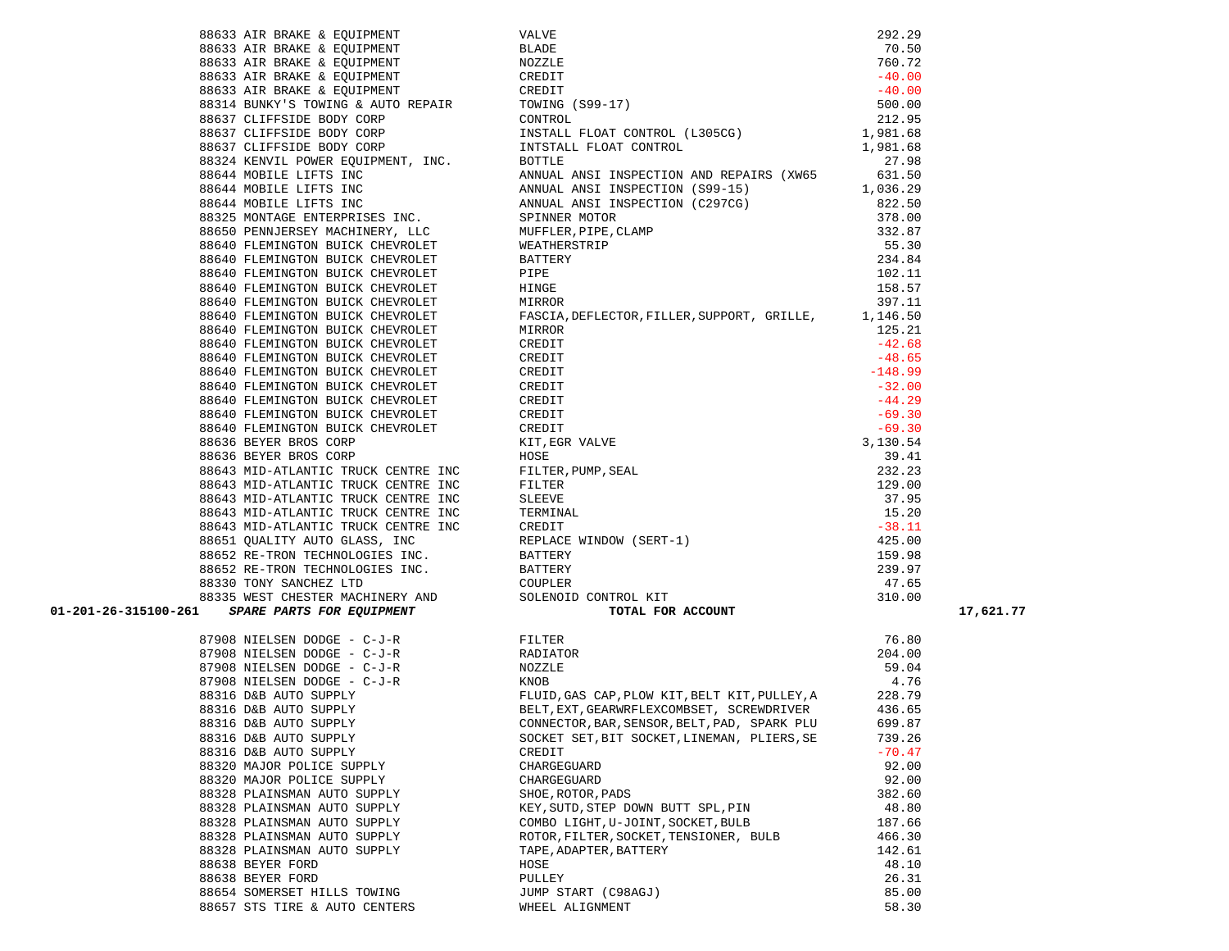|                               | 39923 AIR MPAGE & DOCUMENT VALUE<br>3923 AIR MPAGE & DOCUMENT MARINE (1992–17)<br>3923 AIR MPAGE & DOCUMENT (1993–17)<br>3923 AIR MPAGE & DOCUMENT (1993–17)<br>3931 AIR MPAGE & DOCUMENT (1993–17)<br>3931 AIR MPAGE & DOCUMENT (1993<br>$\begin{tabular}{lllllllllllllllllll} \texttt{87908 NIELSEN DODGE & $\texttt{C-J-R}$ & \texttt{FLITER} & \texttt{76.80} \\ \texttt{87908 NIELSEN DODGE & $\texttt{C-J-R}$ & \texttt{RADIATOR} & \texttt{204.00} \\ \texttt{87908 NIELSEN DODGE & $\texttt{C-J-R}$ & \texttt{NOZZLE} & \texttt{59.04} \\ \texttt{87908 NIELSEN DODGE & $\texttt{C-J-R}$ & \texttt{NOZZLE} & \texttt{59.04} \\ \texttt{87908 NIELSEN DODGE & $\texttt{C-J$ |          |
|-------------------------------|------------------------------------------------------------------------------------------------------------------------------------------------------------------------------------------------------------------------------------------------------------------------------------------------------------------------------------------------------------------------------------------------------------------------------------------------------------------------------------------------------------------------------------------------------------------------------------------------------------------------------------------------------------------------------------|----------|
|                               |                                                                                                                                                                                                                                                                                                                                                                                                                                                                                                                                                                                                                                                                                    |          |
|                               |                                                                                                                                                                                                                                                                                                                                                                                                                                                                                                                                                                                                                                                                                    |          |
|                               |                                                                                                                                                                                                                                                                                                                                                                                                                                                                                                                                                                                                                                                                                    |          |
|                               |                                                                                                                                                                                                                                                                                                                                                                                                                                                                                                                                                                                                                                                                                    |          |
|                               |                                                                                                                                                                                                                                                                                                                                                                                                                                                                                                                                                                                                                                                                                    |          |
| 88316 D&B AUTO SUPPLY         | CONNECTOR, BAR, SENSOR, BELT, PAD, SPARK PLU                                                                                                                                                                                                                                                                                                                                                                                                                                                                                                                                                                                                                                       | 699.87   |
| 88316 D&B AUTO SUPPLY         | SOCKET SET, BIT SOCKET, LINEMAN, PLIERS, SE                                                                                                                                                                                                                                                                                                                                                                                                                                                                                                                                                                                                                                        | 739.26   |
| 88316 D&B AUTO SUPPLY         | CREDIT                                                                                                                                                                                                                                                                                                                                                                                                                                                                                                                                                                                                                                                                             | $-70.47$ |
| 88320 MAJOR POLICE SUPPLY     | CHARGEGUARD                                                                                                                                                                                                                                                                                                                                                                                                                                                                                                                                                                                                                                                                        | 92.00    |
| 88320 MAJOR POLICE SUPPLY     | CHARGEGUARD                                                                                                                                                                                                                                                                                                                                                                                                                                                                                                                                                                                                                                                                        | 92.00    |
| 88328 PLAINSMAN AUTO SUPPLY   | SHOE, ROTOR, PADS                                                                                                                                                                                                                                                                                                                                                                                                                                                                                                                                                                                                                                                                  | 382.60   |
| 88328 PLAINSMAN AUTO SUPPLY   | KEY, SUTD, STEP DOWN BUTT SPL, PIN                                                                                                                                                                                                                                                                                                                                                                                                                                                                                                                                                                                                                                                 | 48.80    |
| 88328 PLAINSMAN AUTO SUPPLY   | COMBO LIGHT, U-JOINT, SOCKET, BULB                                                                                                                                                                                                                                                                                                                                                                                                                                                                                                                                                                                                                                                 | 187.66   |
| 88328 PLAINSMAN AUTO SUPPLY   | ROTOR, FILTER, SOCKET, TENSIONER, BULB                                                                                                                                                                                                                                                                                                                                                                                                                                                                                                                                                                                                                                             | 466.30   |
| 88328 PLAINSMAN AUTO SUPPLY   | TAPE, ADAPTER, BATTERY                                                                                                                                                                                                                                                                                                                                                                                                                                                                                                                                                                                                                                                             | 142.61   |
| 88638 BEYER FORD              | HOSE                                                                                                                                                                                                                                                                                                                                                                                                                                                                                                                                                                                                                                                                               | 48.10    |
| 88638 BEYER FORD              | PULLEY                                                                                                                                                                                                                                                                                                                                                                                                                                                                                                                                                                                                                                                                             | 26.31    |
| 88654 SOMERSET HILLS TOWING   | JUMP START (C98AGJ)                                                                                                                                                                                                                                                                                                                                                                                                                                                                                                                                                                                                                                                                | 85.00    |
| 88657 STS TIRE & AUTO CENTERS | WHEEL ALIGNMENT                                                                                                                                                                                                                                                                                                                                                                                                                                                                                                                                                                                                                                                                    | 58.30    |

| 01-201-26-315100-261 |                               |                                        |        | 17,621.77 |
|----------------------|-------------------------------|----------------------------------------|--------|-----------|
|                      |                               |                                        |        |           |
|                      |                               |                                        |        |           |
|                      |                               |                                        |        |           |
|                      |                               |                                        |        |           |
|                      |                               |                                        |        |           |
|                      |                               |                                        |        |           |
|                      |                               |                                        |        |           |
|                      |                               |                                        |        |           |
|                      |                               |                                        |        |           |
|                      |                               |                                        |        |           |
|                      | 88320 MAJOR POLICE SUPPLY     | CHARGEGUARD                            | 92.00  |           |
|                      | 88320 MAJOR POLICE SUPPLY     | CHARGEGUARD                            | 92.00  |           |
|                      | 88328 PLAINSMAN AUTO SUPPLY   | SHOE, ROTOR, PADS                      | 382.60 |           |
|                      | 88328 PLAINSMAN AUTO SUPPLY   | KEY, SUTD, STEP DOWN BUTT SPL, PIN     | 48.80  |           |
|                      | 88328 PLAINSMAN AUTO SUPPLY   | COMBO LIGHT, U-JOINT, SOCKET, BULB     | 187.66 |           |
|                      | 88328 PLAINSMAN AUTO SUPPLY   | ROTOR, FILTER, SOCKET, TENSIONER, BULB | 466.30 |           |
|                      | 88328 PLAINSMAN AUTO SUPPLY   | TAPE, ADAPTER, BATTERY                 | 142.61 |           |
|                      | 88638 BEYER FORD              | HOSE                                   | 48.10  |           |
|                      | 88638 BEYER FORD              | PULLEY                                 | 26.31  |           |
|                      | 88654 SOMERSET HILLS TOWING   | JUMP START (C98AGJ)                    | 85.00  |           |
|                      | 88657 STS TIRE & AUTO CENTERS | WHEEL ALIGNMENT                        | 58.30  |           |
|                      |                               |                                        |        |           |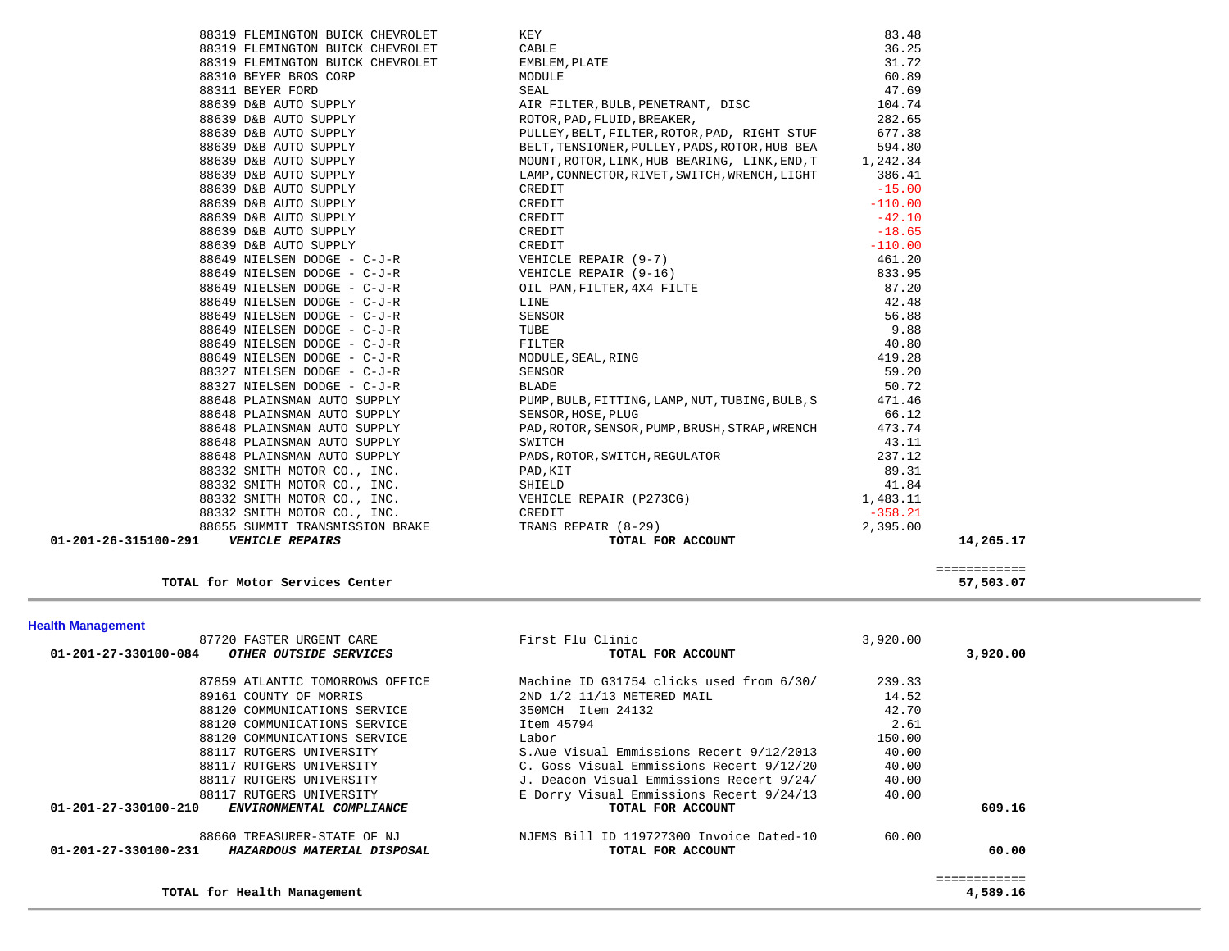|                      |                             | 88319 FLEMINGTON BUICK CHEVROLET KEY<br>88319 FLEMINGTON BUICK CHEVROLET CABLE CABLE<br>88319 FLEMINGTON BUICK CHEVROLET EMBLEM, PLATE<br>88310 BEYER BROS CORP MODULE MODULE SEAL                                                           | 83.48<br>36.25 |           |
|----------------------|-----------------------------|----------------------------------------------------------------------------------------------------------------------------------------------------------------------------------------------------------------------------------------------|----------------|-----------|
|                      |                             |                                                                                                                                                                                                                                              | 31.72          |           |
|                      |                             |                                                                                                                                                                                                                                              | 60.89          |           |
|                      |                             |                                                                                                                                                                                                                                              |                |           |
|                      |                             |                                                                                                                                                                                                                                              |                |           |
|                      |                             |                                                                                                                                                                                                                                              |                |           |
|                      |                             |                                                                                                                                                                                                                                              |                |           |
|                      |                             |                                                                                                                                                                                                                                              |                |           |
|                      |                             |                                                                                                                                                                                                                                              |                |           |
|                      |                             |                                                                                                                                                                                                                                              |                |           |
|                      |                             |                                                                                                                                                                                                                                              |                |           |
|                      |                             |                                                                                                                                                                                                                                              |                |           |
|                      |                             |                                                                                                                                                                                                                                              |                |           |
|                      |                             |                                                                                                                                                                                                                                              |                |           |
|                      |                             |                                                                                                                                                                                                                                              |                |           |
|                      |                             |                                                                                                                                                                                                                                              |                |           |
|                      |                             |                                                                                                                                                                                                                                              |                |           |
|                      |                             |                                                                                                                                                                                                                                              |                |           |
|                      |                             |                                                                                                                                                                                                                                              |                |           |
|                      |                             |                                                                                                                                                                                                                                              |                |           |
|                      |                             |                                                                                                                                                                                                                                              |                |           |
|                      |                             |                                                                                                                                                                                                                                              |                |           |
|                      |                             |                                                                                                                                                                                                                                              |                |           |
|                      |                             |                                                                                                                                                                                                                                              |                |           |
|                      |                             |                                                                                                                                                                                                                                              |                |           |
|                      |                             |                                                                                                                                                                                                                                              |                |           |
|                      |                             | 88648 PLAINSMAN AUTO SUPPLY<br>88648 PLAINSMAN AUTO SUPPLY<br>88648 PLAINSMAN AUTO SUPPLY SENSOR, HOSE, PLUG 66.12<br>88648 PLAINSMAN AUTO SUPPLY PAD, ROTOR, SENSOR, PUMP, BRUSH, STRAP, WRENCH 473.74                                      |                |           |
|                      |                             |                                                                                                                                                                                                                                              |                |           |
|                      | 88648 PLAINSMAN AUTO SUPPLY | SWITCH                                                                                                                                                                                                                                       | 43.11          |           |
|                      |                             |                                                                                                                                                                                                                                              |                |           |
|                      |                             |                                                                                                                                                                                                                                              |                |           |
|                      |                             |                                                                                                                                                                                                                                              |                |           |
|                      |                             |                                                                                                                                                                                                                                              |                |           |
|                      |                             |                                                                                                                                                                                                                                              |                |           |
|                      |                             |                                                                                                                                                                                                                                              |                |           |
| 01-201-26-315100-291 |                             | 98648 PLAINSMAN AUTO SUPPLY<br>88648 PLAINSMAN AUTO SUPPLY<br>88332 SMITH MOTOR CO., INC.<br>88332 SMITH MOTOR CO., INC.<br>88332 SMITH MOTOR CO., INC.<br>88332 SMITH MOTOR CO., INC.<br>88332 SMITH MOTOR CO., INC.<br>88332 SMITH MOTOR C |                | 14,265.17 |
|                      |                             |                                                                                                                                                                                                                                              |                |           |

TOTAL for Motor Services Center

**TOTAL for Health Management 4,589.16**

 ============ 57,503.07

4,589.16

| <b>Health Management</b> |  |
|--------------------------|--|

| 87720 FASTER URGENT CARE                                   | First Flu Clinic                         | 3,920.00 |          |
|------------------------------------------------------------|------------------------------------------|----------|----------|
| 01-201-27-330100-084<br>OTHER OUTSIDE SERVICES             | TOTAL FOR ACCOUNT                        |          | 3,920.00 |
| 87859 ATLANTIC TOMORROWS OFFICE                            | Machine ID G31754 clicks used from 6/30/ | 239.33   |          |
| 89161 COUNTY OF MORRIS                                     | 2ND 1/2 11/13 METERED MAIL               | 14.52    |          |
| 88120 COMMUNICATIONS SERVICE                               | 350MCH Item 24132                        | 42.70    |          |
| 88120 COMMUNICATIONS SERVICE                               | Item 45794                               | 2.61     |          |
| 88120 COMMUNICATIONS SERVICE                               | Labor                                    | 150.00   |          |
| 88117 RUTGERS UNIVERSITY                                   | S.Aue Visual Emmissions Recert 9/12/2013 | 40.00    |          |
| 88117 RUTGERS UNIVERSITY                                   | C. Goss Visual Emmissions Recert 9/12/20 | 40.00    |          |
| 88117 RUTGERS UNIVERSITY                                   | J. Deacon Visual Emmissions Recert 9/24/ | 40.00    |          |
| 88117 RUTGERS UNIVERSITY                                   | E Dorry Visual Emmissions Recert 9/24/13 | 40.00    |          |
| $01 - 201 - 27 - 330100 - 210$<br>ENVIRONMENTAL COMPLIANCE | TOTAL FOR ACCOUNT                        |          | 609.16   |
| 88660 TREASURER-STATE OF NJ                                | NJEMS Bill ID 119727300 Invoice Dated-10 | 60.00    |          |
| 01-201-27-330100-231<br>HAZARDOUS MATERIAL DISPOSAL        | TOTAL FOR ACCOUNT                        |          | 60.00    |
|                                                            |                                          |          |          |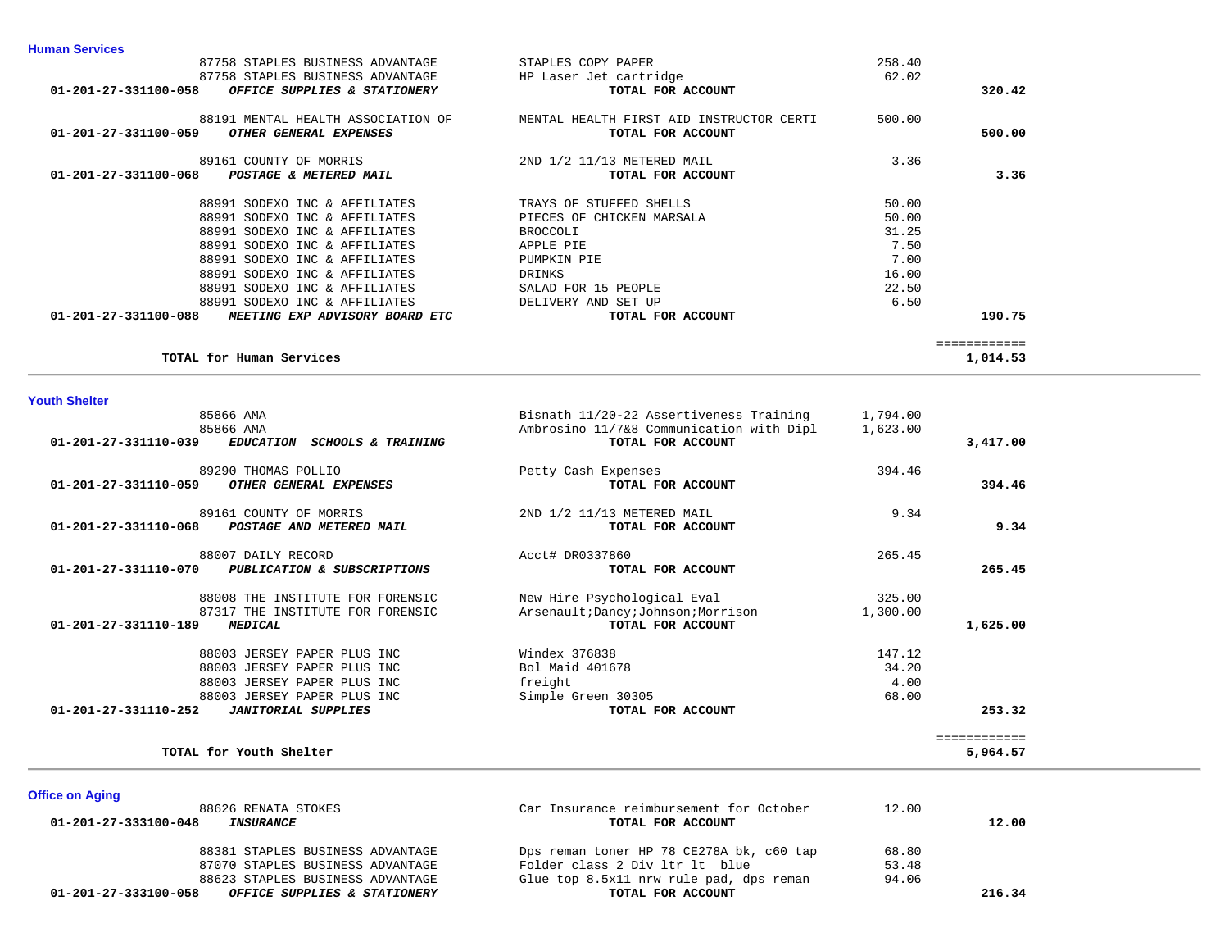| <b>Youth Shelter</b><br>85866 AMA<br>85866 AMA         | Bisnath 11/20-22 Assertiveness Training<br>Ambrosino 11/7&8 Communication with Dipl | 1,794.00<br>1,623.00 |          |
|--------------------------------------------------------|-------------------------------------------------------------------------------------|----------------------|----------|
| TOTAL for Human Services                               |                                                                                     |                      | 1,014.53 |
| 01-201-27-331100-088<br>MEETING EXP ADVISORY BOARD ETC | TOTAL FOR ACCOUNT                                                                   |                      | 190.75   |
| 88991 SODEXO INC & AFFILIATES                          | DELIVERY AND SET UP                                                                 | 6.50                 |          |
| 88991 SODEXO INC & AFFILIATES                          | SALAD FOR 15 PEOPLE                                                                 | 22.50                |          |
| 88991 SODEXO INC & AFFILIATES                          | DRINKS                                                                              | 16.00                |          |
| 88991 SODEXO INC & AFFILIATES                          | PUMPKIN PIE                                                                         | 7.00                 |          |
| 88991 SODEXO INC & AFFILIATES                          | APPLE PIE                                                                           | 7.50                 |          |
| 88991 SODEXO INC & AFFILIATES                          | BROCCOLI                                                                            | 31.25                |          |
| 88991 SODEXO INC & AFFILIATES                          | PIECES OF CHICKEN MARSALA                                                           | 50.00                |          |
| 88991 SODEXO INC & AFFILIATES                          | TRAYS OF STUFFED SHELLS                                                             | 50.00                |          |
|                                                        |                                                                                     |                      |          |

88191 MENTAL HEALTH ASSOCIATION OF **MENTAL HEALTH FIRST AID INSTRUCTOR CERTI** 

 **01-201-27-331100-068** *POSTAGE & METERED MAIL* **TOTAL FOR ACCOUNT 3.36**

TOTAL for Youth Shelter

 **01-201-27-331100-059** *OTHER GENERAL EXPENSES* **TOTAL FOR ACCOUNT 500.00**

 87758 STAPLES BUSINESS ADVANTAGE STAPLES COPY PAPER 258.40 87758 STAPLES BUSINESS ADVANTAGE HP Laser Jet cartridge 62.02<br>3 OFFICE SUPPLIES & STATIONERY TOTAL FOR ACCOUNT  **01-201-27-331100-058** *OFFICE SUPPLIES & STATIONERY* **TOTAL FOR ACCOUNT 320.42**

89161 COUNTY OF MORRIS 2ND 1/2 11/13 METERED MAIL 3.36

500.00

3.36

5,964.57

| 85866 AMA<br>01-201-27-331110-039<br><b>EDUCATION</b><br>SCHOOLS & TRAINING                                                                                                    | Ambrosino 11/7&8 Communication with Dipl<br>TOTAL FOR ACCOUNT                           | 1,623.00                         | 3,417.00     |
|--------------------------------------------------------------------------------------------------------------------------------------------------------------------------------|-----------------------------------------------------------------------------------------|----------------------------------|--------------|
| 89290 THOMAS POLLIO<br>01-201-27-331110-059<br>OTHER GENERAL EXPENSES                                                                                                          | Petty Cash Expenses<br>TOTAL FOR ACCOUNT                                                | 394.46                           | 394.46       |
| 89161 COUNTY OF MORRIS<br>01-201-27-331110-068<br>POSTAGE AND METERED MAIL                                                                                                     | 2ND 1/2 11/13 METERED MAIL<br>TOTAL FOR ACCOUNT                                         | 9.34                             | 9.34         |
| 88007 DAILY RECORD<br>01-201-27-331110-070<br>PUBLICATION & SUBSCRIPTIONS                                                                                                      | Acct# DR0337860<br>TOTAL FOR ACCOUNT                                                    | 265.45                           | 265.45       |
| 88008 THE INSTITUTE FOR FORENSIC<br>87317 THE INSTITUTE FOR FORENSIC<br>01-201-27-331110-189<br><i><b>MEDICAL</b></i>                                                          | New Hire Psychological Eval<br>Arsenault; Dancy; Johnson; Morrison<br>TOTAL FOR ACCOUNT | 325.00<br>1,300.00               | 1,625.00     |
| 88003 JERSEY PAPER PLUS INC<br>88003 JERSEY PAPER PLUS INC<br>88003 JERSEY PAPER PLUS INC<br>88003 JERSEY PAPER PLUS INC<br>01-201-27-331110-252<br><b>JANITORIAL SUPPLIES</b> | Windex 376838<br>Bol Maid 401678<br>freight<br>Simple Green 30305<br>TOTAL FOR ACCOUNT  | 147.12<br>34.20<br>4.00<br>68.00 | 253.32       |
|                                                                                                                                                                                |                                                                                         |                                  | :=========== |

| <b>Office on Aging</b>                                          |                                          |       |        |
|-----------------------------------------------------------------|------------------------------------------|-------|--------|
| 88626 RENATA STOKES                                             | Car Insurance reimbursement for October  | 12.00 |        |
| 01-201-27-333100-048<br>INSURANCE                               | TOTAL FOR ACCOUNT                        |       | 12.00  |
| 88381 STAPLES BUSINESS ADVANTAGE                                | Dps reman toner HP 78 CE278A bk, c60 tap | 68.80 |        |
| 87070 STAPLES BUSINESS ADVANTAGE                                | Folder class 2 Div 1tr 1t blue           | 53.48 |        |
| 88623 STAPLES BUSINESS ADVANTAGE                                | Glue top 8.5x11 nrw rule pad, dps reman  | 94.06 |        |
| 01-201-27-333100-058<br><i>OFFICE SUPPLIES &amp; STATIONERY</i> | TOTAL FOR ACCOUNT                        |       | 216.34 |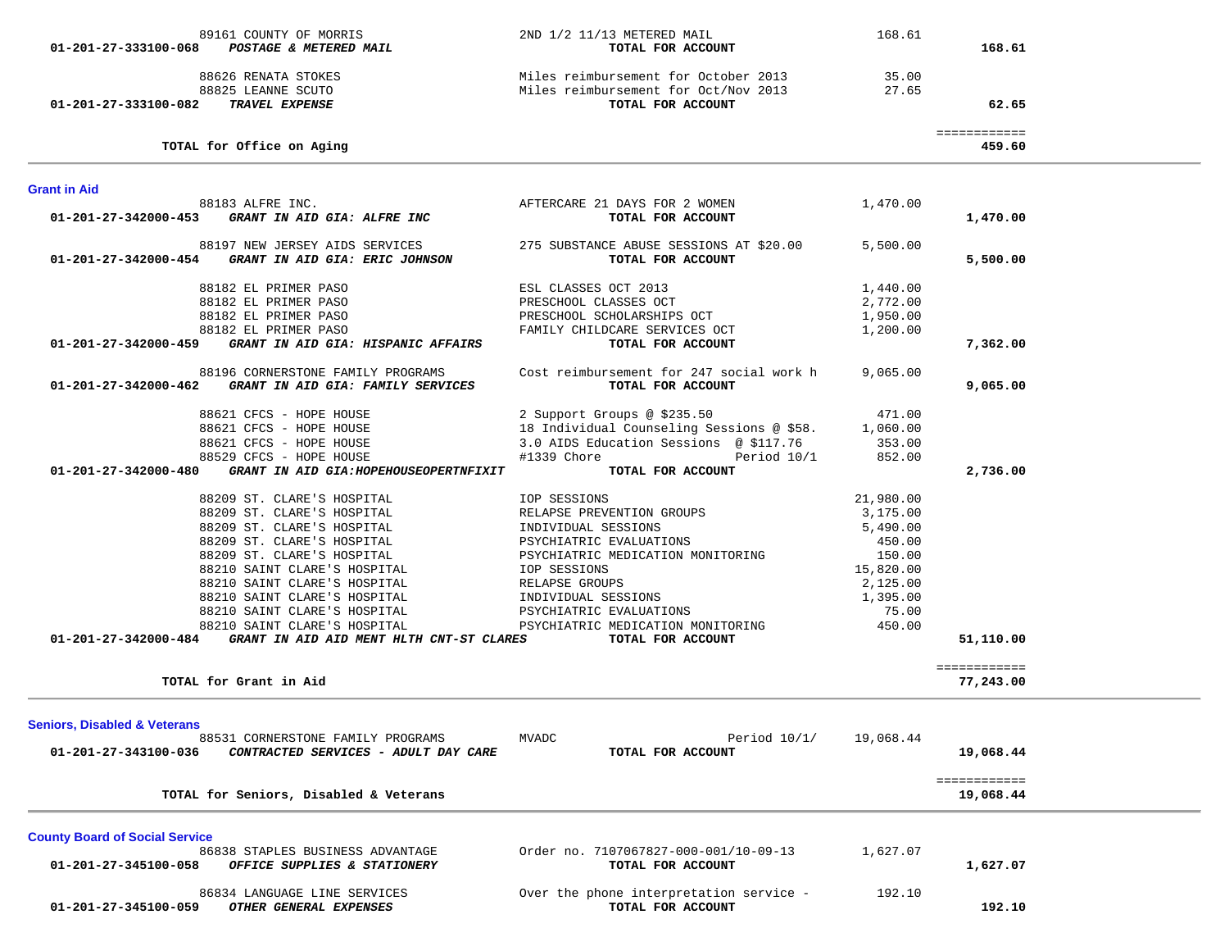| 01-201-27-333100-068                                            | 89161 COUNTY OF MORRIS<br>POSTAGE & METERED MAIL                                                                                                                                                                                                                                                                   | 2ND 1/2 11/13 METERED MAIL<br>TOTAL FOR ACCOUNT                                                                                                                                                                                                                  | 168.61                                                                                                        | 168.61                                 |  |
|-----------------------------------------------------------------|--------------------------------------------------------------------------------------------------------------------------------------------------------------------------------------------------------------------------------------------------------------------------------------------------------------------|------------------------------------------------------------------------------------------------------------------------------------------------------------------------------------------------------------------------------------------------------------------|---------------------------------------------------------------------------------------------------------------|----------------------------------------|--|
| 01-201-27-333100-082                                            | 88626 RENATA STOKES<br>88825 LEANNE SCUTO<br><b>TRAVEL EXPENSE</b>                                                                                                                                                                                                                                                 | Miles reimbursement for October 2013<br>Miles reimbursement for Oct/Nov 2013<br>TOTAL FOR ACCOUNT                                                                                                                                                                | 35.00<br>27.65                                                                                                | 62.65                                  |  |
|                                                                 | TOTAL for Office on Aging                                                                                                                                                                                                                                                                                          |                                                                                                                                                                                                                                                                  |                                                                                                               | ============<br>459.60                 |  |
| <b>Grant in Aid</b>                                             |                                                                                                                                                                                                                                                                                                                    |                                                                                                                                                                                                                                                                  |                                                                                                               |                                        |  |
| 01-201-27-342000-453                                            | 88183 ALFRE INC.<br>GRANT IN AID GIA: ALFRE INC                                                                                                                                                                                                                                                                    | AFTERCARE 21 DAYS FOR 2 WOMEN<br>TOTAL FOR ACCOUNT                                                                                                                                                                                                               | 1,470.00                                                                                                      | 1,470.00                               |  |
| 01-201-27-342000-454                                            | 88197 NEW JERSEY AIDS SERVICES<br>GRANT IN AID GIA: ERIC JOHNSON                                                                                                                                                                                                                                                   | 275 SUBSTANCE ABUSE SESSIONS AT \$20.00<br>TOTAL FOR ACCOUNT                                                                                                                                                                                                     | 5,500.00                                                                                                      | 5,500.00                               |  |
| 01-201-27-342000-459                                            | 88182 EL PRIMER PASO<br>88182 EL PRIMER PASO<br>88182 EL PRIMER PASO<br>88182 EL PRIMER PASO<br>GRANT IN AID GIA: HISPANIC AFFAIRS                                                                                                                                                                                 | ESL CLASSES OCT 2013<br>PRESCHOOL CLASSES OCT<br>PRESCHOOL SCHOLARSHIPS OCT<br>FAMILY CHILDCARE SERVICES OCT<br>TOTAL FOR ACCOUNT                                                                                                                                | 1,440.00<br>2,772.00<br>1,950.00<br>1,200.00                                                                  | 7,362.00                               |  |
|                                                                 | 88196 CORNERSTONE FAMILY PROGRAMS<br>01-201-27-342000-462 GRANT IN AID GIA: FAMILY SERVICES                                                                                                                                                                                                                        | Cost reimbursement for 247 social work h<br>TOTAL FOR ACCOUNT                                                                                                                                                                                                    | 9,065.00                                                                                                      | 9,065.00                               |  |
| 01-201-27-342000-480                                            | 88621 CFCS - HOPE HOUSE<br>88621 CFCS - HOPE HOUSE<br>88621 CFCS - HOPE HOUSE<br>88529 CFCS - HOPE HOUSE<br>GRANT IN AID GIA: HOPEHOUSEOPERTNFIXIT                                                                                                                                                                 | 2 Support Groups @ \$235.50<br>18 Individual Counseling Sessions @ \$58. 1,060.00<br>3.0 AIDS Education Sessions @ \$117.76<br>#1339 Chore Period 10/1<br>TOTAL FOR ACCOUNT                                                                                      | 471.00<br>353.00<br>852.00                                                                                    | 2,736.00                               |  |
|                                                                 | 88209 ST. CLARE'S HOSPITAL<br>88209 ST. CLARE'S HOSPITAL<br>88209 ST. CLARE'S HOSPITAL<br>88209 ST. CLARE'S HOSPITAL<br>88209 ST. CLARE'S HOSPITAL<br>88210 SAINT CLARE'S HOSPITAL<br>88210 SAINT CLARE'S HOSPITAL<br>88210 SAINT CLARE'S HOSPITAL<br>88210 SAINT CLARE'S HOSPITAL<br>88210 SAINT CLARE'S HOSPITAL | <b>IOP SESSIONS</b><br>RELAPSE PREVENTION GROUPS<br>INDIVIDUAL SESSIONS<br>PSYCHIATRIC EVALUATIONS<br>PSYCHIATRIC MEDICATION MONITORING<br>IOP SESSIONS<br>RELAPSE GROUPS<br>INDIVIDUAL SESSIONS<br>PSYCHIATRIC EVALUATIONS<br>PSYCHIATRIC MEDICATION MONITORING | 21,980.00<br>3,175.00<br>5,490.00<br>450.00<br>150.00<br>15,820.00<br>2,125.00<br>1,395.00<br>75.00<br>450.00 |                                        |  |
|                                                                 | $01-201-27-342000-484$ GRANT IN AID AID MENT HLTH CNT-ST CLARES<br>TOTAL for Grant in Aid                                                                                                                                                                                                                          | TOTAL FOR ACCOUNT                                                                                                                                                                                                                                                |                                                                                                               | 51,110.00<br>============<br>77,243.00 |  |
| <b>Seniors, Disabled &amp; Veterans</b><br>01-201-27-343100-036 | 88531 CORNERSTONE FAMILY PROGRAMS<br>CONTRACTED SERVICES - ADULT DAY CARE                                                                                                                                                                                                                                          | Period $10/1/$<br>MVADC<br>TOTAL FOR ACCOUNT                                                                                                                                                                                                                     | 19,068.44                                                                                                     | 19,068.44                              |  |
|                                                                 | TOTAL for Seniors, Disabled & Veterans                                                                                                                                                                                                                                                                             |                                                                                                                                                                                                                                                                  |                                                                                                               | ============<br>19,068.44              |  |
| <b>County Board of Social Service</b><br>01-201-27-345100-058   | 86838 STAPLES BUSINESS ADVANTAGE<br>OFFICE SUPPLIES & STATIONERY                                                                                                                                                                                                                                                   | Order no. 7107067827-000-001/10-09-13<br>TOTAL FOR ACCOUNT                                                                                                                                                                                                       | 1,627.07                                                                                                      | 1,627.07                               |  |
| 01-201-27-345100-059                                            | 86834 LANGUAGE LINE SERVICES<br>OTHER GENERAL EXPENSES                                                                                                                                                                                                                                                             | Over the phone interpretation service -<br>TOTAL FOR ACCOUNT                                                                                                                                                                                                     | 192.10                                                                                                        | 192.10                                 |  |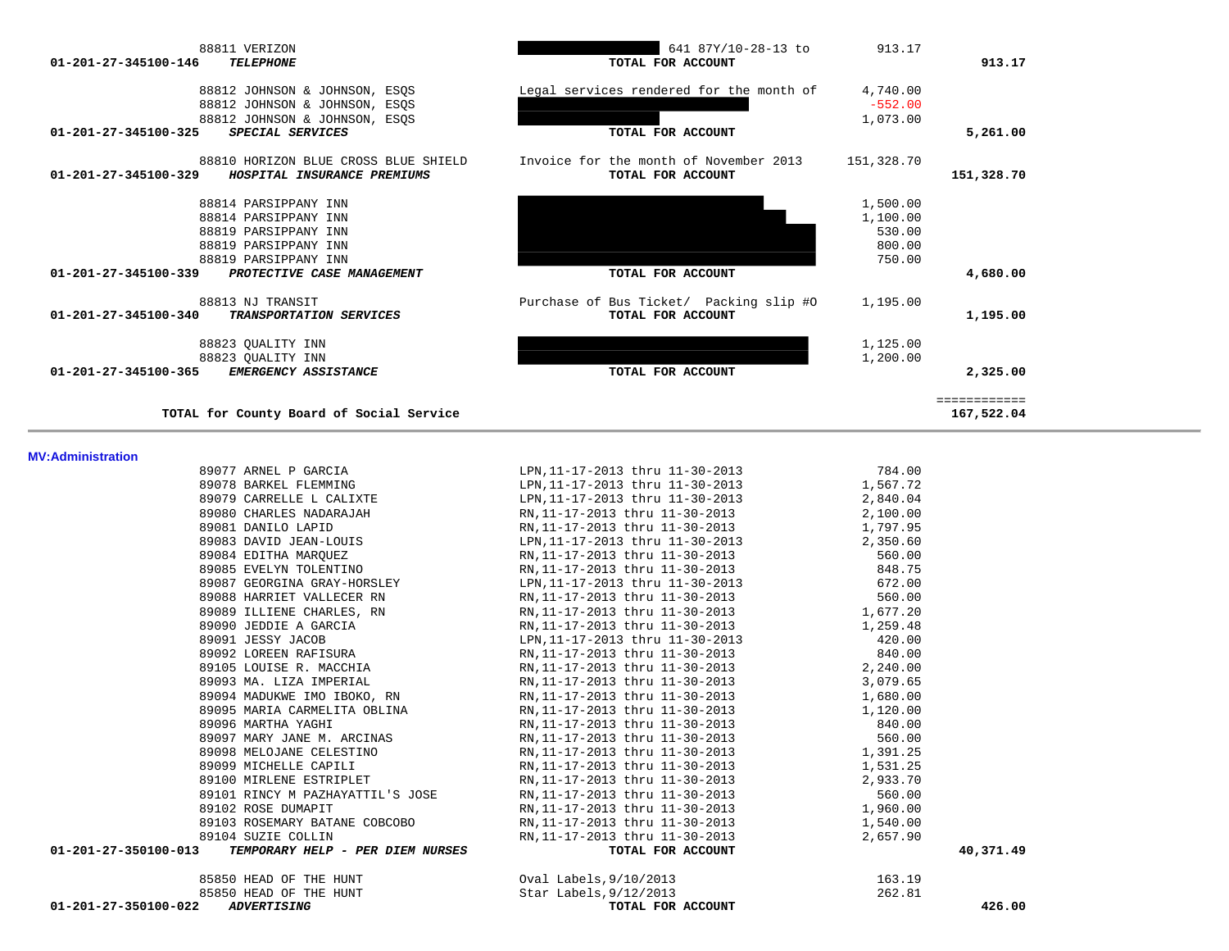| 01-201-27-345100-340     | 88813 NJ TRANSIT<br>TRANSPORTATION SERVICES | Purchase of Bus Ticket/ Packing slip #0<br>TOTAL FOR ACCOUNT | 1,195.00 | 1,195.00                   |
|--------------------------|---------------------------------------------|--------------------------------------------------------------|----------|----------------------------|
|                          | 88823 QUALITY INN                           |                                                              | 1,125.00 |                            |
|                          | 88823 QUALITY INN                           |                                                              | 1,200.00 |                            |
| 01-201-27-345100-365     | EMERGENCY ASSISTANCE                        | TOTAL FOR ACCOUNT                                            |          | 2,325.00                   |
|                          | TOTAL for County Board of Social Service    |                                                              |          | ============<br>167,522.04 |
| <b>MV:Administration</b> |                                             |                                                              |          |                            |
|                          | 89077 ARNEL P GARCIA                        | LPN, 11-17-2013 thru 11-30-2013                              | 784.00   |                            |
|                          | 89078 BARKEL FLEMMING                       | LPN, 11-17-2013 thru 11-30-2013                              | 1,567.72 |                            |
|                          | 89079 CARRELLE L CALIXTE                    | LPN, 11-17-2013 thru 11-30-2013                              | 2,840.04 |                            |
|                          | 89080 CHARLES NADARAJAH                     | RN, 11-17-2013 thru 11-30-2013                               | 2,100.00 |                            |
|                          | 89081 DANILO LAPID                          | RN, 11-17-2013 thru 11-30-2013                               | 1,797.95 |                            |
|                          | 89083 DAVID JEAN-LOUIS                      | LPN, 11-17-2013 thru 11-30-2013                              | 2,350.60 |                            |
|                          | 89084 EDITHA MARQUEZ                        | RN, 11-17-2013 thru 11-30-2013                               | 560.00   |                            |
|                          | 89085 EVELYN TOLENTINO                      | RN, 11-17-2013 thru 11-30-2013                               | 848.75   |                            |
|                          | 89087 GEORGINA GRAY-HORSLEY                 | LPN, 11-17-2013 thru 11-30-2013                              | 672.00   |                            |
|                          | 89088 HARRIET VALLECER RN                   | RN, 11-17-2013 thru 11-30-2013                               | 560.00   |                            |
|                          | 89089 ILLIENE CHARLES, RN                   | RN, 11-17-2013 thru 11-30-2013                               | 1,677.20 |                            |
|                          | 89090 JEDDIE A GARCIA                       | RN, 11-17-2013 thru 11-30-2013                               | 1,259.48 |                            |
|                          | 89091 JESSY JACOB                           | LPN, 11-17-2013 thru 11-30-2013                              | 420.00   |                            |
|                          | 89092 LOREEN RAFISURA                       | RN, 11-17-2013 thru 11-30-2013                               | 840.00   |                            |
|                          | 89105 LOUISE R. MACCHIA                     | RN, 11-17-2013 thru 11-30-2013                               | 2,240.00 |                            |
|                          | 89093 MA. LIZA IMPERIAL                     | RN, 11-17-2013 thru 11-30-2013                               | 3,079.65 |                            |
|                          | 89094 MADUKWE IMO IBOKO, RN                 | RN, 11-17-2013 thru 11-30-2013                               | 1,680.00 |                            |
|                          | 89095 MARIA CARMELITA OBLINA                | RN, 11-17-2013 thru 11-30-2013                               | 1,120.00 |                            |
|                          | 89096 MARTHA YAGHI                          | RN, 11-17-2013 thru 11-30-2013                               | 840.00   |                            |
|                          | 89097 MARY JANE M. ARCINAS                  | RN, 11-17-2013 thru 11-30-2013                               | 560.00   |                            |
|                          | 89098 MELOJANE CELESTINO                    | RN, 11-17-2013 thru 11-30-2013                               | 1,391.25 |                            |
|                          | 89099 MICHELLE CAPILI                       | RN, 11-17-2013 thru 11-30-2013                               | 1,531.25 |                            |
|                          | 89100 MIRLENE ESTRIPLET                     | RN, 11-17-2013 thru 11-30-2013                               | 2,933.70 |                            |
|                          | 89101 RINCY M PAZHAYATTIL'S JOSE            | RN, 11-17-2013 thru 11-30-2013                               | 560.00   |                            |
|                          | 89102 ROSE DUMAPIT                          | RN, 11-17-2013 thru 11-30-2013                               | 1,960.00 |                            |
|                          | 89103 ROSEMARY BATANE COBCOBO               | RN, 11-17-2013 thru 11-30-2013                               | 1,540.00 |                            |
|                          | 89104 SUZIE COLLIN                          | RN, 11-17-2013 thru 11-30-2013                               | 2,657.90 |                            |
| 01-201-27-350100-013     | TEMPORARY HELP - PER DIEM NURSES            | TOTAL FOR ACCOUNT                                            |          | 40,371.49                  |
|                          | 85850 HEAD OF THE HUNT                      | Oval Labels, 9/10/2013                                       | 163.19   |                            |
|                          | 85850 HEAD OF THE HUNT                      | Star Labels, 9/12/2013                                       | 262.81   |                            |
| 01-201-27-350100-022     | <b>ADVERTISING</b>                          | TOTAL FOR ACCOUNT                                            |          | 426.00                     |

| Legal services rendered for the month of<br>4,740.00<br>88812 JOHNSON & JOHNSON, ESQS<br>88812 JOHNSON & JOHNSON, ESOS<br>$-552.00$<br>1,073.00<br>88812 JOHNSON & JOHNSON, ESOS<br>01-201-27-345100-325<br>SPECIAL SERVICES<br>TOTAL FOR ACCOUNT |            |
|---------------------------------------------------------------------------------------------------------------------------------------------------------------------------------------------------------------------------------------------------|------------|
|                                                                                                                                                                                                                                                   |            |
|                                                                                                                                                                                                                                                   |            |
|                                                                                                                                                                                                                                                   |            |
|                                                                                                                                                                                                                                                   | 5,261.00   |
| 88810 HORIZON BLUE CROSS BLUE SHIELD<br>Invoice for the month of November 2013<br>151,328.70                                                                                                                                                      |            |
| 01-201-27-345100-329<br>HOSPITAL INSURANCE PREMIUMS<br>TOTAL FOR ACCOUNT                                                                                                                                                                          | 151,328.70 |
| 88814 PARSIPPANY INN<br>1,500.00                                                                                                                                                                                                                  |            |
| 1,100.00<br>88814 PARSIPPANY INN                                                                                                                                                                                                                  |            |
| 88819 PARSIPPANY INN<br>530.00                                                                                                                                                                                                                    |            |
| 800.00<br>88819 PARSIPPANY INN                                                                                                                                                                                                                    |            |
| 88819 PARSIPPANY INN<br>750.00                                                                                                                                                                                                                    |            |
| 01-201-27-345100-339<br>PROTECTIVE CASE MANAGEMENT<br>TOTAL FOR ACCOUNT                                                                                                                                                                           | 4,680.00   |
| 88813 NJ TRANSIT<br>Purchase of Bus Ticket/ Packing slip #0<br>1,195.00                                                                                                                                                                           |            |
| 01-201-27-345100-340<br>TRANSPORTATION SERVICES<br>TOTAL FOR ACCOUNT                                                                                                                                                                              | 1,195.00   |
| 88823 QUALITY INN<br>1,125.00                                                                                                                                                                                                                     |            |
| 1,200.00<br>88823 OUALITY INN                                                                                                                                                                                                                     |            |
| 01-201-27-345100-365<br><b>EMERGENCY ASSISTANCE</b><br>TOTAL FOR ACCOUNT                                                                                                                                                                          | 2,325.00   |
| TOTAL for County Board of Social Service                                                                                                                                                                                                          | 167,522.04 |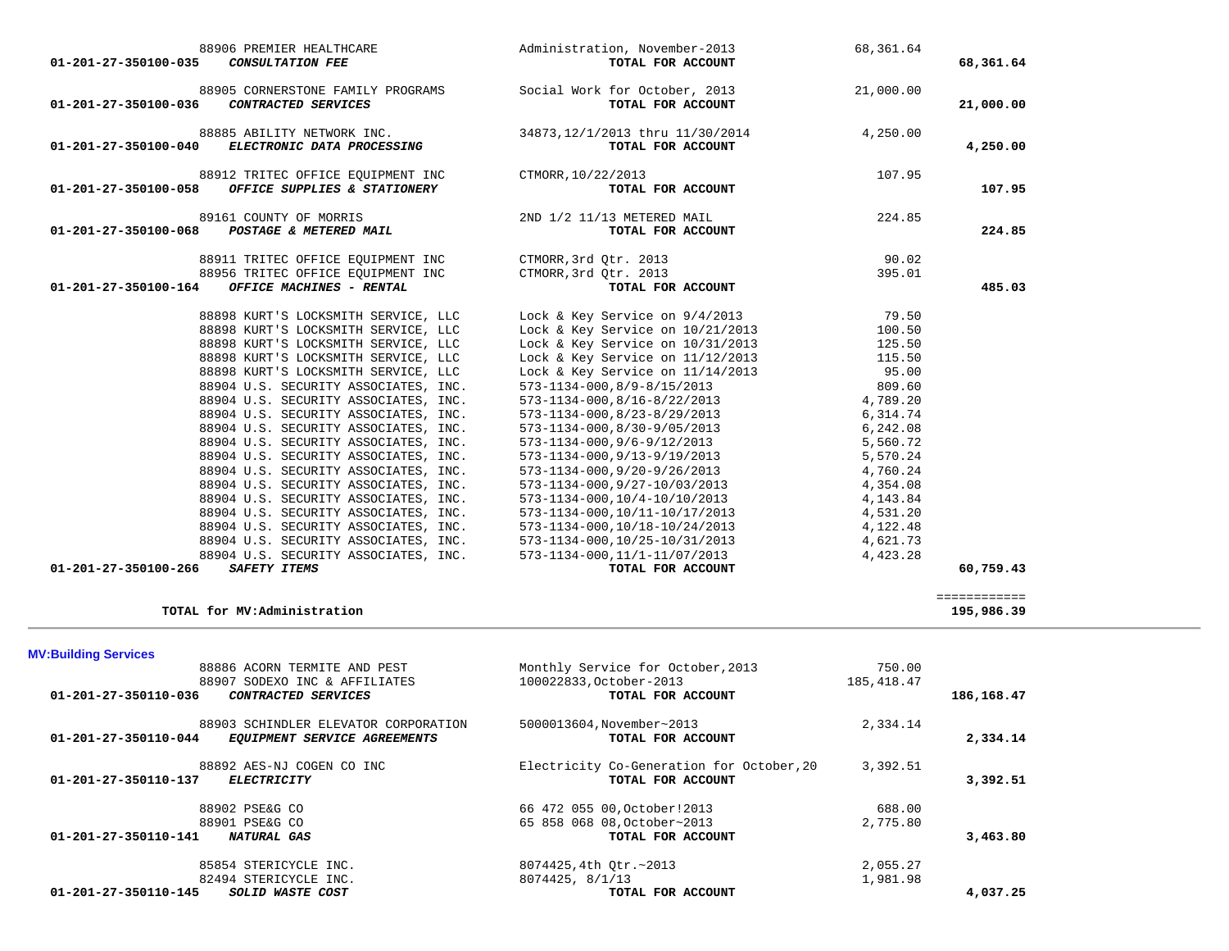| <b>MV:Building Services</b>                               |                                      |                                           |             |            |
|-----------------------------------------------------------|--------------------------------------|-------------------------------------------|-------------|------------|
| 88886 ACORN TERMITE AND PEST                              |                                      | Monthly Service for October, 2013         | 750.00      |            |
| 88907 SODEXO INC & AFFILIATES                             |                                      | 100022833, October-2013                   | 185, 418.47 |            |
| 01-201-27-350110-036<br>CONTRACTED SERVICES               |                                      | TOTAL FOR ACCOUNT                         |             | 186,168.47 |
|                                                           | 88903 SCHINDLER ELEVATOR CORPORATION | 5000013604, November~2013                 | 2,334.14    |            |
| $01 - 201 - 27 - 350110 - 044$                            | EQUIPMENT SERVICE AGREEMENTS         | TOTAL FOR ACCOUNT                         |             | 2,334.14   |
| 88892 AES-NJ COGEN CO INC                                 |                                      | Electricity Co-Generation for October, 20 | 3,392.51    |            |
| $01 - 201 - 27 - 350110 - 137$<br><b>ELECTRICITY</b>      |                                      | TOTAL FOR ACCOUNT                         |             | 3,392.51   |
| 88902 PSE&G CO                                            |                                      | 66 472 055 00, October! 2013              | 688.00      |            |
| 88901 PSE&G CO                                            |                                      | 65 858 068 08, October~2013               | 2,775.80    |            |
| $01 - 201 - 27 - 350110 - 141$<br>NATURAL GAS             |                                      | TOTAL FOR ACCOUNT                         |             | 3,463.80   |
| 85854 STERICYCLE INC.                                     |                                      | 8074425,4th Otr.~2013                     | 2,055.27    |            |
| 82494 STERICYCLE INC.                                     |                                      | 8074425, 8/1/13                           | 1,981.98    |            |
| $01 - 201 - 27 - 350110 - 145$<br><i>SOLID WASTE COST</i> |                                      | TOTAL FOR ACCOUNT                         |             | 4,037.25   |

 ============ **TOTAL for MV:Administration 195,986.39**

| 01-201-27-350100-035                        | <b>CONSULTATION FEE</b>                                                                                                                                                                                                                                                                                                                                                                                                                                                                                                                                                                                                                                                                                                                                 | TOTAL FOR ACCOUNT                                                                                                                                                                                                                                                                                                                                                                                                                                                                                                                                                                                                                                                                                    | Administration, November-2013<br>68,361.64                                                                                                                      | 68,361.64 |
|---------------------------------------------|---------------------------------------------------------------------------------------------------------------------------------------------------------------------------------------------------------------------------------------------------------------------------------------------------------------------------------------------------------------------------------------------------------------------------------------------------------------------------------------------------------------------------------------------------------------------------------------------------------------------------------------------------------------------------------------------------------------------------------------------------------|------------------------------------------------------------------------------------------------------------------------------------------------------------------------------------------------------------------------------------------------------------------------------------------------------------------------------------------------------------------------------------------------------------------------------------------------------------------------------------------------------------------------------------------------------------------------------------------------------------------------------------------------------------------------------------------------------|-----------------------------------------------------------------------------------------------------------------------------------------------------------------|-----------|
| 01-201-27-350100-036                        | 88905 CORNERSTONE FAMILY PROGRAMS<br>CONTRACTED SERVICES                                                                                                                                                                                                                                                                                                                                                                                                                                                                                                                                                                                                                                                                                                | Social Work for October, 2013 21,000.00<br>TOTAL FOR ACCOUNT                                                                                                                                                                                                                                                                                                                                                                                                                                                                                                                                                                                                                                         |                                                                                                                                                                 | 21,000.00 |
| 01-201-27-350100-040                        | 88885 ABILITY NETWORK INC.<br>ELECTRONIC DATA PROCESSING                                                                                                                                                                                                                                                                                                                                                                                                                                                                                                                                                                                                                                                                                                | 34873, 12/1/2013 thru 11/30/2014<br>TOTAL FOR ACCOUNT                                                                                                                                                                                                                                                                                                                                                                                                                                                                                                                                                                                                                                                | 4,250.00                                                                                                                                                        | 4,250.00  |
| 01-201-27-350100-058                        | 88912 TRITEC OFFICE EOUIPMENT INC CTMORR, 10/22/2013<br>OFFICE SUPPLIES & STATIONERY                                                                                                                                                                                                                                                                                                                                                                                                                                                                                                                                                                                                                                                                    | TOTAL FOR ACCOUNT                                                                                                                                                                                                                                                                                                                                                                                                                                                                                                                                                                                                                                                                                    | 107.95                                                                                                                                                          | 107.95    |
| 01-201-27-350100-068 POSTAGE & METERED MAIL | 89161 COUNTY OF MORRIS                                                                                                                                                                                                                                                                                                                                                                                                                                                                                                                                                                                                                                                                                                                                  | 2ND 1/2 11/13 METERED MAIL<br>TOTAL FOR ACCOUNT                                                                                                                                                                                                                                                                                                                                                                                                                                                                                                                                                                                                                                                      | 224.85                                                                                                                                                          | 224.85    |
| 01-201-27-350100-164                        | 88911 TRITEC OFFICE EQUIPMENT INC<br>88956 TRITEC OFFICE EQUIPMENT INC<br>OFFICE MACHINES - RENTAL                                                                                                                                                                                                                                                                                                                                                                                                                                                                                                                                                                                                                                                      | CTMORR, 3rd Otr. 2013<br>CTMORR, 3rd Otr. 2013<br>TOTAL FOR ACCOUNT                                                                                                                                                                                                                                                                                                                                                                                                                                                                                                                                                                                                                                  | 90.02<br>395.01                                                                                                                                                 | 485.03    |
| 01-201-27-350100-266                        | 88898 KURT'S LOCKSMITH SERVICE, LLC<br>88898 KURT'S LOCKSMITH SERVICE, LLC<br>88898 KURT'S LOCKSMITH SERVICE, LLC<br>88898 KURT'S LOCKSMITH SERVICE, LLC<br>88898 KURT'S LOCKSMITH SERVICE, LLC<br>88904 U.S. SECURITY ASSOCIATES, INC.<br>88904 U.S. SECURITY ASSOCIATES, INC.<br>88904 U.S. SECURITY ASSOCIATES, INC.<br>88904 U.S. SECURITY ASSOCIATES, INC.<br>88904 U.S. SECURITY ASSOCIATES, INC.<br>88904 U.S. SECURITY ASSOCIATES, INC.<br>88904 U.S. SECURITY ASSOCIATES, INC.<br>88904 U.S. SECURITY ASSOCIATES, INC.<br>88904 U.S. SECURITY ASSOCIATES, INC.<br>88904 U.S. SECURITY ASSOCIATES, INC.<br>88904 U.S. SECURITY ASSOCIATES, INC.<br>88904 U.S. SECURITY ASSOCIATES, INC.<br>88904 U.S. SECURITY ASSOCIATES, INC.<br>SAFETY ITEMS | Lock & Key Service on 9/4/2013 79.50<br>Lock & Key Service on 10/21/2013 100.50<br>Lock & Key Service on 10/31/2013 125.50<br>Lock & Key Service on 11/12/2013 115.50<br>Lock & Key Service on $11/14/2013$<br>573-1134-000,8/9-8/15/2013<br>573-1134-000, 8/16-8/22/2013<br>573-1134-000, 8/23-8/29/2013<br>573-1134-000, 8/30-9/05/2013<br>$573 - 1134 - 000, 9/6 - 9/12/2013$<br>$573 - 1134 - 000, 9/13 - 9/19/2013$<br>$573 - 1134 - 000, 9/20 - 9/26/2013$<br>$573 - 1134 - 000, 9/27 - 10/03/2013$<br>573-1134-000,10/4-10/10/2013<br>573-1134-000, 10/11-10/17/2013<br>573-1134-000, 10/18-10/24/2013<br>573-1134-000,10/25-10/31/2013<br>573-1134-000, 11/1-11/07/2013<br>TOTAL FOR ACCOUNT | 95.00<br>809.60<br>4,789.20<br>6,314.74<br>6,242.08<br>5,560.72<br>5,570.24<br>4,760.24<br>4,354.08<br>4,143.84<br>4,531.20<br>4,122.48<br>4,621.73<br>4,423.28 | 60,759.43 |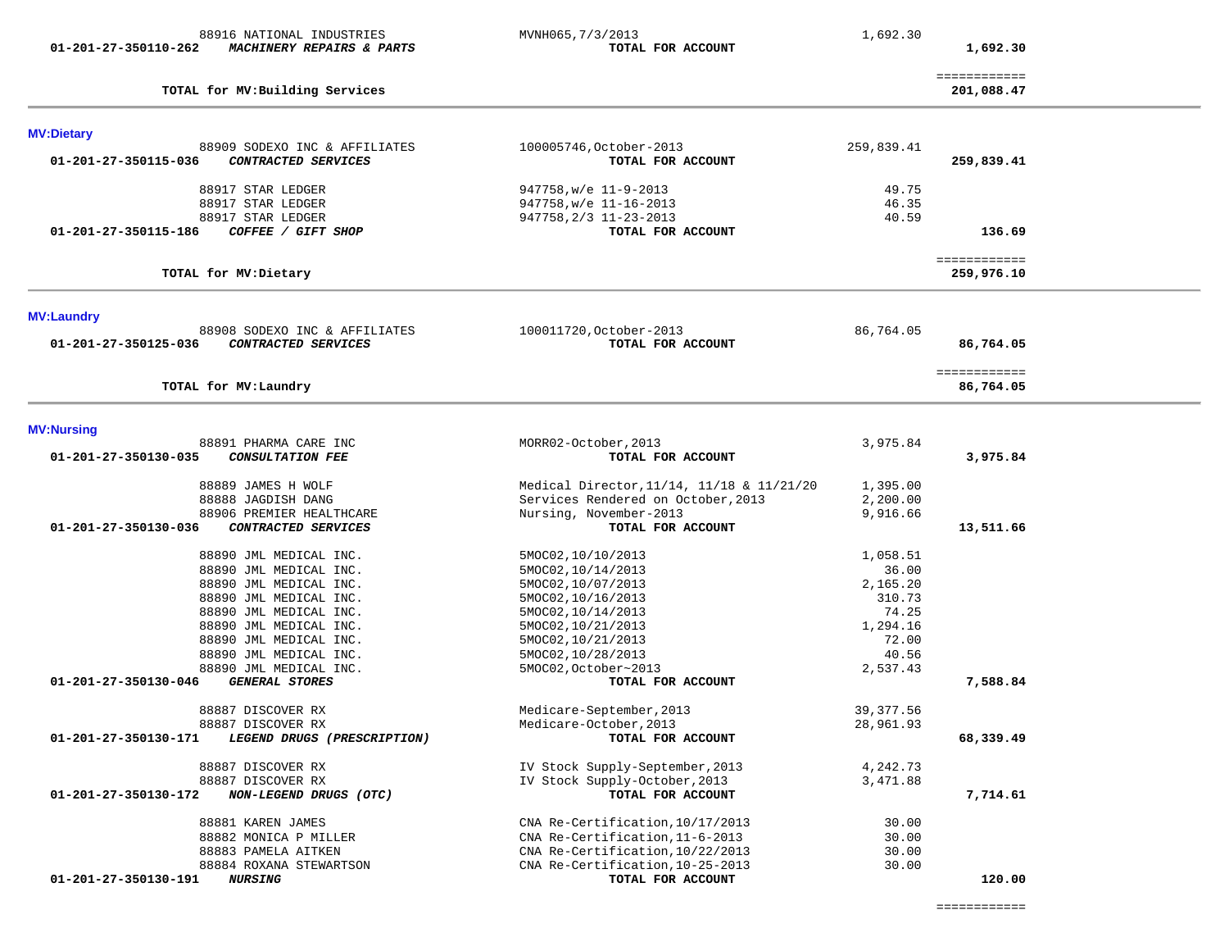| ------------- |
|---------------|
| ------------- |
|               |

| TOTAL for MV: Laundry                                    |                                           |            | ============<br>86,764.05 |
|----------------------------------------------------------|-------------------------------------------|------------|---------------------------|
| <b>MV:Nursing</b>                                        |                                           |            |                           |
| 88891 PHARMA CARE INC                                    | MORR02-October, 2013                      | 3,975.84   |                           |
| 01-201-27-350130-035<br><b>CONSULTATION FEE</b>          | TOTAL FOR ACCOUNT                         |            | 3,975.84                  |
| 88889 JAMES H WOLF                                       | Medical Director, 11/14, 11/18 & 11/21/20 | 1,395.00   |                           |
| 88888 JAGDISH DANG                                       | Services Rendered on October, 2013        | 2,200.00   |                           |
| 88906 PREMIER HEALTHCARE                                 | Nursing, November-2013                    | 9,916.66   |                           |
| 01-201-27-350130-036<br>CONTRACTED SERVICES              | TOTAL FOR ACCOUNT                         |            | 13,511.66                 |
| 88890 JML MEDICAL INC.                                   | 5MOC02,10/10/2013                         | 1,058.51   |                           |
| 88890 JML MEDICAL INC.                                   | 5MOC02, 10/14/2013                        | 36.00      |                           |
| 88890 JML MEDICAL INC.                                   | 5MOC02,10/07/2013                         | 2,165.20   |                           |
| 88890 JML MEDICAL INC.                                   | 5MOC02, 10/16/2013                        | 310.73     |                           |
| 88890 JML MEDICAL INC.                                   | 5MOC02, 10/14/2013                        | 74.25      |                           |
| 88890 JML MEDICAL INC.                                   | 5MOC02, 10/21/2013                        | 1,294.16   |                           |
| 88890 JML MEDICAL INC.                                   | 5MOC02, 10/21/2013                        | 72.00      |                           |
| 88890 JML MEDICAL INC.                                   | 5MOC02,10/28/2013                         | 40.56      |                           |
| 88890 JML MEDICAL INC.                                   | 5MOC02, October~2013                      | 2,537.43   |                           |
| 01-201-27-350130-046<br><b>GENERAL STORES</b>            | TOTAL FOR ACCOUNT                         |            | 7,588.84                  |
| 88887 DISCOVER RX                                        | Medicare-September, 2013                  | 39, 377.56 |                           |
| 88887 DISCOVER RX                                        | Medicare-October, 2013                    | 28,961.93  |                           |
| 01-201-27-350130-171<br>LEGEND DRUGS (PRESCRIPTION)      | TOTAL FOR ACCOUNT                         |            | 68,339.49                 |
| 88887 DISCOVER RX                                        | IV Stock Supply-September, 2013           | 4,242.73   |                           |
| 88887 DISCOVER RX                                        | IV Stock Supply-October, 2013             | 3,471.88   |                           |
| $01 - 201 - 27 - 350130 - 172$<br>NON-LEGEND DRUGS (OTC) | TOTAL FOR ACCOUNT                         |            | 7,714.61                  |
| 88881 KAREN JAMES                                        | CNA Re-Certification, 10/17/2013          | 30.00      |                           |
| 88882 MONICA P MILLER                                    | CNA Re-Certification, 11-6-2013           | 30.00      |                           |
| 88883 PAMELA AITKEN                                      | CNA Re-Certification, 10/22/2013          | 30.00      |                           |
| 88884 ROXANA STEWARTSON                                  | CNA Re-Certification, 10-25-2013          | 30.00      |                           |
| 01-201-27-350130-191<br><b>NURSING</b>                   | TOTAL FOR ACCOUNT                         |            | 120.00                    |

**MV:Dietary**  88909 SODEXO INC & AFFILIATES 100005746,October-2013 259,839.41  **01-201-27-350115-036** *CONTRACTED SERVICES* **TOTAL FOR ACCOUNT 259,839.41** 88917 STAR LEDGER 947758,w/e 11-9-2013 49.75

============

 88917 STAR LEDGER 947758,w/e 11-16-2013 46.35 88917 STAR LEDGER 947758, 2/3 11-23-2013  **01-201-27-350115-186** *COFFEE / GIFT SHOP* **TOTAL FOR ACCOUNT 136.69** ============ 259,976.10 **TOTAL for MV:Dietary 259,976.10 MV:Laundry** 

 88908 SODEXO INC & AFFILIATES 100011720,October-2013 86,764.05  **01-201-27-350125-036** *CONTRACTED SERVICES* **TOTAL FOR ACCOUNT 86,764.05**

 **01-201-27-350110-262** *MACHINERY REPAIRS & PARTS* **TOTAL FOR ACCOUNT 1,692.30**

**TOTAL for MV:Building Services 201,088.47**

88916 NATIONAL INDUSTRIES MVNH065, 7/3/2013 1,692.30

201,088.47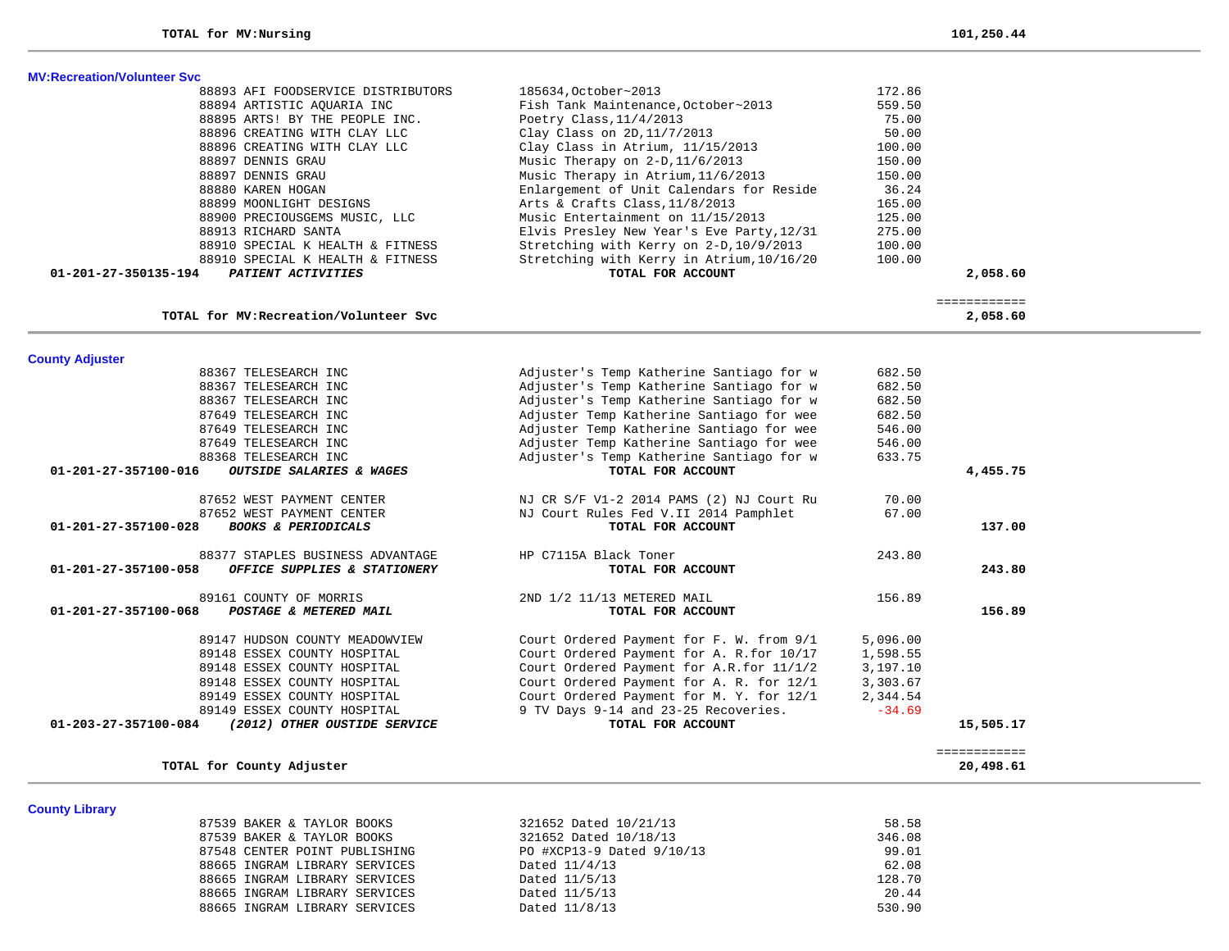|  | <b>MV:Recreation/Volunteer Syc.</b> |  |
|--|-------------------------------------|--|

| 88893 AFI FOODSERVICE DISTRIBUTORS<br>88894 ARTISTIC AQUARIA INC<br>88895 ARTS! BY THE PEOPLE INC.<br>88896 CREATING WITH CLAY LLC<br>88896 CREATING WITH CLAY LLC<br>88897 DENNIS GRAU<br>88897 DENNIS GRAU<br>88880 KAREN HOGAN<br>88899 MOONLIGHT DESIGNS<br>88900 PRECIOUSGEMS MUSIC, LLC | 185634, October~2013<br>172.86<br>Fish Tank Maintenance, October~2013<br>559.50<br>75.00<br>Poetry Class, $11/4/2013$<br>50.00<br>Clay Class on $2D, 11/7/2013$<br>Clay Class in Atrium, 11/15/2013<br>100.00<br>Music Therapy on $2-D, 11/6/2013$<br>150.00<br>Music Therapy in Atrium, 11/6/2013<br>150.00<br>Enlargement of Unit Calendars for Reside<br>36.24<br>Arts & Crafts Class, 11/8/2013<br>165.00 |          |
|-----------------------------------------------------------------------------------------------------------------------------------------------------------------------------------------------------------------------------------------------------------------------------------------------|---------------------------------------------------------------------------------------------------------------------------------------------------------------------------------------------------------------------------------------------------------------------------------------------------------------------------------------------------------------------------------------------------------------|----------|
|                                                                                                                                                                                                                                                                                               |                                                                                                                                                                                                                                                                                                                                                                                                               |          |
|                                                                                                                                                                                                                                                                                               |                                                                                                                                                                                                                                                                                                                                                                                                               |          |
|                                                                                                                                                                                                                                                                                               |                                                                                                                                                                                                                                                                                                                                                                                                               |          |
|                                                                                                                                                                                                                                                                                               |                                                                                                                                                                                                                                                                                                                                                                                                               |          |
|                                                                                                                                                                                                                                                                                               |                                                                                                                                                                                                                                                                                                                                                                                                               |          |
|                                                                                                                                                                                                                                                                                               |                                                                                                                                                                                                                                                                                                                                                                                                               |          |
|                                                                                                                                                                                                                                                                                               |                                                                                                                                                                                                                                                                                                                                                                                                               |          |
|                                                                                                                                                                                                                                                                                               |                                                                                                                                                                                                                                                                                                                                                                                                               |          |
|                                                                                                                                                                                                                                                                                               |                                                                                                                                                                                                                                                                                                                                                                                                               |          |
|                                                                                                                                                                                                                                                                                               | Music Entertainment on 11/15/2013<br>125.00                                                                                                                                                                                                                                                                                                                                                                   |          |
| 88913 RICHARD SANTA                                                                                                                                                                                                                                                                           | 275.00<br>Elvis Presley New Year's Eve Party, 12/31                                                                                                                                                                                                                                                                                                                                                           |          |
| 88910 SPECIAL K HEALTH & FITNESS                                                                                                                                                                                                                                                              | Stretching with Kerry on 2-D, 10/9/2013<br>100.00                                                                                                                                                                                                                                                                                                                                                             |          |
| 88910 SPECIAL K HEALTH & FITNESS                                                                                                                                                                                                                                                              | Stretching with Kerry in Atrium, 10/16/20<br>100.00                                                                                                                                                                                                                                                                                                                                                           |          |
| 01-201-27-350135-194<br>PATIENT ACTIVITIES                                                                                                                                                                                                                                                    | TOTAL FOR ACCOUNT                                                                                                                                                                                                                                                                                                                                                                                             | 2,058.60 |
|                                                                                                                                                                                                                                                                                               |                                                                                                                                                                                                                                                                                                                                                                                                               |          |
| TOTAL for MV: Recreation/Volunteer Svc                                                                                                                                                                                                                                                        |                                                                                                                                                                                                                                                                                                                                                                                                               | 2,058.60 |

|                                | 88367 TELESEARCH INC             | Adjuster's Temp Katherine Santiago for w  | 682.50   |              |
|--------------------------------|----------------------------------|-------------------------------------------|----------|--------------|
|                                | 88367 TELESEARCH INC             | Adjuster's Temp Katherine Santiago for w  | 682.50   |              |
|                                | 88367 TELESEARCH INC             | Adjuster's Temp Katherine Santiago for w  | 682.50   |              |
|                                | 87649 TELESEARCH INC             | Adjuster Temp Katherine Santiago for wee  | 682.50   |              |
|                                | 87649 TELESEARCH INC             | Adjuster Temp Katherine Santiago for wee  | 546.00   |              |
|                                | 87649 TELESEARCH INC             | Adjuster Temp Katherine Santiago for wee  | 546.00   |              |
|                                | 88368 TELESEARCH INC             | Adjuster's Temp Katherine Santiago for w  | 633.75   |              |
| 01-201-27-357100-016           | OUTSIDE SALARIES & WAGES         | TOTAL FOR ACCOUNT                         |          | 4,455.75     |
|                                | 87652 WEST PAYMENT CENTER        | NJ CR S/F V1-2 2014 PAMS (2) NJ Court Ru  | 70.00    |              |
|                                | 87652 WEST PAYMENT CENTER        | NJ Court Rules Fed V.II 2014 Pamphlet     | 67.00    |              |
| $01 - 201 - 27 - 357100 - 028$ | <b>BOOKS &amp; PERIODICALS</b>   | TOTAL FOR ACCOUNT                         |          | 137.00       |
|                                | 88377 STAPLES BUSINESS ADVANTAGE | HP C7115A Black Toner                     | 243.80   |              |
| $01 - 201 - 27 - 357100 - 058$ | OFFICE SUPPLIES & STATIONERY     | TOTAL FOR ACCOUNT                         |          | 243.80       |
|                                | 89161 COUNTY OF MORRIS           | 2ND 1/2 11/13 METERED MAIL                | 156.89   |              |
| $01 - 201 - 27 - 357100 - 068$ | POSTAGE & METERED MAIL           | TOTAL FOR ACCOUNT                         |          | 156.89       |
|                                | 89147 HUDSON COUNTY MEADOWVIEW   | Court Ordered Payment for F. W. from 9/1  | 5,096.00 |              |
|                                | 89148 ESSEX COUNTY HOSPITAL      | Court Ordered Payment for A. R. for 10/17 | 1,598.55 |              |
|                                | 89148 ESSEX COUNTY HOSPITAL      | Court Ordered Payment for A.R.for 11/1/2  | 3,197.10 |              |
|                                | 89148 ESSEX COUNTY HOSPITAL      | Court Ordered Payment for A. R. for 12/1  | 3,303.67 |              |
|                                | 89149 ESSEX COUNTY HOSPITAL      | Court Ordered Payment for M. Y. for 12/1  | 2,344.54 |              |
|                                | 89149 ESSEX COUNTY HOSPITAL      | 9 TV Days 9-14 and 23-25 Recoveries.      | $-34.69$ |              |
| $01 - 203 - 27 - 357100 - 084$ | (2012) OTHER OUSTIDE SERVICE     | TOTAL FOR ACCOUNT                         |          | 15,505.17    |
|                                |                                  |                                           |          | ============ |
|                                | TOTAL for County Adjuster        |                                           |          | 20,498.61    |

**County Library** 

| 87539 BAKER & TAYLOR BOOKS    | 321652 Dated 10/21/13     | 58.58  |
|-------------------------------|---------------------------|--------|
| 87539 BAKER & TAYLOR BOOKS    | 321652 Dated 10/18/13     | 346.08 |
| 87548 CENTER POINT PUBLISHING | PO #XCP13-9 Dated 9/10/13 | 99.01  |
| 88665 INGRAM LIBRARY SERVICES | Dated 11/4/13             | 62.08  |
| 88665 INGRAM LIBRARY SERVICES | Dated 11/5/13             | 128.70 |
| 88665 INGRAM LIBRARY SERVICES | Dated 11/5/13             | 20.44  |
| 88665 INGRAM LIBRARY SERVICES | Dated 11/8/13             | 530.90 |
|                               |                           |        |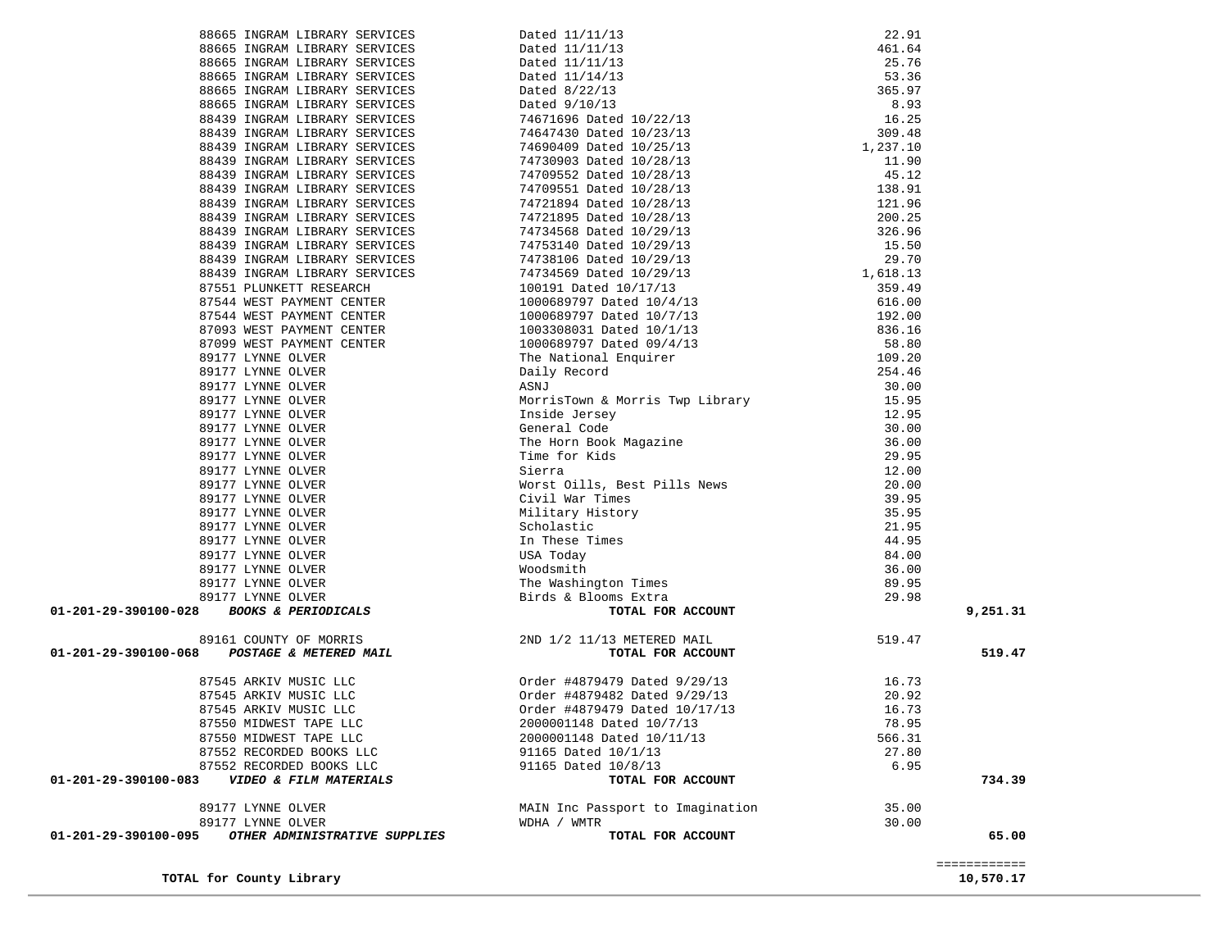| TOTAL for County Library                                                                                                                                                                                                                                                                |                                                                                                                                                                                                                                                                                                                                                                    |        | 10,570.17    |
|-----------------------------------------------------------------------------------------------------------------------------------------------------------------------------------------------------------------------------------------------------------------------------------------|--------------------------------------------------------------------------------------------------------------------------------------------------------------------------------------------------------------------------------------------------------------------------------------------------------------------------------------------------------------------|--------|--------------|
|                                                                                                                                                                                                                                                                                         |                                                                                                                                                                                                                                                                                                                                                                    |        | ============ |
| 01-201-29-390100-095<br>OTHER ADMINISTRATIVE SUPPLIES                                                                                                                                                                                                                                   | TOTAL FOR ACCOUNT                                                                                                                                                                                                                                                                                                                                                  |        | 65.00        |
| 89177 LYNNE OLVER                                                                                                                                                                                                                                                                       | WDHA / WMTR                                                                                                                                                                                                                                                                                                                                                        | 30.00  |              |
| 89177 LYNNE OLVER                                                                                                                                                                                                                                                                       | MAIN Inc Passport to Imagination                                                                                                                                                                                                                                                                                                                                   | 35.00  |              |
| 01-201-29-390100-083<br>VIDEO & FILM MATERIALS                                                                                                                                                                                                                                          | TOTAL FOR ACCOUNT                                                                                                                                                                                                                                                                                                                                                  |        | 734.39       |
| 87552 RECORDED BOOKS LLC                                                                                                                                                                                                                                                                | 91165 Dated 10/8/13                                                                                                                                                                                                                                                                                                                                                | 6.95   |              |
| 87552 RECORDED BOOKS LLC                                                                                                                                                                                                                                                                | 91165 Dated 10/1/13                                                                                                                                                                                                                                                                                                                                                | 27.80  |              |
| 87550 MIDWEST TAPE LLC                                                                                                                                                                                                                                                                  | 2000001148 Dated 10/11/13                                                                                                                                                                                                                                                                                                                                          | 566.31 |              |
| 87550 MIDWEST TAPE LLC                                                                                                                                                                                                                                                                  | 2000001148 Dated 10/7/13                                                                                                                                                                                                                                                                                                                                           | 78.95  |              |
| 87545 ARKIV MUSIC LLC                                                                                                                                                                                                                                                                   | 0rder #4879479 Dated 9/29/13 16.73<br>0rder #4879482 Dated 9/29/13 20.92<br>0rder #4879479 Dated 10/17/13 16.73                                                                                                                                                                                                                                                    |        |              |
| 87545 ARKIV MUSIC LLC                                                                                                                                                                                                                                                                   |                                                                                                                                                                                                                                                                                                                                                                    |        |              |
| 87545 ARKIV MUSIC LLC                                                                                                                                                                                                                                                                   |                                                                                                                                                                                                                                                                                                                                                                    |        |              |
| 61 COUNTY OF MORRIS<br><b>POSTAGE &amp; METERED MAIL</b><br>45 ARKIV MUSIC LLC<br>45 ARKIV MUSIC LLC<br>45 ARKIV MUSIC LLC<br>EO MIDWECH LLC                                                                                                                                            |                                                                                                                                                                                                                                                                                                                                                                    |        |              |
| 01-201-29-390100-068                                                                                                                                                                                                                                                                    | TOTAL FOR ACCOUNT                                                                                                                                                                                                                                                                                                                                                  |        | 519.47       |
| 89161 COUNTY OF MORRIS                                                                                                                                                                                                                                                                  | 2ND 1/2 11/13 METERED MAIL                                                                                                                                                                                                                                                                                                                                         | 519.47 |              |
|                                                                                                                                                                                                                                                                                         |                                                                                                                                                                                                                                                                                                                                                                    |        |              |
| 87099 WEST PAYMENT CENTER<br>89177 LYNNE OLVER<br>89177 LYNNE OLVER<br>89177 LYNNE OLVER<br>89177 LYNNE OLVER<br>89177 LYNNE OLVER<br>89177 LYNNE OLVER<br>89177 LYNNE OLVER<br>89177 LYNNE OLVER<br>89177 LYNNE OLVER<br>89177 LYNNE OLVER<br>89177 LYNNE OLVE<br>01-201-29-390100-028 | 747338106 Dated 10/29/13<br>74738106 Dated 10/29/13<br>74738106 Dated 10/29/13<br>74738106 Dated 10/29/13<br>1000689797 Dated 10/4/13<br>1000689797 Dated 10/7/13<br>1003689797 Dated 10/7/13<br>1003689797 Dated 10/1/13<br>1003689797 Dated                                                                                                                      |        | 9,251.31     |
|                                                                                                                                                                                                                                                                                         |                                                                                                                                                                                                                                                                                                                                                                    |        |              |
|                                                                                                                                                                                                                                                                                         |                                                                                                                                                                                                                                                                                                                                                                    |        |              |
|                                                                                                                                                                                                                                                                                         |                                                                                                                                                                                                                                                                                                                                                                    |        |              |
|                                                                                                                                                                                                                                                                                         |                                                                                                                                                                                                                                                                                                                                                                    |        |              |
|                                                                                                                                                                                                                                                                                         |                                                                                                                                                                                                                                                                                                                                                                    |        |              |
|                                                                                                                                                                                                                                                                                         |                                                                                                                                                                                                                                                                                                                                                                    |        |              |
|                                                                                                                                                                                                                                                                                         |                                                                                                                                                                                                                                                                                                                                                                    |        |              |
|                                                                                                                                                                                                                                                                                         |                                                                                                                                                                                                                                                                                                                                                                    |        |              |
|                                                                                                                                                                                                                                                                                         |                                                                                                                                                                                                                                                                                                                                                                    |        |              |
|                                                                                                                                                                                                                                                                                         |                                                                                                                                                                                                                                                                                                                                                                    |        |              |
|                                                                                                                                                                                                                                                                                         |                                                                                                                                                                                                                                                                                                                                                                    |        |              |
|                                                                                                                                                                                                                                                                                         |                                                                                                                                                                                                                                                                                                                                                                    |        |              |
|                                                                                                                                                                                                                                                                                         |                                                                                                                                                                                                                                                                                                                                                                    |        |              |
|                                                                                                                                                                                                                                                                                         |                                                                                                                                                                                                                                                                                                                                                                    |        |              |
|                                                                                                                                                                                                                                                                                         |                                                                                                                                                                                                                                                                                                                                                                    |        |              |
|                                                                                                                                                                                                                                                                                         |                                                                                                                                                                                                                                                                                                                                                                    |        |              |
|                                                                                                                                                                                                                                                                                         |                                                                                                                                                                                                                                                                                                                                                                    |        |              |
|                                                                                                                                                                                                                                                                                         |                                                                                                                                                                                                                                                                                                                                                                    |        |              |
|                                                                                                                                                                                                                                                                                         |                                                                                                                                                                                                                                                                                                                                                                    |        |              |
|                                                                                                                                                                                                                                                                                         |                                                                                                                                                                                                                                                                                                                                                                    |        |              |
|                                                                                                                                                                                                                                                                                         |                                                                                                                                                                                                                                                                                                                                                                    |        |              |
|                                                                                                                                                                                                                                                                                         |                                                                                                                                                                                                                                                                                                                                                                    |        |              |
| 88439 INGRAM LIBRARY SERVICES<br>88439 INGRAM LIBRARY SERVICES<br>88439 INGRAM LIBRARY SERVICES<br>88439 INGRAM LIBRARY SERVICES<br>88439 INGRAM LIBRARY SERVICES<br>88439 INGRAM LIBRARY SERVICES<br>88439 INGRAM LIBRARY SERVICES<br>87551 PLUNKE                                     | $\begin{tabular}{l c c} \hline \texttt{Dated} & 11/11/13 & 22.91 \\ \hline \texttt{Dated} & 11/11/13 & 461.64 \\ \hline \texttt{Dated} & 11/14/13 & 25.76 \\ \hline \texttt{Dated} & 11/14/13 & 53.36 \\ \hline \texttt{Dated} & 9/10/13 & 53.36 \\ \hline \texttt{Dated} & 9/10/13 & 8.93 \\ \hline \texttt{74647430 Dated} & 10/22/13 & 16.25 \\ \hline \texttt$ |        |              |
|                                                                                                                                                                                                                                                                                         |                                                                                                                                                                                                                                                                                                                                                                    |        |              |
|                                                                                                                                                                                                                                                                                         |                                                                                                                                                                                                                                                                                                                                                                    |        |              |
|                                                                                                                                                                                                                                                                                         |                                                                                                                                                                                                                                                                                                                                                                    |        |              |
|                                                                                                                                                                                                                                                                                         |                                                                                                                                                                                                                                                                                                                                                                    |        |              |
|                                                                                                                                                                                                                                                                                         |                                                                                                                                                                                                                                                                                                                                                                    |        |              |
| 88439 INGRAM LIBRARY SERVICES                                                                                                                                                                                                                                                           |                                                                                                                                                                                                                                                                                                                                                                    |        |              |
| 88439 INGRAM LIBRARY SERVICES<br>88439 INGRAM LIBRARY SERVICES                                                                                                                                                                                                                          |                                                                                                                                                                                                                                                                                                                                                                    |        |              |
| 88439 INGRAM LIBRARY SERVICES                                                                                                                                                                                                                                                           |                                                                                                                                                                                                                                                                                                                                                                    |        |              |
| 88439 INGRAM LIBRARY SERVICES                                                                                                                                                                                                                                                           |                                                                                                                                                                                                                                                                                                                                                                    |        |              |
| 88439 INGRAM LIBRARY SERVICES                                                                                                                                                                                                                                                           |                                                                                                                                                                                                                                                                                                                                                                    |        |              |
| 88665 INGRAM LIBRARY SERVICES                                                                                                                                                                                                                                                           |                                                                                                                                                                                                                                                                                                                                                                    |        |              |
| 88665 INGRAM LIBRARY SERVICES                                                                                                                                                                                                                                                           |                                                                                                                                                                                                                                                                                                                                                                    |        |              |
| 88665 INGRAM LIBRARY SERVICES                                                                                                                                                                                                                                                           |                                                                                                                                                                                                                                                                                                                                                                    |        |              |
| 88665 INGRAM LIBRARY SERVICES                                                                                                                                                                                                                                                           |                                                                                                                                                                                                                                                                                                                                                                    |        |              |
| 88665 INGRAM LIBRARY SERVICES                                                                                                                                                                                                                                                           |                                                                                                                                                                                                                                                                                                                                                                    |        |              |
| 88665 INGRAM LIBRARY SERVICES                                                                                                                                                                                                                                                           |                                                                                                                                                                                                                                                                                                                                                                    |        |              |
|                                                                                                                                                                                                                                                                                         |                                                                                                                                                                                                                                                                                                                                                                    |        |              |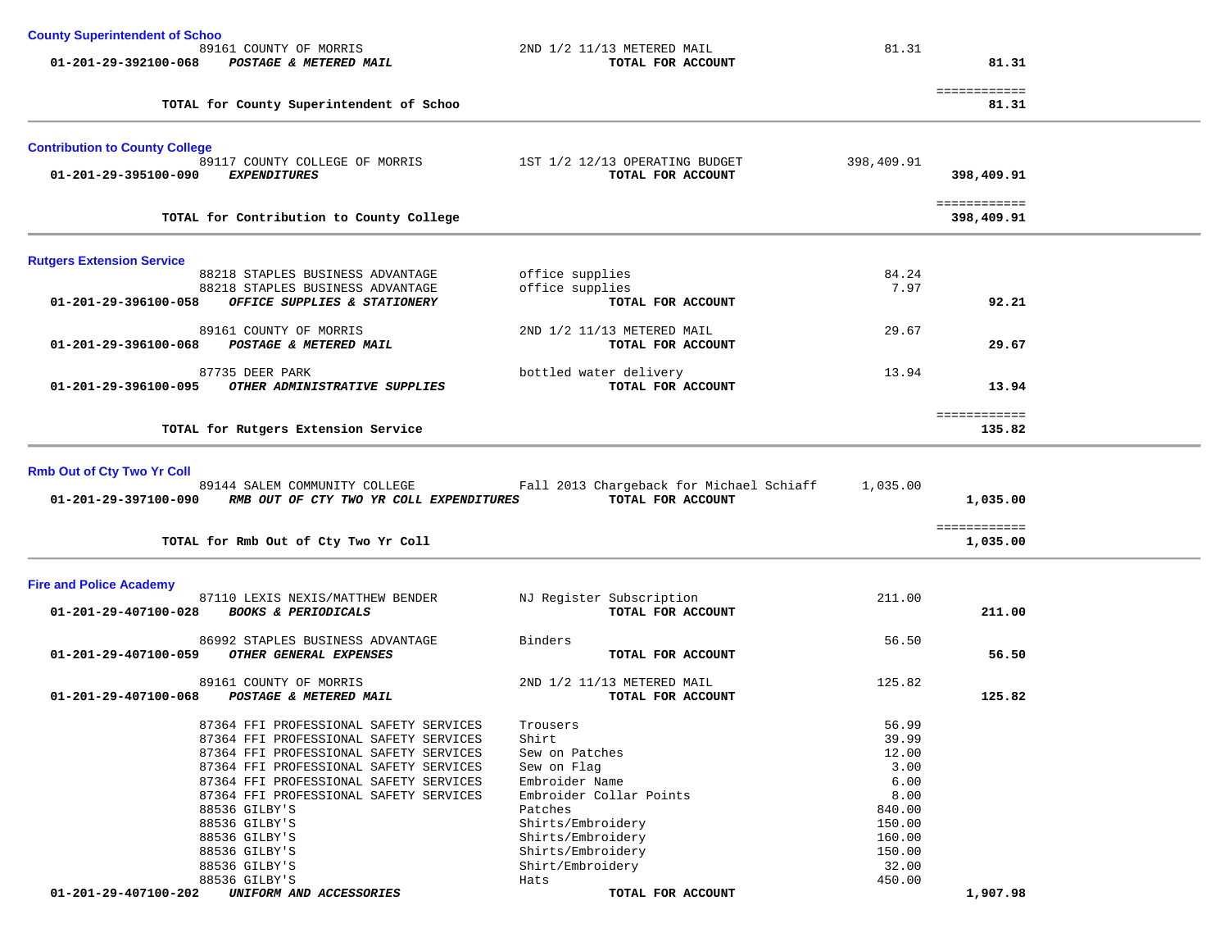| <b>County Superintendent of Schoo</b> |                                                                                  |                                             |                 |              |  |
|---------------------------------------|----------------------------------------------------------------------------------|---------------------------------------------|-----------------|--------------|--|
|                                       | 89161 COUNTY OF MORRIS                                                           | 2ND 1/2 11/13 METERED MAIL                  | 81.31           |              |  |
|                                       | 01-201-29-392100-068 POSTAGE & METERED MAIL                                      | TOTAL FOR ACCOUNT                           |                 | 81.31        |  |
|                                       |                                                                                  |                                             |                 | ============ |  |
|                                       | TOTAL for County Superintendent of Schoo                                         |                                             |                 | 81.31        |  |
| <b>Contribution to County College</b> |                                                                                  |                                             |                 |              |  |
|                                       | 89117 COUNTY COLLEGE OF MORRIS 1ST 1/2 12/13 OPERATING BUDGET                    |                                             | 398,409.91      |              |  |
| 01-201-29-395100-090 EXPENDITURES     |                                                                                  | TOTAL FOR ACCOUNT                           |                 | 398,409.91   |  |
|                                       |                                                                                  |                                             |                 | ============ |  |
|                                       | TOTAL for Contribution to County College                                         |                                             |                 | 398,409.91   |  |
|                                       |                                                                                  |                                             |                 |              |  |
| <b>Rutgers Extension Service</b>      |                                                                                  |                                             |                 |              |  |
|                                       | 88218 STAPLES BUSINESS ADVANTAGE                                                 | office supplies                             | 84.24           |              |  |
| 01-201-29-396100-058                  | 88218 STAPLES BUSINESS ADVANTAGE<br>OFFICE SUPPLIES & STATIONERY                 | office supplies<br>TOTAL FOR ACCOUNT        | 7.97            | 92.21        |  |
|                                       |                                                                                  |                                             |                 |              |  |
|                                       | 89161 COUNTY OF MORRIS                                                           | 2ND 1/2 11/13 METERED MAIL                  | 29.67           |              |  |
| 01-201-29-396100-068                  | POSTAGE & METERED MAIL                                                           | TOTAL FOR ACCOUNT                           |                 | 29.67        |  |
|                                       |                                                                                  |                                             |                 |              |  |
| $01 - 201 - 29 - 396100 - 095$        | 87735 DEER PARK<br>OTHER ADMINISTRATIVE SUPPLIES                                 | bottled water delivery<br>TOTAL FOR ACCOUNT | 13.94           | 13.94        |  |
|                                       |                                                                                  |                                             |                 |              |  |
|                                       |                                                                                  |                                             |                 | ============ |  |
|                                       | TOTAL for Rutgers Extension Service                                              |                                             |                 | 135.82       |  |
|                                       |                                                                                  |                                             |                 |              |  |
| <b>Rmb Out of Cty Two Yr Coll</b>     |                                                                                  |                                             |                 |              |  |
|                                       | 89144 SALEM COMMUNITY COLLEGE                                                    | Fall 2013 Chargeback for Michael Schiaff    | 1,035.00        |              |  |
| 01-201-29-397100-090                  | RMB OUT OF CTY TWO YR COLL EXPENDITURES                                          | TOTAL FOR ACCOUNT                           |                 | 1,035.00     |  |
|                                       |                                                                                  |                                             |                 | ============ |  |
|                                       | TOTAL for Rmb Out of Cty Two Yr Coll                                             |                                             |                 | 1,035.00     |  |
|                                       |                                                                                  |                                             |                 |              |  |
| <b>Fire and Police Academy</b>        | 87110 LEXIS NEXIS/MATTHEW BENDER                                                 | NJ Register Subscription                    | 211.00          |              |  |
| 01-201-29-407100-028                  | <b>BOOKS &amp; PERIODICALS</b>                                                   | TOTAL FOR ACCOUNT                           |                 | 211.00       |  |
|                                       |                                                                                  |                                             |                 |              |  |
|                                       | 86992 STAPLES BUSINESS ADVANTAGE                                                 | Binders                                     | 56.50           |              |  |
| 01-201-29-407100-059                  | OTHER GENERAL EXPENSES                                                           | TOTAL FOR ACCOUNT                           |                 | 56.50        |  |
|                                       | 89161 COUNTY OF MORRIS                                                           | 2ND 1/2 11/13 METERED MAIL                  | 125.82          |              |  |
| 01-201-29-407100-068                  | POSTAGE & METERED MAIL                                                           | TOTAL FOR ACCOUNT                           |                 | 125.82       |  |
|                                       |                                                                                  |                                             |                 |              |  |
|                                       | 87364 FFI PROFESSIONAL SAFETY SERVICES                                           | Trousers                                    | 56.99           |              |  |
|                                       | 87364 FFI PROFESSIONAL SAFETY SERVICES<br>87364 FFI PROFESSIONAL SAFETY SERVICES | Shirt                                       | 39.99<br>12.00  |              |  |
|                                       | 87364 FFI PROFESSIONAL SAFETY SERVICES                                           | Sew on Patches<br>Sew on Flag               | 3.00            |              |  |
|                                       | 87364 FFI PROFESSIONAL SAFETY SERVICES                                           | Embroider Name                              | 6.00            |              |  |
|                                       | 87364 FFI PROFESSIONAL SAFETY SERVICES                                           | Embroider Collar Points                     | 8.00            |              |  |
|                                       | 88536 GILBY'S                                                                    | Patches                                     | 840.00          |              |  |
|                                       | 88536 GILBY'S                                                                    | Shirts/Embroidery                           | 150.00          |              |  |
|                                       | 88536 GILBY'S                                                                    | Shirts/Embroidery                           | 160.00          |              |  |
|                                       | 88536 GILBY'S                                                                    | Shirts/Embroidery                           | 150.00          |              |  |
|                                       | 88536 GILBY'S<br>88536 GILBY'S                                                   | Shirt/Embroidery                            | 32.00<br>450.00 |              |  |
| 01-201-29-407100-202                  | UNIFORM AND ACCESSORIES                                                          | Hats<br>TOTAL FOR ACCOUNT                   |                 | 1,907.98     |  |
|                                       |                                                                                  |                                             |                 |              |  |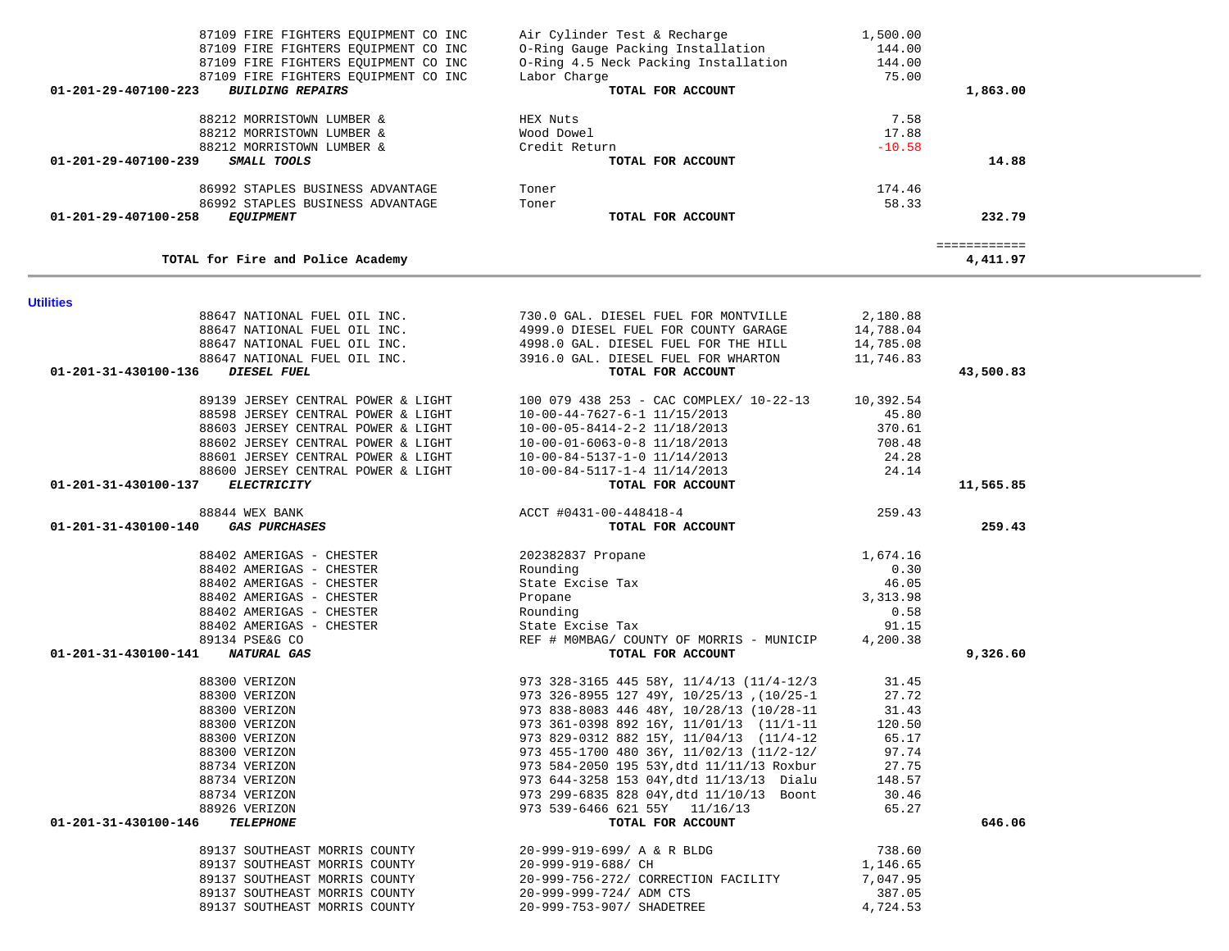| 00222 DIAPHEO DODINEOD ADVANIAGE<br>86992 STAPLES BUSINESS ADVANTAGE | TOITET<br>Toner                                                                                                                                                                                                                                               | $+1.7.70$<br>58.33 |                          |
|----------------------------------------------------------------------|---------------------------------------------------------------------------------------------------------------------------------------------------------------------------------------------------------------------------------------------------------------|--------------------|--------------------------|
| 01-201-29-407100-258<br><i>EQUIPMENT</i>                             | TOTAL FOR ACCOUNT                                                                                                                                                                                                                                             |                    | 232.79                   |
|                                                                      |                                                                                                                                                                                                                                                               |                    |                          |
| TOTAL for Fire and Police Academy                                    |                                                                                                                                                                                                                                                               |                    | ============<br>4,411.97 |
| <b>Utilities</b>                                                     |                                                                                                                                                                                                                                                               |                    |                          |
|                                                                      | 88647 NATIONAL FUEL OIL INC. 730.0 GAL. DIESEL FUEL FOR MONTVILLE                                                                                                                                                                                             | 2,180.88           |                          |
|                                                                      | 88647 NATIONAL FUEL OIL INC. 4999.0 DIESEL FUEL FOR COUNTY GARAGE 14,788.04                                                                                                                                                                                   |                    |                          |
| 88647 NATIONAL FUEL OIL INC.                                         | 4998.0 GAL. DIESEL FUEL FOR THE HILL                                                                                                                                                                                                                          | 14,785.08          |                          |
|                                                                      | 88647 NATIONAL FUEL OIL INC. 3916.0 GAL. DIESEL FUEL FOR WHARTON 11,746.83                                                                                                                                                                                    |                    |                          |
| DIESEL FUEL<br>01-201-31-430100-136                                  | TOTAL FOR ACCOUNT                                                                                                                                                                                                                                             |                    | 43,500.83                |
|                                                                      | 89139 JERSEY CENTRAL POWER & LIGHT 100 079 438 253 - CAC COMPLEX/ 10-22-13 10,392.54                                                                                                                                                                          |                    |                          |
| 88598 JERSEY CENTRAL POWER & LIGHT                                   |                                                                                                                                                                                                                                                               | 45.80              |                          |
| 88603 JERSEY CENTRAL POWER & LIGHT                                   | 10-00-44-7627-6-1 11/15/2013<br>10-00-05-8414-2-2 11/18/2013                                                                                                                                                                                                  | 370.61             |                          |
| 88602 JERSEY CENTRAL POWER & LIGHT                                   | 10-00-01-6063-0-8 11/18/2013                                                                                                                                                                                                                                  | 708.48             |                          |
| 88601 JERSEY CENTRAL POWER & LIGHT                                   | $10-00-84-5137-1-0 11/14/2013$<br>$10-00-84-5117-1-4 11/14/2013$                                                                                                                                                                                              | 24.28              |                          |
| 88600 JERSEY CENTRAL POWER & LIGHT                                   |                                                                                                                                                                                                                                                               | 24.14              |                          |
| 01-201-31-430100-137<br><b>ELECTRICITY</b>                           | TOTAL FOR ACCOUNT                                                                                                                                                                                                                                             |                    | 11,565.85                |
| 88844 WEX BANK                                                       | ACCT #0431-00-448418-4                                                                                                                                                                                                                                        | 259.43             |                          |
| 01-201-31-430100-140<br><i><b>GAS PURCHASES</b></i>                  | TOTAL FOR ACCOUNT                                                                                                                                                                                                                                             |                    | 259.43                   |
| 88402 AMERIGAS - CHESTER                                             | 202382837 Propane                                                                                                                                                                                                                                             | 1,674.16           |                          |
| 88402 AMERIGAS - CHESTER                                             | Rounding                                                                                                                                                                                                                                                      | 0.30               |                          |
| 88402 AMERIGAS - CHESTER                                             | State Excise Tax                                                                                                                                                                                                                                              | 46.05              |                          |
| 88402 AMERIGAS - CHESTER                                             | Propane                                                                                                                                                                                                                                                       | 3,313.98           |                          |
| 88402 AMERIGAS - CHESTER                                             |                                                                                                                                                                                                                                                               | 0.58               |                          |
| 88402 AMERIGAS - CHESTER                                             |                                                                                                                                                                                                                                                               | 91.15              |                          |
| 89134 PSE&G CO                                                       | REF # MOMBAG/ COUNTY OF MORRIS - MUNICIP 4,200.38                                                                                                                                                                                                             |                    |                          |
| 01-201-31-430100-141 NATURAL GAS                                     | TOTAL FOR ACCOUNT<br>1014L FOR ACCOUNT<br>973 328-3165 445 58Y, 11/4/13 (11/4-12/3<br>973 326-8955 127 49Y, 10/25/13 , (10/25-1<br>973 838-8083 446 48Y, 10/28/13 (10/28-11<br>973 81-0398 892 16Y, 11/01/13 (11/1-11<br>973 829-0312 882 15Y, 11/04/13 (11/4 |                    | 9,326.60                 |
| 88300 VERIZON                                                        |                                                                                                                                                                                                                                                               | 31.45              |                          |
| 88300 VERIZON                                                        |                                                                                                                                                                                                                                                               | 27.72              |                          |
| 88300 VERIZON                                                        |                                                                                                                                                                                                                                                               | 31.43              |                          |
| 88300 VERIZON                                                        |                                                                                                                                                                                                                                                               | 120.50             |                          |
| 88300 VERIZON                                                        |                                                                                                                                                                                                                                                               | 65.17              |                          |
| 88300 VERIZON                                                        |                                                                                                                                                                                                                                                               | 97.74              |                          |
| 88734 VERIZON                                                        |                                                                                                                                                                                                                                                               |                    |                          |
| 88734 VERIZON                                                        |                                                                                                                                                                                                                                                               | 148.57             |                          |
| 88734 VERIZON                                                        |                                                                                                                                                                                                                                                               | 30.46              |                          |
| 88926 VERIZON                                                        | 973  299-6835  828  04Y,dtd  11/10/13  Boont<br>973  539-6466  621  55Y   11/16/13                                                                                                                                                                            | 65.27              |                          |
| 01-201-31-430100-146<br><b>TELEPHONE</b>                             | TOTAL FOR ACCOUNT                                                                                                                                                                                                                                             |                    | 646.06                   |
| 89137 SOUTHEAST MORRIS COUNTY                                        | 20-999-919-699/ A & R BLDG                                                                                                                                                                                                                                    | 738.60             |                          |
| 89137 SOUTHEAST MORRIS COUNTY 20-999-919-688/ CH                     |                                                                                                                                                                                                                                                               | 1,146.65           |                          |
| 89137 SOUTHEAST MORRIS COUNTY                                        | 20-999-756-272/ CORRECTION FACILITY                                                                                                                                                                                                                           | 7,047.95           |                          |
| 89137 SOUTHEAST MORRIS COUNTY                                        | 20-999-999-724/ ADM CTS                                                                                                                                                                                                                                       | 387.05             |                          |
| 89137 SOUTHEAST MORRIS COUNTY                                        | 20-999-753-907/ SHADETREE                                                                                                                                                                                                                                     | 4,724.53           |                          |

| 87109 FIRE FIGHTERS EOUIPMENT CO INC                      | Air Cylinder Test & Recharge         | 1,500.00 |              |
|-----------------------------------------------------------|--------------------------------------|----------|--------------|
| 87109 FIRE FIGHTERS EOUIPMENT CO INC                      | O-Ring Gauge Packing Installation    | 144.00   |              |
| 87109 FIRE FIGHTERS EQUIPMENT CO INC                      | 0-Ring 4.5 Neck Packing Installation | 144.00   |              |
| 87109 FIRE FIGHTERS EOUIPMENT CO INC                      | Labor Charge                         | 75.00    |              |
| $01 - 201 - 29 - 407100 - 223$<br><b>BUILDING REPAIRS</b> | TOTAL FOR ACCOUNT                    |          | 1,863.00     |
| 88212 MORRISTOWN LUMBER &                                 | HEX Nuts                             | 7.58     |              |
| 88212 MORRISTOWN LUMBER &                                 | Wood Dowel                           | 17.88    |              |
| 88212 MORRISTOWN LUMBER &                                 | Credit Return                        | $-10.58$ |              |
| $01 - 201 - 29 - 407100 - 239$<br>SMALL TOOLS             | TOTAL FOR ACCOUNT                    |          | 14.88        |
| 86992 STAPLES BUSINESS ADVANTAGE                          | Toner                                | 174.46   |              |
| 86992 STAPLES BUSINESS ADVANTAGE                          | Toner                                | 58.33    |              |
| 01-201-29-407100-258<br><i>EQUIPMENT</i>                  | TOTAL FOR ACCOUNT                    |          | 232.79       |
|                                                           |                                      |          | :=========== |
| TOTAL for Fire and Police Academy                         |                                      |          | 4,411.97     |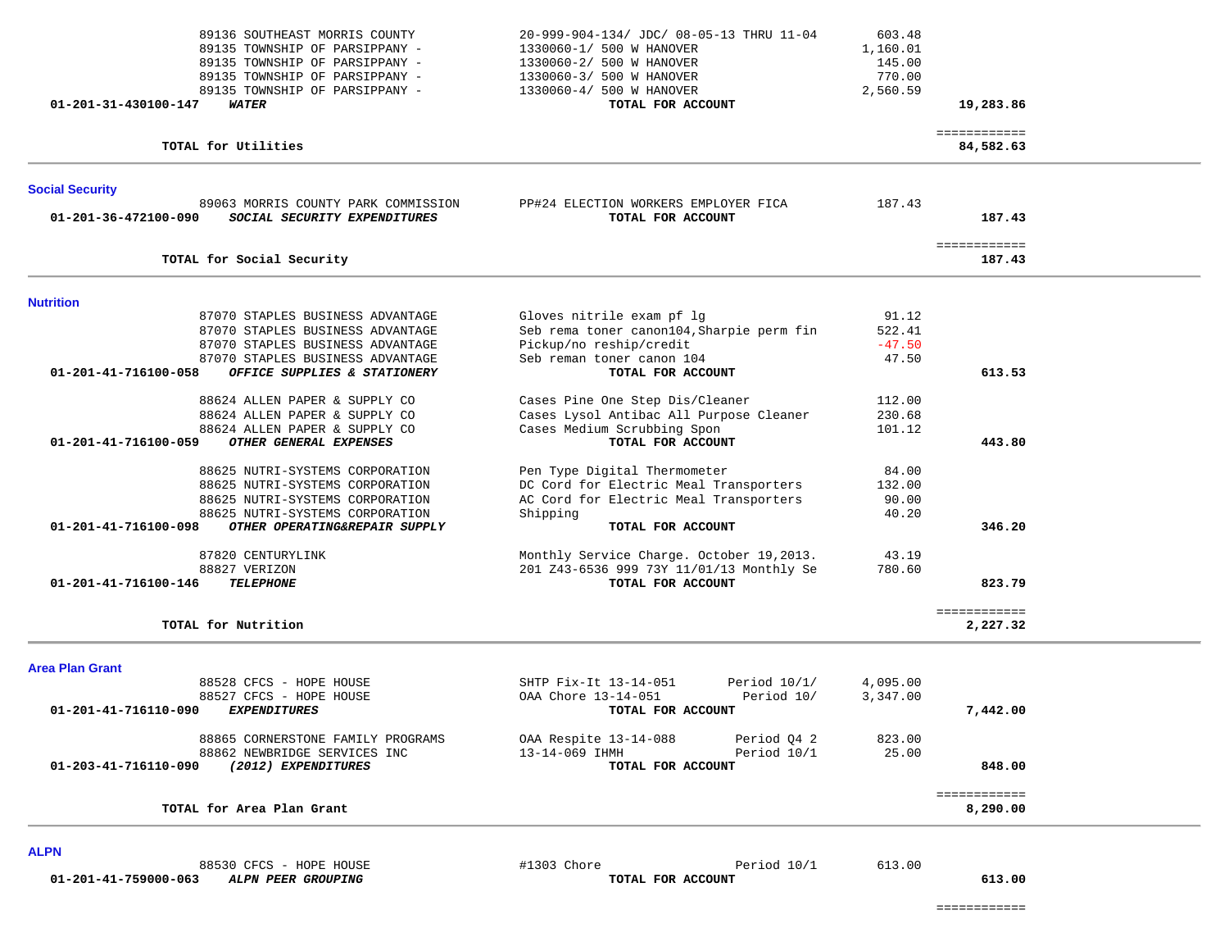| 89136 SOUTHEAST MORRIS COUNTY<br>89135 TOWNSHIP OF PARSIPPANY -<br>89135 TOWNSHIP OF PARSIPPANY -<br>89135 TOWNSHIP OF PARSIPPANY -<br>89135 TOWNSHIP OF PARSIPPANY - | 20-999-904-134/ JDC/ 08-05-13 THRU 11-04<br>1330060-1/ 500 W HANOVER<br>1330060-2/ 500 W HANOVER<br>1330060-3/ 500 W HANOVER<br>1330060-4/ 500 W HANOVER | 603.48<br>1,160.01<br>145.00<br>770.00<br>2,560.59 |                           |  |
|-----------------------------------------------------------------------------------------------------------------------------------------------------------------------|----------------------------------------------------------------------------------------------------------------------------------------------------------|----------------------------------------------------|---------------------------|--|
| <b>WATER</b><br>01-201-31-430100-147                                                                                                                                  | TOTAL FOR ACCOUNT                                                                                                                                        |                                                    | 19,283.86                 |  |
| TOTAL for Utilities                                                                                                                                                   |                                                                                                                                                          |                                                    | ============<br>84,582.63 |  |
| <b>Social Security</b>                                                                                                                                                |                                                                                                                                                          |                                                    |                           |  |
| 89063 MORRIS COUNTY PARK COMMISSION<br>01-201-36-472100-090<br>SOCIAL SECURITY EXPENDITURES                                                                           | PP#24 ELECTION WORKERS EMPLOYER FICA<br>TOTAL FOR ACCOUNT                                                                                                | 187.43                                             | 187.43                    |  |
| TOTAL for Social Security                                                                                                                                             |                                                                                                                                                          |                                                    | ============<br>187.43    |  |
| <b>Nutrition</b>                                                                                                                                                      |                                                                                                                                                          |                                                    |                           |  |
| 87070 STAPLES BUSINESS ADVANTAGE                                                                                                                                      | Gloves nitrile exam pf lg                                                                                                                                | 91.12                                              |                           |  |
| 87070 STAPLES BUSINESS ADVANTAGE                                                                                                                                      | Seb rema toner canon104, Sharpie perm fin                                                                                                                | 522.41                                             |                           |  |
| 87070 STAPLES BUSINESS ADVANTAGE                                                                                                                                      | Pickup/no reship/credit                                                                                                                                  | $-47.50$                                           |                           |  |
| 87070 STAPLES BUSINESS ADVANTAGE                                                                                                                                      | Seb reman toner canon 104                                                                                                                                | 47.50                                              |                           |  |
| OFFICE SUPPLIES & STATIONERY<br>01-201-41-716100-058                                                                                                                  | TOTAL FOR ACCOUNT                                                                                                                                        |                                                    | 613.53                    |  |
| 88624 ALLEN PAPER & SUPPLY CO                                                                                                                                         |                                                                                                                                                          | 112.00                                             |                           |  |
|                                                                                                                                                                       | Cases Pine One Step Dis/Cleaner<br>Cases Lysol Antibac All Purpose Cleaner                                                                               |                                                    |                           |  |
| 88624 ALLEN PAPER & SUPPLY CO<br>88624 ALLEN PAPER & SUPPLY CO                                                                                                        | Cases Medium Scrubbing Spon                                                                                                                              | 230.68<br>101.12                                   |                           |  |
| 01-201-41-716100-059<br>OTHER GENERAL EXPENSES                                                                                                                        | TOTAL FOR ACCOUNT                                                                                                                                        |                                                    | 443.80                    |  |
|                                                                                                                                                                       |                                                                                                                                                          |                                                    |                           |  |
| 88625 NUTRI-SYSTEMS CORPORATION                                                                                                                                       | Pen Type Digital Thermometer                                                                                                                             | 84.00                                              |                           |  |
| 88625 NUTRI-SYSTEMS CORPORATION                                                                                                                                       | DC Cord for Electric Meal Transporters                                                                                                                   | 132.00                                             |                           |  |
| 88625 NUTRI-SYSTEMS CORPORATION                                                                                                                                       | AC Cord for Electric Meal Transporters                                                                                                                   | 90.00                                              |                           |  |
| 88625 NUTRI-SYSTEMS CORPORATION                                                                                                                                       | Shipping                                                                                                                                                 | 40.20                                              |                           |  |
| 01-201-41-716100-098<br>OTHER OPERATING&REPAIR SUPPLY                                                                                                                 | TOTAL FOR ACCOUNT                                                                                                                                        |                                                    | 346.20                    |  |
|                                                                                                                                                                       |                                                                                                                                                          |                                                    |                           |  |
| 87820 CENTURYLINK                                                                                                                                                     | Monthly Service Charge. October 19,2013.                                                                                                                 | 43.19                                              |                           |  |
| 88827 VERIZON                                                                                                                                                         | 201 Z43-6536 999 73Y 11/01/13 Monthly Se                                                                                                                 | 780.60                                             | 823.79                    |  |
| 01-201-41-716100-146<br><b>TELEPHONE</b>                                                                                                                              | TOTAL FOR ACCOUNT                                                                                                                                        |                                                    |                           |  |
|                                                                                                                                                                       |                                                                                                                                                          |                                                    | ============              |  |
| TOTAL for Nutrition                                                                                                                                                   |                                                                                                                                                          |                                                    | 2,227.32                  |  |
| <b>Area Plan Grant</b>                                                                                                                                                |                                                                                                                                                          |                                                    |                           |  |
| 88528 CFCS - HOPE HOUSE                                                                                                                                               | SHTP Fix-It 13-14-051<br>Period $10/1/$                                                                                                                  | 4,095.00                                           |                           |  |
| 88527 CFCS - HOPE HOUSE                                                                                                                                               | OAA Chore 13-14-051<br>Period 10/                                                                                                                        | 3,347.00                                           |                           |  |
| <b>EXPENDITURES</b><br>01-201-41-716110-090                                                                                                                           | TOTAL FOR ACCOUNT                                                                                                                                        |                                                    | 7,442.00                  |  |
| 88865 CORNERSTONE FAMILY PROGRAMS                                                                                                                                     | OAA Respite 13-14-088<br>Period Q4 2                                                                                                                     | 823.00                                             |                           |  |
| 88862 NEWBRIDGE SERVICES INC                                                                                                                                          | 13-14-069 IHMH<br>Period 10/1                                                                                                                            | 25.00                                              |                           |  |
| 01-203-41-716110-090<br>(2012) EXPENDITURES                                                                                                                           | TOTAL FOR ACCOUNT                                                                                                                                        |                                                    | 848.00                    |  |
|                                                                                                                                                                       |                                                                                                                                                          |                                                    |                           |  |
| TOTAL for Area Plan Grant                                                                                                                                             |                                                                                                                                                          |                                                    | ============<br>8,290.00  |  |
| <b>ALPN</b>                                                                                                                                                           |                                                                                                                                                          |                                                    |                           |  |
| 88530 CFCS - HOPE HOUSE                                                                                                                                               | #1303 Chore<br>Period 10/1                                                                                                                               | 613.00                                             |                           |  |
| ALPN PEER GROUPING<br>01-201-41-759000-063                                                                                                                            | TOTAL FOR ACCOUNT                                                                                                                                        |                                                    | 613.00                    |  |

============

 $\overline{A}$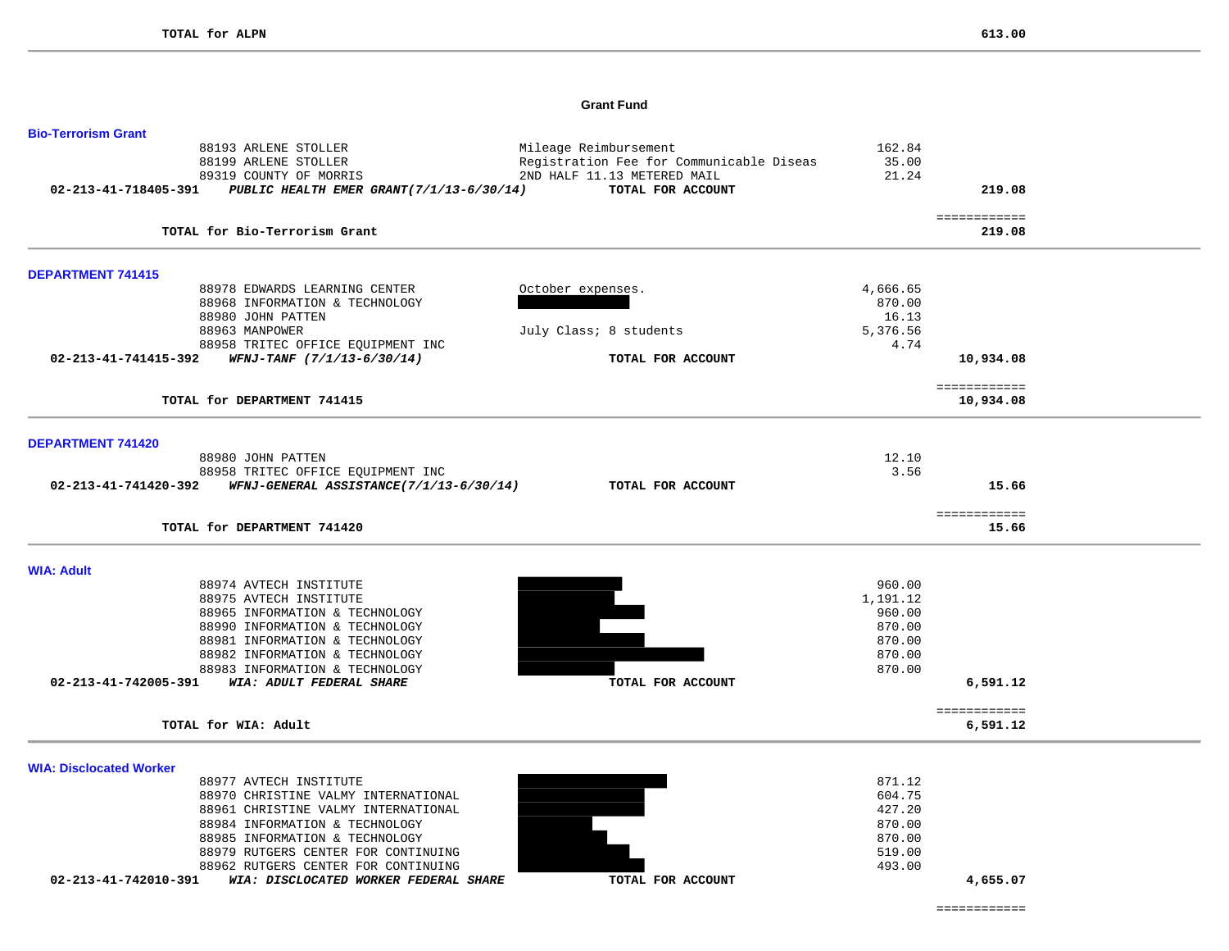### **Grant Fund**

| <b>Bio-Terrorism Grant</b>                                                   |                                          |                  |                           |  |
|------------------------------------------------------------------------------|------------------------------------------|------------------|---------------------------|--|
| 88193 ARLENE STOLLER                                                         | Mileage Reimbursement                    | 162.84           |                           |  |
| 88199 ARLENE STOLLER                                                         | Registration Fee for Communicable Diseas | 35.00            |                           |  |
| 89319 COUNTY OF MORRIS                                                       | 2ND HALF 11.13 METERED MAIL              | 21.24            |                           |  |
| 02-213-41-718405-391<br>PUBLIC HEALTH EMER GRANT(7/1/13-6/30/14)             | TOTAL FOR ACCOUNT                        |                  | 219.08                    |  |
| TOTAL for Bio-Terrorism Grant                                                |                                          |                  | ============<br>219.08    |  |
|                                                                              |                                          |                  |                           |  |
| <b>DEPARTMENT 741415</b>                                                     |                                          |                  |                           |  |
| 88978 EDWARDS LEARNING CENTER                                                | October expenses.                        | 4,666.65         |                           |  |
| 88968 INFORMATION & TECHNOLOGY                                               |                                          | 870.00           |                           |  |
| 88980 JOHN PATTEN                                                            |                                          | 16.13            |                           |  |
| 88963 MANPOWER                                                               | July Class; 8 students                   | 5,376.56         |                           |  |
| 88958 TRITEC OFFICE EQUIPMENT INC                                            |                                          | 4.74             |                           |  |
| 02-213-41-741415-392<br>WFNJ-TANF (7/1/13-6/30/14)                           | TOTAL FOR ACCOUNT                        |                  | 10,934.08                 |  |
| TOTAL for DEPARTMENT 741415                                                  |                                          |                  | ============<br>10,934.08 |  |
|                                                                              |                                          |                  |                           |  |
| <b>DEPARTMENT 741420</b>                                                     |                                          |                  |                           |  |
| 88980 JOHN PATTEN                                                            |                                          | 12.10            |                           |  |
| 88958 TRITEC OFFICE EQUIPMENT INC                                            |                                          | 3.56             |                           |  |
| WFNJ-GENERAL ASSISTANCE(7/1/13-6/30/14)<br>02-213-41-741420-392              | TOTAL FOR ACCOUNT                        |                  | 15.66                     |  |
| TOTAL for DEPARTMENT 741420                                                  |                                          |                  | ============<br>15.66     |  |
|                                                                              |                                          |                  |                           |  |
| <b>WIA: Adult</b>                                                            |                                          |                  |                           |  |
| 88974 AVTECH INSTITUTE                                                       |                                          | 960.00           |                           |  |
| 88975 AVTECH INSTITUTE                                                       |                                          | 1,191.12         |                           |  |
| 88965 INFORMATION & TECHNOLOGY<br>88990 INFORMATION & TECHNOLOGY             |                                          | 960.00<br>870.00 |                           |  |
| 88981 INFORMATION & TECHNOLOGY                                               |                                          | 870.00           |                           |  |
| 88982 INFORMATION & TECHNOLOGY                                               |                                          | 870.00           |                           |  |
| 88983 INFORMATION & TECHNOLOGY                                               |                                          | 870.00           |                           |  |
| 02-213-41-742005-391<br>WIA: ADULT FEDERAL SHARE                             | TOTAL FOR ACCOUNT                        |                  | 6,591.12                  |  |
|                                                                              |                                          |                  | ============              |  |
| TOTAL for WIA: Adult                                                         |                                          |                  | 6,591.12                  |  |
| <b>WIA: Disclocated Worker</b>                                               |                                          |                  |                           |  |
| 88977 AVTECH INSTITUTE                                                       |                                          | 871.12           |                           |  |
| 88970 CHRISTINE VALMY INTERNATIONAL                                          |                                          | 604.75           |                           |  |
| 88961 CHRISTINE VALMY INTERNATIONAL                                          |                                          | 427.20           |                           |  |
| 88984 INFORMATION & TECHNOLOGY                                               |                                          | 870.00           |                           |  |
| 88985 INFORMATION & TECHNOLOGY                                               |                                          | 870.00           |                           |  |
| 88979 RUTGERS CENTER FOR CONTINUING                                          |                                          |                  |                           |  |
|                                                                              |                                          | 519.00           |                           |  |
| 88962 RUTGERS CENTER FOR CONTINUING<br>WIA: DISCLOCATED WORKER FEDERAL SHARE |                                          | 493.00           |                           |  |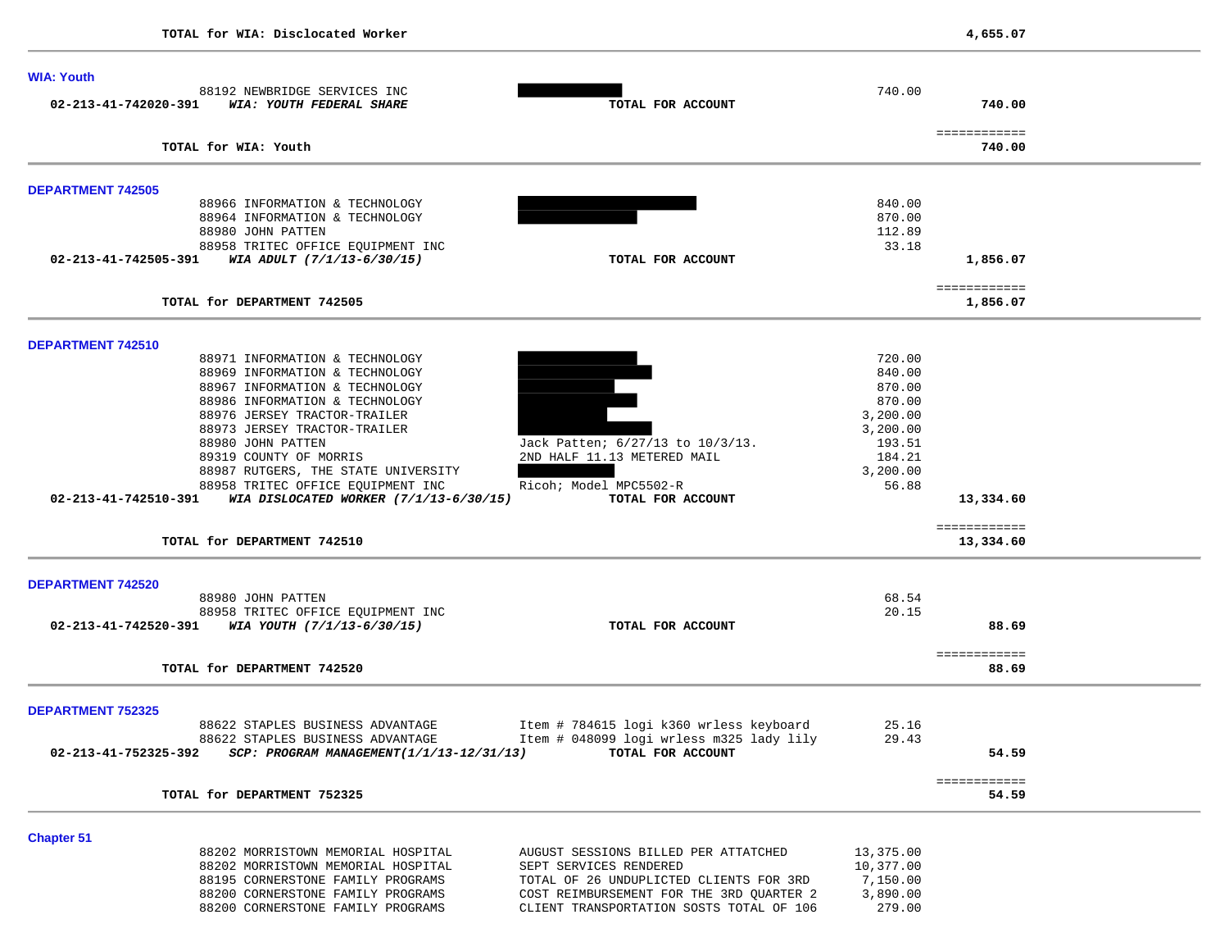| <b>WIA: Youth</b>        |                                                                                                    |                                                                                     |                      |                           |  |
|--------------------------|----------------------------------------------------------------------------------------------------|-------------------------------------------------------------------------------------|----------------------|---------------------------|--|
| 02-213-41-742020-391     | 88192 NEWBRIDGE SERVICES INC<br>WIA: YOUTH FEDERAL SHARE                                           | TOTAL FOR ACCOUNT                                                                   | 740.00               | 740.00                    |  |
|                          | TOTAL for WIA: Youth                                                                               |                                                                                     |                      | ============<br>740.00    |  |
|                          |                                                                                                    |                                                                                     |                      |                           |  |
| <b>DEPARTMENT 742505</b> | 88966 INFORMATION & TECHNOLOGY                                                                     |                                                                                     | 840.00               |                           |  |
|                          | 88964 INFORMATION & TECHNOLOGY                                                                     |                                                                                     | 870.00               |                           |  |
|                          | 88980 JOHN PATTEN                                                                                  |                                                                                     | 112.89               |                           |  |
|                          | 88958 TRITEC OFFICE EQUIPMENT INC<br>$02 - 213 - 41 - 742505 - 391$ WIA ADULT $(7/1/13 - 6/30/15)$ | TOTAL FOR ACCOUNT                                                                   | 33.18                | 1,856.07                  |  |
|                          |                                                                                                    |                                                                                     |                      |                           |  |
|                          | TOTAL for DEPARTMENT 742505                                                                        |                                                                                     |                      | ============<br>1,856.07  |  |
| DEPARTMENT 742510        |                                                                                                    |                                                                                     |                      |                           |  |
|                          | 88971 INFORMATION & TECHNOLOGY                                                                     |                                                                                     | 720.00               |                           |  |
|                          | 88969 INFORMATION & TECHNOLOGY                                                                     |                                                                                     | 840.00               |                           |  |
|                          | 88967 INFORMATION & TECHNOLOGY                                                                     |                                                                                     | 870.00               |                           |  |
|                          | 88986 INFORMATION & TECHNOLOGY                                                                     |                                                                                     | 870.00               |                           |  |
|                          | 88976 JERSEY TRACTOR-TRAILER<br>88973 JERSEY TRACTOR-TRAILER                                       |                                                                                     | 3,200.00<br>3,200.00 |                           |  |
|                          | 88980 JOHN PATTEN                                                                                  | Jack Patten; 6/27/13 to 10/3/13.                                                    | 193.51               |                           |  |
|                          | 89319 COUNTY OF MORRIS                                                                             | 2ND HALF 11.13 METERED MAIL                                                         | 184.21               |                           |  |
|                          | 88987 RUTGERS, THE STATE UNIVERSITY                                                                |                                                                                     | 3,200.00             |                           |  |
|                          | 88958 TRITEC OFFICE EQUIPMENT INC                                                                  | Ricoh; Model MPC5502-R                                                              | 56.88                |                           |  |
| 02-213-41-742510-391     | WIA DISLOCATED WORKER (7/1/13-6/30/15)                                                             | TOTAL FOR ACCOUNT                                                                   |                      | 13,334.60                 |  |
|                          | TOTAL for DEPARTMENT 742510                                                                        |                                                                                     |                      | ============<br>13,334.60 |  |
|                          |                                                                                                    |                                                                                     |                      |                           |  |
| <b>DEPARTMENT 742520</b> |                                                                                                    |                                                                                     |                      |                           |  |
|                          | 88980 JOHN PATTEN                                                                                  |                                                                                     | 68.54                |                           |  |
|                          | 88958 TRITEC OFFICE EQUIPMENT INC<br>02-213-41-742520-391 WIA YOUTH $(7/1/13-6/30/15)$             | TOTAL FOR ACCOUNT                                                                   | 20.15                | 88.69                     |  |
|                          |                                                                                                    |                                                                                     |                      |                           |  |
|                          | TOTAL for DEPARTMENT 742520                                                                        |                                                                                     |                      | ============<br>88.69     |  |
| <b>DEPARTMENT 752325</b> |                                                                                                    |                                                                                     |                      |                           |  |
|                          | 88622 STAPLES BUSINESS ADVANTAGE                                                                   | Item # 784615 logi k360 wrless keyboard                                             | 25.16                |                           |  |
|                          | 88622 STAPLES BUSINESS ADVANTAGE                                                                   | Item # 048099 logi wrless m325 lady lily                                            | 29.43                |                           |  |
| 02-213-41-752325-392     | SCP: PROGRAM MANAGEMENT(1/1/13-12/31/13)                                                           | TOTAL FOR ACCOUNT                                                                   |                      | 54.59                     |  |
|                          | TOTAL for DEPARTMENT 752325                                                                        |                                                                                     |                      | ============<br>54.59     |  |
|                          |                                                                                                    |                                                                                     |                      |                           |  |
| <b>Chapter 51</b>        |                                                                                                    |                                                                                     |                      |                           |  |
|                          | 88202 MORRISTOWN MEMORIAL HOSPITAL                                                                 | AUGUST SESSIONS BILLED PER ATTATCHED                                                | 13,375.00            |                           |  |
|                          | 88202 MORRISTOWN MEMORIAL HOSPITAL                                                                 | SEPT SERVICES RENDERED                                                              | 10,377.00            |                           |  |
|                          | 88195 CORNERSTONE FAMILY PROGRAMS<br>88200 CORNERSTONE FAMILY PROGRAMS                             | TOTAL OF 26 UNDUPLICTED CLIENTS FOR 3RD<br>COST REIMBURSEMENT FOR THE 3RD QUARTER 2 | 7,150.00<br>3,890.00 |                           |  |
|                          | 88200 CORNERSTONE FAMILY PROGRAMS                                                                  | CLIENT TRANSPORTATION SOSTS TOTAL OF 106                                            | 279.00               |                           |  |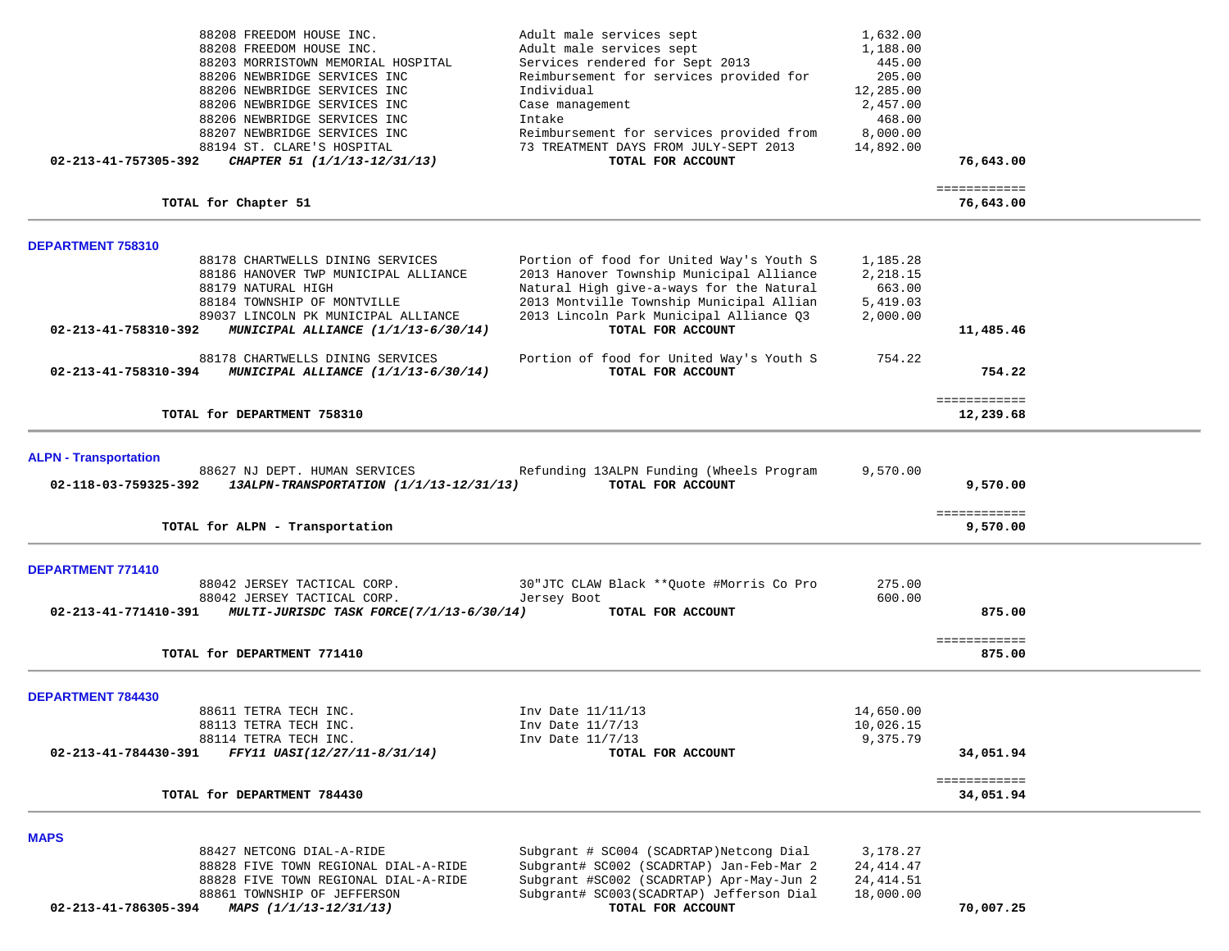| 88208 FREEDOM HOUSE INC.                                                           | Adult male services sept                                                             | 1,632.00                |                           |  |
|------------------------------------------------------------------------------------|--------------------------------------------------------------------------------------|-------------------------|---------------------------|--|
| 88208 FREEDOM HOUSE INC.<br>88203 MORRISTOWN MEMORIAL HOSPITAL                     | Adult male services sept<br>Services rendered for Sept 2013                          | 1,188.00<br>445.00      |                           |  |
| 88206 NEWBRIDGE SERVICES INC                                                       | Reimbursement for services provided for                                              | 205.00                  |                           |  |
| 88206 NEWBRIDGE SERVICES INC                                                       | Individual                                                                           | 12,285.00               |                           |  |
| 88206 NEWBRIDGE SERVICES INC                                                       | Case management                                                                      | 2,457.00                |                           |  |
| 88206 NEWBRIDGE SERVICES INC                                                       | Intake                                                                               | 468.00                  |                           |  |
| 88207 NEWBRIDGE SERVICES INC                                                       | Reimbursement for services provided from                                             | 8,000.00                |                           |  |
| 88194 ST. CLARE'S HOSPITAL<br>CHAPTER 51 (1/1/13-12/31/13)<br>02-213-41-757305-392 | 73 TREATMENT DAYS FROM JULY-SEPT 2013<br>TOTAL FOR ACCOUNT                           | 14,892.00               | 76,643.00                 |  |
|                                                                                    |                                                                                      |                         |                           |  |
| TOTAL for Chapter 51                                                               |                                                                                      |                         | ============<br>76,643.00 |  |
| <b>DEPARTMENT 758310</b>                                                           |                                                                                      |                         |                           |  |
| 88178 CHARTWELLS DINING SERVICES                                                   | Portion of food for United Way's Youth S                                             | 1,185.28                |                           |  |
| 88186 HANOVER TWP MUNICIPAL ALLIANCE                                               | 2013 Hanover Township Municipal Alliance                                             | 2,218.15                |                           |  |
| 88179 NATURAL HIGH                                                                 | Natural High give-a-ways for the Natural                                             | 663.00                  |                           |  |
| 88184 TOWNSHIP OF MONTVILLE<br>89037 LINCOLN PK MUNICIPAL ALLIANCE                 | 2013 Montville Township Municipal Allian<br>2013 Lincoln Park Municipal Alliance Q3  | 5,419.03<br>2,000.00    |                           |  |
| 02-213-41-758310-392<br>MUNICIPAL ALLIANCE (1/1/13-6/30/14)                        | TOTAL FOR ACCOUNT                                                                    |                         | 11,485.46                 |  |
| 88178 CHARTWELLS DINING SERVICES                                                   |                                                                                      | 754.22                  |                           |  |
| 02-213-41-758310-394<br>MUNICIPAL ALLIANCE (1/1/13-6/30/14)                        | Portion of food for United Way's Youth S<br>TOTAL FOR ACCOUNT                        |                         | 754.22                    |  |
|                                                                                    |                                                                                      |                         |                           |  |
| TOTAL for DEPARTMENT 758310                                                        |                                                                                      |                         | ============<br>12,239.68 |  |
|                                                                                    |                                                                                      |                         |                           |  |
| <b>ALPN - Transportation</b><br>88627 NJ DEPT. HUMAN SERVICES                      | Refunding 13ALPN Funding (Wheels Program                                             | 9,570.00                |                           |  |
| 02-118-03-759325-392<br>13ALPN-TRANSPORTATION (1/1/13-12/31/13)                    | TOTAL FOR ACCOUNT                                                                    |                         | 9,570.00                  |  |
|                                                                                    |                                                                                      |                         |                           |  |
| TOTAL for ALPN - Transportation                                                    |                                                                                      |                         | ============<br>9,570.00  |  |
|                                                                                    |                                                                                      |                         |                           |  |
| <b>DEPARTMENT 771410</b>                                                           |                                                                                      |                         |                           |  |
| 88042 JERSEY TACTICAL CORP.<br>88042 JERSEY TACTICAL CORP.                         | 30"JTC CLAW Black ** Quote #Morris Co Pro<br>Jersey Boot                             | 275.00<br>600.00        |                           |  |
| MULTI-JURISDC TASK FORCE(7/1/13-6/30/14)<br>02-213-41-771410-391                   | TOTAL FOR ACCOUNT                                                                    |                         | 875.00                    |  |
|                                                                                    |                                                                                      |                         |                           |  |
| TOTAL for DEPARTMENT 771410                                                        |                                                                                      |                         | ============<br>875.00    |  |
|                                                                                    |                                                                                      |                         |                           |  |
| <b>DEPARTMENT 784430</b>                                                           |                                                                                      |                         |                           |  |
| 88611 TETRA TECH INC.<br>88113 TETRA TECH INC.                                     | Inv Date 11/11/13<br>Inv Date 11/7/13                                                | 14,650.00<br>10,026.15  |                           |  |
| 88114 TETRA TECH INC.                                                              | Inv Date 11/7/13                                                                     | 9,375.79                |                           |  |
| FFY11 UASI(12/27/11-8/31/14)<br>02-213-41-784430-391                               | TOTAL FOR ACCOUNT                                                                    |                         | 34,051.94                 |  |
|                                                                                    |                                                                                      |                         | ============              |  |
| TOTAL for DEPARTMENT 784430                                                        |                                                                                      |                         | 34,051.94                 |  |
| <b>MAPS</b>                                                                        |                                                                                      |                         |                           |  |
| 88427 NETCONG DIAL-A-RIDE                                                          | Subgrant # SC004 (SCADRTAP) Netcong Dial                                             | 3,178.27                |                           |  |
| 88828 FIVE TOWN REGIONAL DIAL-A-RIDE                                               | Subgrant# SC002 (SCADRTAP) Jan-Feb-Mar 2                                             | 24, 414. 47             |                           |  |
| 88828 FIVE TOWN REGIONAL DIAL-A-RIDE<br>88861 TOWNSHIP OF JEFFERSON                | Subgrant #SC002 (SCADRTAP) Apr-May-Jun 2<br>Subgrant# SC003(SCADRTAP) Jefferson Dial | 24, 414.51<br>18,000.00 |                           |  |
| 02-213-41-786305-394<br>MAPS (1/1/13-12/31/13)                                     | TOTAL FOR ACCOUNT                                                                    |                         | 70,007.25                 |  |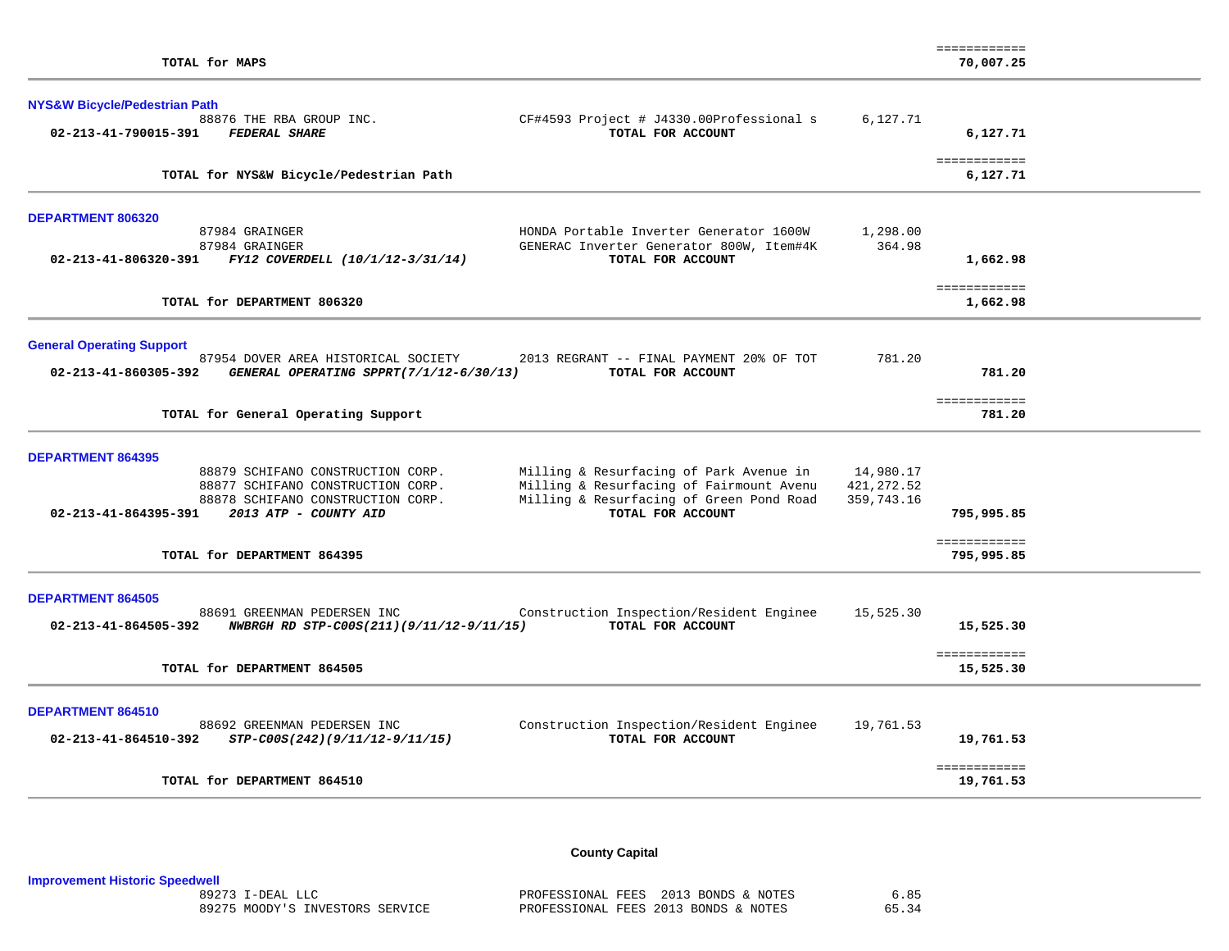| TOTAL for MAPS                                                                                                                                                                                                                                                                                                                                                                  |                                        | ------------<br>70,007.25                |  |
|---------------------------------------------------------------------------------------------------------------------------------------------------------------------------------------------------------------------------------------------------------------------------------------------------------------------------------------------------------------------------------|----------------------------------------|------------------------------------------|--|
| <b>NYS&amp;W Bicycle/Pedestrian Path</b><br>88876 THE RBA GROUP INC.<br>CF#4593 Project # J4330.00Professional s<br>02-213-41-790015-391<br><b>FEDERAL SHARE</b><br>TOTAL FOR ACCOUNT                                                                                                                                                                                           | 6,127.71                               | 6,127.71                                 |  |
| TOTAL for NYS&W Bicycle/Pedestrian Path                                                                                                                                                                                                                                                                                                                                         |                                        | ============<br>6,127.71                 |  |
| <b>DEPARTMENT 806320</b><br>87984 GRAINGER<br>HONDA Portable Inverter Generator 1600W                                                                                                                                                                                                                                                                                           | 1,298.00                               |                                          |  |
| 87984 GRAINGER<br>GENERAC Inverter Generator 800W, Item#4K<br>02-213-41-806320-391 FY12 COVERDELL (10/1/12-3/31/14)<br>TOTAL FOR ACCOUNT                                                                                                                                                                                                                                        | 364.98                                 | 1,662.98                                 |  |
| TOTAL for DEPARTMENT 806320                                                                                                                                                                                                                                                                                                                                                     |                                        | ============<br>1,662.98                 |  |
| <b>General Operating Support</b><br>87954 DOVER AREA HISTORICAL SOCIETY<br>2013 REGRANT -- FINAL PAYMENT 20% OF TOT<br>02-213-41-860305-392<br>GENERAL OPERATING SPPRT(7/1/12-6/30/13)<br>TOTAL FOR ACCOUNT                                                                                                                                                                     | 781.20                                 | 781.20                                   |  |
| TOTAL for General Operating Support                                                                                                                                                                                                                                                                                                                                             |                                        | ============<br>781.20                   |  |
| <b>DEPARTMENT 864395</b><br>88879 SCHIFANO CONSTRUCTION CORP.<br>Milling & Resurfacing of Park Avenue in<br>Milling & Resurfacing of Fairmount Avenu<br>88877 SCHIFANO CONSTRUCTION CORP.<br>88878 SCHIFANO CONSTRUCTION CORP.<br>Milling & Resurfacing of Green Pond Road<br>02-213-41-864395-391<br>2013 ATP - COUNTY AID<br>TOTAL FOR ACCOUNT<br>TOTAL for DEPARTMENT 864395 | 14,980.17<br>421, 272.52<br>359,743.16 | 795,995.85<br>============<br>795,995.85 |  |
| <b>DEPARTMENT 864505</b><br>Construction Inspection/Resident Enginee<br>88691 GREENMAN PEDERSEN INC<br>NWBRGH RD STP-C00S(211)(9/11/12-9/11/15)<br>TOTAL FOR ACCOUNT<br>02-213-41-864505-392<br>TOTAL for DEPARTMENT 864505                                                                                                                                                     | 15,525.30                              | 15,525.30<br>============<br>15,525.30   |  |
| <b>DEPARTMENT 864510</b><br>88692 GREENMAN PEDERSEN INC<br>Construction Inspection/Resident Enginee<br>TOTAL FOR ACCOUNT<br>02-213-41-864510-392<br>STP-C00S(242)(9/11/12-9/11/15)                                                                                                                                                                                              | 19,761.53                              | 19,761.53<br>============                |  |
| TOTAL for DEPARTMENT 864510                                                                                                                                                                                                                                                                                                                                                     |                                        | 19,761.53                                |  |

**County Capital** 

**Improvement Historic Speedwell**

PROFESSIONAL FEES 2013 BONDS & NOTES 6.85 65.34 89275 MOODY'S INVESTORS SERVICE PROFESSIONAL FEES 2013 BONDS & NOTES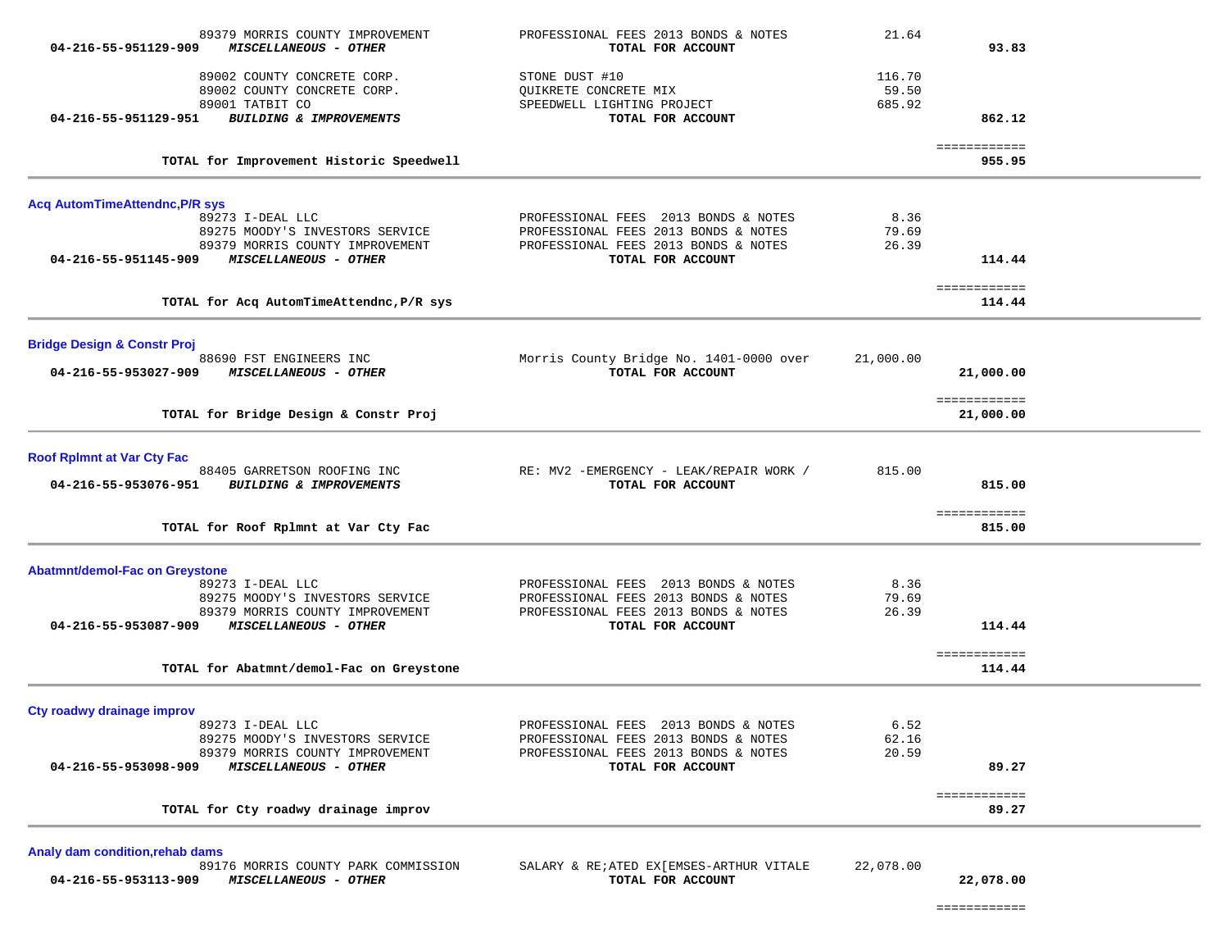| 89379 MORRIS COUNTY IMPROVEMENT<br>04-216-55-951129-909<br>MISCELLANEOUS - OTHER     | PROFESSIONAL FEES 2013 BONDS & NOTES<br>TOTAL FOR ACCOUNT                    | 21.64                     | 93.83                     |
|--------------------------------------------------------------------------------------|------------------------------------------------------------------------------|---------------------------|---------------------------|
| 89002 COUNTY CONCRETE CORP.<br>89002 COUNTY CONCRETE CORP.<br>89001 TATBIT CO        | STONE DUST #10<br>QUIKRETE CONCRETE MIX<br>SPEEDWELL LIGHTING PROJECT        | 116.70<br>59.50<br>685.92 |                           |
| 04-216-55-951129-951<br>BUILDING & IMPROVEMENTS                                      | TOTAL FOR ACCOUNT                                                            |                           | 862.12                    |
| TOTAL for Improvement Historic Speedwell                                             |                                                                              |                           | ============<br>955.95    |
| <b>Acq AutomTimeAttendnc, P/R sys</b>                                                |                                                                              |                           |                           |
| 89273 I-DEAL LLC                                                                     | PROFESSIONAL FEES 2013 BONDS & NOTES                                         | 8.36                      |                           |
| 89275 MOODY'S INVESTORS SERVICE<br>89379 MORRIS COUNTY IMPROVEMENT                   | PROFESSIONAL FEES 2013 BONDS & NOTES<br>PROFESSIONAL FEES 2013 BONDS & NOTES | 79.69<br>26.39            |                           |
| 04-216-55-951145-909<br><b>MISCELLANEOUS - OTHER</b>                                 | TOTAL FOR ACCOUNT                                                            |                           | 114.44                    |
| TOTAL for Acq AutomTimeAttendnc, P/R sys                                             |                                                                              |                           | ============<br>114.44    |
| <b>Bridge Design &amp; Constr Proj</b>                                               |                                                                              |                           |                           |
| 88690 FST ENGINEERS INC<br>04-216-55-953027-909<br><i>MISCELLANEOUS - OTHER</i>      | Morris County Bridge No. 1401-0000 over<br>TOTAL FOR ACCOUNT                 | 21,000.00                 | 21,000.00                 |
| TOTAL for Bridge Design & Constr Proj                                                |                                                                              |                           | ============<br>21,000.00 |
| <b>Roof RpImnt at Var Cty Fac</b>                                                    |                                                                              |                           |                           |
| 88405 GARRETSON ROOFING INC<br>04-216-55-953076-951<br>BUILDING & IMPROVEMENTS       | RE: MV2 -EMERGENCY - LEAK/REPAIR WORK /<br>TOTAL FOR ACCOUNT                 | 815.00                    | 815.00                    |
| TOTAL for Roof Rplmnt at Var Cty Fac                                                 |                                                                              |                           | ============<br>815.00    |
| <b>Abatmnt/demol-Fac on Greystone</b>                                                |                                                                              |                           |                           |
| 89273 I-DEAL LLC                                                                     | PROFESSIONAL FEES 2013 BONDS & NOTES                                         | 8.36                      |                           |
| 89275 MOODY'S INVESTORS SERVICE<br>89379 MORRIS COUNTY IMPROVEMENT                   | PROFESSIONAL FEES 2013 BONDS & NOTES<br>PROFESSIONAL FEES 2013 BONDS & NOTES | 79.69<br>26.39            |                           |
| MISCELLANEOUS - OTHER<br>04-216-55-953087-909                                        | TOTAL FOR ACCOUNT                                                            |                           | 114.44                    |
| TOTAL for Abatmnt/demol-Fac on Greystone                                             |                                                                              |                           | ============<br>114.44    |
| Cty roadwy drainage improv                                                           |                                                                              |                           |                           |
| 89273 I-DEAL LLC<br>89275 MOODY'S INVESTORS SERVICE                                  | PROFESSIONAL FEES 2013 BONDS & NOTES<br>PROFESSIONAL FEES 2013 BONDS & NOTES | 6.52<br>62.16             |                           |
| 89379 MORRIS COUNTY IMPROVEMENT                                                      | PROFESSIONAL FEES 2013 BONDS & NOTES                                         | 20.59                     |                           |
| 04-216-55-953098-909<br>MISCELLANEOUS - OTHER                                        | TOTAL FOR ACCOUNT                                                            |                           | 89.27                     |
| TOTAL for Cty roadwy drainage improv                                                 |                                                                              |                           | ============<br>89.27     |
| Analy dam condition, rehab dams                                                      |                                                                              |                           |                           |
| 89176 MORRIS COUNTY PARK COMMISSION<br>04-216-55-953113-909<br>MISCELLANEOUS - OTHER | SALARY & RE; ATED EX [EMSES-ARTHUR VITALE<br>TOTAL FOR ACCOUNT               | 22,078.00                 | 22,078.00                 |

============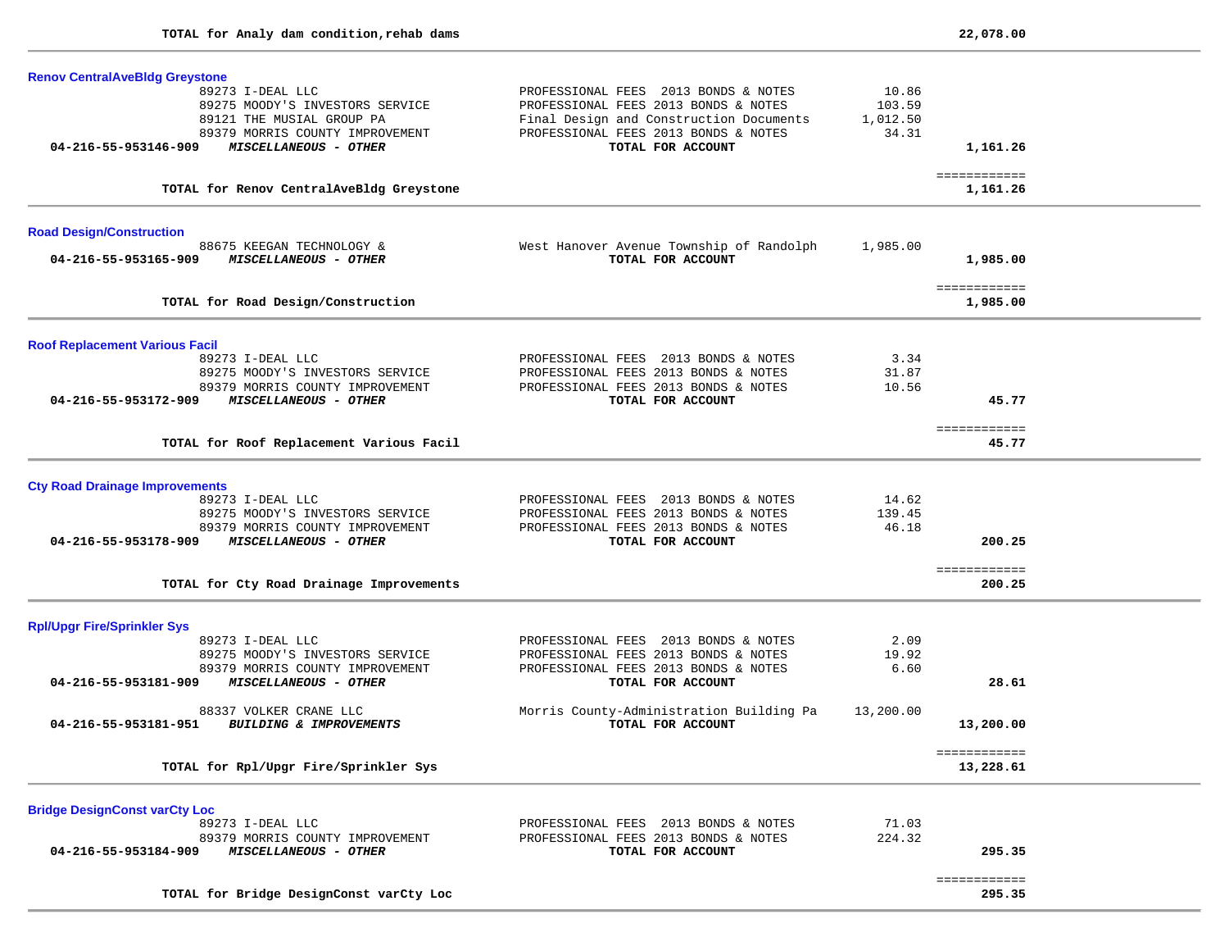$\sim$ 

-

 $\overline{\phantom{0}}$ 

÷

 $\overline{\phantom{a}}$ 

| <b>Renov CentralAveBldg Greystone</b>                                                                               |                                                                                                                                                                 |                                      |                           |  |
|---------------------------------------------------------------------------------------------------------------------|-----------------------------------------------------------------------------------------------------------------------------------------------------------------|--------------------------------------|---------------------------|--|
| 89273 I-DEAL LLC<br>89275 MOODY'S INVESTORS SERVICE<br>89121 THE MUSIAL GROUP PA<br>89379 MORRIS COUNTY IMPROVEMENT | PROFESSIONAL FEES 2013 BONDS & NOTES<br>PROFESSIONAL FEES 2013 BONDS & NOTES<br>Final Design and Construction Documents<br>PROFESSIONAL FEES 2013 BONDS & NOTES | 10.86<br>103.59<br>1,012.50<br>34.31 |                           |  |
| MISCELLANEOUS - OTHER<br>04-216-55-953146-909                                                                       | TOTAL FOR ACCOUNT                                                                                                                                               |                                      | 1,161.26                  |  |
| TOTAL for Renov CentralAveBldg Greystone                                                                            |                                                                                                                                                                 |                                      | ============<br>1,161.26  |  |
| <b>Road Design/Construction</b><br>88675 KEEGAN TECHNOLOGY &                                                        | West Hanover Avenue Township of Randolph                                                                                                                        | 1,985.00                             |                           |  |
| 04-216-55-953165-909<br>MISCELLANEOUS - OTHER                                                                       | TOTAL FOR ACCOUNT                                                                                                                                               |                                      | 1,985.00                  |  |
| TOTAL for Road Design/Construction                                                                                  |                                                                                                                                                                 |                                      | ============<br>1,985.00  |  |
| <b>Roof Replacement Various Facil</b>                                                                               |                                                                                                                                                                 |                                      |                           |  |
| 89273 I-DEAL LLC                                                                                                    | PROFESSIONAL FEES 2013 BONDS & NOTES                                                                                                                            | 3.34                                 |                           |  |
| 89275 MOODY'S INVESTORS SERVICE<br>89379 MORRIS COUNTY IMPROVEMENT                                                  | PROFESSIONAL FEES 2013 BONDS & NOTES<br>PROFESSIONAL FEES 2013 BONDS & NOTES                                                                                    | 31.87<br>10.56                       |                           |  |
| 04-216-55-953172-909<br><b>MISCELLANEOUS - OTHER</b>                                                                | TOTAL FOR ACCOUNT                                                                                                                                               |                                      | 45.77                     |  |
| TOTAL for Roof Replacement Various Facil                                                                            |                                                                                                                                                                 |                                      | ============<br>45.77     |  |
| <b>Cty Road Drainage Improvements</b>                                                                               |                                                                                                                                                                 |                                      |                           |  |
| 89273 I-DEAL LLC                                                                                                    | PROFESSIONAL FEES 2013 BONDS & NOTES                                                                                                                            | 14.62                                |                           |  |
| 89275 MOODY'S INVESTORS SERVICE<br>89379 MORRIS COUNTY IMPROVEMENT                                                  | PROFESSIONAL FEES 2013 BONDS & NOTES<br>PROFESSIONAL FEES 2013 BONDS & NOTES                                                                                    | 139.45<br>46.18                      |                           |  |
| 04-216-55-953178-909<br><b>MISCELLANEOUS - OTHER</b>                                                                | TOTAL FOR ACCOUNT                                                                                                                                               |                                      | 200.25                    |  |
| TOTAL for Cty Road Drainage Improvements                                                                            |                                                                                                                                                                 |                                      | ============<br>200.25    |  |
| <b>Rpl/Upgr Fire/Sprinkler Sys</b>                                                                                  |                                                                                                                                                                 |                                      |                           |  |
| 89273 I-DEAL LLC                                                                                                    | PROFESSIONAL FEES 2013 BONDS & NOTES                                                                                                                            | 2.09                                 |                           |  |
| 89275 MOODY'S INVESTORS SERVICE<br>89379 MORRIS COUNTY IMPROVEMENT                                                  | PROFESSIONAL FEES 2013 BONDS & NOTES<br>PROFESSIONAL FEES 2013 BONDS & NOTES                                                                                    | 19.92<br>6.60                        |                           |  |
| 04-216-55-953181-909<br>MISCELLANEOUS - OTHER                                                                       | TOTAL FOR ACCOUNT                                                                                                                                               |                                      | 28.61                     |  |
| 88337 VOLKER CRANE LLC<br>04-216-55-953181-951 BUILDING & IMPROVEMENTS                                              | Morris County-Administration Building Pa<br>TOTAL FOR ACCOUNT                                                                                                   | 13,200.00                            | 13,200.00                 |  |
| TOTAL for Rpl/Upgr Fire/Sprinkler Sys                                                                               |                                                                                                                                                                 |                                      | ============<br>13,228.61 |  |
| <b>Bridge DesignConst varCty Loc</b>                                                                                |                                                                                                                                                                 |                                      |                           |  |
| 89273 I-DEAL LLC                                                                                                    | PROFESSIONAL FEES 2013 BONDS & NOTES                                                                                                                            | 71.03                                |                           |  |
| 89379 MORRIS COUNTY IMPROVEMENT<br>04-216-55-953184-909<br>MISCELLANEOUS - OTHER                                    | PROFESSIONAL FEES 2013 BONDS & NOTES<br>TOTAL FOR ACCOUNT                                                                                                       | 224.32                               | 295.35                    |  |
|                                                                                                                     |                                                                                                                                                                 |                                      | ============              |  |
| TOTAL for Bridge DesignConst varCty Loc                                                                             |                                                                                                                                                                 |                                      | 295.35                    |  |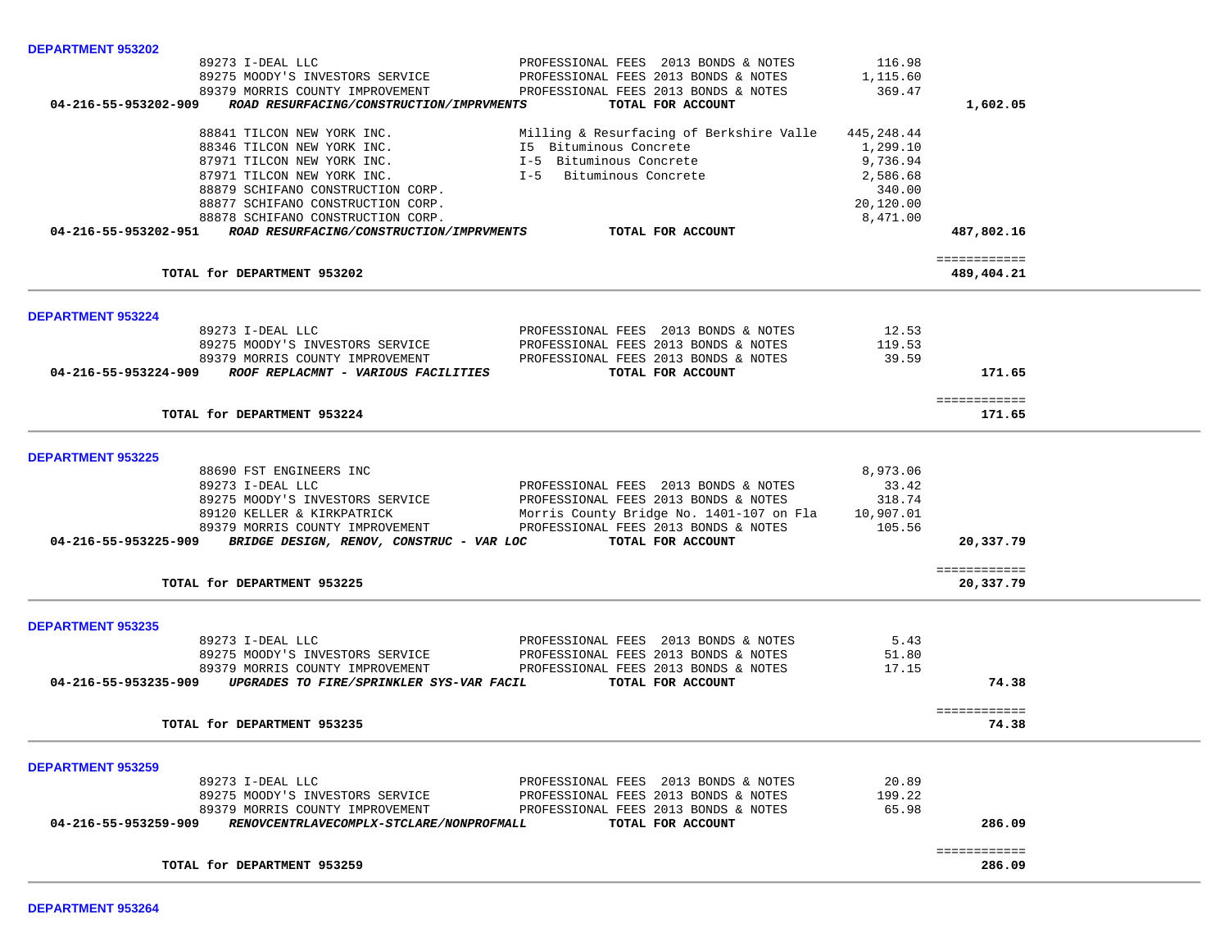| DEPARTMENT 953202        |                                                                    |                                                           |                 |                           |  |
|--------------------------|--------------------------------------------------------------------|-----------------------------------------------------------|-----------------|---------------------------|--|
|                          | 89273 I-DEAL LLC                                                   | PROFESSIONAL FEES 2013 BONDS & NOTES                      | 116.98          |                           |  |
|                          | 89275 MOODY'S INVESTORS SERVICE                                    | PROFESSIONAL FEES 2013 BONDS & NOTES                      | 1,115.60        |                           |  |
|                          | 89379 MORRIS COUNTY IMPROVEMENT                                    | PROFESSIONAL FEES 2013 BONDS & NOTES                      | 369.47          |                           |  |
|                          | 04-216-55-953202-909 ROAD RESURFACING/CONSTRUCTION/IMPRVMENTS      | TOTAL FOR ACCOUNT                                         |                 | 1,602.05                  |  |
|                          | 88841 TILCON NEW YORK INC.                                         | Milling & Resurfacing of Berkshire Valle                  | 445,248.44      |                           |  |
|                          | 88346 TILCON NEW YORK INC.                                         | I5 Bituminous Concrete                                    | 1,299.10        |                           |  |
|                          | 87971 TILCON NEW YORK INC.                                         | I-5 Bituminous Concrete<br>I-5 Bituminous Concrete        | 9,736.94        |                           |  |
|                          | 87971 TILCON NEW YORK INC.                                         |                                                           | 2,586.68        |                           |  |
|                          | 88879 SCHIFANO CONSTRUCTION CORP.                                  |                                                           | 340.00          |                           |  |
|                          | 88877 SCHIFANO CONSTRUCTION CORP.                                  |                                                           | 20,120.00       |                           |  |
|                          | 88878 SCHIFANO CONSTRUCTION CORP.                                  |                                                           | 8,471.00        |                           |  |
|                          | 04-216-55-953202-951 ROAD RESURFACING/CONSTRUCTION/IMPRVMENTS      | TOTAL FOR ACCOUNT                                         |                 | 487,802.16                |  |
|                          |                                                                    |                                                           |                 | ============              |  |
|                          | TOTAL for DEPARTMENT 953202                                        |                                                           |                 | 489,404.21                |  |
|                          |                                                                    |                                                           |                 |                           |  |
| <b>DEPARTMENT 953224</b> | 89273 I-DEAL LLC                                                   | PROFESSIONAL FEES 2013 BONDS & NOTES                      | 12.53           |                           |  |
|                          | 89275 MOODY'S INVESTORS SERVICE                                    | PROFESSIONAL FEES 2013 BONDS & NOTES                      | 119.53          |                           |  |
|                          | 89379 MORRIS COUNTY IMPROVEMENT                                    | PROFESSIONAL FEES 2013 BONDS & NOTES                      | 39.59           |                           |  |
|                          | 04-216-55-953224-909 ROOF REPLACMNT - VARIOUS FACILITIES           | TOTAL FOR ACCOUNT                                         |                 | 171.65                    |  |
|                          |                                                                    |                                                           |                 |                           |  |
|                          | TOTAL for DEPARTMENT 953224                                        |                                                           |                 | ============<br>171.65    |  |
|                          |                                                                    |                                                           |                 |                           |  |
| <b>DEPARTMENT 953225</b> |                                                                    |                                                           |                 |                           |  |
|                          | 88690 FST ENGINEERS INC                                            |                                                           | 8,973.06        |                           |  |
|                          | 89273 I-DEAL LLC                                                   | PROFESSIONAL FEES 2013 BONDS & NOTES                      | 33.42           |                           |  |
|                          | 89275 MOODY'S INVESTORS SERVICE                                    | PROFESSIONAL FEES 2013 BONDS & NOTES                      | 318.74          |                           |  |
|                          | 89120 KELLER & KIRKPATRICK                                         | Morris County Bridge No. 1401-107 on Fla                  | 10,907.01       |                           |  |
|                          | 89379 MORRIS COUNTY IMPROVEMENT                                    | PROFESSIONAL FEES 2013 BONDS & NOTES                      | 105.56          |                           |  |
|                          | 04-216-55-953225-909 BRIDGE DESIGN, RENOV, CONSTRUC - VAR LOC      | TOTAL FOR ACCOUNT                                         |                 | 20,337.79                 |  |
|                          |                                                                    |                                                           |                 |                           |  |
|                          | TOTAL for DEPARTMENT 953225                                        |                                                           |                 | ============<br>20,337.79 |  |
|                          |                                                                    |                                                           |                 |                           |  |
| <b>DEPARTMENT 953235</b> |                                                                    |                                                           |                 |                           |  |
|                          | 89273 I-DEAL LLC                                                   | PROFESSIONAL FEES 2013 BONDS & NOTES                      | 5.43            |                           |  |
|                          | 89275 MOODY'S INVESTORS SERVICE                                    | PROFESSIONAL FEES 2013 BONDS & NOTES                      | 51.80           |                           |  |
|                          | 89379 MORRIS COUNTY IMPROVEMENT                                    | PROFESSIONAL FEES 2013 BONDS & NOTES                      | 17.15           |                           |  |
|                          | 04-216-55-953235-909 UPGRADES TO FIRE/SPRINKLER SYS-VAR FACIL      | TOTAL FOR ACCOUNT                                         |                 | 74.38                     |  |
|                          |                                                                    |                                                           |                 | ============              |  |
|                          | TOTAL for DEPARTMENT 953235                                        |                                                           |                 | 74.38                     |  |
|                          |                                                                    |                                                           |                 |                           |  |
| <b>DEPARTMENT 953259</b> |                                                                    |                                                           |                 |                           |  |
|                          | 89273 I-DEAL LLC                                                   | PROFESSIONAL FEES 2013 BONDS & NOTES                      | 20.89           |                           |  |
|                          | 89275 MOODY'S INVESTORS SERVICE<br>89379 MORRIS COUNTY IMPROVEMENT | PROFESSIONAL FEES 2013 BONDS & NOTES                      | 199.22<br>65.98 |                           |  |
| 04-216-55-953259-909     | RENOVCENTRLAVECOMPLX-STCLARE/NONPROFMALL                           | PROFESSIONAL FEES 2013 BONDS & NOTES<br>TOTAL FOR ACCOUNT |                 | 286.09                    |  |
|                          |                                                                    |                                                           |                 |                           |  |
|                          |                                                                    |                                                           |                 | ============              |  |
|                          | TOTAL for DEPARTMENT 953259                                        |                                                           |                 | 286.09                    |  |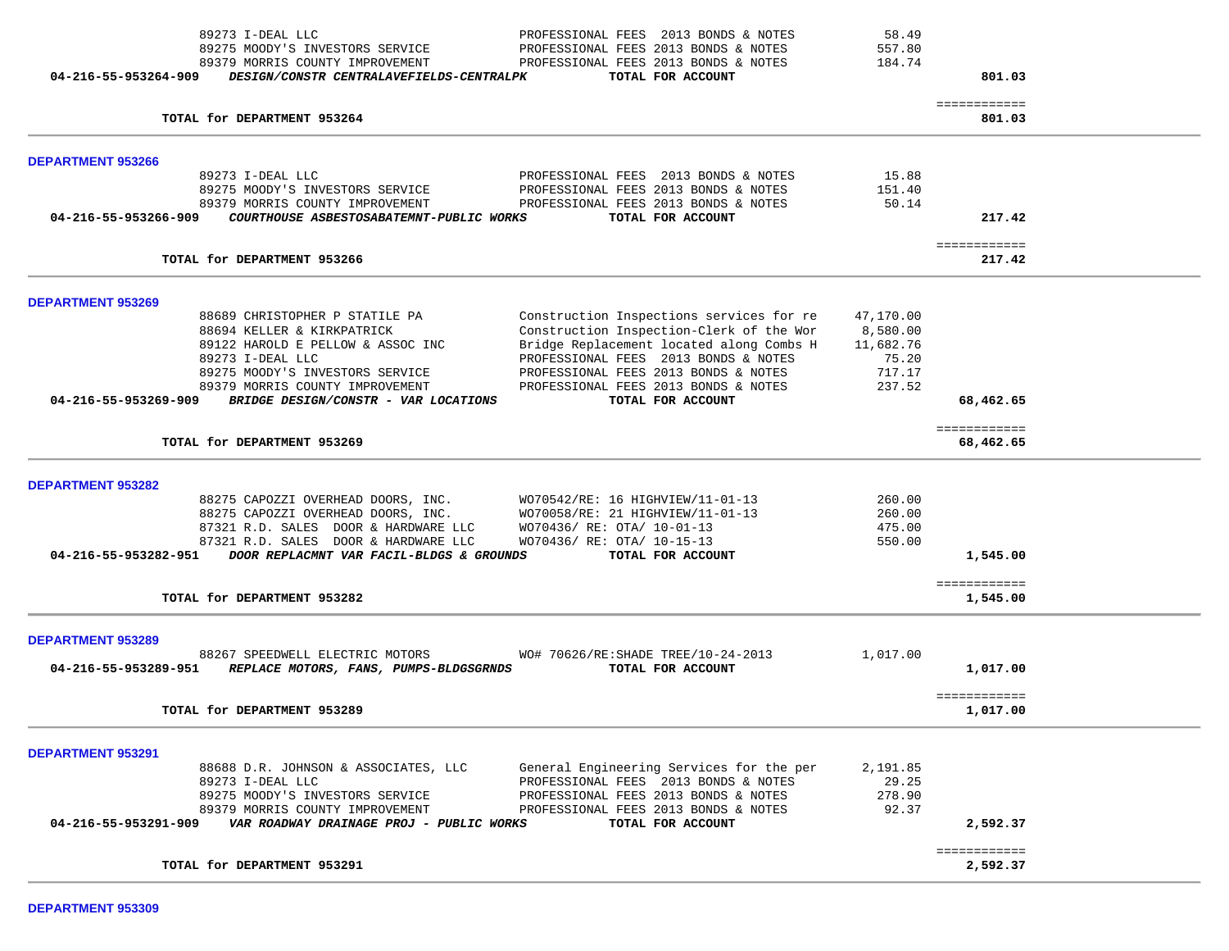| 89273 I-DEAL LLC<br>89275 MOODY'S INVESTORS SERVICE<br>89379 MORRIS COUNTY IMPROVEMENT                                                                                                                                                                      | PROFESSIONAL FEES 2013 BONDS & NOTES<br>PROFESSIONAL FEES 2013 BONDS & NOTES<br>PROFESSIONAL FEES 2013 BONDS & NOTES                                                                                                                                                          | 58.49<br>557.80<br>184.74                                       |                           |  |
|-------------------------------------------------------------------------------------------------------------------------------------------------------------------------------------------------------------------------------------------------------------|-------------------------------------------------------------------------------------------------------------------------------------------------------------------------------------------------------------------------------------------------------------------------------|-----------------------------------------------------------------|---------------------------|--|
| 04-216-55-953264-909<br>DESIGN/CONSTR CENTRALAVEFIELDS-CENTRALPK                                                                                                                                                                                            | TOTAL FOR ACCOUNT                                                                                                                                                                                                                                                             |                                                                 | 801.03                    |  |
| TOTAL for DEPARTMENT 953264                                                                                                                                                                                                                                 |                                                                                                                                                                                                                                                                               |                                                                 | ============<br>801.03    |  |
| <b>DEPARTMENT 953266</b>                                                                                                                                                                                                                                    |                                                                                                                                                                                                                                                                               |                                                                 |                           |  |
| 89273 I-DEAL LLC<br>89275 MOODY'S INVESTORS SERVICE<br>89379 MORRIS COUNTY IMPROVEMENT<br>04-216-55-953266-909<br>COURTHOUSE ASBESTOSABATEMNT-PUBLIC WORKS                                                                                                  | PROFESSIONAL FEES 2013 BONDS & NOTES<br>PROFESSIONAL FEES 2013 BONDS & NOTES<br>PROFESSIONAL FEES 2013 BONDS & NOTES<br>TOTAL FOR ACCOUNT                                                                                                                                     | 15.88<br>151.40<br>50.14                                        | 217.42                    |  |
| TOTAL for DEPARTMENT 953266                                                                                                                                                                                                                                 |                                                                                                                                                                                                                                                                               |                                                                 | ============<br>217.42    |  |
| <b>DEPARTMENT 953269</b>                                                                                                                                                                                                                                    |                                                                                                                                                                                                                                                                               |                                                                 |                           |  |
| 88689 CHRISTOPHER P STATILE PA<br>88694 KELLER & KIRKPATRICK<br>89122 HAROLD E PELLOW & ASSOC INC<br>89273 I-DEAL LLC<br>89275 MOODY'S INVESTORS SERVICE<br>89379 MORRIS COUNTY IMPROVEMENT<br>04-216-55-953269-909<br>BRIDGE DESIGN/CONSTR - VAR LOCATIONS | Construction Inspections services for re<br>Construction Inspection-Clerk of the Wor<br>Bridge Replacement located along Combs H<br>PROFESSIONAL FEES 2013 BONDS & NOTES<br>PROFESSIONAL FEES 2013 BONDS & NOTES<br>PROFESSIONAL FEES 2013 BONDS & NOTES<br>TOTAL FOR ACCOUNT | 47,170.00<br>8,580.00<br>11,682.76<br>75.20<br>717.17<br>237.52 | 68,462.65                 |  |
| TOTAL for DEPARTMENT 953269                                                                                                                                                                                                                                 |                                                                                                                                                                                                                                                                               |                                                                 | ============<br>68,462.65 |  |
| <b>DEPARTMENT 953282</b>                                                                                                                                                                                                                                    |                                                                                                                                                                                                                                                                               |                                                                 |                           |  |
| 88275 CAPOZZI OVERHEAD DOORS, INC.<br>88275 CAPOZZI OVERHEAD DOORS, INC.<br>87321 R.D. SALES DOOR & HARDWARE LLC<br>87321 R.D. SALES DOOR & HARDWARE LLC<br>04-216-55-953282-951 DOOR REPLACMNT VAR FACIL-BLDGS & GROUNDS                                   | WO70542/RE: 16 HIGHVIEW/11-01-13<br>WO70058/RE: 21 HIGHVIEW/11-01-13<br>WO70436/ RE: OTA/ 10-01-13<br>WO70436/ RE: OTA/ 10-15-13<br>TOTAL FOR ACCOUNT                                                                                                                         | 260.00<br>260.00<br>475.00<br>550.00                            | 1,545.00                  |  |
| TOTAL for DEPARTMENT 953282                                                                                                                                                                                                                                 |                                                                                                                                                                                                                                                                               |                                                                 | ============<br>1,545.00  |  |
| <b>DEPARTMENT 953289</b>                                                                                                                                                                                                                                    |                                                                                                                                                                                                                                                                               |                                                                 |                           |  |
| 88267 SPEEDWELL ELECTRIC MOTORS<br>04-216-55-953289-951<br>REPLACE MOTORS, FANS, PUMPS-BLDGSGRNDS                                                                                                                                                           | WO# 70626/RE: SHADE TREE/10-24-2013<br>TOTAL FOR ACCOUNT                                                                                                                                                                                                                      | 1,017.00                                                        | 1,017.00                  |  |
| TOTAL for DEPARTMENT 953289                                                                                                                                                                                                                                 |                                                                                                                                                                                                                                                                               |                                                                 | ============<br>1,017.00  |  |
| DEPARTMENT 953291<br>88688 D.R. JOHNSON & ASSOCIATES, LLC                                                                                                                                                                                                   |                                                                                                                                                                                                                                                                               |                                                                 |                           |  |
| 89273 I-DEAL LLC<br>89275 MOODY'S INVESTORS SERVICE<br>89379 MORRIS COUNTY IMPROVEMENT<br>04-216-55-953291-909<br>VAR ROADWAY DRAINAGE PROJ - PUBLIC WORKS                                                                                                  | General Engineering Services for the per<br>PROFESSIONAL FEES 2013 BONDS & NOTES<br>PROFESSIONAL FEES 2013 BONDS & NOTES<br>PROFESSIONAL FEES 2013 BONDS & NOTES<br>TOTAL FOR ACCOUNT                                                                                         | 2,191.85<br>29.25<br>278.90<br>92.37                            | 2,592.37                  |  |
| TOTAL for DEPARTMENT 953291                                                                                                                                                                                                                                 |                                                                                                                                                                                                                                                                               |                                                                 | ============<br>2,592.37  |  |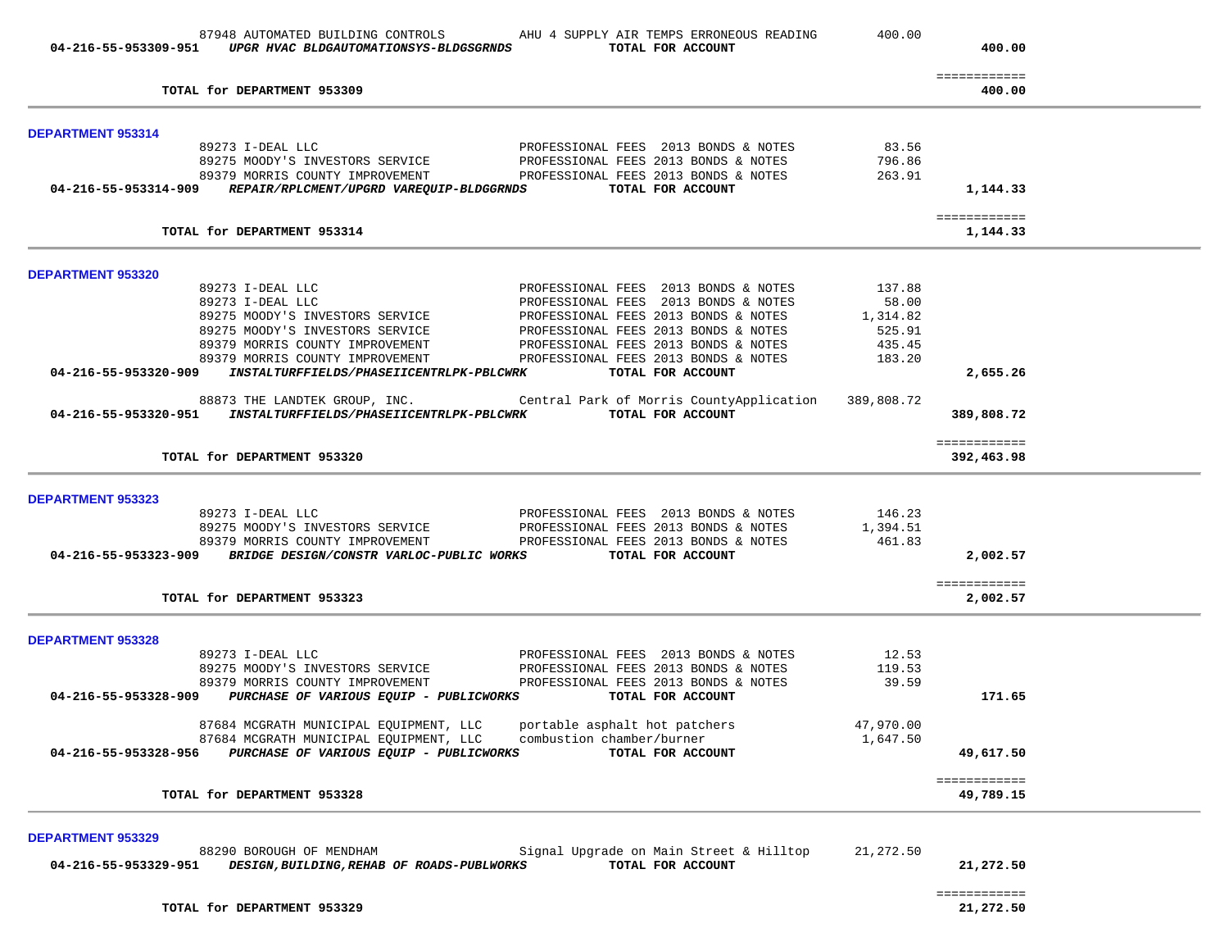|                          | 87948 AUTOMATED BUILDING CONTROLS<br>04-216-55-953309-951 UPGR HVAC BLDGAUTOMATIONSYS-BLDGSGRNDS TOTAL FOR ACCOUNT | AHU 4 SUPPLY AIR TEMPS ERRONEOUS READING                                                               | 400.00    | 400.00                   |  |
|--------------------------|--------------------------------------------------------------------------------------------------------------------|--------------------------------------------------------------------------------------------------------|-----------|--------------------------|--|
|                          | TOTAL for DEPARTMENT 953309                                                                                        |                                                                                                        |           | ============<br>400.00   |  |
| <b>DEPARTMENT 953314</b> |                                                                                                                    |                                                                                                        |           |                          |  |
|                          | 89273 I-DEAL LLC                                                                                                   | PROFESSIONAL FEES 2013 BONDS & NOTES                                                                   | 83.56     |                          |  |
|                          | 89275 MOODY'S INVESTORS SERVICE                                                                                    | PROFESSIONAL FEES 2013 BONDS & NOTES                                                                   | 796.86    |                          |  |
|                          |                                                                                                                    | 89379 MORRIS COUNTY IMPROVEMENT PROFESSIONAL FEES 2013 BONDS & NOTES                                   | 263.91    |                          |  |
|                          | 04-216-55-953314-909 REPAIR/RPLCMENT/UPGRD VAREQUIP-BLDGGRNDS                                                      | TOTAL FOR ACCOUNT                                                                                      |           | 1,144.33                 |  |
|                          | TOTAL for DEPARTMENT 953314                                                                                        |                                                                                                        |           | ============<br>1,144.33 |  |
| DEPARTMENT 953320        |                                                                                                                    |                                                                                                        |           |                          |  |
|                          | 89273 I-DEAL LLC                                                                                                   | PROFESSIONAL FEES 2013 BONDS & NOTES                                                                   | 137.88    |                          |  |
|                          | 89273 I-DEAL LLC                                                                                                   | PROFESSIONAL FEES 2013 BONDS & NOTES                                                                   | 58.00     |                          |  |
|                          | 89275 MOODY'S INVESTORS SERVICE                                                                                    | PROFESSIONAL FEES 2013 BONDS & NOTES                                                                   | 1,314.82  |                          |  |
|                          | 89275 MOODY'S INVESTORS SERVICE                                                                                    | PROFESSIONAL FEES 2013 BONDS & NOTES                                                                   | 525.91    |                          |  |
|                          | 89379 MORRIS COUNTY IMPROVEMENT                                                                                    | PROFESSIONAL FEES 2013 BONDS & NOTES                                                                   | 435.45    |                          |  |
|                          | 89379 MORRIS COUNTY IMPROVEMENT                                                                                    | PROFESSIONAL FEES 2013 BONDS & NOTES                                                                   | 183.20    |                          |  |
|                          | 04-216-55-953320-909 INSTALTURFFIELDS/PHASEIICENTRLPK-PBLCWRK                                                      | TOTAL FOR ACCOUNT                                                                                      |           | 2,655.26                 |  |
|                          | 04-216-55-953320-951 INSTALTURFFIELDS/PHASEIICENTRLPK-PBLCWRK                                                      | 88873 THE LANDTEK GROUP, INC. Central Park of Morris CountyApplication 389,808.72<br>TOTAL FOR ACCOUNT |           | 389,808.72               |  |
|                          |                                                                                                                    |                                                                                                        |           | ============             |  |
|                          | TOTAL for DEPARTMENT 953320                                                                                        |                                                                                                        |           | 392,463.98               |  |
| <b>DEPARTMENT 953323</b> |                                                                                                                    |                                                                                                        |           |                          |  |
|                          | 89273 I-DEAL LLC                                                                                                   | PROFESSIONAL FEES 2013 BONDS & NOTES                                                                   | 146.23    |                          |  |
|                          |                                                                                                                    |                                                                                                        | 1,394.51  |                          |  |
|                          |                                                                                                                    |                                                                                                        | 461.83    |                          |  |
|                          | 04-216-55-953323-909 BRIDGE DESIGN/CONSTR VARLOC-PUBLIC WORKS TOTAL FOR ACCOUNT                                    |                                                                                                        |           | 2,002.57                 |  |
|                          |                                                                                                                    |                                                                                                        |           | ============             |  |
|                          | TOTAL for DEPARTMENT 953323                                                                                        |                                                                                                        |           | 2,002.57                 |  |
| <b>DEPARTMENT 953328</b> |                                                                                                                    |                                                                                                        |           |                          |  |
|                          | 89273 I-DEAL LLC                                                                                                   | PROFESSIONAL FEES 2013 BONDS & NOTES                                                                   | 12.53     |                          |  |
|                          | 89275 MOODY'S INVESTORS SERVICE                                                                                    | PROFESSIONAL FEES 2013 BONDS & NOTES                                                                   | 119.53    |                          |  |
|                          | 89379 MORRIS COUNTY IMPROVEMENT                                                                                    | PROFESSIONAL FEES 2013 BONDS & NOTES                                                                   | 39.59     |                          |  |
|                          | 04-216-55-953328-909 PURCHASE OF VARIOUS EQUIP - PUBLICWORKS                                                       | TOTAL FOR ACCOUNT                                                                                      |           | 171.65                   |  |
|                          | 87684 MCGRATH MUNICIPAL EQUIPMENT, LLC                                                                             | portable asphalt hot patchers                                                                          | 47,970.00 |                          |  |
|                          | 87684 MCGRATH MUNICIPAL EQUIPMENT, LLC                                                                             | combustion chamber/burner                                                                              | 1,647.50  |                          |  |
| 04-216-55-953328-956     | PURCHASE OF VARIOUS EQUIP - PUBLICWORKS                                                                            | TOTAL FOR ACCOUNT                                                                                      |           | 49,617.50                |  |
|                          |                                                                                                                    |                                                                                                        |           | ============             |  |
|                          | TOTAL for DEPARTMENT 953328                                                                                        |                                                                                                        |           | 49,789.15                |  |
| DEPARTMENT 953329        |                                                                                                                    |                                                                                                        |           |                          |  |
|                          | 88290 BOROUGH OF MENDHAM                                                                                           | Signal Upgrade on Main Street & Hilltop                                                                | 21,272.50 |                          |  |
| 04-216-55-953329-951     | DESIGN, BUILDING, REHAB OF ROADS-PUBLWORKS                                                                         | TOTAL FOR ACCOUNT                                                                                      |           | 21,272.50                |  |

 ============ 21,272.50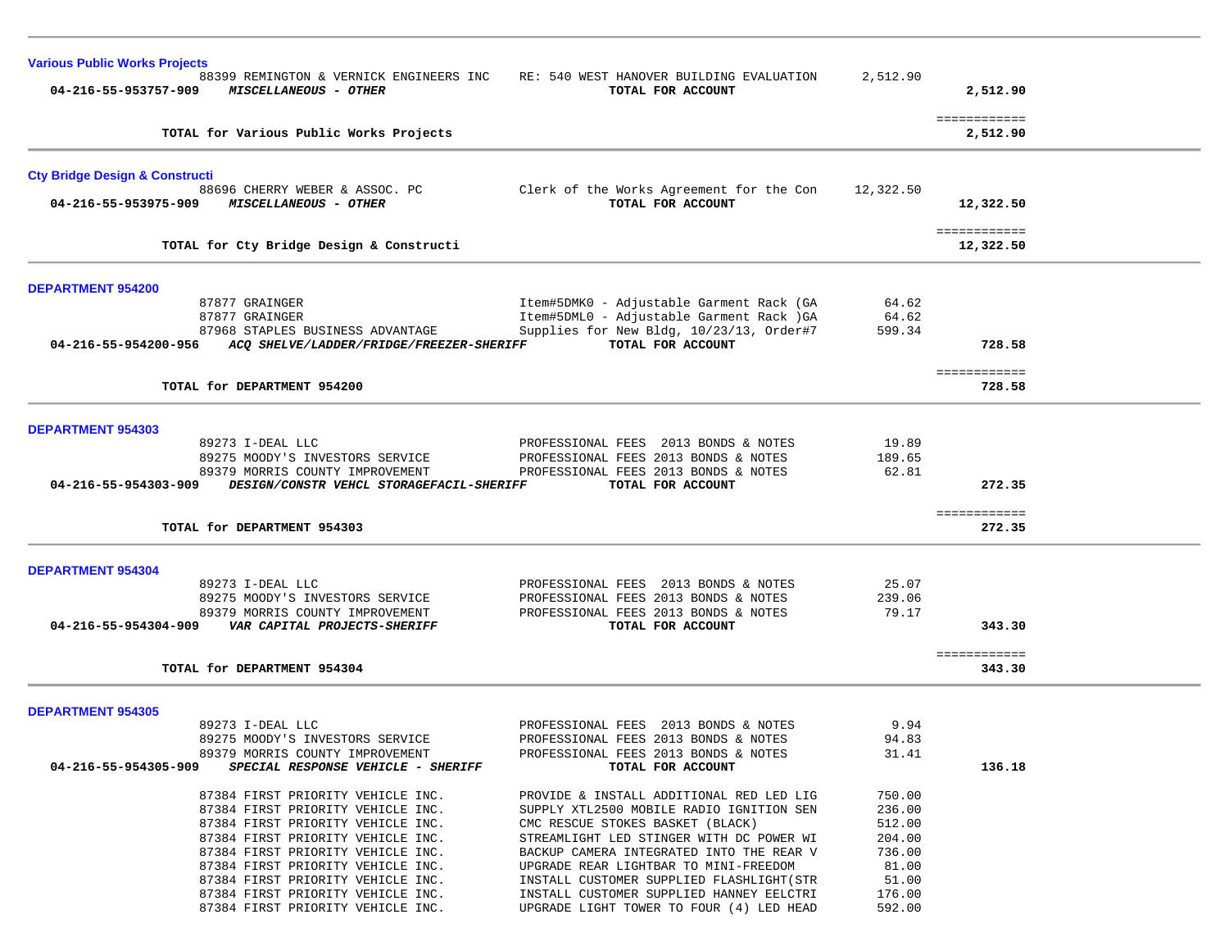| <b>Various Public Works Projects</b>                                                     |                                                                              |                 |                           |  |
|------------------------------------------------------------------------------------------|------------------------------------------------------------------------------|-----------------|---------------------------|--|
| 88399 REMINGTON & VERNICK ENGINEERS INC<br>04-216-55-953757-909<br>MISCELLANEOUS - OTHER | RE: 540 WEST HANOVER BUILDING EVALUATION<br>TOTAL FOR ACCOUNT                | 2,512.90        | 2,512.90                  |  |
| TOTAL for Various Public Works Projects                                                  |                                                                              |                 | ============<br>2,512.90  |  |
| <b>Cty Bridge Design &amp; Constructi</b>                                                |                                                                              |                 |                           |  |
| 88696 CHERRY WEBER & ASSOC. PC                                                           | Clerk of the Works Agreement for the Con                                     | 12,322.50       |                           |  |
| 04-216-55-953975-909<br><i>MISCELLANEOUS - OTHER</i>                                     | TOTAL FOR ACCOUNT                                                            |                 | 12,322.50                 |  |
| TOTAL for Cty Bridge Design & Constructi                                                 |                                                                              |                 | ============<br>12,322.50 |  |
|                                                                                          |                                                                              |                 |                           |  |
| <b>DEPARTMENT 954200</b>                                                                 |                                                                              |                 |                           |  |
| 87877 GRAINGER                                                                           | Item#5DMK0 - Adjustable Garment Rack (GA                                     | 64.62           |                           |  |
| 87877 GRAINGER                                                                           | Item#5DML0 - Adjustable Garment Rack )GA                                     | 64.62           |                           |  |
| 87968 STAPLES BUSINESS ADVANTAGE                                                         | Supplies for New Bldg, 10/23/13, Order#7                                     | 599.34          |                           |  |
| ACQ SHELVE/LADDER/FRIDGE/FREEZER-SHERIFF<br>04-216-55-954200-956                         | TOTAL FOR ACCOUNT                                                            |                 | 728.58                    |  |
|                                                                                          |                                                                              |                 | ============              |  |
| TOTAL for DEPARTMENT 954200                                                              |                                                                              |                 | 728.58                    |  |
|                                                                                          |                                                                              |                 |                           |  |
| <b>DEPARTMENT 954303</b>                                                                 |                                                                              |                 |                           |  |
| 89273 I-DEAL LLC<br>89275 MOODY'S INVESTORS SERVICE                                      | PROFESSIONAL FEES 2013 BONDS & NOTES                                         | 19.89<br>189.65 |                           |  |
| 89379 MORRIS COUNTY IMPROVEMENT                                                          | PROFESSIONAL FEES 2013 BONDS & NOTES<br>PROFESSIONAL FEES 2013 BONDS & NOTES | 62.81           |                           |  |
| DESIGN/CONSTR VEHCL STORAGEFACIL-SHERIFF<br>04-216-55-954303-909                         | TOTAL FOR ACCOUNT                                                            |                 | 272.35                    |  |
|                                                                                          |                                                                              |                 |                           |  |
| TOTAL for DEPARTMENT 954303                                                              |                                                                              |                 | ============<br>272.35    |  |
|                                                                                          |                                                                              |                 |                           |  |
| <b>DEPARTMENT 954304</b>                                                                 |                                                                              |                 |                           |  |
| 89273 I-DEAL LLC                                                                         | PROFESSIONAL FEES 2013 BONDS & NOTES                                         | 25.07           |                           |  |
| 89275 MOODY'S INVESTORS SERVICE                                                          | PROFESSIONAL FEES 2013 BONDS & NOTES                                         | 239.06          |                           |  |
| 89379 MORRIS COUNTY IMPROVEMENT                                                          | PROFESSIONAL FEES 2013 BONDS & NOTES                                         | 79.17           |                           |  |
| 04-216-55-954304-909<br>VAR CAPITAL PROJECTS-SHERIFF                                     | TOTAL FOR ACCOUNT                                                            |                 | 343.30                    |  |
|                                                                                          |                                                                              |                 | ============              |  |
| TOTAL for DEPARTMENT 954304                                                              |                                                                              |                 | 343.30                    |  |
|                                                                                          |                                                                              |                 |                           |  |
| <b>DEPARTMENT 954305</b>                                                                 |                                                                              |                 |                           |  |
| 89273 I-DEAL LLC                                                                         | PROFESSIONAL FEES 2013 BONDS & NOTES                                         | 9.94<br>94.83   |                           |  |
| 89275 MOODY'S INVESTORS SERVICE<br>89379 MORRIS COUNTY IMPROVEMENT                       | PROFESSIONAL FEES 2013 BONDS & NOTES<br>PROFESSIONAL FEES 2013 BONDS & NOTES | 31.41           |                           |  |
| 04-216-55-954305-909<br>SPECIAL RESPONSE VEHICLE - SHERIFF                               | TOTAL FOR ACCOUNT                                                            |                 | 136.18                    |  |
|                                                                                          |                                                                              |                 |                           |  |
| 87384 FIRST PRIORITY VEHICLE INC.                                                        | PROVIDE & INSTALL ADDITIONAL RED LED LIG                                     | 750.00          |                           |  |
| 87384 FIRST PRIORITY VEHICLE INC.                                                        | SUPPLY XTL2500 MOBILE RADIO IGNITION SEN                                     | 236.00          |                           |  |
| 87384 FIRST PRIORITY VEHICLE INC.                                                        | CMC RESCUE STOKES BASKET (BLACK)                                             | 512.00          |                           |  |
| 87384 FIRST PRIORITY VEHICLE INC.                                                        | STREAMLIGHT LED STINGER WITH DC POWER WI                                     | 204.00          |                           |  |
| 87384 FIRST PRIORITY VEHICLE INC.                                                        | BACKUP CAMERA INTEGRATED INTO THE REAR V                                     | 736.00          |                           |  |
| 87384 FIRST PRIORITY VEHICLE INC.                                                        | UPGRADE REAR LIGHTBAR TO MINI-FREEDOM                                        | 81.00           |                           |  |
| 87384 FIRST PRIORITY VEHICLE INC.                                                        | INSTALL CUSTOMER SUPPLIED FLASHLIGHT (STR                                    | 51.00           |                           |  |
| 87384 FIRST PRIORITY VEHICLE INC.                                                        | INSTALL CUSTOMER SUPPLIED HANNEY EELCTRI                                     | 176.00          |                           |  |
| 87384 FIRST PRIORITY VEHICLE INC.                                                        | UPGRADE LIGHT TOWER TO FOUR (4) LED HEAD                                     | 592.00          |                           |  |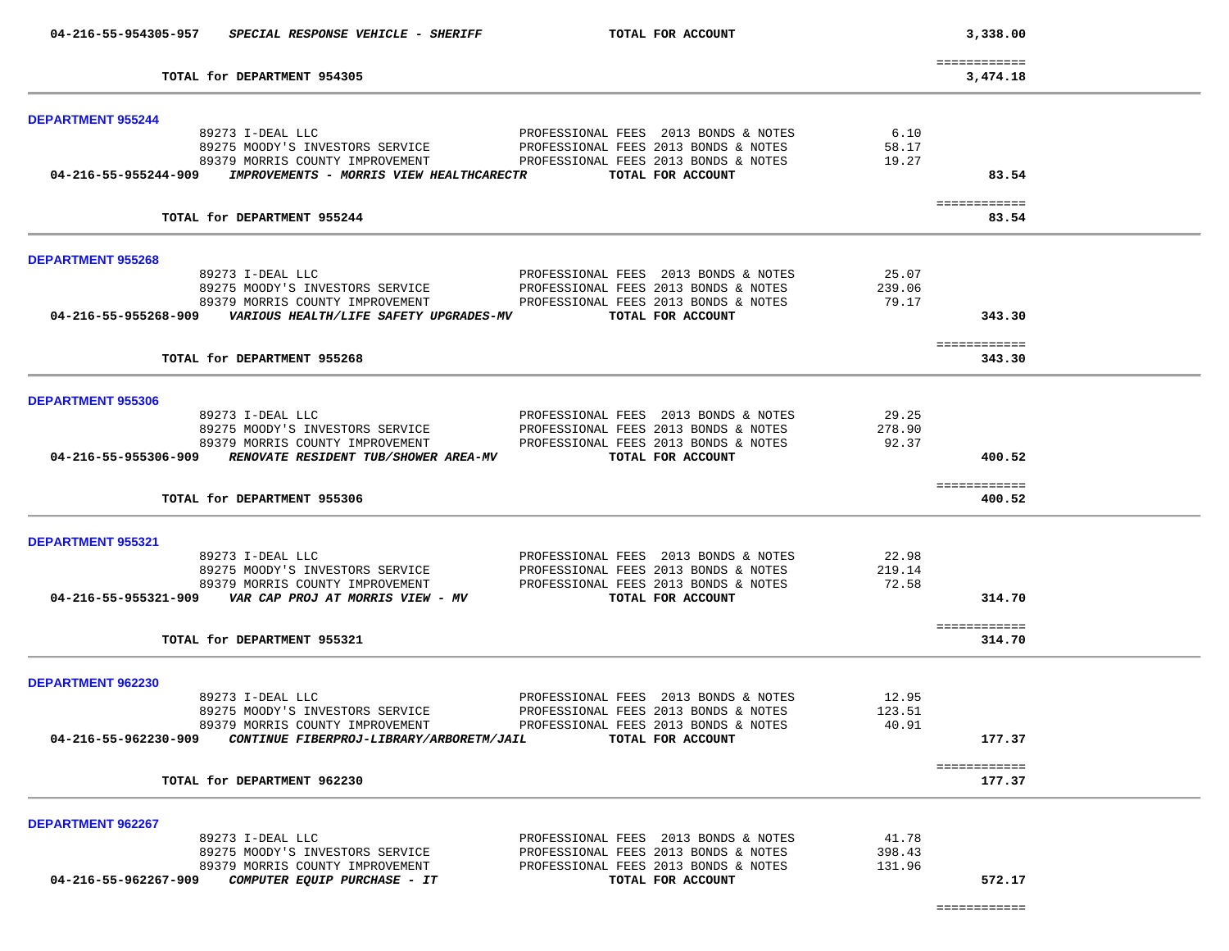|                          | 04-216-55-954305-957 SPECIAL RESPONSE VEHICLE - SHERIFF                       | TOTAL FOR ACCOUNT                                                    |        | 3,338.00                 |  |
|--------------------------|-------------------------------------------------------------------------------|----------------------------------------------------------------------|--------|--------------------------|--|
|                          | TOTAL for DEPARTMENT 954305                                                   |                                                                      |        | ============<br>3,474.18 |  |
|                          |                                                                               |                                                                      |        |                          |  |
| <b>DEPARTMENT 955244</b> | 89273 I-DEAL LLC                                                              | PROFESSIONAL FEES 2013 BONDS & NOTES                                 | 6.10   |                          |  |
|                          |                                                                               |                                                                      | 58.17  |                          |  |
|                          |                                                                               |                                                                      | 19.27  |                          |  |
|                          | 04-216-55-955244-909 IMPROVEMENTS - MORRIS VIEW HEALTHCARECTR                 | TOTAL FOR ACCOUNT                                                    |        | 83.54                    |  |
|                          |                                                                               |                                                                      |        |                          |  |
|                          | TOTAL for DEPARTMENT 955244                                                   |                                                                      |        | ============<br>83.54    |  |
|                          |                                                                               |                                                                      |        |                          |  |
| <b>DEPARTMENT 955268</b> |                                                                               |                                                                      |        |                          |  |
|                          | 89273 I-DEAL LLC                                                              | PROFESSIONAL FEES 2013 BONDS & NOTES                                 | 25.07  |                          |  |
|                          |                                                                               | 89275 MOODY'S INVESTORS SERVICE PROFESSIONAL FEES 2013 BONDS & NOTES | 239.06 |                          |  |
|                          | 89379 MORRIS COUNTY IMPROVEMENT                                               | PROFESSIONAL FEES 2013 BONDS & NOTES                                 | 79.17  |                          |  |
|                          | 04-216-55-955268-909 VARIOUS HEALTH/LIFE SAFETY UPGRADES-MV TOTAL FOR ACCOUNT |                                                                      |        | 343.30                   |  |
|                          |                                                                               |                                                                      |        |                          |  |
|                          |                                                                               |                                                                      |        | ============             |  |
|                          | TOTAL for DEPARTMENT 955268                                                   |                                                                      |        | 343.30                   |  |
|                          |                                                                               |                                                                      |        |                          |  |
| DEPARTMENT 955306        |                                                                               | PROFESSIONAL FEES 2013 BONDS & NOTES                                 | 29.25  |                          |  |
|                          | 89273 I-DEAL LLC<br>89275 MOODY'S INVESTORS SERVICE                           |                                                                      |        |                          |  |
|                          |                                                                               | PROFESSIONAL FEES 2013 BONDS & NOTES                                 | 278.90 |                          |  |
|                          | 89379 MORRIS COUNTY IMPROVEMENT                                               | PROFESSIONAL FEES 2013 BONDS & NOTES                                 | 92.37  |                          |  |
|                          |                                                                               |                                                                      |        | 400.52                   |  |
|                          | TOTAL for DEPARTMENT 955306                                                   |                                                                      |        | ============<br>400.52   |  |
|                          |                                                                               |                                                                      |        |                          |  |
| <b>DEPARTMENT 955321</b> |                                                                               |                                                                      |        |                          |  |
|                          | 89273 I-DEAL LLC                                                              | PROFESSIONAL FEES 2013 BONDS & NOTES                                 | 22.98  |                          |  |
|                          |                                                                               | 89275 MOODY'S INVESTORS SERVICE PROFESSIONAL FEES 2013 BONDS & NOTES | 219.14 |                          |  |
|                          | 89379 MORRIS COUNTY IMPROVEMENT                                               | PROFESSIONAL FEES 2013 BONDS & NOTES                                 | 72.58  |                          |  |
|                          |                                                                               | TOTAL FOR ACCOUNT                                                    |        | 314.70                   |  |
|                          |                                                                               |                                                                      |        |                          |  |
|                          | TOTAL for DEPARTMENT 955321                                                   |                                                                      |        | ============<br>314.70   |  |
|                          |                                                                               |                                                                      |        |                          |  |
| <b>DEPARTMENT 962230</b> |                                                                               |                                                                      |        |                          |  |
|                          | 89273 I-DEAL LLC                                                              | PROFESSIONAL FEES 2013 BONDS & NOTES                                 | 12.95  |                          |  |
|                          | 89275 MOODY'S INVESTORS SERVICE                                               | PROFESSIONAL FEES 2013 BONDS & NOTES                                 | 123.51 |                          |  |
|                          |                                                                               | 89379 MORRIS COUNTY IMPROVEMENT FROFESSIONAL FEES 2013 BONDS & NOTES | 40.91  |                          |  |
| 04-216-55-962230-909     | CONTINUE FIBERPROJ-LIBRARY/ARBORETM/JAIL                                      | TOTAL FOR ACCOUNT                                                    |        | 177.37                   |  |
|                          |                                                                               |                                                                      |        |                          |  |
|                          | TOTAL for DEPARTMENT 962230                                                   |                                                                      |        | ============<br>177.37   |  |
|                          |                                                                               |                                                                      |        |                          |  |
| <b>DEPARTMENT 962267</b> |                                                                               |                                                                      |        |                          |  |
|                          | 89273 I-DEAL LLC                                                              | PROFESSIONAL FEES 2013 BONDS & NOTES                                 | 41.78  |                          |  |
|                          | 89275 MOODY'S INVESTORS SERVICE                                               | PROFESSIONAL FEES 2013 BONDS & NOTES                                 | 398.43 |                          |  |
|                          | 89379 MORRIS COUNTY IMPROVEMENT                                               | PROFESSIONAL FEES 2013 BONDS & NOTES                                 | 131.96 |                          |  |
| 04-216-55-962267-909     | COMPUTER EQUIP PURCHASE - IT                                                  | TOTAL FOR ACCOUNT                                                    |        | 572.17                   |  |
|                          |                                                                               |                                                                      |        |                          |  |
|                          |                                                                               |                                                                      |        | ============             |  |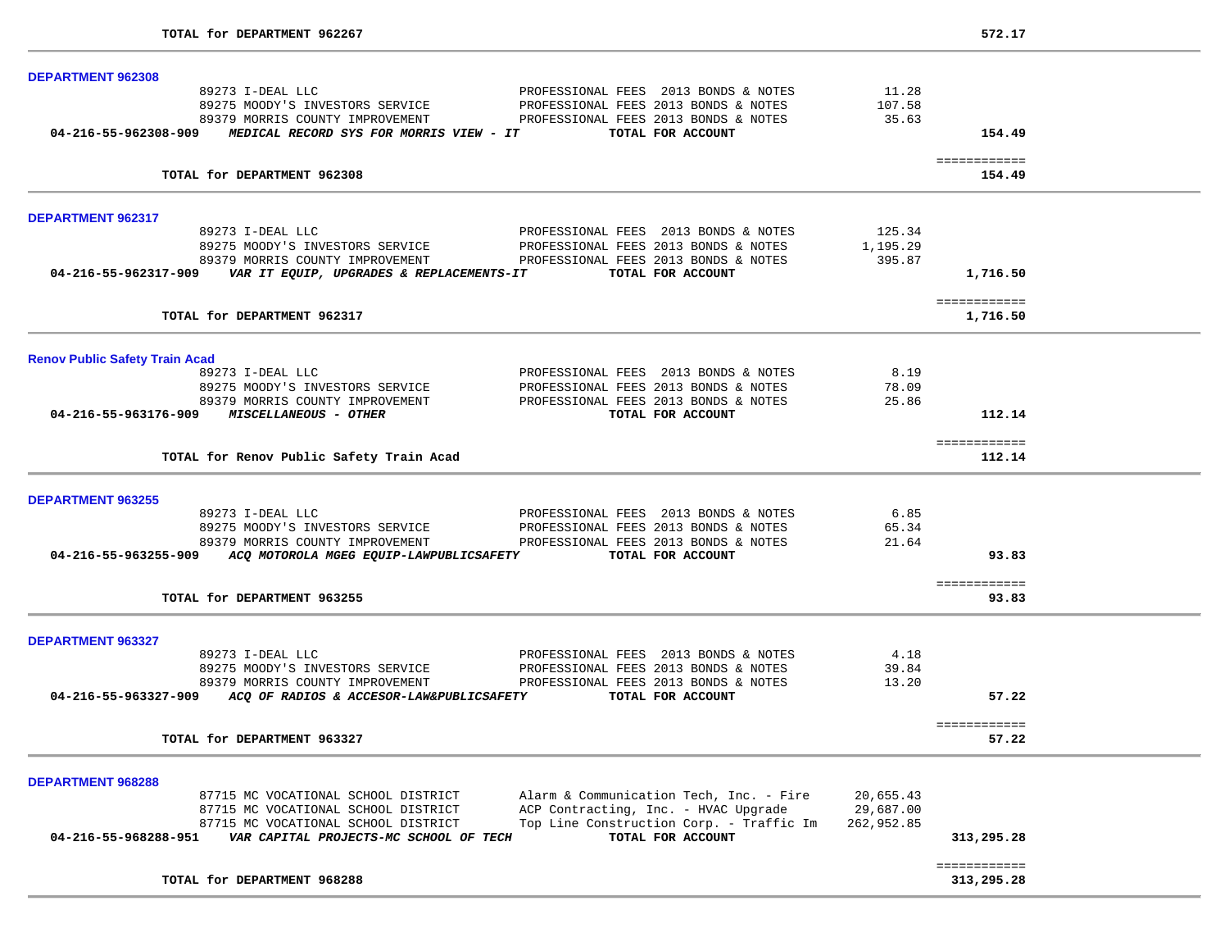÷.

| <b>DEPARTMENT 962308</b>              |                                                                                 |                                          |            |                          |  |
|---------------------------------------|---------------------------------------------------------------------------------|------------------------------------------|------------|--------------------------|--|
|                                       | 89273 I-DEAL LLC                                                                | PROFESSIONAL FEES 2013 BONDS & NOTES     | 11.28      |                          |  |
|                                       | 89275 MOODY'S INVESTORS SERVICE                                                 | PROFESSIONAL FEES 2013 BONDS & NOTES     | 107.58     |                          |  |
|                                       | 89379 MORRIS COUNTY IMPROVEMENT                                                 | PROFESSIONAL FEES 2013 BONDS & NOTES     | 35.63      |                          |  |
|                                       | 04-216-55-962308-909 MEDICAL RECORD SYS FOR MORRIS VIEW - IT                    | TOTAL FOR ACCOUNT                        |            | 154.49                   |  |
|                                       | TOTAL for DEPARTMENT 962308                                                     |                                          |            | ============             |  |
|                                       |                                                                                 |                                          |            | 154.49                   |  |
| <b>DEPARTMENT 962317</b>              |                                                                                 |                                          |            |                          |  |
|                                       | 89273 I-DEAL LLC                                                                | PROFESSIONAL FEES 2013 BONDS & NOTES     | 125.34     |                          |  |
|                                       | 89275 MOODY'S INVESTORS SERVICE                                                 | PROFESSIONAL FEES 2013 BONDS & NOTES     | 1,195.29   |                          |  |
|                                       | 89379 MORRIS COUNTY IMPROVEMENT                                                 | PROFESSIONAL FEES 2013 BONDS & NOTES     | 395.87     |                          |  |
|                                       | 04-216-55-962317-909 VAR IT EQUIP, UPGRADES & REPLACEMENTS-IT                   | TOTAL FOR ACCOUNT                        |            | 1,716.50                 |  |
|                                       | TOTAL for DEPARTMENT 962317                                                     |                                          |            | ============<br>1,716.50 |  |
|                                       |                                                                                 |                                          |            |                          |  |
| <b>Renov Public Safety Train Acad</b> |                                                                                 |                                          |            |                          |  |
|                                       | 89273 I-DEAL LLC                                                                | PROFESSIONAL FEES 2013 BONDS & NOTES     | 8.19       |                          |  |
|                                       | 89275 MOODY'S INVESTORS SERVICE                                                 | PROFESSIONAL FEES 2013 BONDS & NOTES     | 78.09      |                          |  |
|                                       | 89379 MORRIS COUNTY IMPROVEMENT                                                 | PROFESSIONAL FEES 2013 BONDS & NOTES     | 25.86      |                          |  |
|                                       | 04-216-55-963176-909 MISCELLANEOUS - OTHER                                      | TOTAL FOR ACCOUNT                        |            | 112.14                   |  |
|                                       |                                                                                 |                                          |            | ============             |  |
|                                       | TOTAL for Renov Public Safety Train Acad                                        |                                          |            | 112.14                   |  |
| <b>DEPARTMENT 963255</b>              |                                                                                 |                                          |            |                          |  |
|                                       | 89273 I-DEAL LLC                                                                | PROFESSIONAL FEES 2013 BONDS & NOTES     | 6.85       |                          |  |
|                                       | 89275 MOODY'S INVESTORS SERVICE                                                 | PROFESSIONAL FEES 2013 BONDS & NOTES     | 65.34      |                          |  |
|                                       | 89379 MORRIS COUNTY IMPROVEMENT                                                 | PROFESSIONAL FEES 2013 BONDS & NOTES     | 21.64      |                          |  |
|                                       | 04-216-55-963255-909 ACQ MOTOROLA MGEG EQUIP-LAWPUBLICSAFETY TOTAL FOR ACCOUNT  |                                          |            | 93.83                    |  |
|                                       |                                                                                 |                                          |            | ============             |  |
|                                       | TOTAL for DEPARTMENT 963255                                                     |                                          |            | 93.83                    |  |
| <b>DEPARTMENT 963327</b>              |                                                                                 |                                          |            |                          |  |
|                                       | 89273 I-DEAL LLC                                                                | PROFESSIONAL FEES 2013 BONDS & NOTES     | 4.18       |                          |  |
|                                       | 89275 MOODY'S INVESTORS SERVICE                                                 | PROFESSIONAL FEES 2013 BONDS & NOTES     | 39.84      |                          |  |
|                                       | 89379 MORRIS COUNTY IMPROVEMENT                                                 | PROFESSIONAL FEES 2013 BONDS & NOTES     | 13.20      |                          |  |
|                                       | 04-216-55-963327-909 ACQ OF RADIOS & ACCESOR-LAW&PUBLICSAFETY TOTAL FOR ACCOUNT |                                          |            | 57.22                    |  |
|                                       |                                                                                 |                                          |            | ============             |  |
|                                       | TOTAL for DEPARTMENT 963327                                                     |                                          |            | 57.22                    |  |
| <b>DEPARTMENT 968288</b>              |                                                                                 |                                          |            |                          |  |
|                                       | 87715 MC VOCATIONAL SCHOOL DISTRICT                                             | Alarm & Communication Tech, Inc. - Fire  | 20,655.43  |                          |  |
|                                       | 87715 MC VOCATIONAL SCHOOL DISTRICT                                             | ACP Contracting, Inc. - HVAC Upgrade     | 29,687.00  |                          |  |
|                                       | 87715 MC VOCATIONAL SCHOOL DISTRICT                                             | Top Line Construction Corp. - Traffic Im | 262,952.85 |                          |  |
| 04-216-55-968288-951                  | VAR CAPITAL PROJECTS-MC SCHOOL OF TECH                                          | TOTAL FOR ACCOUNT                        |            | 313,295.28               |  |
|                                       |                                                                                 |                                          |            | ============             |  |
|                                       | TOTAL for DEPARTMENT 968288                                                     |                                          |            | 313,295.28               |  |
|                                       |                                                                                 |                                          |            |                          |  |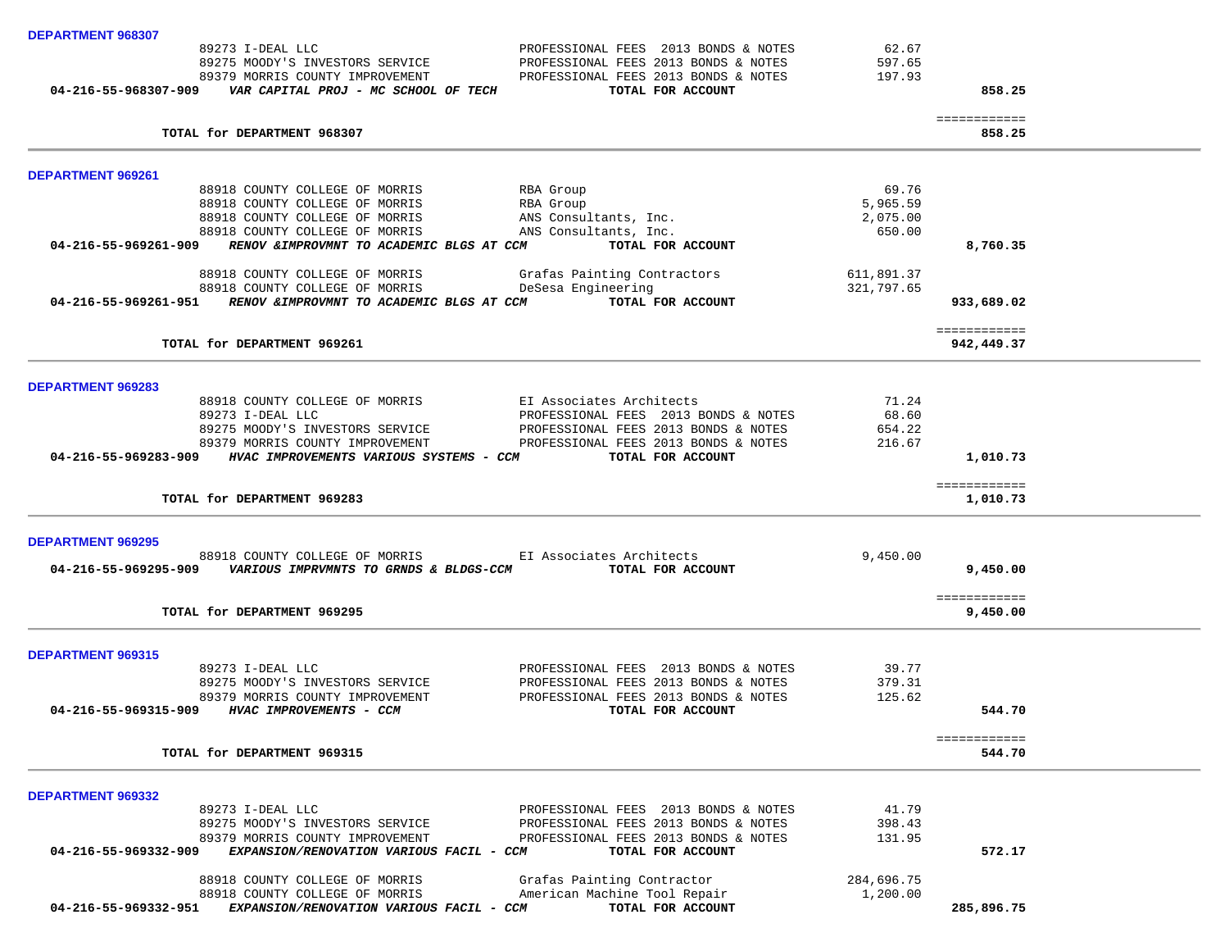| DEPARTMENT 968307                                                                                  |                                                                      |            |                          |  |
|----------------------------------------------------------------------------------------------------|----------------------------------------------------------------------|------------|--------------------------|--|
| 89273 I-DEAL LLC                                                                                   | PROFESSIONAL FEES 2013 BONDS & NOTES                                 | 62.67      |                          |  |
| 89275 MOODY'S INVESTORS SERVICE                                                                    | PROFESSIONAL FEES 2013 BONDS & NOTES                                 | 597.65     |                          |  |
| 89379 MORRIS COUNTY IMPROVEMENT                                                                    | PROFESSIONAL FEES 2013 BONDS & NOTES                                 | 197.93     |                          |  |
| 04-216-55-968307-909    VAR CAPITAL PROJ - MC SCHOOL OF TECH                                       | TOTAL FOR ACCOUNT                                                    |            | 858.25                   |  |
|                                                                                                    |                                                                      |            | ============             |  |
| TOTAL for DEPARTMENT 968307                                                                        |                                                                      |            | 858.25                   |  |
| <b>DEPARTMENT 969261</b>                                                                           |                                                                      |            |                          |  |
| 88918 COUNTY COLLEGE OF MORRIS                                                                     | RBA Group                                                            | 69.76      |                          |  |
| 88918 COUNTY COLLEGE OF MORRIS                                                                     | RBA Group                                                            | 5,965.59   |                          |  |
| 88918 COUNTY COLLEGE OF MORRIS                                                                     | ANS Consultants, Inc.                                                | 2,075.00   |                          |  |
| 88918 COUNTY COLLEGE OF MORRIS                                                                     | ANS Consultants, Inc.                                                | 650.00     |                          |  |
| 04-216-55-969261-909 RENOV & IMPROVMNT TO ACADEMIC BLGS AT CCM                                     | TOTAL FOR ACCOUNT                                                    |            | 8,760.35                 |  |
| 88918 COUNTY COLLEGE OF MORRIS                                                                     | Grafas Painting Contractors                                          | 611,891.37 |                          |  |
| 88918 COUNTY COLLEGE OF MORRIS DeSesa Engineering                                                  |                                                                      | 321,797.65 |                          |  |
| 04-216-55-969261-951 RENOV & IMPROVMNT TO ACADEMIC BLGS AT CCM TOTAL FOR ACCOUNT                   |                                                                      |            | 933,689.02               |  |
|                                                                                                    |                                                                      |            | ============             |  |
| TOTAL for DEPARTMENT 969261                                                                        |                                                                      |            | 942,449.37               |  |
|                                                                                                    |                                                                      |            |                          |  |
| <b>DEPARTMENT 969283</b>                                                                           |                                                                      |            |                          |  |
| 88918 COUNTY COLLEGE OF MORRIS                                                                     | EI Associates Architects                                             | 71.24      |                          |  |
| 89273 I-DEAL LLC                                                                                   | PROFESSIONAL FEES 2013 BONDS & NOTES                                 | 68.60      |                          |  |
| 89275 MOODY'S INVESTORS SERVICE                                                                    | PROFESSIONAL FEES 2013 BONDS & NOTES                                 | 654.22     |                          |  |
|                                                                                                    | 89379 MORRIS COUNTY IMPROVEMENT PROFESSIONAL FEES 2013 BONDS & NOTES | 216.67     |                          |  |
| 04-216-55-969283-909 HVAC IMPROVEMENTS VARIOUS SYSTEMS - CCM TOTAL FOR ACCOUNT                     |                                                                      |            | 1,010.73                 |  |
| TOTAL for DEPARTMENT 969283                                                                        |                                                                      |            | ============<br>1,010.73 |  |
|                                                                                                    |                                                                      |            |                          |  |
| <b>DEPARTMENT 969295</b>                                                                           |                                                                      |            |                          |  |
|                                                                                                    | 88918 COUNTY COLLEGE OF MORRIS EI Associates Architects              | 9,450.00   |                          |  |
| 04-216-55-969295-909 VARIOUS IMPRVMNTS TO GRNDS & BLDGS-CCM TOTAL FOR ACCOUNT                      |                                                                      |            | 9,450.00                 |  |
|                                                                                                    |                                                                      |            |                          |  |
| TOTAL for DEPARTMENT 969295                                                                        |                                                                      |            | ============<br>9,450.00 |  |
|                                                                                                    |                                                                      |            |                          |  |
| DEPARTMENT 969315                                                                                  |                                                                      |            |                          |  |
| 89273 I-DEAL LLC                                                                                   | PROFESSIONAL FEES 2013 BONDS & NOTES                                 | 39.77      |                          |  |
| 89275 MOODY'S INVESTORS SERVICE                                                                    | PROFESSIONAL FEES 2013 BONDS & NOTES                                 | 379.31     |                          |  |
| 89379 MORRIS COUNTY IMPROVEMENT                                                                    | PROFESSIONAL FEES 2013 BONDS & NOTES                                 | 125.62     |                          |  |
| 04-216-55-969315-909 HVAC IMPROVEMENTS - CCM                                                       | TOTAL FOR ACCOUNT                                                    |            | 544.70                   |  |
|                                                                                                    |                                                                      |            | ============             |  |
| TOTAL for DEPARTMENT 969315                                                                        |                                                                      |            | 544.70                   |  |
|                                                                                                    |                                                                      |            |                          |  |
| DEPARTMENT 969332<br>89273 I-DEAL LLC                                                              | PROFESSIONAL FEES 2013 BONDS & NOTES                                 | 41.79      |                          |  |
| 89275 MOODY'S INVESTORS SERVICE                                                                    | PROFESSIONAL FEES 2013 BONDS & NOTES                                 | 398.43     |                          |  |
| 89379 MORRIS COUNTY IMPROVEMENT                                                                    | PROFESSIONAL FEES 2013 BONDS & NOTES                                 | 131.95     |                          |  |
| 04-216-55-969332-909<br>EXPANSION/RENOVATION VARIOUS FACIL - CCM                                   | TOTAL FOR ACCOUNT                                                    |            | 572.17                   |  |
|                                                                                                    |                                                                      |            |                          |  |
| 88918 COUNTY COLLEGE OF MORRIS                                                                     | Grafas Painting Contractor<br>American Machine Tool Repair           | 284,696.75 |                          |  |
| 88918 COUNTY COLLEGE OF MORRIS<br>04-216-55-969332-951<br>EXPANSION/RENOVATION VARIOUS FACIL - CCM | TOTAL FOR ACCOUNT                                                    | 1,200.00   | 285,896.75               |  |
|                                                                                                    |                                                                      |            |                          |  |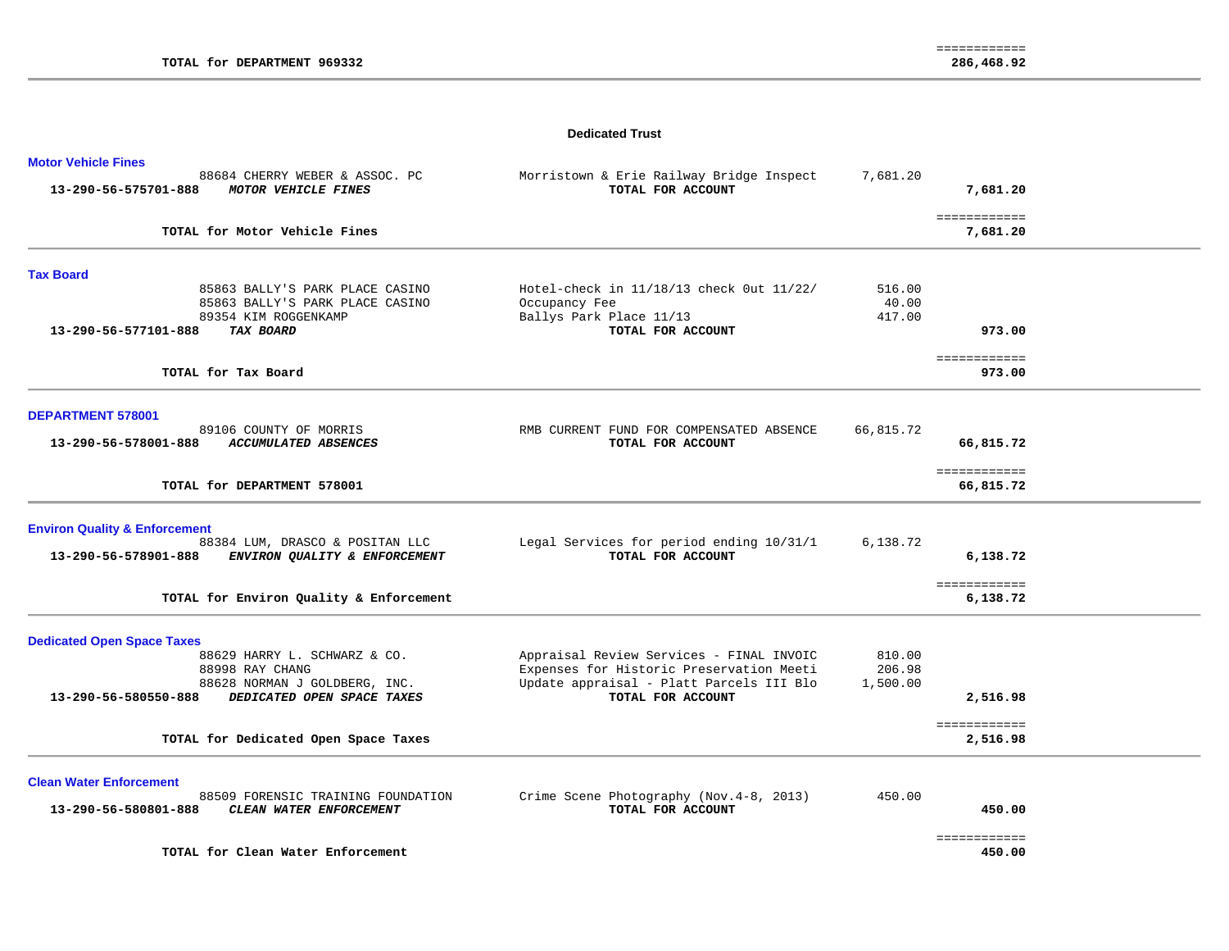#### **Dedicated Trust**

| <b>Motor Vehicle Fines</b><br>88684 CHERRY WEBER & ASSOC. PC<br>13-290-56-575701-888<br>MOTOR VEHICLE FINES | Morristown & Erie Railway Bridge Inspect<br>TOTAL FOR ACCOUNT                        | 7,681.20           | 7,681.20                     |  |
|-------------------------------------------------------------------------------------------------------------|--------------------------------------------------------------------------------------|--------------------|------------------------------|--|
| TOTAL for Motor Vehicle Fines                                                                               |                                                                                      |                    | ============<br>7,681.20     |  |
| <b>Tax Board</b>                                                                                            |                                                                                      |                    |                              |  |
| 85863 BALLY'S PARK PLACE CASINO<br>85863 BALLY'S PARK PLACE CASINO                                          | Hotel-check in 11/18/13 check 0ut 11/22/<br>Occupancy Fee                            | 516.00<br>40.00    |                              |  |
| 89354 KIM ROGGENKAMP                                                                                        | Ballys Park Place 11/13                                                              | 417.00             |                              |  |
| 13-290-56-577101-888<br>TAX BOARD                                                                           | TOTAL FOR ACCOUNT                                                                    |                    | 973.00                       |  |
| TOTAL for Tax Board                                                                                         |                                                                                      |                    | ============<br>973.00       |  |
|                                                                                                             |                                                                                      |                    |                              |  |
| <b>DEPARTMENT 578001</b>                                                                                    |                                                                                      |                    |                              |  |
| 89106 COUNTY OF MORRIS<br><b>ACCUMULATED ABSENCES</b><br>13-290-56-578001-888                               | RMB CURRENT FUND FOR COMPENSATED ABSENCE<br>TOTAL FOR ACCOUNT                        | 66,815.72          | 66,815.72                    |  |
|                                                                                                             |                                                                                      |                    | ============                 |  |
| TOTAL for DEPARTMENT 578001                                                                                 |                                                                                      |                    | 66,815.72                    |  |
| <b>Environ Quality &amp; Enforcement</b>                                                                    |                                                                                      |                    |                              |  |
| 88384 LUM, DRASCO & POSITAN LLC<br>13-290-56-578901-888<br>ENVIRON QUALITY & ENFORCEMENT                    | Legal Services for period ending 10/31/1<br>TOTAL FOR ACCOUNT                        | 6,138.72           | 6,138.72                     |  |
|                                                                                                             |                                                                                      |                    |                              |  |
| TOTAL for Environ Quality & Enforcement                                                                     |                                                                                      |                    | ============<br>6,138.72     |  |
| <b>Dedicated Open Space Taxes</b>                                                                           |                                                                                      |                    |                              |  |
| 88629 HARRY L. SCHWARZ & CO.                                                                                | Appraisal Review Services - FINAL INVOIC                                             | 810.00             |                              |  |
| 88998 RAY CHANG<br>88628 NORMAN J GOLDBERG, INC.                                                            | Expenses for Historic Preservation Meeti<br>Update appraisal - Platt Parcels III Blo | 206.98<br>1,500.00 |                              |  |
| 13-290-56-580550-888<br>DEDICATED OPEN SPACE TAXES                                                          | TOTAL FOR ACCOUNT                                                                    |                    | 2,516.98                     |  |
|                                                                                                             |                                                                                      |                    | ============                 |  |
| TOTAL for Dedicated Open Space Taxes                                                                        |                                                                                      |                    | 2,516.98                     |  |
| <b>Clean Water Enforcement</b>                                                                              |                                                                                      |                    |                              |  |
| 88509 FORENSIC TRAINING FOUNDATION<br>13-290-56-580801-888<br>CLEAN WATER ENFORCEMENT                       | Crime Scene Photography (Nov. 4-8, 2013)<br>TOTAL FOR ACCOUNT                        | 450.00             | 450.00                       |  |
|                                                                                                             |                                                                                      |                    |                              |  |
| TOTAL for Clean Water Enforcement                                                                           |                                                                                      |                    | <b>EEEEEEEEEEE</b><br>450.00 |  |